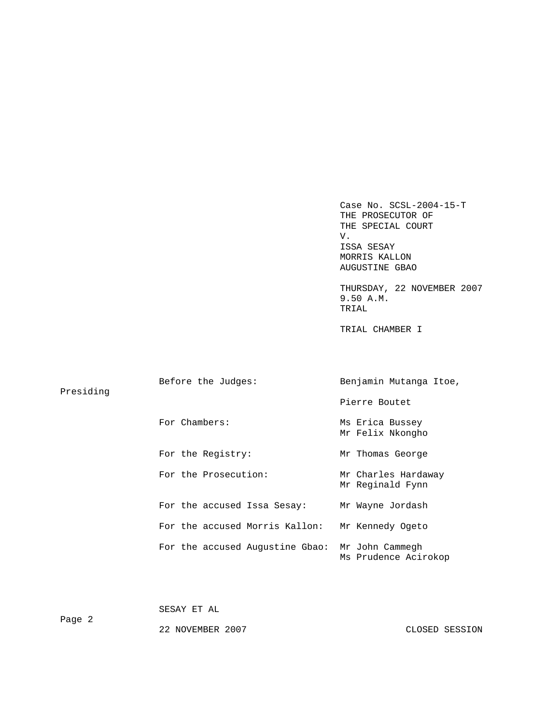Case No. SCSL-2004-15-T THE PROSECUTOR OF THE SPECIAL COURT V. V. ISSA SESAY MORRIS KALLON AUGUSTINE GBAO

 THURSDAY, 22 NOVEMBER 2007 9.50 A.M. TRIAL

TRIAL CHAMBER I

| Presiding | Before the Judges:              | Benjamin Mutanga Itoe,                  |  |
|-----------|---------------------------------|-----------------------------------------|--|
|           |                                 | Pierre Boutet                           |  |
|           | For Chambers:                   | Ms Erica Bussey<br>Mr Felix Nkongho     |  |
|           | For the Registry:               | Mr Thomas George                        |  |
|           | For the Prosecution:            | Mr Charles Hardaway<br>Mr Reginald Fynn |  |
|           | For the accused Issa Sesay:     | Mr Wayne Jordash                        |  |
|           | For the accused Morris Kallon:  | Mr Kennedy Ogeto                        |  |
|           | For the accused Augustine Gbao: | Mr John Cammegh<br>Ms Prudence Acirokop |  |

SESAY ET AL

Page 2

22 NOVEMBER 2007 CLOSED SESSION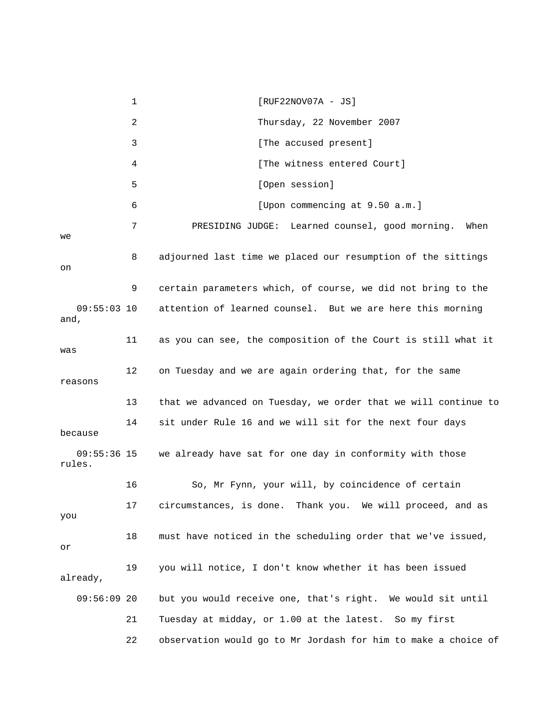1 [RUF22NOV07A - JS] 2 Thursday, 22 November 2007 3 [The accused present] 4 **1 1** [The witness entered Court] 5 [Open session] 6 [Upon commencing at 9.50 a.m.] 7 PRESIDING JUDGE: Learned counsel, good morning. When we 8 adjourned last time we placed our resumption of the sittings on 9 certain parameters which, of course, we did not bring to the 09:55:03 10 attention of learned counsel. But we are here this morning and, 11 as you can see, the composition of the Court is still what it was 12 on Tuesday and we are again ordering that, for the same reasons 13 that we advanced on Tuesday, we order that we will continue to 14 sit under Rule 16 and we will sit for the next four days because 09:55:36 15 we already have sat for one day in conformity with those rules. 16 So, Mr Fynn, your will, by coincidence of certain 17 circumstances, is done. Thank you. We will proceed, and as you 18 must have noticed in the scheduling order that we've issued, or 19 you will notice, I don't know whether it has been issued already, 09:56:09 20 but you would receive one, that's right. We would sit until 21 Tuesday at midday, or 1.00 at the latest. So my first 22 observation would go to Mr Jordash for him to make a choice of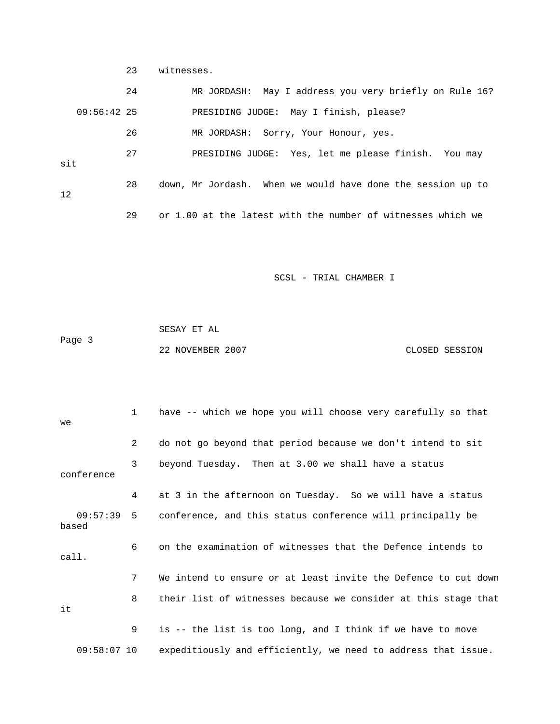23 witnesses.

|               | 24 | MR JORDASH: May I address you very briefly on Rule 16?      |
|---------------|----|-------------------------------------------------------------|
| $09:56:42$ 25 |    | PRESIDING JUDGE: May I finish, please?                      |
|               | 26 | MR JORDASH: Sorry, Your Honour, yes.                        |
| sit           | 27 | PRESIDING JUDGE: Yes, let me please finish. You may         |
| 12            | 28 | down, Mr Jordash. When we would have done the session up to |
|               | 29 | or 1.00 at the latest with the number of witnesses which we |

SCSL - TRIAL CHAMBER I

 SESAY ET AL Page 3 22 NOVEMBER 2007 CLOSED SESSION

| we         | $\mathbf{1}$   | have -- which we hope you will choose very carefully so that          |
|------------|----------------|-----------------------------------------------------------------------|
|            | $\overline{2}$ | do not go beyond that period because we don't intend to sit           |
| conference | 3              | beyond Tuesday. Then at 3.00 we shall have a status                   |
|            | 4              | at 3 in the afternoon on Tuesday. So we will have a status            |
| based      |                | 09:57:39 5 conference, and this status conference will principally be |
| call.      | 6              | on the examination of witnesses that the Defence intends to           |
|            | 7              | We intend to ensure or at least invite the Defence to cut down        |
| it         | 8              | their list of witnesses because we consider at this stage that        |
|            | 9              | is -- the list is too long, and I think if we have to move            |
|            | $09:58:07$ 10  | expeditiously and efficiently, we need to address that issue.         |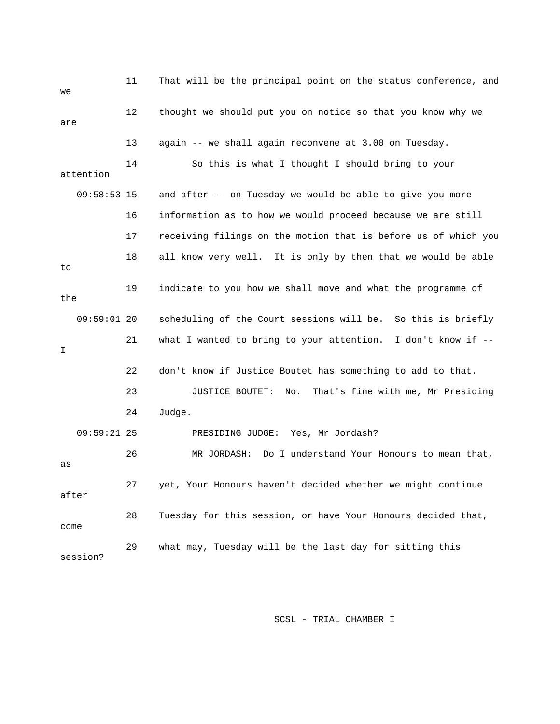| we            | 11 | That will be the principal point on the status conference, and  |
|---------------|----|-----------------------------------------------------------------|
| are           | 12 | thought we should put you on notice so that you know why we     |
|               | 13 | again -- we shall again reconvene at 3.00 on Tuesday.           |
| attention     | 14 | So this is what I thought I should bring to your                |
| $09:58:53$ 15 |    | and after -- on Tuesday we would be able to give you more       |
|               | 16 | information as to how we would proceed because we are still     |
|               | 17 | receiving filings on the motion that is before us of which you  |
| to            | 18 | all know very well. It is only by then that we would be able    |
| the           | 19 | indicate to you how we shall move and what the programme of     |
| $09:59:01$ 20 |    | scheduling of the Court sessions will be. So this is briefly    |
| I             | 21 | what I wanted to bring to your attention. I don't know if $-$ - |
|               | 22 | don't know if Justice Boutet has something to add to that.      |
|               | 23 | JUSTICE BOUTET:<br>No.<br>That's fine with me, Mr Presiding     |
|               | 24 | Judge.                                                          |
| $09:59:21$ 25 |    | PRESIDING JUDGE: Yes, Mr Jordash?                               |
| as            | 26 | Do I understand Your Honours to mean that,<br>MR JORDASH:       |
| after         | 27 | yet, Your Honours haven't decided whether we might continue     |
| come          | 28 | Tuesday for this session, or have Your Honours decided that,    |
| session?      | 29 | what may, Tuesday will be the last day for sitting this         |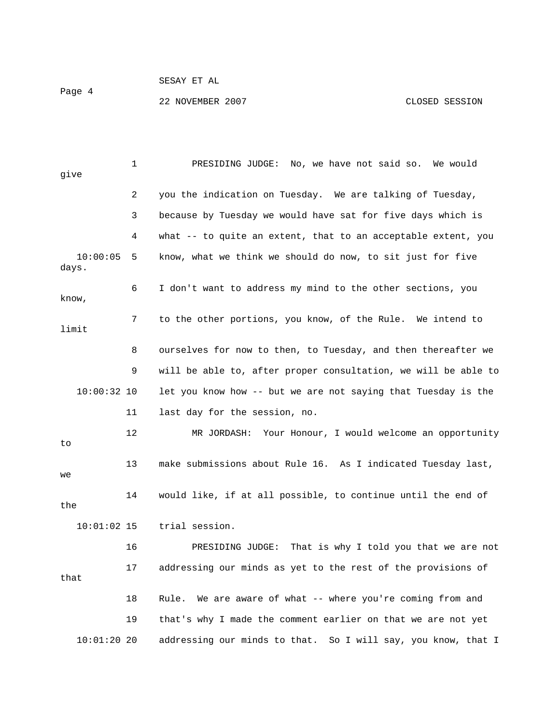## SESAY ET AL

22 NOVEMBER 2007 CLOSED SESSION

 1 PRESIDING JUDGE: No, we have not said so. We would give 2 you the indication on Tuesday. We are talking of Tuesday, 3 because by Tuesday we would have sat for five days which is 4 what -- to quite an extent, that to an acceptable extent, you 10:00:05 5 know, what we think we should do now, to sit just for five days. 6 I don't want to address my mind to the other sections, you know, 7 to the other portions, you know, of the Rule. We intend to limit 8 ourselves for now to then, to Tuesday, and then thereafter we 9 will be able to, after proper consultation, we will be able to 10:00:32 10 let you know how -- but we are not saying that Tuesday is the 11 last day for the session, no. 12 MR JORDASH: Your Honour, I would welcome an opportunity to 13 make submissions about Rule 16. As I indicated Tuesday last, we 14 would like, if at all possible, to continue until the end of the 10:01:02 15 trial session. 16 PRESIDING JUDGE: That is why I told you that we are not 17 addressing our minds as yet to the rest of the provisions of that 18 Rule. We are aware of what -- where you're coming from and 19 that's why I made the comment earlier on that we are not yet

10:01:20 20 addressing our minds to that. So I will say, you know, that I

Page 4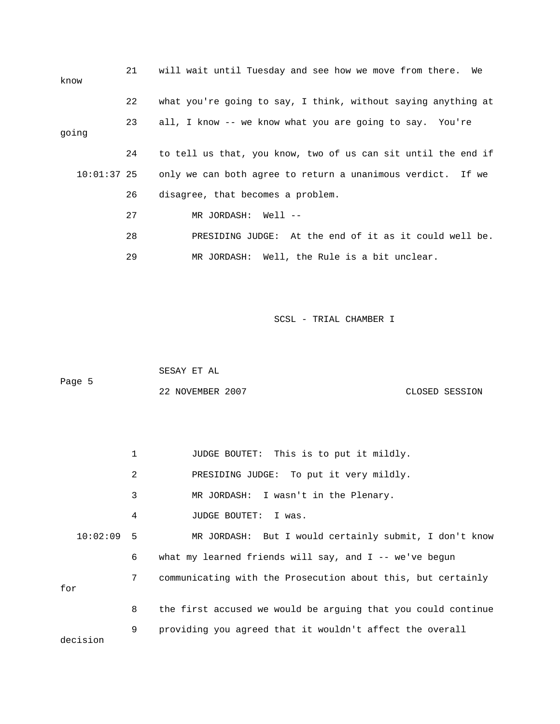| know        | 21 | will wait until Tuesday and see how we move from there. We    |
|-------------|----|---------------------------------------------------------------|
|             | 22 | what you're going to say, I think, without saying anything at |
| going       | 23 | all, I know -- we know what you are going to say. You're      |
|             | 24 | to tell us that, you know, two of us can sit until the end if |
| 10:01:37 25 |    | only we can both agree to return a unanimous verdict. If we   |
|             | 26 | disagree, that becomes a problem.                             |
|             | 27 | MR JORDASH: Well --                                           |
|             | 28 | PRESIDING JUDGE: At the end of it as it could well be.        |
|             | 29 | MR JORDASH: Well, the Rule is a bit unclear.                  |

|        | SESAY ET AL      |                |
|--------|------------------|----------------|
| Paqe 5 |                  |                |
|        | 22 NOVEMBER 2007 | CLOSED SESSION |

 1 JUDGE BOUTET: This is to put it mildly. 2 PRESIDING JUDGE: To put it very mildly. 3 MR JORDASH: I wasn't in the Plenary. 4 JUDGE BOUTET: I was. 10:02:09 5 MR JORDASH: But I would certainly submit, I don't know 6 what my learned friends will say, and I -- we've begun 7 communicating with the Prosecution about this, but certainly for 8 the first accused we would be arguing that you could continue 9 providing you agreed that it wouldn't affect the overall decision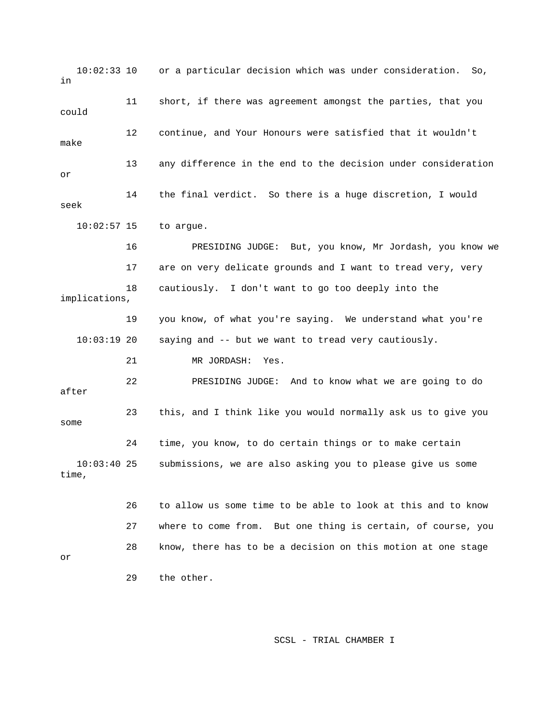10:02:33 10 or a particular decision which was under consideration. So, in 11 short, if there was agreement amongst the parties, that you could 12 continue, and Your Honours were satisfied that it wouldn't make 13 any difference in the end to the decision under consideration or 14 the final verdict. So there is a huge discretion, I would seek 10:02:57 15 to argue. 16 PRESIDING JUDGE: But, you know, Mr Jordash, you know we 17 are on very delicate grounds and I want to tread very, very 18 cautiously. I don't want to go too deeply into the implications, 19 you know, of what you're saying. We understand what you're 10:03:19 20 saying and -- but we want to tread very cautiously. 21 MR JORDASH: Yes. 22 PRESIDING JUDGE: And to know what we are going to do after 23 this, and I think like you would normally ask us to give you some 24 time, you know, to do certain things or to make certain 10:03:40 25 submissions, we are also asking you to please give us some time, 26 to allow us some time to be able to look at this and to know 27 where to come from. But one thing is certain, of course, you 28 know, there has to be a decision on this motion at one stage or 29 the other.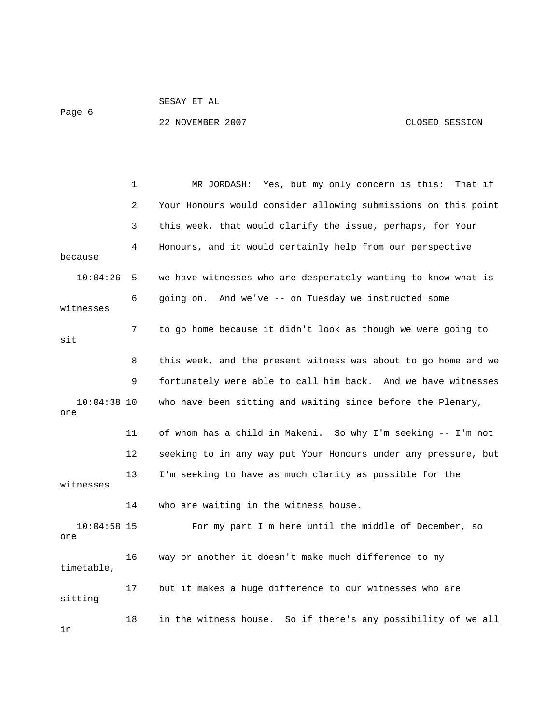Page 6

SESAY ET AL

22 NOVEMBER 2007 CLOSED SESSION

|                      | 1  | MR JORDASH: Yes, but my only concern is this:<br>That if       |
|----------------------|----|----------------------------------------------------------------|
|                      | 2  | Your Honours would consider allowing submissions on this point |
|                      | 3  | this week, that would clarify the issue, perhaps, for Your     |
| because              | 4  | Honours, and it would certainly help from our perspective      |
| 10:04:26             | 5  | we have witnesses who are desperately wanting to know what is  |
| witnesses            | 6  | going on. And we've -- on Tuesday we instructed some           |
| sit                  | 7  | to go home because it didn't look as though we were going to   |
|                      | 8  | this week, and the present witness was about to go home and we |
|                      | 9  | fortunately were able to call him back. And we have witnesses  |
| $10:04:38$ 10<br>one |    | who have been sitting and waiting since before the Plenary,    |
|                      | 11 | of whom has a child in Makeni. So why I'm seeking -- I'm not   |
|                      | 12 | seeking to in any way put Your Honours under any pressure, but |
| witnesses            | 13 | I'm seeking to have as much clarity as possible for the        |
|                      | 14 | who are waiting in the witness house.                          |
| $10:04:58$ 15<br>one |    | For my part I'm here until the middle of December, so          |
| timetable,           | 16 | way or another it doesn't make much difference to my           |
| sitting              | 17 | but it makes a huge difference to our witnesses who are        |
| in                   | 18 | in the witness house. So if there's any possibility of we all  |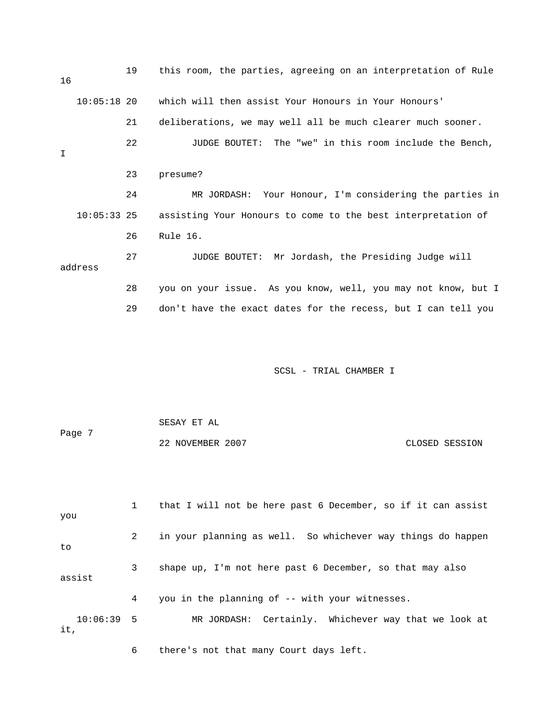| 16     |               | 19 | this room, the parties, agreeing on an interpretation of Rule |
|--------|---------------|----|---------------------------------------------------------------|
|        | $10:05:18$ 20 |    | which will then assist Your Honours in Your Honours'          |
|        |               | 21 | deliberations, we may well all be much clearer much sooner.   |
| $\top$ |               | 22 | JUDGE BOUTET: The "we" in this room include the Bench,        |
|        |               | 23 | presume?                                                      |
|        |               | 24 | MR JORDASH: Your Honour, I'm considering the parties in       |
|        | $10:05:33$ 25 |    | assisting Your Honours to come to the best interpretation of  |
|        |               | 26 | Rule 16.                                                      |
|        | address       | 27 | JUDGE BOUTET: Mr Jordash, the Presiding Judge will            |
|        |               | 28 | you on your issue. As you know, well, you may not know, but I |
|        |               | 29 | don't have the exact dates for the recess, but I can tell you |
|        |               |    |                                                               |
|        |               |    | SCSL - TRIAL CHAMBER I                                        |

|        | SESAY ET AL      |                |
|--------|------------------|----------------|
| Page 7 |                  |                |
|        | 22 NOVEMBER 2007 | CLOSED SESSION |

 1 that I will not be here past 6 December, so if it can assist you 2 in your planning as well. So whichever way things do happen to 3 shape up, I'm not here past 6 December, so that may also assist 4 you in the planning of -- with your witnesses. 10:06:39 5 MR JORDASH: Certainly. Whichever way that we look at it,

6 there's not that many Court days left.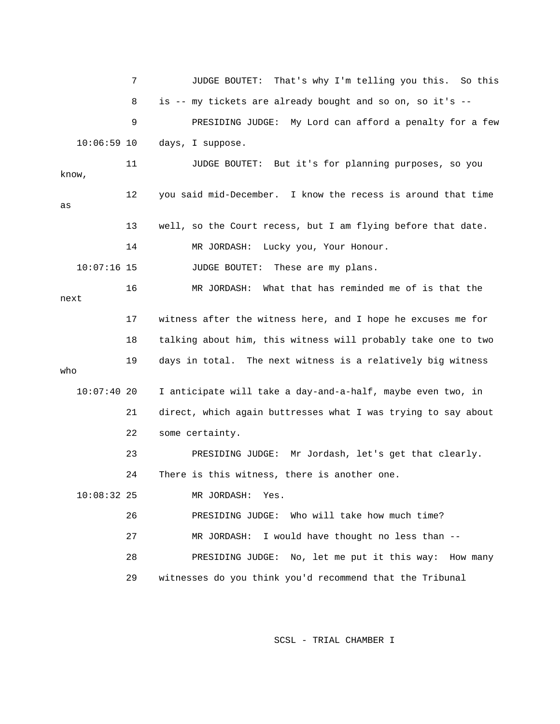7 JUDGE BOUTET: That's why I'm telling you this. So this 8 is -- my tickets are already bought and so on, so it's -- 9 PRESIDING JUDGE: My Lord can afford a penalty for a few 10:06:59 10 days, I suppose. 11 JUDGE BOUTET: But it's for planning purposes, so you know, 12 you said mid-December. I know the recess is around that time as 13 well, so the Court recess, but I am flying before that date. 14 MR JORDASH: Lucky you, Your Honour. 10:07:16 15 JUDGE BOUTET: These are my plans. 16 MR JORDASH: What that has reminded me of is that the next 17 witness after the witness here, and I hope he excuses me for 18 talking about him, this witness will probably take one to two 19 days in total. The next witness is a relatively big witness who 10:07:40 20 I anticipate will take a day-and-a-half, maybe even two, in 21 direct, which again buttresses what I was trying to say about 22 some certainty. 23 PRESIDING JUDGE: Mr Jordash, let's get that clearly. 24 There is this witness, there is another one. 10:08:32 25 MR JORDASH: Yes. 26 PRESIDING JUDGE: Who will take how much time? 27 MR JORDASH: I would have thought no less than -- 28 PRESIDING JUDGE: No, let me put it this way: How many 29 witnesses do you think you'd recommend that the Tribunal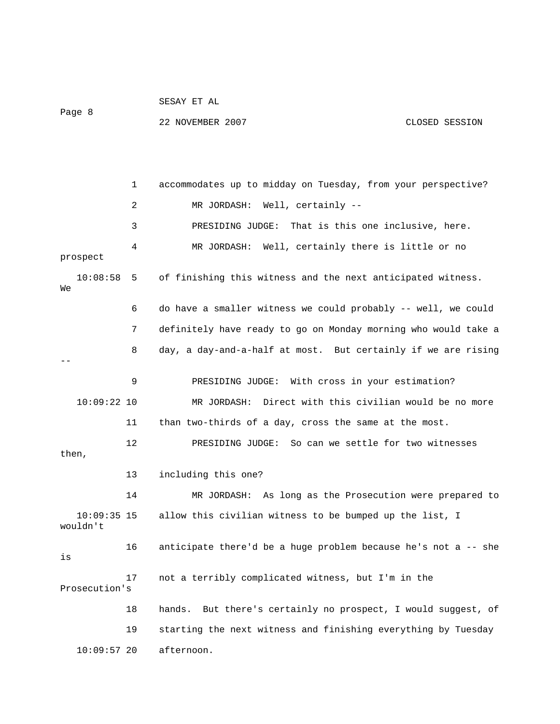|                         | 1  | accommodates up to midday on Tuesday, from your perspective?     |
|-------------------------|----|------------------------------------------------------------------|
|                         | 2  | Well, certainly --<br>MR JORDASH:                                |
|                         | 3  | That is this one inclusive, here.<br>PRESIDING JUDGE:            |
| prospect                | 4  | MR JORDASH: Well, certainly there is little or no                |
| 10:08:58<br>We          | 5  | of finishing this witness and the next anticipated witness.      |
|                         | 6  | do have a smaller witness we could probably -- well, we could    |
|                         | 7  | definitely have ready to go on Monday morning who would take a   |
|                         | 8  | day, a day-and-a-half at most. But certainly if we are rising    |
|                         | 9  | PRESIDING JUDGE: With cross in your estimation?                  |
| $10:09:22$ 10           |    | Direct with this civilian would be no more<br>MR JORDASH:        |
|                         |    |                                                                  |
|                         | 11 | than two-thirds of a day, cross the same at the most.            |
| then,                   | 12 | PRESIDING JUDGE: So can we settle for two witnesses              |
|                         | 13 | including this one?                                              |
|                         | 14 | MR JORDASH: As long as the Prosecution were prepared to          |
| 10:09:35 15<br>wouldn't |    | allow this civilian witness to be bumped up the list, I          |
| is                      | 16 | anticipate there'd be a huge problem because he's not a -- she   |
| Prosecution's           | 17 | not a terribly complicated witness, but I'm in the               |
|                         | 18 | But there's certainly no prospect, I would suggest, of<br>hands. |
|                         | 19 | starting the next witness and finishing everything by Tuesday    |
| $10:09:57$ 20           |    | afternoon.                                                       |

22 NOVEMBER 2007 CLOSED SESSION

SESAY ET AL

Page 8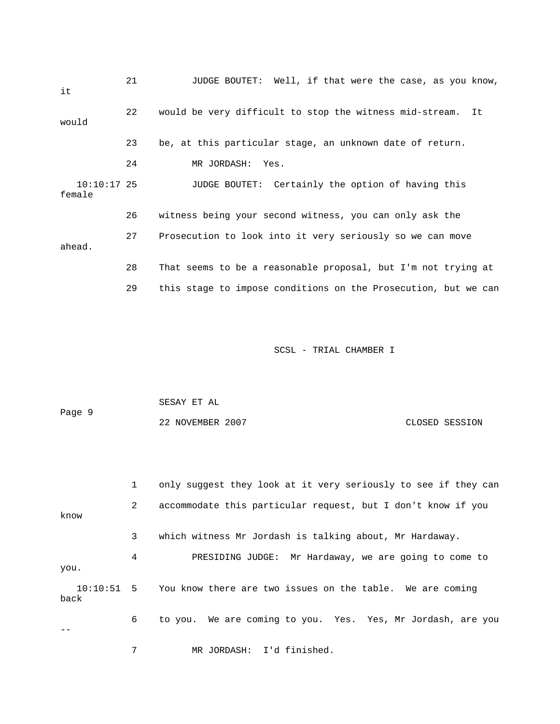| it                      | 21 | JUDGE BOUTET: Well, if that were the case, as you know,        |
|-------------------------|----|----------------------------------------------------------------|
| would                   | 22 | would be very difficult to stop the witness mid-stream.<br>It. |
|                         | 23 | be, at this particular stage, an unknown date of return.       |
|                         | 24 | MR JORDASH:<br>Yes.                                            |
| $10:10:17$ 25<br>female |    | JUDGE BOUTET: Certainly the option of having this              |
|                         | 26 | witness being your second witness, you can only ask the        |
| ahead.                  | 27 | Prosecution to look into it very seriously so we can move      |
|                         | 28 | That seems to be a reasonable proposal, but I'm not trying at  |
|                         | 29 | this stage to impose conditions on the Prosecution, but we can |

| Page 9 | SESAY ET AL      |                |
|--------|------------------|----------------|
|        | 22 NOVEMBER 2007 | CLOSED SESSION |

|      | 1 | only suggest they look at it very seriously to see if they can       |
|------|---|----------------------------------------------------------------------|
| know | 2 | accommodate this particular request, but I don't know if you         |
|      | 3 | which witness Mr Jordash is talking about, Mr Hardaway.              |
| you. | 4 | PRESIDING JUDGE: Mr Hardaway, we are going to come to                |
| back |   | 10:10:51 5 You know there are two issues on the table. We are coming |
|      | 6 | to you. We are coming to you. Yes. Yes, Mr Jordash, are you          |
|      |   | MR JORDASH: I'd finished.                                            |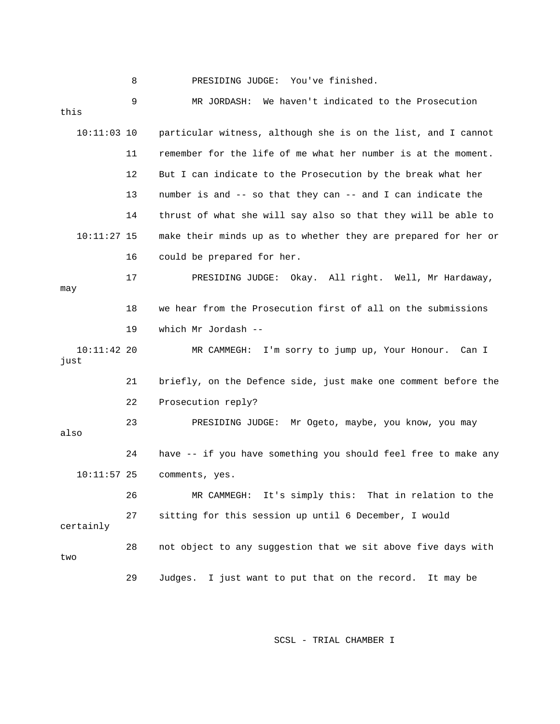| this                  | 9  | We haven't indicated to the Prosecution<br>MR JORDASH:         |
|-----------------------|----|----------------------------------------------------------------|
| $10:11:03$ 10         |    | particular witness, although she is on the list, and I cannot  |
|                       | 11 | remember for the life of me what her number is at the moment.  |
|                       | 12 | But I can indicate to the Prosecution by the break what her    |
|                       | 13 | number is and -- so that they can -- and I can indicate the    |
|                       | 14 | thrust of what she will say also so that they will be able to  |
| $10:11:27$ 15         |    | make their minds up as to whether they are prepared for her or |
|                       | 16 | could be prepared for her.                                     |
| may                   | 17 | PRESIDING JUDGE: Okay. All right. Well, Mr Hardaway,           |
|                       | 18 | we hear from the Prosecution first of all on the submissions   |
|                       | 19 | which Mr Jordash --                                            |
| $10:11:42$ 20<br>just |    | MR CAMMEGH: I'm sorry to jump up, Your Honour. Can I           |
|                       | 21 | briefly, on the Defence side, just make one comment before the |
|                       | 22 | Prosecution reply?                                             |
| also                  | 23 | PRESIDING JUDGE: Mr Ogeto, maybe, you know, you may            |
|                       | 24 | have -- if you have something you should feel free to make any |
| $10:11:57$ 25         |    | comments, yes.                                                 |
|                       | 26 | It's simply this:<br>That in relation to the<br>MR CAMMEGH:    |
| certainly             | 27 | sitting for this session up until 6 December, I would          |
| two                   | 28 | not object to any suggestion that we sit above five days with  |
|                       | 29 | Judges. I just want to put that on the record.<br>It may be    |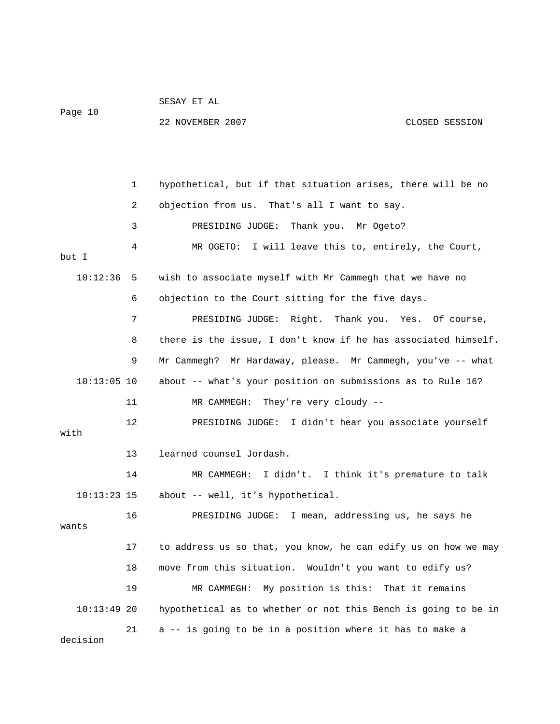| Page 10       |    | SESAY ET AL                                                    |                |
|---------------|----|----------------------------------------------------------------|----------------|
|               |    | 22 NOVEMBER 2007                                               | CLOSED SESSION |
|               |    |                                                                |                |
|               |    |                                                                |                |
|               | 1  | hypothetical, but if that situation arises, there will be no   |                |
|               | 2  | objection from us. That's all I want to say.                   |                |
|               | 3  | PRESIDING JUDGE: Thank you.<br>Mr Ogeto?                       |                |
| but I         | 4  | MR OGETO: I will leave this to, entirely, the Court,           |                |
| 10:12:36      | 5  | wish to associate myself with Mr Cammegh that we have no       |                |
|               | 6  | objection to the Court sitting for the five days.              |                |
|               | 7  | PRESIDING JUDGE: Right. Thank you. Yes. Of course,             |                |
|               | 8  | there is the issue, I don't know if he has associated himself. |                |
|               | 9  | Mr Cammegh? Mr Hardaway, please. Mr Cammegh, you've -- what    |                |
| $10:13:05$ 10 |    | about -- what's your position on submissions as to Rule 16?    |                |
|               | 11 | They're very cloudy --<br>MR CAMMEGH:                          |                |
| with          | 12 | PRESIDING JUDGE: I didn't hear you associate yourself          |                |
|               | 13 | learned counsel Jordash.                                       |                |
|               | 14 | I didn't. I think it's premature to talk<br>MR CAMMEGH:        |                |
| $10:13:23$ 15 |    | about -- well, it's hypothetical.                              |                |
|               | 16 | PRESIDING JUDGE: I mean, addressing us, he says he             |                |
| wants         |    |                                                                |                |
|               | 17 | to address us so that, you know, he can edify us on how we may |                |
|               | 18 | move from this situation. Wouldn't you want to edify us?       |                |
|               | 19 | My position is this: That it remains<br>MR CAMMEGH:            |                |
| $10:13:49$ 20 |    | hypothetical as to whether or not this Bench is going to be in |                |
| decision      | 21 | a -- is going to be in a position where it has to make a       |                |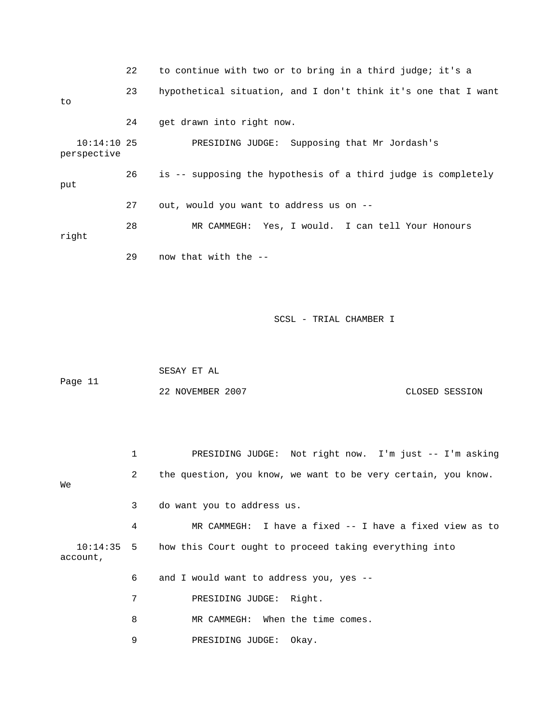22 to continue with two or to bring in a third judge; it's a 23 hypothetical situation, and I don't think it's one that I want to 24 get drawn into right now. 10:14:10 25 PRESIDING JUDGE: Supposing that Mr Jordash's perspective 26 is -- supposing the hypothesis of a third judge is completely put 27 out, would you want to address us on -- 28 MR CAMMEGH: Yes, I would. I can tell Your Honours right 29 now that with the --

SCSL - TRIAL CHAMBER I

 SESAY ET AL Page 11 22 NOVEMBER 2007 CLOSED SESSION

 1 PRESIDING JUDGE: Not right now. I'm just -- I'm asking 2 the question, you know, we want to be very certain, you know. We 3 do want you to address us. 4 MR CAMMEGH: I have a fixed -- I have a fixed view as to 10:14:35 5 how this Court ought to proceed taking everything into account, 6 and I would want to address you, yes -- 7 PRESIDING JUDGE: Right. 8 MR CAMMEGH: When the time comes. 9 PRESIDING JUDGE: Okay.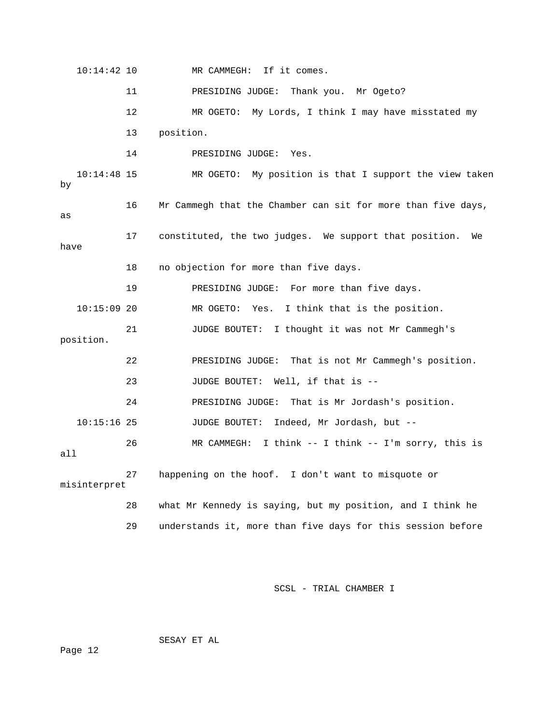10:14:42 10 MR CAMMEGH: If it comes. 11 PRESIDING JUDGE: Thank you. Mr Ogeto? 12 MR OGETO: My Lords, I think I may have misstated my 13 position. 14 PRESIDING JUDGE: Yes. 10:14:48 15 MR OGETO: My position is that I support the view taken by 16 Mr Cammegh that the Chamber can sit for more than five days, as 17 constituted, the two judges. We support that position. We have 18 no objection for more than five days. 19 PRESIDING JUDGE: For more than five days. 10:15:09 20 MR OGETO: Yes. I think that is the position. 21 JUDGE BOUTET: I thought it was not Mr Cammegh's position. 22 PRESIDING JUDGE: That is not Mr Cammegh's position. 23 JUDGE BOUTET: Well, if that is -- 24 PRESIDING JUDGE: That is Mr Jordash's position. 10:15:16 25 JUDGE BOUTET: Indeed, Mr Jordash, but -- 26 MR CAMMEGH: I think -- I think -- I'm sorry, this is all 27 happening on the hoof. I don't want to misquote or misinterpret 28 what Mr Kennedy is saying, but my position, and I think he 29 understands it, more than five days for this session before

SCSL - TRIAL CHAMBER I

SESAY ET AL

Page 12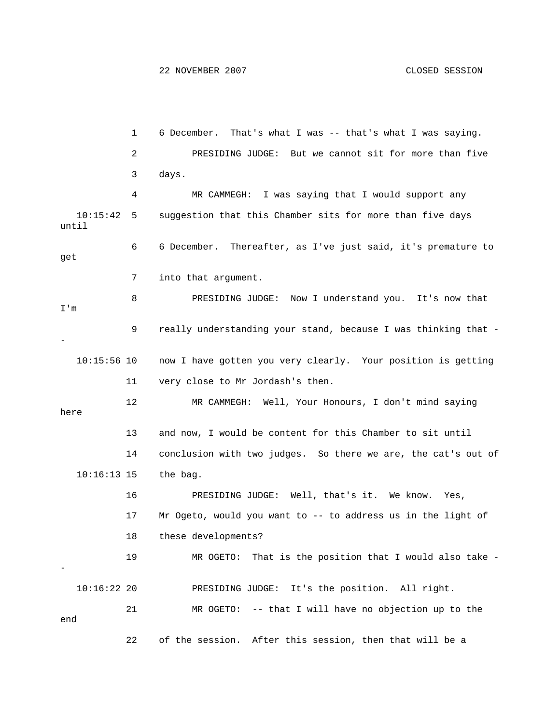```
 1 6 December. That's what I was -- that's what I was saying. 
             2 PRESIDING JUDGE: But we cannot sit for more than five 
             3 days. 
             4 MR CAMMEGH: I was saying that I would support any 
   10:15:42 5 suggestion that this Chamber sits for more than five days 
until 
             6 6 December. Thereafter, as I've just said, it's premature to 
get 
             7 into that argument. 
             8 PRESIDING JUDGE: Now I understand you. It's now that 
I'm 
             9 really understanding your stand, because I was thinking that -
- 
   10:15:56 10 now I have gotten you very clearly. Your position is getting 
            11 very close to Mr Jordash's then. 
            12 MR CAMMEGH: Well, Your Honours, I don't mind saying 
here 
            13 and now, I would be content for this Chamber to sit until 
            14 conclusion with two judges. So there we are, the cat's out of 
   10:16:13 15 the bag. 
            16 PRESIDING JUDGE: Well, that's it. We know. Yes, 
            17 Mr Ogeto, would you want to -- to address us in the light of 
            18 these developments? 
            19 MR OGETO: That is the position that I would also take -
- 
   10:16:22 20 PRESIDING JUDGE: It's the position. All right. 
            21 MR OGETO: -- that I will have no objection up to the 
end 
            22 of the session. After this session, then that will be a
```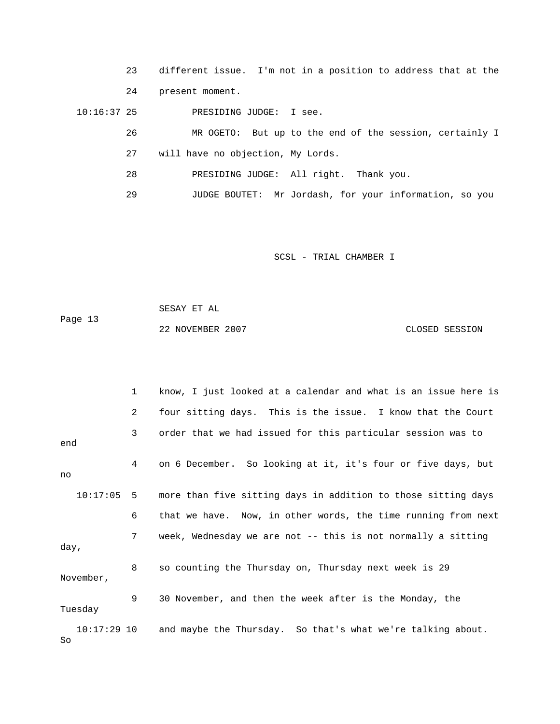23 different issue. I'm not in a position to address that at the 24 present moment.

10:16:37 25 PRESIDING JUDGE: I see.

| 26 | MR OGETO: But up to the end of the session, certainly I |
|----|---------------------------------------------------------|
|    | will have no objection, My Lords.                       |
| 28 | PRESIDING JUDGE: All right. Thank you.                  |
| 29 | JUDGE BOUTET: Mr Jordash, for your information, so you  |

SCSL - TRIAL CHAMBER I

 SESAY ET AL Page 13 22 NOVEMBER 2007 CLOSED SESSION

 1 know, I just looked at a calendar and what is an issue here is 2 four sitting days. This is the issue. I know that the Court 3 order that we had issued for this particular session was to end 4 on 6 December. So looking at it, it's four or five days, but no 10:17:05 5 more than five sitting days in addition to those sitting days 6 that we have. Now, in other words, the time running from next 7 week, Wednesday we are not -- this is not normally a sitting day, 8 so counting the Thursday on, Thursday next week is 29 November, 9 30 November, and then the week after is the Monday, the Tuesday 10:17:29 10 and maybe the Thursday. So that's what we're talking about. So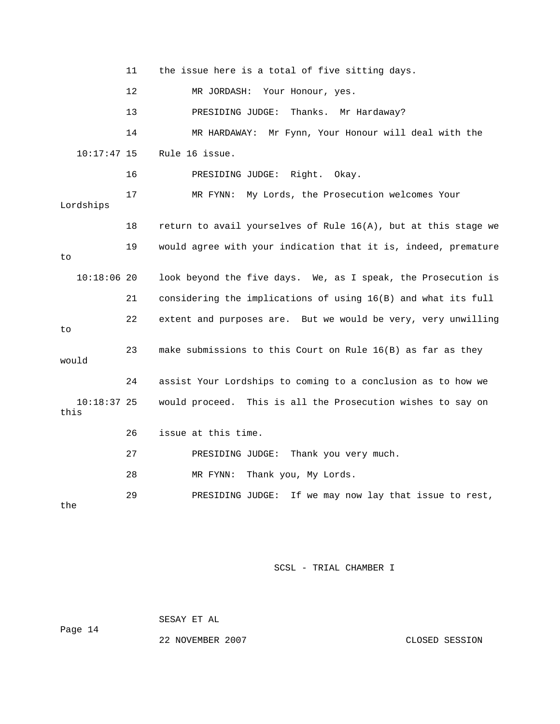11 the issue here is a total of five sitting days. 12 MR JORDASH: Your Honour, yes. 13 PRESIDING JUDGE: Thanks. Mr Hardaway? 14 MR HARDAWAY: Mr Fynn, Your Honour will deal with the 10:17:47 15 Rule 16 issue. 16 PRESIDING JUDGE: Right. Okay. 17 MR FYNN: My Lords, the Prosecution welcomes Your Lordships 18 return to avail yourselves of Rule 16(A), but at this stage we 19 would agree with your indication that it is, indeed, premature to 10:18:06 20 look beyond the five days. We, as I speak, the Prosecution is 21 considering the implications of using 16(B) and what its full 22 extent and purposes are. But we would be very, very unwilling to 23 make submissions to this Court on Rule 16(B) as far as they would 24 assist Your Lordships to coming to a conclusion as to how we 10:18:37 25 would proceed. This is all the Prosecution wishes to say on this 26 issue at this time. 27 PRESIDING JUDGE: Thank you very much. 28 MR FYNN: Thank you, My Lords. 29 PRESIDING JUDGE: If we may now lay that issue to rest, the

SCSL - TRIAL CHAMBER I

 SESAY ET AL Page 14

22 NOVEMBER 2007 CLOSED SESSION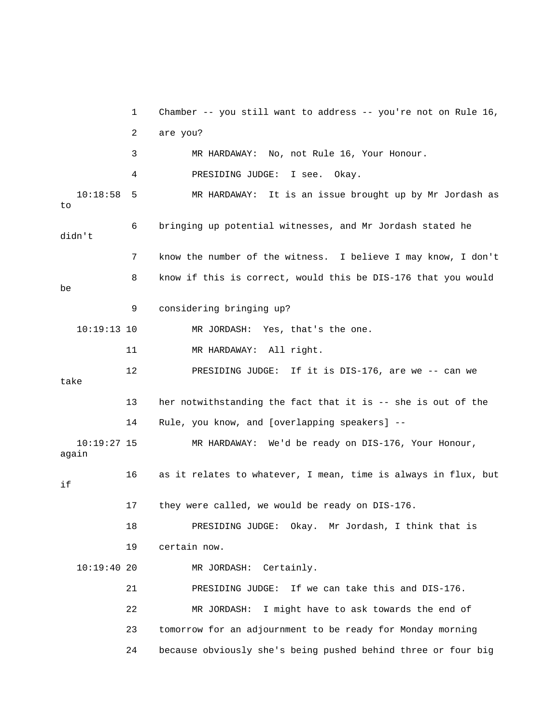1 Chamber -- you still want to address -- you're not on Rule 16, 2 are you? 3 MR HARDAWAY: No, not Rule 16, Your Honour. 4 PRESIDING JUDGE: I see. Okay. 10:18:58 5 MR HARDAWAY: It is an issue brought up by Mr Jordash as to 6 bringing up potential witnesses, and Mr Jordash stated he didn't 7 know the number of the witness. I believe I may know, I don't 8 know if this is correct, would this be DIS-176 that you would be 9 considering bringing up? 10:19:13 10 MR JORDASH: Yes, that's the one. 11 MR HARDAWAY: All right. 12 PRESIDING JUDGE: If it is DIS-176, are we -- can we take 13 her notwithstanding the fact that it is -- she is out of the 14 Rule, you know, and [overlapping speakers] -- 10:19:27 15 MR HARDAWAY: We'd be ready on DIS-176, Your Honour, again 16 as it relates to whatever, I mean, time is always in flux, but if 17 they were called, we would be ready on DIS-176. 18 PRESIDING JUDGE: Okay. Mr Jordash, I think that is 19 certain now. 10:19:40 20 MR JORDASH: Certainly. 21 PRESIDING JUDGE: If we can take this and DIS-176. 22 MR JORDASH: I might have to ask towards the end of 23 tomorrow for an adjournment to be ready for Monday morning 24 because obviously she's being pushed behind three or four big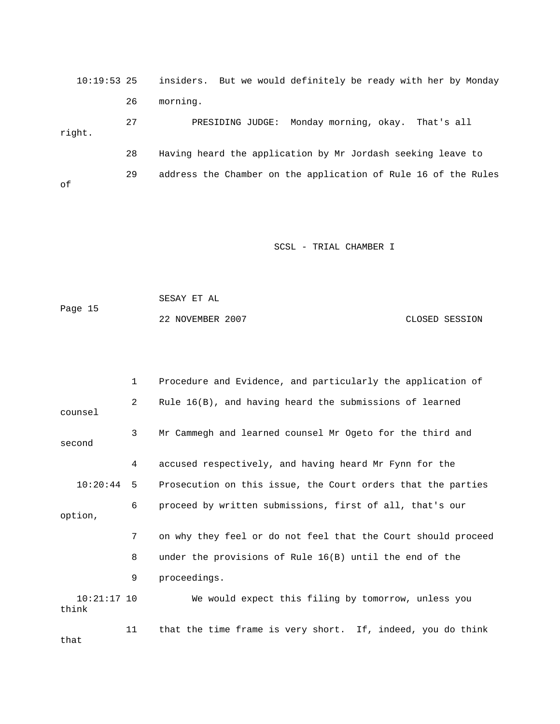10:19:53 25 insiders. But we would definitely be ready with her by Monday 26 morning.

 27 PRESIDING JUDGE: Monday morning, okay. That's all right. 28 Having heard the application by Mr Jordash seeking leave to 29 address the Chamber on the application of Rule 16 of the Rules of

SCSL - TRIAL CHAMBER I

 SESAY ET AL Page 15 22 NOVEMBER 2007 CLOSED SESSION

 1 Procedure and Evidence, and particularly the application of 2 Rule 16(B), and having heard the submissions of learned counsel 3 Mr Cammegh and learned counsel Mr Ogeto for the third and second 4 accused respectively, and having heard Mr Fynn for the 10:20:44 5 Prosecution on this issue, the Court orders that the parties 6 proceed by written submissions, first of all, that's our option, 7 on why they feel or do not feel that the Court should proceed 8 under the provisions of Rule 16(B) until the end of the 9 proceedings. 10:21:17 10 We would expect this filing by tomorrow, unless you think 11 that the time frame is very short. If, indeed, you do think that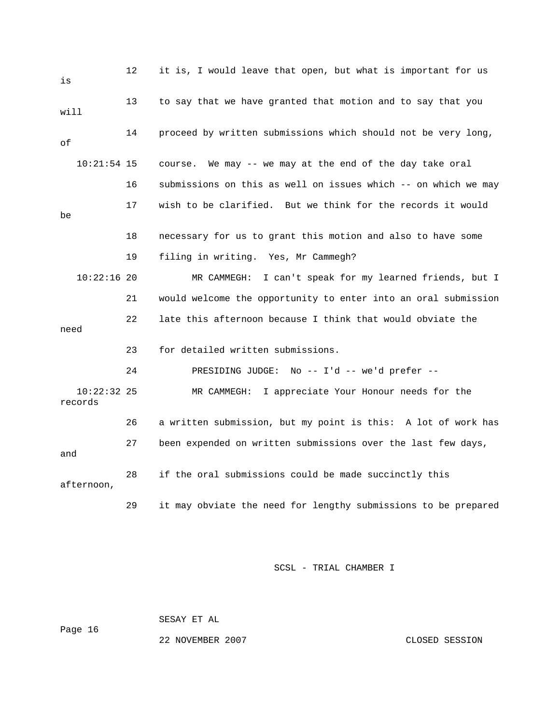| is      |               | 12 | it is, I would leave that open, but what is important for us   |
|---------|---------------|----|----------------------------------------------------------------|
| will    |               | 13 | to say that we have granted that motion and to say that you    |
| οf      |               | 14 | proceed by written submissions which should not be very long,  |
|         | $10:21:54$ 15 |    | We may -- we may at the end of the day take oral<br>course.    |
|         |               | 16 | submissions on this as well on issues which -- on which we may |
| be      |               | 17 | wish to be clarified. But we think for the records it would    |
|         |               | 18 | necessary for us to grant this motion and also to have some    |
|         |               | 19 | filing in writing. Yes, Mr Cammegh?                            |
|         | $10:22:16$ 20 |    | MR CAMMEGH: I can't speak for my learned friends, but I        |
|         |               | 21 | would welcome the opportunity to enter into an oral submission |
| need    |               | 22 | late this afternoon because I think that would obviate the     |
|         |               | 23 | for detailed written submissions.                              |
|         |               | 24 | PRESIDING JUDGE: No -- I'd -- we'd prefer --                   |
| records | $10:22:32$ 25 |    | MR CAMMEGH:<br>I appreciate Your Honour needs for the          |
|         |               | 26 | a written submission, but my point is this: A lot of work has  |
| and     |               | 27 | been expended on written submissions over the last few days,   |
|         | afternoon,    | 28 | if the oral submissions could be made succinctly this          |
|         |               | 29 | it may obviate the need for lengthy submissions to be prepared |

Page 16

SESAY ET AL

22 NOVEMBER 2007 CLOSED SESSION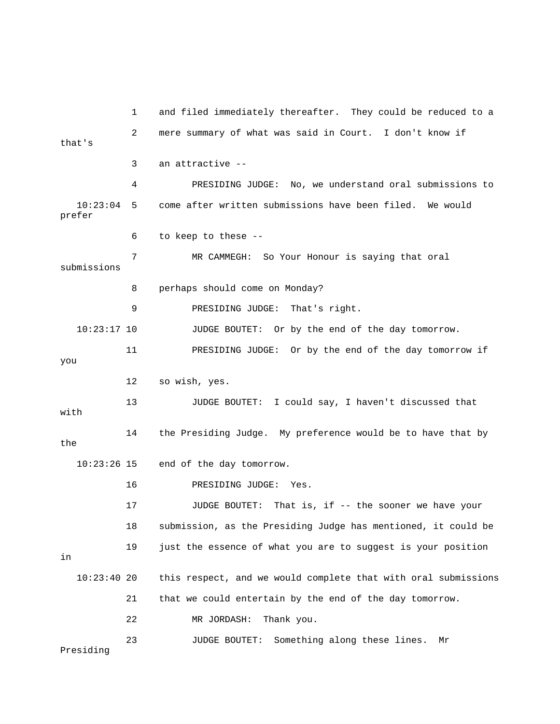1 and filed immediately thereafter. They could be reduced to a 2 mere summary of what was said in Court. I don't know if that's 3 an attractive -- 4 PRESIDING JUDGE: No, we understand oral submissions to 10:23:04 5 come after written submissions have been filed. We would prefer 6 to keep to these -- 7 MR CAMMEGH: So Your Honour is saying that oral submissions 8 perhaps should come on Monday? 9 PRESIDING JUDGE: That's right. 10:23:17 10 JUDGE BOUTET: Or by the end of the day tomorrow. 11 PRESIDING JUDGE: Or by the end of the day tomorrow if you 12 so wish, yes. 13 JUDGE BOUTET: I could say, I haven't discussed that with 14 the Presiding Judge. My preference would be to have that by the 10:23:26 15 end of the day tomorrow. 16 PRESIDING JUDGE: Yes. 17 JUDGE BOUTET: That is, if -- the sooner we have your 18 submission, as the Presiding Judge has mentioned, it could be 19 just the essence of what you are to suggest is your position in 10:23:40 20 this respect, and we would complete that with oral submissions 21 that we could entertain by the end of the day tomorrow. 22 MR JORDASH: Thank you. 23 JUDGE BOUTET: Something along these lines. Mr Presiding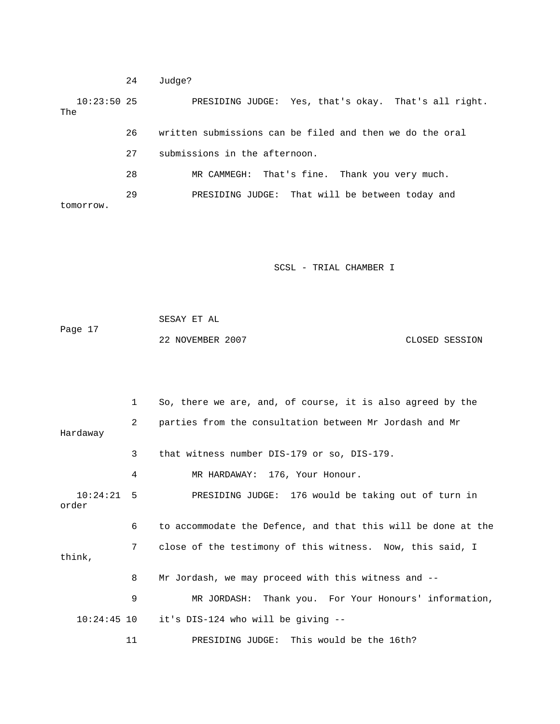24 Judge?

 10:23:50 25 PRESIDING JUDGE: Yes, that's okay. That's all right. The 26 written submissions can be filed and then we do the oral 27 submissions in the afternoon. 28 MR CAMMEGH: That's fine. Thank you very much. 29 PRESIDING JUDGE: That will be between today and

tomorrow.

SCSL - TRIAL CHAMBER I

 SESAY ET AL Page 17 22 NOVEMBER 2007 CLOSED SESSION

 1 So, there we are, and, of course, it is also agreed by the 2 parties from the consultation between Mr Jordash and Mr Hardaway 3 that witness number DIS-179 or so, DIS-179. 4 MR HARDAWAY: 176, Your Honour. 10:24:21 5 PRESIDING JUDGE: 176 would be taking out of turn in order 6 to accommodate the Defence, and that this will be done at the 7 close of the testimony of this witness. Now, this said, I think, 8 Mr Jordash, we may proceed with this witness and -- 9 MR JORDASH: Thank you. For Your Honours' information, 10:24:45 10 it's DIS-124 who will be giving -- 11 PRESIDING JUDGE: This would be the 16th?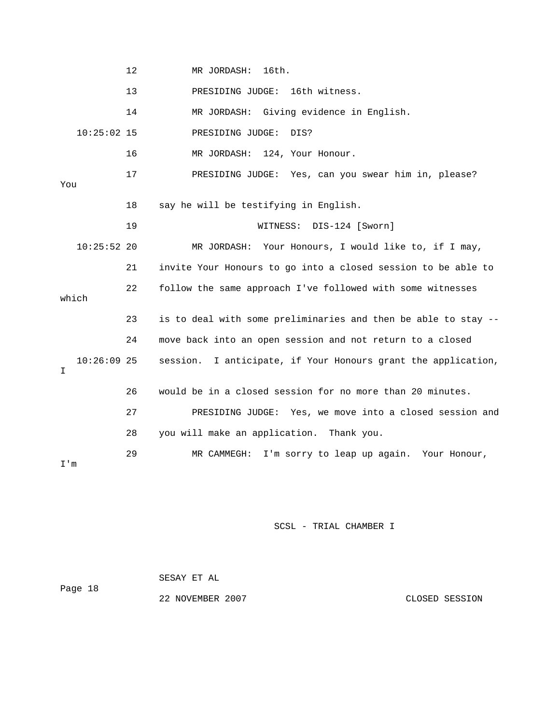|       |               | 12 | MR JORDASH:<br>16th.                                             |
|-------|---------------|----|------------------------------------------------------------------|
|       |               | 13 | PRESIDING JUDGE: 16th witness.                                   |
|       |               | 14 | MR JORDASH: Giving evidence in English.                          |
|       | $10:25:02$ 15 |    | PRESIDING JUDGE:<br>DIS?                                         |
|       |               | 16 | MR JORDASH: 124, Your Honour.                                    |
| You   |               | 17 | PRESIDING JUDGE: Yes, can you swear him in, please?              |
|       |               | 18 | say he will be testifying in English.                            |
|       |               | 19 | WITNESS: DIS-124 [Sworn]                                         |
|       | $10:25:52$ 20 |    | MR JORDASH: Your Honours, I would like to, if I may,             |
|       |               | 21 | invite Your Honours to go into a closed session to be able to    |
| which |               | 22 | follow the same approach I've followed with some witnesses       |
|       |               | 23 | is to deal with some preliminaries and then be able to stay --   |
|       |               | 24 | move back into an open session and not return to a closed        |
| I     | $10:26:09$ 25 |    | I anticipate, if Your Honours grant the application,<br>session. |
|       |               | 26 | would be in a closed session for no more than 20 minutes.        |
|       |               | 27 | PRESIDING JUDGE: Yes, we move into a closed session and          |
|       |               | 28 | you will make an application. Thank you.                         |
| I'm   |               | 29 | MR CAMMEGH: I'm sorry to leap up again. Your Honour,             |

 SESAY ET AL Page 18 22 NOVEMBER 2007 CLOSED SESSION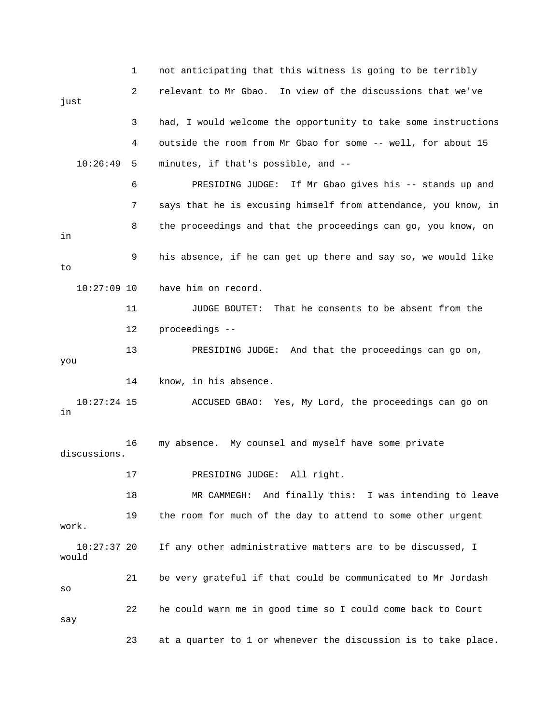|                        | 1  | not anticipating that this witness is going to be terribly     |
|------------------------|----|----------------------------------------------------------------|
| just                   | 2  | relevant to Mr Gbao. In view of the discussions that we've     |
|                        | 3  | had, I would welcome the opportunity to take some instructions |
|                        | 4  | outside the room from Mr Gbao for some -- well, for about 15   |
| 10:26:49               | 5  | minutes, if that's possible, and --                            |
|                        | 6  | If Mr Gbao gives his -- stands up and<br>PRESIDING JUDGE:      |
|                        | 7  | says that he is excusing himself from attendance, you know, in |
| in                     | 8  | the proceedings and that the proceedings can go, you know, on  |
| to                     | 9  | his absence, if he can get up there and say so, we would like  |
| $10:27:09$ 10          |    | have him on record.                                            |
|                        | 11 | That he consents to be absent from the<br>JUDGE BOUTET:        |
|                        | 12 | proceedings --                                                 |
| you                    | 13 | PRESIDING JUDGE: And that the proceedings can go on,           |
|                        | 14 | know, in his absence.                                          |
| $10:27:24$ 15<br>in    |    | ACCUSED GBAO: Yes, My Lord, the proceedings can go on          |
| discussions.           | 16 | my absence. My counsel and myself have some private            |
|                        | 17 | PRESIDING JUDGE: All right.                                    |
|                        | 18 | MR CAMMEGH: And finally this: I was intending to leave         |
| work.                  | 19 | the room for much of the day to attend to some other urgent    |
| $10:27:37$ 20<br>would |    | If any other administrative matters are to be discussed, I     |
| SO                     | 21 | be very grateful if that could be communicated to Mr Jordash   |
| say                    | 22 | he could warn me in good time so I could come back to Court    |
|                        | 23 | at a quarter to 1 or whenever the discussion is to take place. |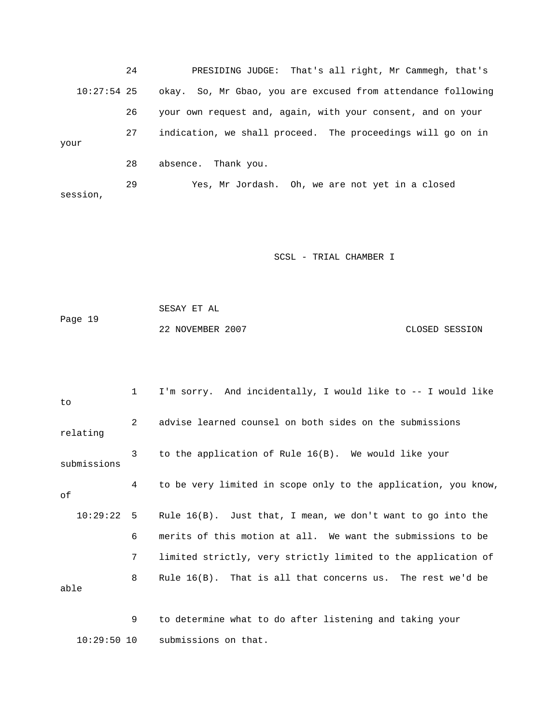24 PRESIDING JUDGE: That's all right, Mr Cammegh, that's 10:27:54 25 okay. So, Mr Gbao, you are excused from attendance following 26 your own request and, again, with your consent, and on your 27 indication, we shall proceed. The proceedings will go on in your 28 absence. Thank you. 29 Yes, Mr Jordash. Oh, we are not yet in a closed session,

SCSL - TRIAL CHAMBER I

 SESAY ET AL Page 19 22 NOVEMBER 2007 CLOSED SESSION

 1 I'm sorry. And incidentally, I would like to -- I would like to 2 advise learned counsel on both sides on the submissions relating 3 to the application of Rule 16(B). We would like your submissions 4 to be very limited in scope only to the application, you know, of 10:29:22 5 Rule 16(B). Just that, I mean, we don't want to go into the 6 merits of this motion at all. We want the submissions to be 7 limited strictly, very strictly limited to the application of 8 Rule 16(B). That is all that concerns us. The rest we'd be able

 9 to determine what to do after listening and taking your 10:29:50 10 submissions on that.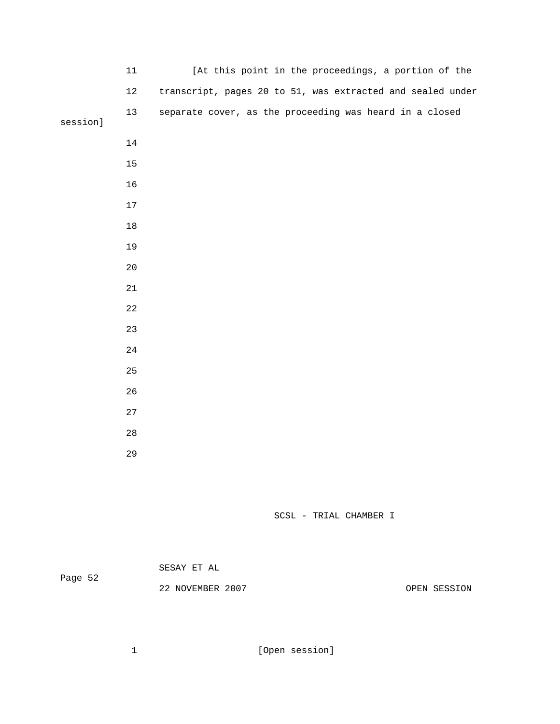|          | 11          | [At this point in the proceedings, a portion of the        |
|----------|-------------|------------------------------------------------------------|
|          | $1\,2$      | transcript, pages 20 to 51, was extracted and sealed under |
| session] | 13          | separate cover, as the proceeding was heard in a closed    |
|          |             |                                                            |
|          | $14\,$      |                                                            |
|          | 15          |                                                            |
|          | 16          |                                                            |
|          | $17$        |                                                            |
|          | $18\,$      |                                                            |
|          | 19          |                                                            |
|          | 20          |                                                            |
|          | 21          |                                                            |
|          | $2\sqrt{2}$ |                                                            |
|          | 23          |                                                            |
|          | $2\sqrt{4}$ |                                                            |
|          | 25          |                                                            |
|          | 26          |                                                            |
|          | 27          |                                                            |
|          | 28          |                                                            |
|          | 29          |                                                            |
|          |             |                                                            |

| Page 52 | SESAY ET AL      |  |              |
|---------|------------------|--|--------------|
|         | 22 NOVEMBER 2007 |  | OPEN SESSION |

1 [Open session]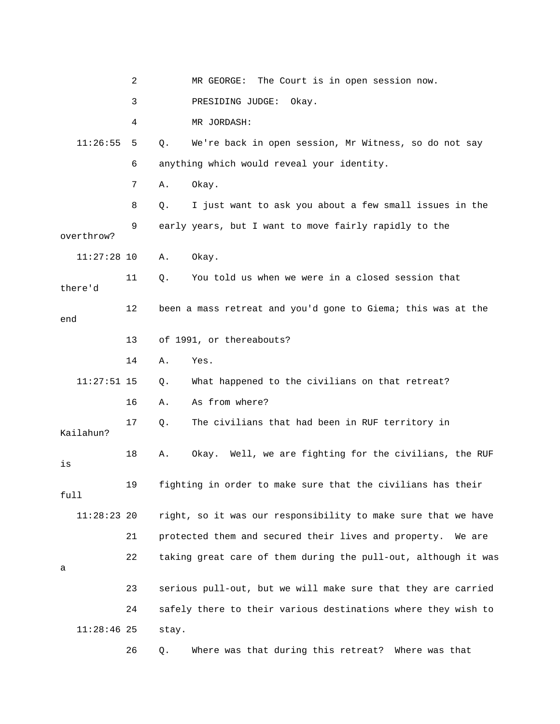|            |               | 2  |       | The Court is in open session now.<br>MR GEORGE:                |
|------------|---------------|----|-------|----------------------------------------------------------------|
|            |               | 3  |       | PRESIDING JUDGE:<br>Okay.                                      |
|            |               | 4  |       | MR JORDASH:                                                    |
|            | 11:26:55      | 5  | Q.    | We're back in open session, Mr Witness, so do not say          |
|            |               | 6  |       | anything which would reveal your identity.                     |
|            |               | 7  | Α.    | Okay.                                                          |
|            |               | 8  | Q.    | I just want to ask you about a few small issues in the         |
| overthrow? |               | 9  |       | early years, but I want to move fairly rapidly to the          |
|            | $11:27:28$ 10 |    | Α.    | Okay.                                                          |
| there'd    |               | 11 | Q.    | You told us when we were in a closed session that              |
| end        |               | 12 |       | been a mass retreat and you'd gone to Giema; this was at the   |
|            |               | 13 |       | of 1991, or thereabouts?                                       |
|            |               | 14 | Α.    | Yes.                                                           |
|            | $11:27:51$ 15 |    | Q.    | What happened to the civilians on that retreat?                |
|            |               | 16 | Α.    | As from where?                                                 |
| Kailahun?  |               | 17 | Q.    | The civilians that had been in RUF territory in                |
| is         |               | 18 | Α.    | Okay. Well, we are fighting for the civilians, the RUF         |
| full       |               | 19 |       | fighting in order to make sure that the civilians has their    |
|            | $11:28:23$ 20 |    |       | right, so it was our responsibility to make sure that we have  |
|            |               | 21 |       | protected them and secured their lives and property.<br>We are |
| а          |               | 22 |       | taking great care of them during the pull-out, although it was |
|            |               | 23 |       | serious pull-out, but we will make sure that they are carried  |
|            |               | 24 |       | safely there to their various destinations where they wish to  |
|            | $11:28:46$ 25 |    | stay. |                                                                |
|            |               | 26 | Q.    | Where was that during this retreat? Where was that             |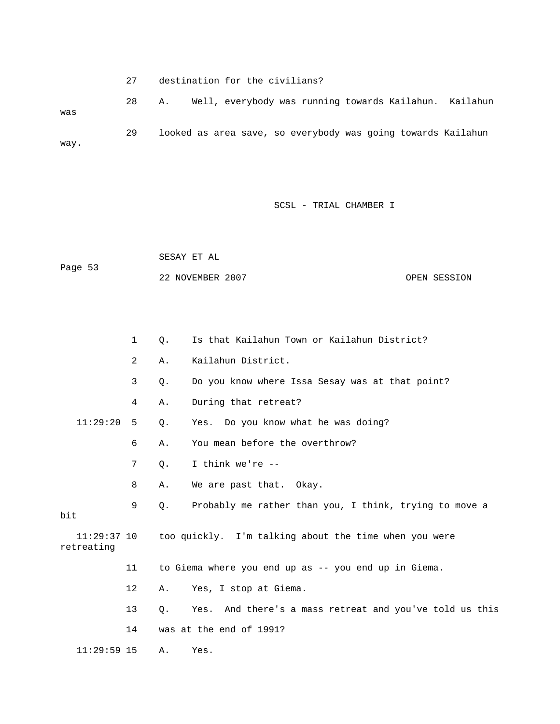27 destination for the civilians? 28 A. Well, everybody was running towards Kailahun. Kailahun was 29 looked as area save, so everybody was going towards Kailahun way.

SCSL - TRIAL CHAMBER I

 SESAY ET AL Page 53 22 NOVEMBER 2007 OPEN SESSION

|                             | 1  | Ο.    | Is that Kailahun Town or Kailahun District?             |
|-----------------------------|----|-------|---------------------------------------------------------|
|                             | 2  | Α.    | Kailahun District.                                      |
|                             | 3  | $Q$ . | Do you know where Issa Sesay was at that point?         |
|                             | 4  | Α.    | During that retreat?                                    |
| 11:29:20                    | 5  | Q.    | Yes. Do you know what he was doing?                     |
|                             | 6  | Α.    | You mean before the overthrow?                          |
|                             | 7  | Q.    | I think we're $-$                                       |
|                             | 8  | Α.    | We are past that. Okay.                                 |
| bit                         | 9  | 0.    | Probably me rather than you, I think, trying to move a  |
| $11:29:37$ 10<br>retreating |    |       | too quickly. I'm talking about the time when you were   |
|                             | 11 |       | to Giema where you end up as -- you end up in Giema.    |
|                             | 12 | Α.    | Yes, I stop at Giema.                                   |
|                             | 13 | О.    | Yes. And there's a mass retreat and you've told us this |
|                             | 14 |       | was at the end of 1991?                                 |
| $11:29:59$ 15               |    | Α.    | Yes.                                                    |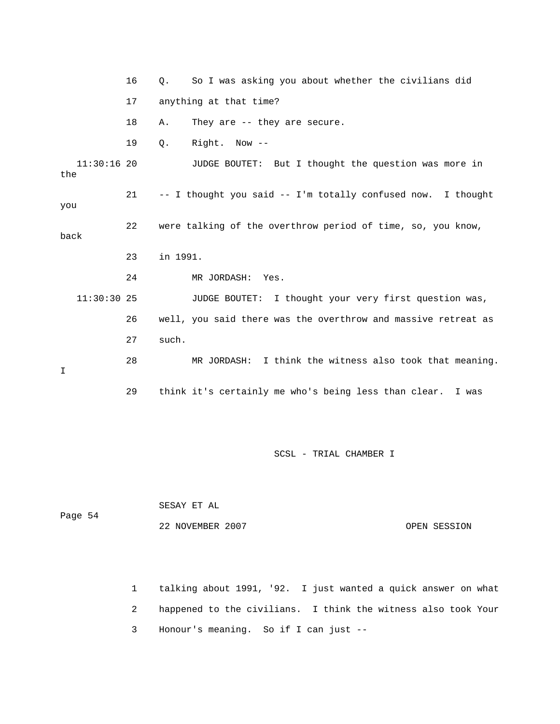|                      | 16 | So I was asking you about whether the civilians did<br>О.     |
|----------------------|----|---------------------------------------------------------------|
|                      | 17 | anything at that time?                                        |
|                      | 18 | They are $-$ they are secure.<br>Α.                           |
|                      | 19 | Right. Now --<br>Q.                                           |
| $11:30:16$ 20<br>the |    | JUDGE BOUTET: But I thought the question was more in          |
| you                  | 21 | -- I thought you said -- I'm totally confused now. I thought  |
| back                 | 22 | were talking of the overthrow period of time, so, you know,   |
|                      | 23 | in 1991.                                                      |
|                      | 24 | MR JORDASH:<br>Yes.                                           |
| $11:30:30$ 25        |    | JUDGE BOUTET: I thought your very first question was,         |
|                      | 26 | well, you said there was the overthrow and massive retreat as |
|                      | 27 | such.                                                         |
| T.                   | 28 | MR JORDASH: I think the witness also took that meaning.       |
|                      |    |                                                               |

|         | SESAY ET AL      |  |              |
|---------|------------------|--|--------------|
| Page 54 |                  |  |              |
|         | 22 NOVEMBER 2007 |  | OPEN SESSION |

 1 talking about 1991, '92. I just wanted a quick answer on what 2 happened to the civilians. I think the witness also took Your 3 Honour's meaning. So if I can just --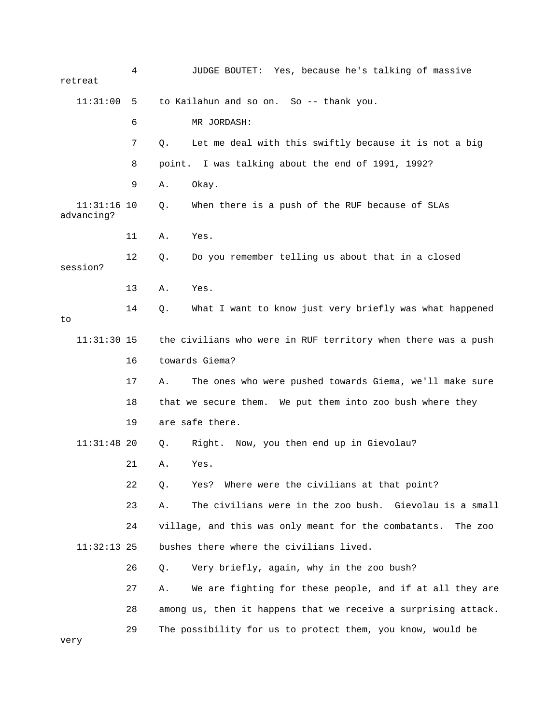| retreat                     | 4  | JUDGE BOUTET: Yes, because he's talking of massive              |
|-----------------------------|----|-----------------------------------------------------------------|
| 11:31:00                    | 5  | to Kailahun and so on. So -- thank you.                         |
|                             | 6  | MR JORDASH:                                                     |
|                             | 7  | Let me deal with this swiftly because it is not a big<br>Q.     |
|                             | 8  | point. I was talking about the end of 1991, 1992?               |
|                             | 9  | Α.<br>Okay.                                                     |
| $11:31:16$ 10<br>advancing? |    | When there is a push of the RUF because of SLAs<br>Q.           |
|                             | 11 | Α.<br>Yes.                                                      |
| session?                    | 12 | Do you remember telling us about that in a closed<br>Q.         |
|                             | 13 | Α.<br>Yes.                                                      |
| to                          | 14 | What I want to know just very briefly was what happened<br>Q.   |
| $11:31:30$ 15               |    | the civilians who were in RUF territory when there was a push   |
|                             | 16 | towards Giema?                                                  |
|                             | 17 | The ones who were pushed towards Giema, we'll make sure<br>Α.   |
|                             | 18 | that we secure them. We put them into zoo bush where they       |
|                             | 19 | are safe there.                                                 |
| $11:31:48$ 20               |    | Right. Now, you then end up in Gievolau?<br>Q.                  |
|                             | 21 | Α.<br>Yes.                                                      |
|                             | 22 | Where were the civilians at that point?<br>Q.<br>Yes?           |
|                             | 23 | The civilians were in the zoo bush. Gievolau is a small<br>Α.   |
|                             | 24 | village, and this was only meant for the combatants.<br>The zoo |
| $11:32:13$ 25               |    | bushes there where the civilians lived.                         |
|                             | 26 | Very briefly, again, why in the zoo bush?<br>Q.                 |
|                             | 27 | We are fighting for these people, and if at all they are<br>Α.  |
|                             | 28 | among us, then it happens that we receive a surprising attack.  |
| very                        | 29 | The possibility for us to protect them, you know, would be      |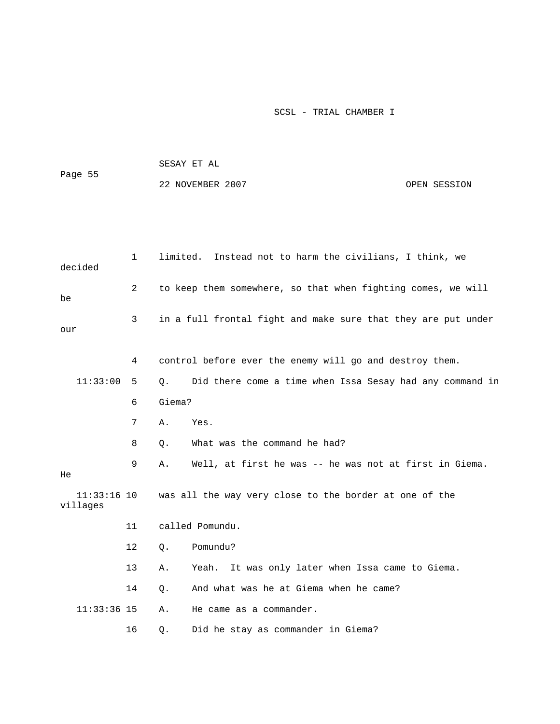|                           |              |          | SESAY ET AL                                                   |              |  |  |  |
|---------------------------|--------------|----------|---------------------------------------------------------------|--------------|--|--|--|
| Page 55                   |              |          | 22 NOVEMBER 2007                                              | OPEN SESSION |  |  |  |
|                           |              |          |                                                               |              |  |  |  |
|                           |              |          |                                                               |              |  |  |  |
|                           |              |          |                                                               |              |  |  |  |
| decided                   | $\mathbf{1}$ | limited. | Instead not to harm the civilians, I think, we                |              |  |  |  |
| be                        | 2            |          | to keep them somewhere, so that when fighting comes, we will  |              |  |  |  |
| our                       | 3            |          | in a full frontal fight and make sure that they are put under |              |  |  |  |
|                           |              |          |                                                               |              |  |  |  |
|                           | 4            |          | control before ever the enemy will go and destroy them.       |              |  |  |  |
| 11:33:00                  | 5            | О.       | Did there come a time when Issa Sesay had any command in      |              |  |  |  |
|                           | 6            | Giema?   |                                                               |              |  |  |  |
|                           | 7            | Α.       | Yes.                                                          |              |  |  |  |
|                           | 8            | Q.       | What was the command he had?                                  |              |  |  |  |
| He                        | 9            | Α.       | Well, at first he was -- he was not at first in Giema.        |              |  |  |  |
| $11:33:16$ 10<br>villages |              |          | was all the way very close to the border at one of the        |              |  |  |  |
|                           | 11           |          | called Pomundu.                                               |              |  |  |  |
|                           | 12           | Q.       | Pomundu?                                                      |              |  |  |  |
|                           | 13           | Α.       | Yeah.<br>It was only later when Issa came to Giema.           |              |  |  |  |
|                           | 14           | Q.       | And what was he at Giema when he came?                        |              |  |  |  |
| $11:33:36$ 15             |              | Α.       | He came as a commander.                                       |              |  |  |  |
|                           | 16           | Q.       | Did he stay as commander in Giema?                            |              |  |  |  |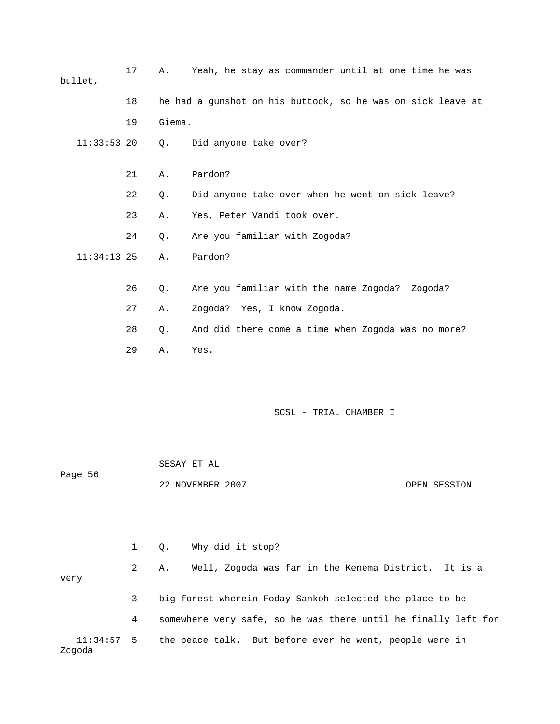| bullet,       | 17 | Α.        | Yeah, he stay as commander until at one time he was         |
|---------------|----|-----------|-------------------------------------------------------------|
|               | 18 |           | he had a gunshot on his buttock, so he was on sick leave at |
|               | 19 | Giema.    |                                                             |
| $11:33:53$ 20 |    | О.        | Did anyone take over?                                       |
|               | 21 | Α.        | Pardon?                                                     |
|               | 22 | Q.        | Did anyone take over when he went on sick leave?            |
|               | 23 | Α.        | Yes, Peter Vandi took over.                                 |
|               | 24 | $\circ$ . | Are you familiar with Zogoda?                               |
| $11:34:13$ 25 |    | Α.        | Pardon?                                                     |
|               | 26 | Q.        | Are you familiar with the name Zogoda?<br>Zogoda?           |
|               | 27 | Α.        | Zogoda? Yes, I know Zogoda.                                 |
|               | 28 | Q.        | And did there come a time when Zogoda was no more?          |
|               | 29 | Α.        | Yes.                                                        |
|               |    |           |                                                             |

| Page 56 | SESAY ET AL      |              |
|---------|------------------|--------------|
|         | 22 NOVEMBER 2007 | OPEN SESSION |

|        |              |      | 1 Q. Why did it stop?                                              |
|--------|--------------|------|--------------------------------------------------------------------|
| very   |              | 2 A. | Well, Zogoda was far in the Kenema District. It is a               |
|        | $\mathbf{3}$ |      | big forest wherein Foday Sankoh selected the place to be           |
|        | 4            |      | somewhere very safe, so he was there until he finally left for     |
| Zogoda |              |      | 11:34:57 5 the peace talk. But before ever he went, people were in |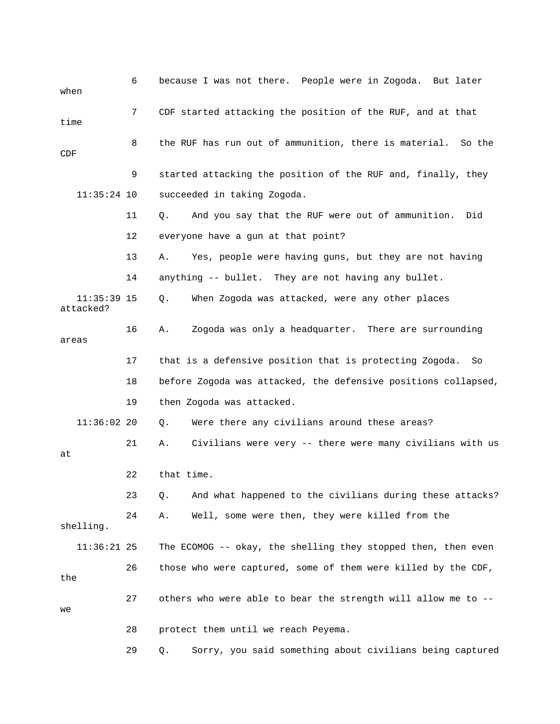| when                       | 6  | because I was not there. People were in Zogoda. But later       |
|----------------------------|----|-----------------------------------------------------------------|
| time                       | 7  | CDF started attacking the position of the RUF, and at that      |
| CDF                        | 8  | the RUF has run out of ammunition, there is material.<br>So the |
|                            | 9  | started attacking the position of the RUF and, finally, they    |
| $11:35:24$ 10              |    | succeeded in taking Zogoda.                                     |
|                            | 11 | And you say that the RUF were out of ammunition.<br>Did<br>Q.   |
|                            | 12 | everyone have a gun at that point?                              |
|                            | 13 | Yes, people were having guns, but they are not having<br>Α.     |
|                            | 14 | anything -- bullet. They are not having any bullet.             |
| $11:35:39$ 15<br>attacked? |    | Q.<br>When Zogoda was attacked, were any other places           |
| areas                      | 16 | Zogoda was only a headquarter. There are surrounding<br>Α.      |
|                            | 17 | that is a defensive position that is protecting Zogoda.<br>So   |
|                            | 18 | before Zogoda was attacked, the defensive positions collapsed,  |
|                            | 19 | then Zogoda was attacked.                                       |
| $11:36:02$ 20              |    | Were there any civilians around these areas?<br>Q.              |
| at                         | 21 | Civilians were very -- there were many civilians with us<br>Α.  |
|                            | 22 | that time.                                                      |
|                            | 23 | And what happened to the civilians during these attacks?<br>Q.  |
| shelling.                  | 24 | Well, some were then, they were killed from the<br>Α.           |
| $11:36:21$ 25              |    | The ECOMOG -- okay, the shelling they stopped then, then even   |
| the                        | 26 | those who were captured, some of them were killed by the CDF,   |
| we                         | 27 | others who were able to bear the strength will allow me to --   |
|                            | 28 | protect them until we reach Peyema.                             |
|                            | 29 | Sorry, you said something about civilians being captured<br>Q.  |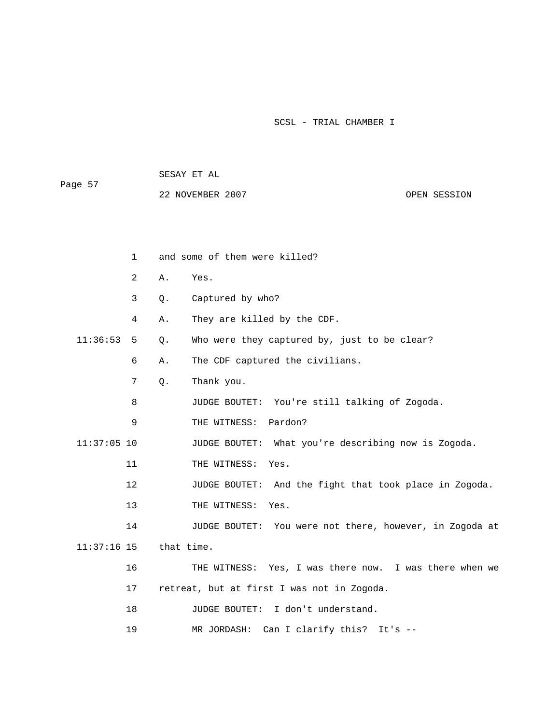SESAY ET AL

Page 57

22 NOVEMBER 2007 CPEN SESSION

|               | $\mathbf{1}$ | and some of them were killed? |                                                         |  |
|---------------|--------------|-------------------------------|---------------------------------------------------------|--|
|               | 2            | Α.                            | Yes.                                                    |  |
|               | 3            | Q.                            | Captured by who?                                        |  |
|               | 4            | Α.                            | They are killed by the CDF.                             |  |
| 11:36:53      | 5            | Q.                            | Who were they captured by, just to be clear?            |  |
|               | 6            | Α.                            | The CDF captured the civilians.                         |  |
|               | 7            | Q.                            | Thank you.                                              |  |
|               | 8            |                               | JUDGE BOUTET: You're still talking of Zogoda.           |  |
|               | 9            |                               | Pardon?<br>THE WITNESS:                                 |  |
| $11:37:05$ 10 |              |                               | JUDGE BOUTET: What you're describing now is Zogoda.     |  |
|               | 11           |                               | THE WITNESS:<br>Yes.                                    |  |
|               | 12           |                               | JUDGE BOUTET: And the fight that took place in Zogoda.  |  |
|               | 13           |                               | THE WITNESS:<br>Yes.                                    |  |
|               | 14           |                               | JUDGE BOUTET: You were not there, however, in Zogoda at |  |
| $11:37:16$ 15 |              | that time.                    |                                                         |  |
|               | 16           |                               | THE WITNESS: Yes, I was there now. I was there when we  |  |
|               | 17           |                               | retreat, but at first I was not in Zogoda.              |  |
|               | 18           |                               | JUDGE BOUTET:<br>I don't understand.                    |  |
|               |              |                               |                                                         |  |

19 MR JORDASH: Can I clarify this? It's --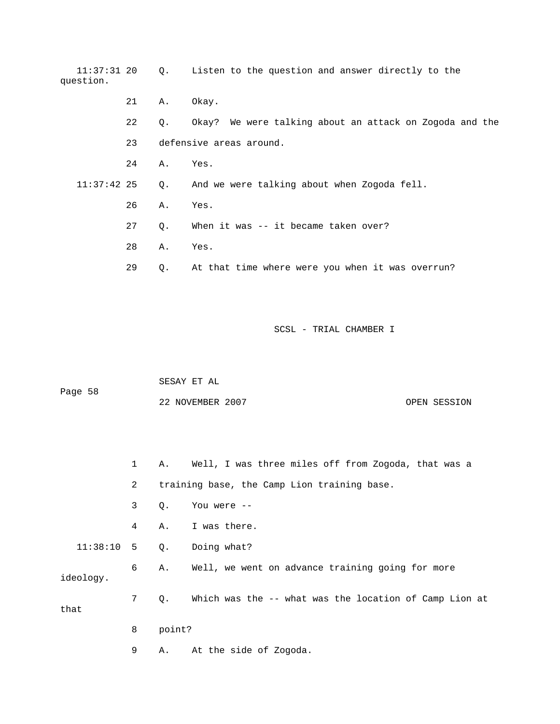| $11:37:31$ 20<br>question. |    | $\circ$ . | Listen to the question and answer directly to the       |
|----------------------------|----|-----------|---------------------------------------------------------|
|                            | 21 | Α.        | Okay.                                                   |
|                            | 22 | Q.        | Okay? We were talking about an attack on Zogoda and the |
|                            | 23 |           | defensive areas around.                                 |
|                            | 24 | Α.        | Yes.                                                    |
| $11:37:42$ 25              |    | $Q$ .     | And we were talking about when Zogoda fell.             |
|                            | 26 | Α.        | Yes.                                                    |
|                            | 27 | $\circ$ . | When it was -- it became taken over?                    |
|                            | 28 | Α.        | Yes.                                                    |
|                            | 29 | Q.        | At that time where were you when it was overrun?        |

|         | SESAY ET AL      |  |              |
|---------|------------------|--|--------------|
| Page 58 |                  |  |              |
|         | 22 NOVEMBER 2007 |  | OPEN SESSION |

 1 A. Well, I was three miles off from Zogoda, that was a 2 training base, the Camp Lion training base. 3 Q. You were -- 4 A. I was there. 11:38:10 5 Q. Doing what? 6 A. Well, we went on advance training going for more ideology. 7 Q. Which was the -- what was the location of Camp Lion at that 8 point? 9 A. At the side of Zogoda.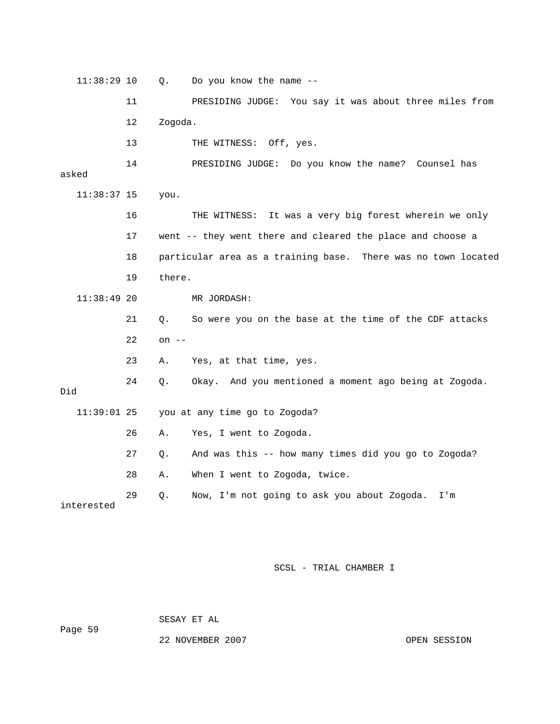11:38:29 10 Q. Do you know the name -- 11 PRESIDING JUDGE: You say it was about three miles from 12 Zogoda. 13 THE WITNESS: Off, yes. 14 PRESIDING JUDGE: Do you know the name? Counsel has asked 11:38:37 15 you. 16 THE WITNESS: It was a very big forest wherein we only 17 went -- they went there and cleared the place and choose a 18 particular area as a training base. There was no town located 19 there. 11:38:49 20 MR JORDASH: 21 Q. So were you on the base at the time of the CDF attacks 22 on -- 23 A. Yes, at that time, yes. 24 Q. Okay. And you mentioned a moment ago being at Zogoda. Did 11:39:01 25 you at any time go to Zogoda? 26 A. Yes, I went to Zogoda. 27 Q. And was this -- how many times did you go to Zogoda? 28 A. When I went to Zogoda, twice. 29 Q. Now, I'm not going to ask you about Zogoda. I'm interested

SCSL - TRIAL CHAMBER I

Page 59

SESAY ET AL

22 NOVEMBER 2007 OPEN SESSION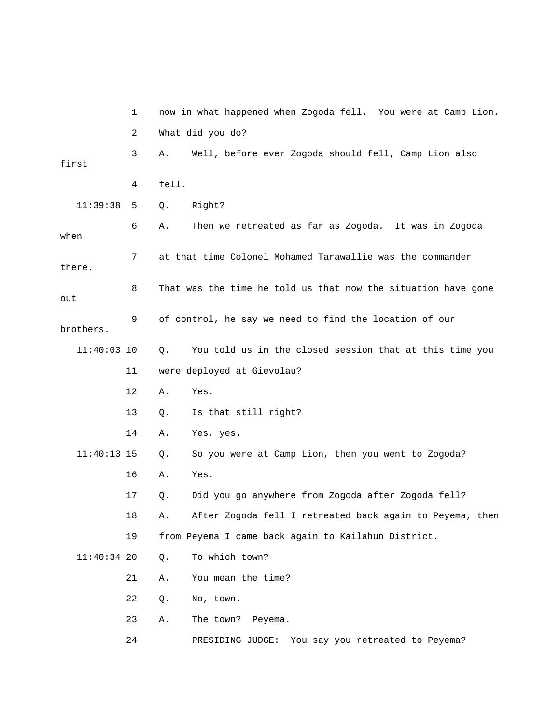|               | 1  | now in what happened when Zogoda fell. You were at Camp Lion.    |
|---------------|----|------------------------------------------------------------------|
|               | 2  | What did you do?                                                 |
| first         | 3  | Well, before ever Zogoda should fell, Camp Lion also<br>Α.       |
|               | 4  | fell.                                                            |
| 11:39:38      | 5  | Right?<br>Q.                                                     |
| when          | 6  | Then we retreated as far as Zogoda. It was in Zogoda<br>Α.       |
| there.        | 7  | at that time Colonel Mohamed Tarawallie was the commander        |
| out           | 8  | That was the time he told us that now the situation have gone    |
| brothers.     | 9  | of control, he say we need to find the location of our           |
| $11:40:03$ 10 |    | You told us in the closed session that at this time you<br>$Q$ . |
|               | 11 | were deployed at Gievolau?                                       |
|               | 12 | Yes.<br>Α.                                                       |
|               | 13 | Is that still right?<br>Q.                                       |
|               | 14 | Yes, yes.<br>Α.                                                  |
| $11:40:13$ 15 |    | So you were at Camp Lion, then you went to Zogoda?<br>Q.         |
|               | 16 | Yes.<br>Α.                                                       |
|               | 17 | Did you go anywhere from Zogoda after Zogoda fell?<br>Q.         |
|               | 18 | After Zogoda fell I retreated back again to Peyema, then<br>Α.   |
|               | 19 | from Peyema I came back again to Kailahun District.              |
| $11:40:34$ 20 |    | To which town?<br>Q.                                             |
|               | 21 | You mean the time?<br>Α.                                         |
|               | 22 | No, town.<br>Q.                                                  |
|               | 23 | The town? Peyema.<br>Α.                                          |
|               | 24 | You say you retreated to Peyema?<br>PRESIDING JUDGE:             |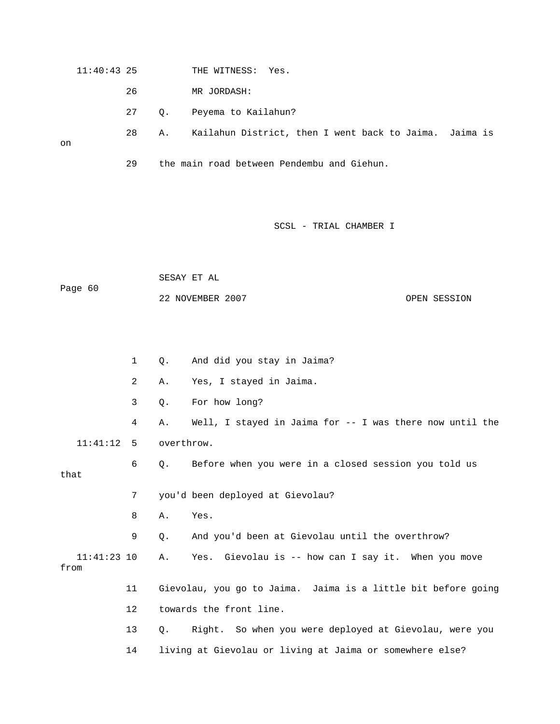11:40:43 25 THE WITNESS: Yes.

26 MR JORDASH:

27 Q. Peyema to Kailahun?

28 A. Kailahun District, then I went back to Jaima. Jaima is

on

29 the main road between Pendembu and Giehun.

### SCSL - TRIAL CHAMBER I

 SESAY ET AL Page 60 22 NOVEMBER 2007 OPEN SESSION

 1 Q. And did you stay in Jaima? 2 A. Yes, I stayed in Jaima. 3 Q. For how long? 4 A. Well, I stayed in Jaima for -- I was there now until the 11:41:12 5 overthrow. 6 Q. Before when you were in a closed session you told us that 7 you'd been deployed at Gievolau? 8 A. Yes. 9 Q. And you'd been at Gievolau until the overthrow? 11:41:23 10 A. Yes. Gievolau is -- how can I say it. When you move from 11 Gievolau, you go to Jaima. Jaima is a little bit before going 12 towards the front line. 13 Q. Right. So when you were deployed at Gievolau, were you 14 living at Gievolau or living at Jaima or somewhere else?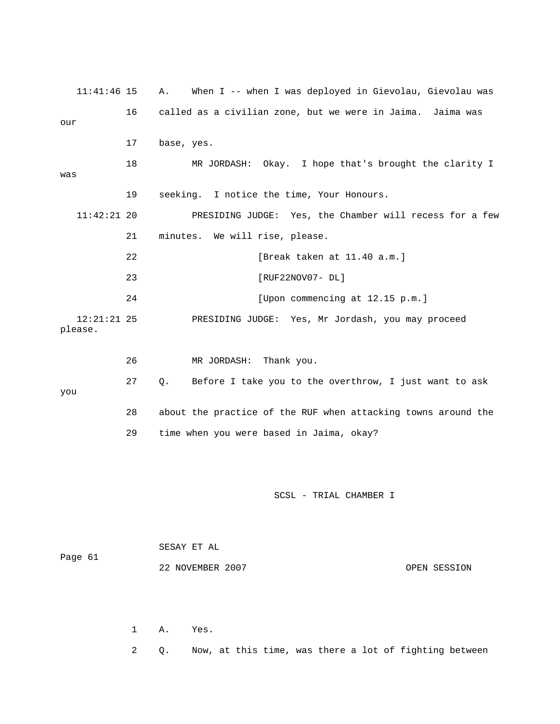11:41:46 15 A. When I -- when I was deployed in Gievolau, Gievolau was 16 called as a civilian zone, but we were in Jaima. Jaima was our 17 base, yes. 18 MR JORDASH: Okay. I hope that's brought the clarity I was 19 seeking. I notice the time, Your Honours. 11:42:21 20 PRESIDING JUDGE: Yes, the Chamber will recess for a few 21 minutes. We will rise, please. 22 [Break taken at 11.40 a.m.] 23 [RUF22NOV07- DL] 24 [Upon commencing at 12.15 p.m.] 12:21:21 25 PRESIDING JUDGE: Yes, Mr Jordash, you may proceed please. 26 MR JORDASH: Thank you. 27 Q. Before I take you to the overthrow, I just want to ask you 28 about the practice of the RUF when attacking towns around the 29 time when you were based in Jaima, okay? SCSL - TRIAL CHAMBER I SESAY ET AL Page 61 22 NOVEMBER 2007 OPEN SESSION 1 A. Yes. 2 Q. Now, at this time, was there a lot of fighting between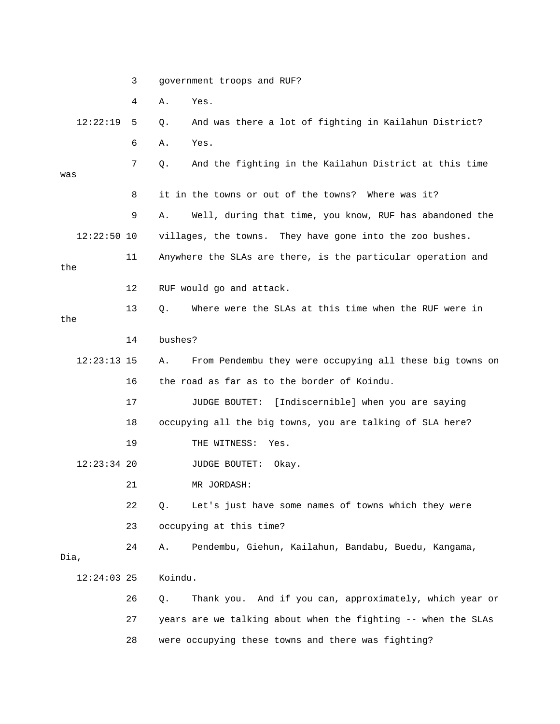3 government troops and RUF?

4 A. Yes.

 12:22:19 5 Q. And was there a lot of fighting in Kailahun District? 6 A. Yes. 7 Q. And the fighting in the Kailahun District at this time was 8 it in the towns or out of the towns? Where was it? 9 A. Well, during that time, you know, RUF has abandoned the 12:22:50 10 villages, the towns. They have gone into the zoo bushes. 11 Anywhere the SLAs are there, is the particular operation and the 12 RUF would go and attack. 13 Q. Where were the SLAs at this time when the RUF were in the 14 bushes? 12:23:13 15 A. From Pendembu they were occupying all these big towns on 16 the road as far as to the border of Koindu. 17 JUDGE BOUTET: [Indiscernible] when you are saying 18 occupying all the big towns, you are talking of SLA here? 19 THE WITNESS: Yes. 12:23:34 20 JUDGE BOUTET: Okay. 21 MR JORDASH: 22 Q. Let's just have some names of towns which they were 23 occupying at this time? 24 A. Pendembu, Giehun, Kailahun, Bandabu, Buedu, Kangama, Dia, 12:24:03 25 Koindu. 26 Q. Thank you. And if you can, approximately, which year or 27 years are we talking about when the fighting -- when the SLAs 28 were occupying these towns and there was fighting?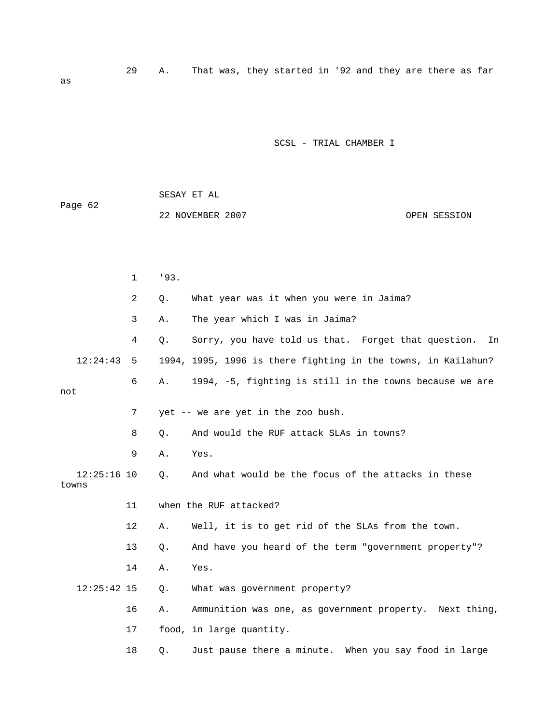29 A. That was, they started in '92 and they are there as far

SCSL - TRIAL CHAMBER I

| Page 62                |              | SESAY ET AL                                                   |    |  |  |  |
|------------------------|--------------|---------------------------------------------------------------|----|--|--|--|
|                        |              | 22 NOVEMBER 2007<br>OPEN SESSION                              |    |  |  |  |
|                        |              |                                                               |    |  |  |  |
|                        |              |                                                               |    |  |  |  |
|                        | $\mathbf{1}$ | '93.                                                          |    |  |  |  |
|                        | 2            | What year was it when you were in Jaima?<br>Q.                |    |  |  |  |
|                        | 3            | The year which I was in Jaima?<br>Α.                          |    |  |  |  |
|                        | 4            | Sorry, you have told us that. Forget that question.<br>Q.     | In |  |  |  |
| 12:24:43               | 5            | 1994, 1995, 1996 is there fighting in the towns, in Kailahun? |    |  |  |  |
|                        | 6            | 1994, -5, fighting is still in the towns because we are<br>Α. |    |  |  |  |
| not                    |              |                                                               |    |  |  |  |
|                        | 7            | yet -- we are yet in the zoo bush.                            |    |  |  |  |
|                        | 8            | And would the RUF attack SLAs in towns?<br>Q.                 |    |  |  |  |
|                        | 9            | Yes.<br>Α.                                                    |    |  |  |  |
| $12:25:16$ 10<br>towns |              | And what would be the focus of the attacks in these<br>Q.     |    |  |  |  |
|                        | 11           | when the RUF attacked?                                        |    |  |  |  |
|                        | 12           | Well, it is to get rid of the SLAs from the town.<br>Α.       |    |  |  |  |

13 Q. And have you heard of the term "government property"?

14 A. Yes.

12:25:42 15 Q. What was government property?

16 A. Ammunition was one, as government property. Next thing,

17 food, in large quantity.

18 Q. Just pause there a minute. When you say food in large

as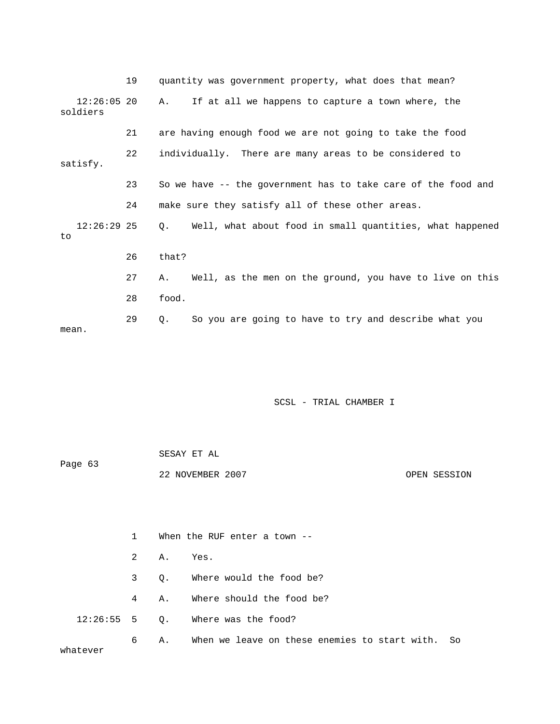|                           | 19 | quantity was government property, what does that mean?                |
|---------------------------|----|-----------------------------------------------------------------------|
| $12:26:05$ 20<br>soldiers |    | If at all we happens to capture a town where, the<br>A.               |
|                           | 21 | are having enough food we are not going to take the food              |
| satisfy.                  | 22 | individually. There are many areas to be considered to                |
|                           | 23 | So we have -- the government has to take care of the food and         |
|                           | 24 | make sure they satisfy all of these other areas.                      |
| $12:26:29$ 25<br>to       |    | Well, what about food in small quantities, what happened<br>$\circ$ . |
|                           | 26 | that?                                                                 |
|                           | 27 | Well, as the men on the ground, you have to live on this<br>Α.        |
|                           | 28 | food.                                                                 |
| mean.                     | 29 | So you are going to have to try and describe what you<br>Q.           |

|         | SESAY ET AL      |  |              |
|---------|------------------|--|--------------|
| Page 63 |                  |  |              |
|         | 22 NOVEMBER 2007 |  | OPEN SESSION |

|          | $1 \quad \blacksquare$ |           | When the RUF enter a town --                        |  |  |
|----------|------------------------|-----------|-----------------------------------------------------|--|--|
|          |                        | 2 A. Yes. |                                                     |  |  |
|          |                        |           | 3 Q. Where would the food be?                       |  |  |
|          |                        |           | 4 A. Where should the food be?                      |  |  |
|          |                        |           | $12:26:55$ 5 Q. Where was the food?                 |  |  |
| whatever | 6                      |           | A. When we leave on these enemies to start with. So |  |  |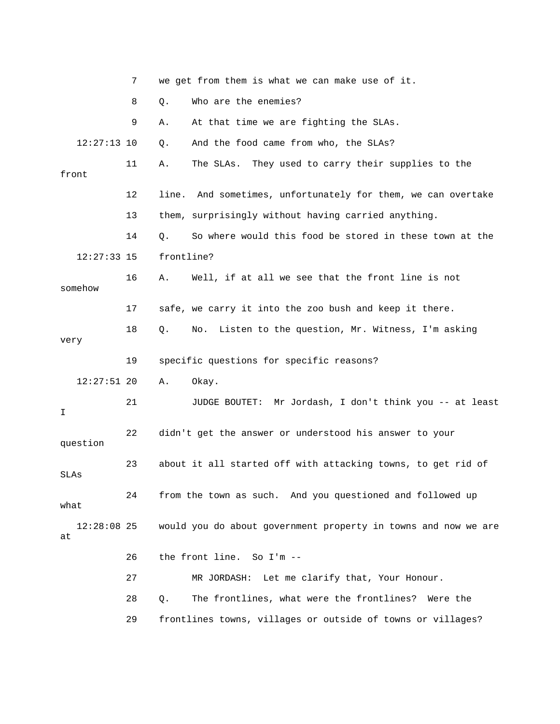|                     | 7  | we get from them is what we can make use of it.                |
|---------------------|----|----------------------------------------------------------------|
|                     | 8  | Who are the enemies?<br>Q.                                     |
|                     | 9  | At that time we are fighting the SLAs.<br>Α.                   |
| $12:27:13$ 10       |    | And the food came from who, the SLAs?<br>Q.                    |
| front               | 11 | The SLAs. They used to carry their supplies to the<br>Α.       |
|                     | 12 | line. And sometimes, unfortunately for them, we can overtake   |
|                     | 13 | them, surprisingly without having carried anything.            |
|                     | 14 | So where would this food be stored in these town at the<br>Q.  |
| $12:27:33$ 15       |    | frontline?                                                     |
| somehow             | 16 | Well, if at all we see that the front line is not<br>Α.        |
|                     | 17 | safe, we carry it into the zoo bush and keep it there.         |
| very                | 18 | Listen to the question, Mr. Witness, I'm asking<br>Q.<br>No.   |
|                     |    |                                                                |
|                     | 19 | specific questions for specific reasons?                       |
| $12:27:51$ 20       |    | Α.<br>Okay.                                                    |
| I                   | 21 | JUDGE BOUTET: Mr Jordash, I don't think you -- at least        |
| question            | 22 | didn't get the answer or understood his answer to your         |
| SLAs                | 23 | about it all started off with attacking towns, to get rid of   |
| what                | 24 | from the town as such. And you questioned and followed up      |
| $12:28:08$ 25<br>at |    | would you do about government property in towns and now we are |
|                     | 26 | the front line. So I'm --                                      |
|                     | 27 | MR JORDASH: Let me clarify that, Your Honour.                  |
|                     | 28 | The frontlines, what were the frontlines?<br>$Q$ .<br>Were the |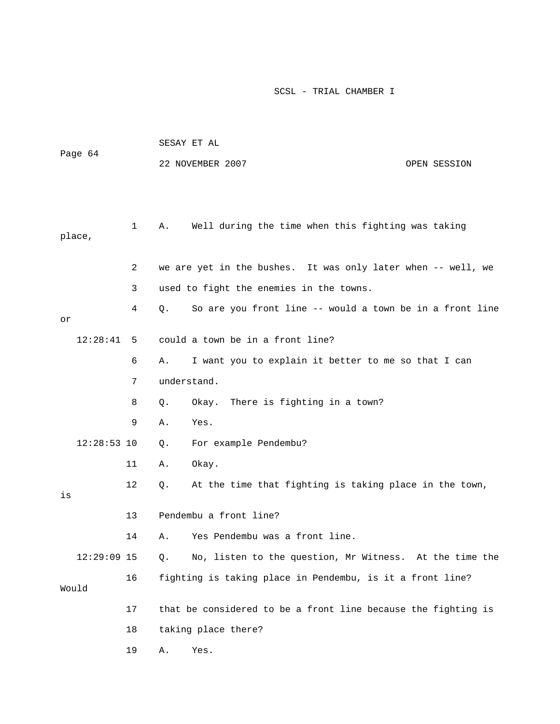| Page 64       |              | SESAY ET AL                                                    |
|---------------|--------------|----------------------------------------------------------------|
|               |              | 22 NOVEMBER 2007<br>OPEN SESSION                               |
|               |              |                                                                |
|               |              |                                                                |
|               | $\mathbf{1}$ | Well during the time when this fighting was taking<br>Α.       |
| place,        |              |                                                                |
|               |              |                                                                |
|               | 2            | we are yet in the bushes. It was only later when -- well, we   |
|               | 3            | used to fight the enemies in the towns.                        |
| or            | 4            | So are you front line -- would a town be in a front line<br>Q. |
| 12:28:41      | 5            | could a town be in a front line?                               |
|               | 6            | I want you to explain it better to me so that I can<br>Α.      |
|               | 7            | understand.                                                    |
|               | 8            | Okay. There is fighting in a town?<br>Q.                       |
|               | 9            | Yes.<br>Α.                                                     |
| $12:28:53$ 10 |              | For example Pendembu?<br>Q.                                    |
|               | 11           | Okay.<br>Α.                                                    |
| is            | 12           | At the time that fighting is taking place in the town,<br>О.   |
|               | 13           | Pendembu a front line?                                         |
|               | 14           | Yes Pendembu was a front line.<br>Α.                           |
| $12:29:09$ 15 |              | No, listen to the question, Mr Witness. At the time the<br>Q.  |
|               | 16           | fighting is taking place in Pendembu, is it a front line?      |
| Would         |              |                                                                |
|               | 17           | that be considered to be a front line because the fighting is  |
|               | 18           | taking place there?                                            |
|               | 19           | Yes.<br>Α.                                                     |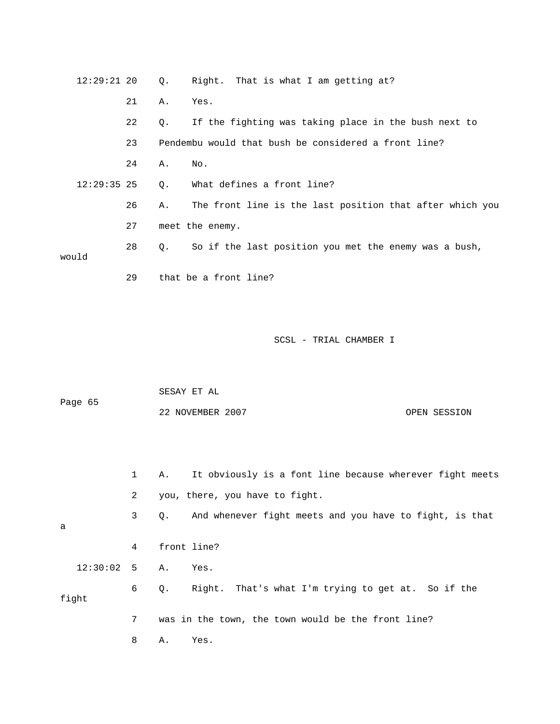| 12:29:21 20   |    |    | Q. Right. That is what I am getting at?                  |
|---------------|----|----|----------------------------------------------------------|
|               | 21 | Α. | Yes.                                                     |
|               | 22 | Q. | If the fighting was taking place in the bush next to     |
|               | 23 |    | Pendembu would that bush be considered a front line?     |
|               | 24 | Α. | No.                                                      |
| $12:29:35$ 25 |    | Q. | What defines a front line?                               |
|               | 26 | Α. | The front line is the last position that after which you |
|               | 27 |    | meet the enemy.                                          |
|               | 28 | 0. | So if the last position you met the enemy was a bush,    |
| would         |    |    |                                                          |
|               | 29 |    | that be a front line?                                    |

| Page 65 | SESAY ET AL      |              |
|---------|------------------|--------------|
|         | 22 NOVEMBER 2007 | OPEN SESSION |

|                 | $1 \quad$      | It obviously is a font line because wherever fight meets<br>A. |
|-----------------|----------------|----------------------------------------------------------------|
|                 | $\mathbf{2}$   | you, there, you have to fight.                                 |
| a               | 3 <sup>7</sup> | And whenever fight meets and you have to fight, is that<br>0.  |
|                 | 4              | front line?                                                    |
| $12:30:02$ 5 A. |                | Yes.                                                           |
| fight           | 6              | Right. That's what I'm trying to get at. So if the<br>0.       |
|                 | 7              | was in the town, the town would be the front line?             |
|                 | 8              | Α.<br>Yes.                                                     |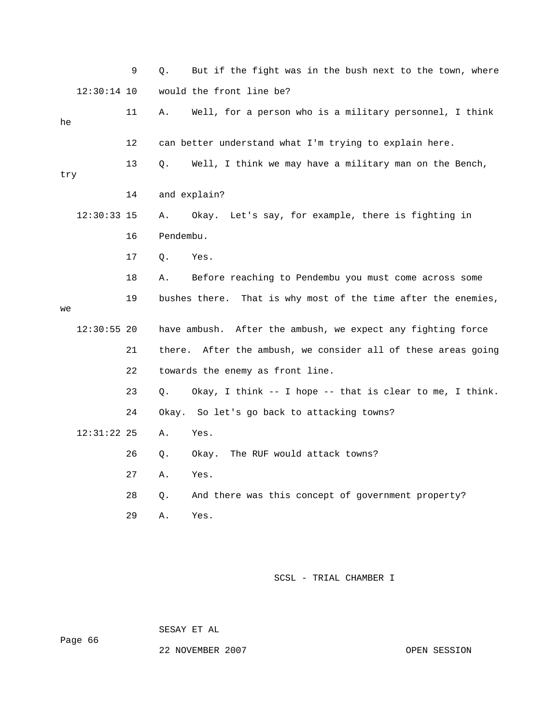|     |               | 9  | But if the fight was in the bush next to the town, where<br>Q. |  |
|-----|---------------|----|----------------------------------------------------------------|--|
|     | $12:30:14$ 10 |    | would the front line be?                                       |  |
| he  |               | 11 | Well, for a person who is a military personnel, I think<br>Α.  |  |
|     |               | 12 | can better understand what I'm trying to explain here.         |  |
| try |               | 13 | Well, I think we may have a military man on the Bench,<br>Q.   |  |
|     |               | 14 | and explain?                                                   |  |
|     | $12:30:33$ 15 |    | Okay. Let's say, for example, there is fighting in<br>Α.       |  |
|     |               | 16 | Pendembu.                                                      |  |
|     |               | 17 | $Q$ .<br>Yes.                                                  |  |
|     |               | 18 | Before reaching to Pendembu you must come across some<br>Α.    |  |
| we  |               | 19 | bushes there. That is why most of the time after the enemies,  |  |
|     | $12:30:55$ 20 |    | have ambush. After the ambush, we expect any fighting force    |  |
|     |               | 21 | there. After the ambush, we consider all of these areas going  |  |
|     |               | 22 | towards the enemy as front line.                               |  |
|     |               | 23 | Okay, I think -- I hope -- that is clear to me, I think.<br>Q. |  |
|     |               | 24 | Okay. So let's go back to attacking towns?                     |  |
|     | $12:31:22$ 25 |    | Yes.<br>Α.                                                     |  |
|     |               | 26 | The RUF would attack towns?<br>Q.<br>Okay.                     |  |
|     |               | 27 | Α.<br>Yes.                                                     |  |
|     |               | 28 | And there was this concept of government property?<br>Q.       |  |
|     |               | 29 | Yes.<br>Α.                                                     |  |
|     |               |    |                                                                |  |

SESAY ET AL

Page 66

22 NOVEMBER 2007 CPEN SESSION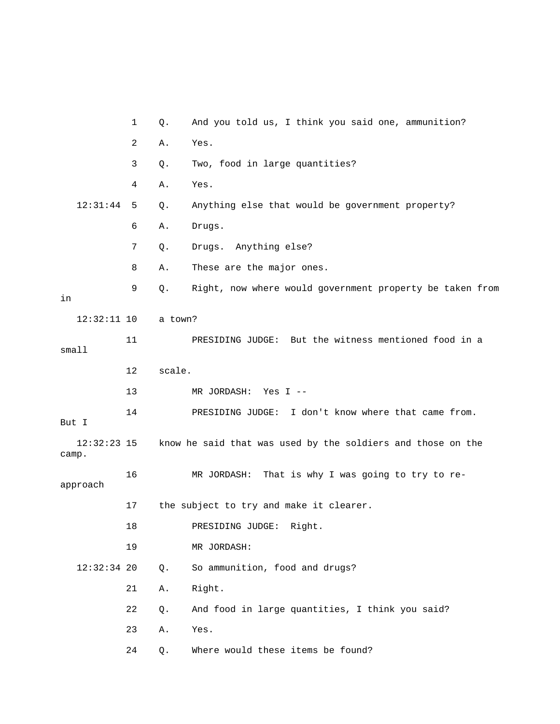|                        | $\mathbf{1}$ | Q.      | And you told us, I think you said one, ammunition?          |
|------------------------|--------------|---------|-------------------------------------------------------------|
|                        | 2            | Α.      | Yes.                                                        |
|                        | 3            | Q.      | Two, food in large quantities?                              |
|                        | 4            | Α.      | Yes.                                                        |
| 12:31:44               | 5            | Q.      | Anything else that would be government property?            |
|                        | 6            | Α.      | Drugs.                                                      |
|                        | 7            | Q.      | Drugs. Anything else?                                       |
|                        | 8            | Α.      | These are the major ones.                                   |
| in                     | 9            | Q.      | Right, now where would government property be taken from    |
| $12:32:11$ 10          |              | a town? |                                                             |
| smal1                  | 11           |         | PRESIDING JUDGE: But the witness mentioned food in a        |
|                        | 12           | scale.  |                                                             |
|                        | 13           |         | MR JORDASH:<br>Yes $I$ --                                   |
| But I                  | 14           |         | PRESIDING JUDGE: I don't know where that came from.         |
| $12:32:23$ 15<br>camp. |              |         | know he said that was used by the soldiers and those on the |
| approach               | 16           |         | That is why I was going to try to re-<br>MR JORDASH:        |
|                        | 17           |         | the subject to try and make it clearer.                     |
|                        | 18           |         | PRESIDING JUDGE:<br>Right.                                  |
|                        | 19           |         | MR JORDASH:                                                 |
| $12:32:34$ 20          |              | Q.      | So ammunition, food and drugs?                              |
|                        | 21           | Α.      | Right.                                                      |
|                        | 22           | Q.      | And food in large quantities, I think you said?             |
|                        | 23           | Α.      | Yes.                                                        |
|                        | 24           | Q.      | Where would these items be found?                           |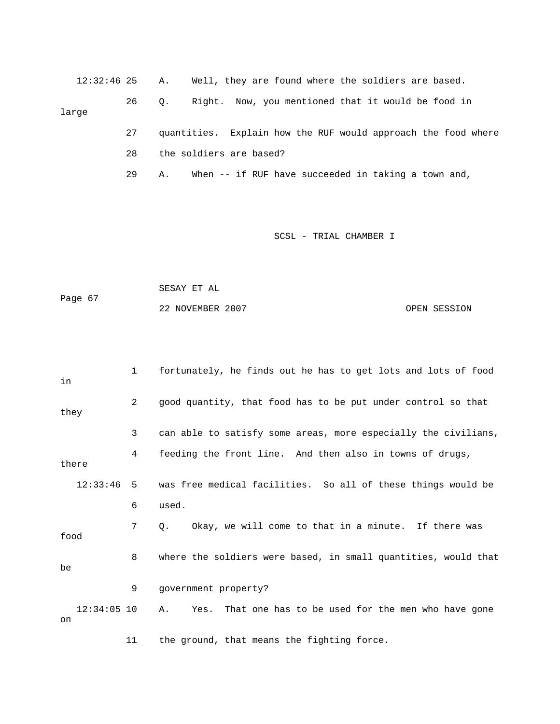12:32:46 25 A. Well, they are found where the soldiers are based. 26 Q. Right. Now, you mentioned that it would be food in large 27 quantities. Explain how the RUF would approach the food where 28 the soldiers are based?

29 A. When -- if RUF have succeeded in taking a town and,

SCSL - TRIAL CHAMBER I

 SESAY ET AL Page 67 22 NOVEMBER 2007 OPEN SESSION

 1 fortunately, he finds out he has to get lots and lots of food in 2 good quantity, that food has to be put under control so that they 3 can able to satisfy some areas, more especially the civilians, 4 feeding the front line. And then also in towns of drugs, there 12:33:46 5 was free medical facilities. So all of these things would be 6 used. 7 Q. Okay, we will come to that in a minute. If there was food 8 where the soldiers were based, in small quantities, would that be 9 government property? 12:34:05 10 A. Yes. That one has to be used for the men who have gone on 11 the ground, that means the fighting force.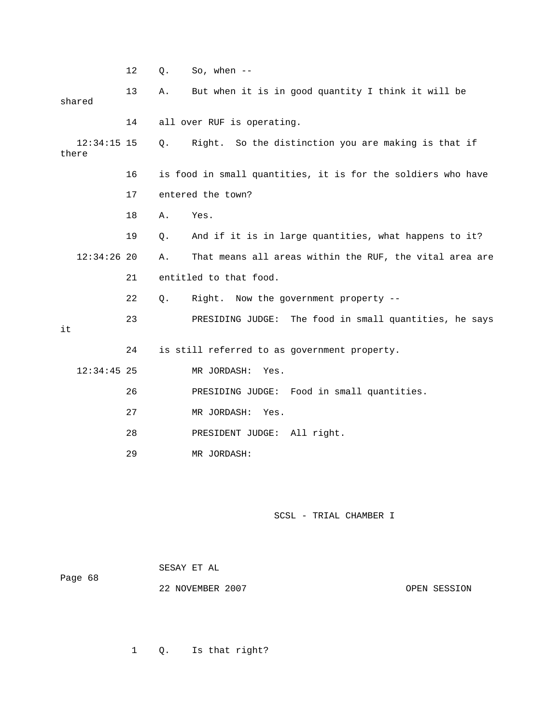|       |               | $12\,$ | Q.    | So, when $--$                                                |
|-------|---------------|--------|-------|--------------------------------------------------------------|
|       | shared        | 13     | Α.    | But when it is in good quantity I think it will be           |
|       |               | 14     |       | all over RUF is operating.                                   |
| there | $12:34:15$ 15 |        | $Q$ . | Right. So the distinction you are making is that if          |
|       |               | 16     |       | is food in small quantities, it is for the soldiers who have |
|       |               | 17     |       | entered the town?                                            |
|       |               | 18     | Α.    | Yes.                                                         |
|       |               | 19     | Q.    | And if it is in large quantities, what happens to it?        |
|       | $12:34:26$ 20 |        | Α.    | That means all areas within the RUF, the vital area are      |
|       |               | 21     |       | entitled to that food.                                       |
|       |               | 22     | Q.    | Right. Now the government property --                        |
| it    |               | 23     |       | PRESIDING JUDGE: The food in small quantities, he says       |
|       |               | 24     |       | is still referred to as government property.                 |
|       | $12:34:45$ 25 |        |       | MR JORDASH:<br>Yes.                                          |
|       |               | 26     |       | PRESIDING JUDGE: Food in small quantities.                   |
|       |               | 27     |       | MR JORDASH:<br>Yes.                                          |
|       |               | 28     |       | PRESIDENT JUDGE: All right.                                  |
|       |               | 29     |       | MR JORDASH:                                                  |
|       |               |        |       |                                                              |

| Page 68 | SESAY ET AL      |              |
|---------|------------------|--------------|
|         | 22 NOVEMBER 2007 | OPEN SESSION |

1 Q. Is that right?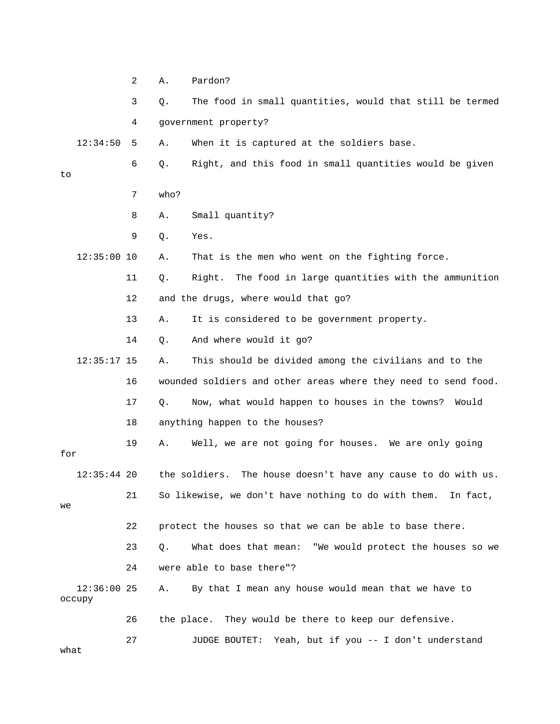|      |                         | 2  | Α.    | Pardon?                                                          |
|------|-------------------------|----|-------|------------------------------------------------------------------|
|      |                         | 3  | Q.    | The food in small quantities, would that still be termed         |
|      |                         | 4  |       | government property?                                             |
|      | 12:34:50                | 5  | Α.    | When it is captured at the soldiers base.                        |
| to   |                         | 6  | Q.    | Right, and this food in small quantities would be given          |
|      |                         | 7  | who?  |                                                                  |
|      |                         | 8  | Α.    | Small quantity?                                                  |
|      |                         | 9  | Q.    | Yes.                                                             |
|      | $12:35:00$ 10           |    | Α.    | That is the men who went on the fighting force.                  |
|      |                         | 11 | Q.    | The food in large quantities with the ammunition<br>Right.       |
|      |                         | 12 |       | and the drugs, where would that go?                              |
|      |                         | 13 | Α.    | It is considered to be government property.                      |
|      |                         | 14 | $Q$ . | And where would it go?                                           |
|      | $12:35:17$ 15           |    | Α.    | This should be divided among the civilians and to the            |
|      |                         | 16 |       | wounded soldiers and other areas where they need to send food.   |
|      |                         | 17 | Q.    | Now, what would happen to houses in the towns?<br>Would          |
|      |                         | 18 |       | anything happen to the houses?                                   |
| for  |                         | 19 | Α.    | Well, we are not going for houses. We are only going             |
|      | $12:35:44$ 20           |    |       | the soldiers.<br>The house doesn't have any cause to do with us. |
| we   |                         | 21 |       | So likewise, we don't have nothing to do with them. In fact,     |
|      |                         | 22 |       | protect the houses so that we can be able to base there.         |
|      |                         | 23 | Q.    | What does that mean: "We would protect the houses so we          |
|      |                         | 24 |       | were able to base there"?                                        |
|      | $12:36:00$ 25<br>occupy |    | Α.    | By that I mean any house would mean that we have to              |
|      |                         | 26 |       | They would be there to keep our defensive.<br>the place.         |
| what |                         | 27 |       | JUDGE BOUTET:<br>Yeah, but if you -- I don't understand          |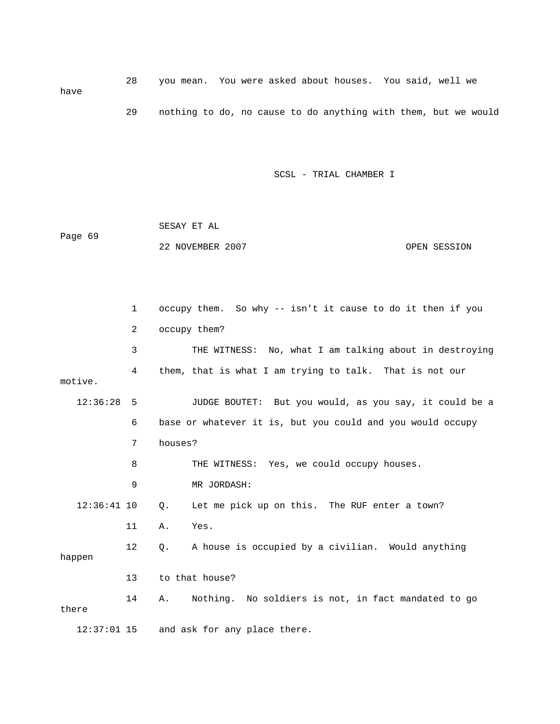28 you mean. You were asked about houses. You said, well we have 29 nothing to do, no cause to do anything with them, but we would

SCSL - TRIAL CHAMBER I

|         | SESAY ET AL      |              |
|---------|------------------|--------------|
| Page 69 |                  |              |
|         | 22 NOVEMBER 2007 | OPEN SESSION |

 1 occupy them. So why -- isn't it cause to do it then if you 2 occupy them? 3 THE WITNESS: No, what I am talking about in destroying 4 them, that is what I am trying to talk. That is not our motive. 12:36:28 5 JUDGE BOUTET: But you would, as you say, it could be a 6 base or whatever it is, but you could and you would occupy 7 houses? 8 THE WITNESS: Yes, we could occupy houses. 9 MR JORDASH: 12:36:41 10 Q. Let me pick up on this. The RUF enter a town? 11 A. Yes. 12 Q. A house is occupied by a civilian. Would anything happen 13 to that house? 14 A. Nothing. No soldiers is not, in fact mandated to go there 12:37:01 15 and ask for any place there.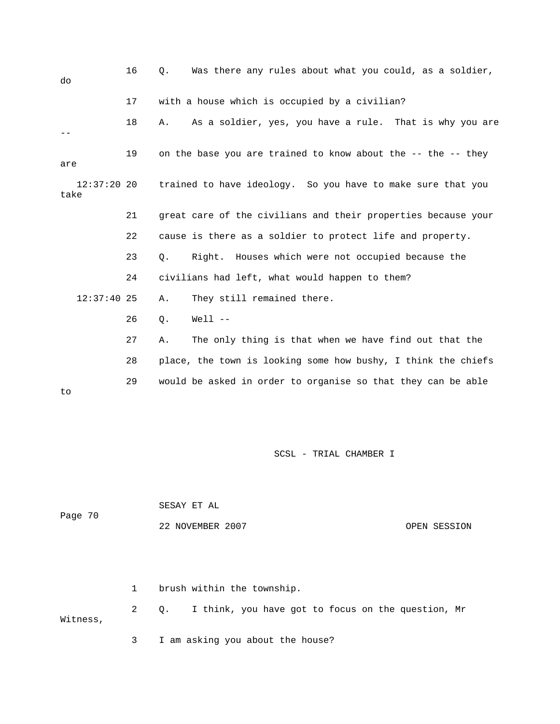| do   | 16            | Was there any rules about what you could, as a soldier,<br>О. |
|------|---------------|---------------------------------------------------------------|
|      | 17            | with a house which is occupied by a civilian?                 |
|      | 18            | As a soldier, yes, you have a rule. That is why you are<br>Α. |
| are  | 19            | on the base you are trained to know about the -- the -- they  |
| take | $12:37:20$ 20 | trained to have ideology. So you have to make sure that you   |
|      | 21            | great care of the civilians and their properties because your |
|      | 22            | cause is there as a soldier to protect life and property.     |
|      | 23            | Right. Houses which were not occupied because the<br>О.       |
|      | 24            | civilians had left, what would happen to them?                |
|      | $12:37:40$ 25 | They still remained there.<br>Α.                              |
|      | 26            | $Well1 - -$<br>Q.                                             |
|      | 27            | The only thing is that when we have find out that the<br>Α.   |
|      | 28            | place, the town is looking some how bushy, I think the chiefs |
| to   | 29            | would be asked in order to organise so that they can be able  |

| Page 70 | SESAY ET AL      |              |
|---------|------------------|--------------|
|         | 22 NOVEMBER 2007 | OPEN SESSION |

 1 brush within the township. 2 Q. I think, you have got to focus on the question, Mr Witness, 3 I am asking you about the house?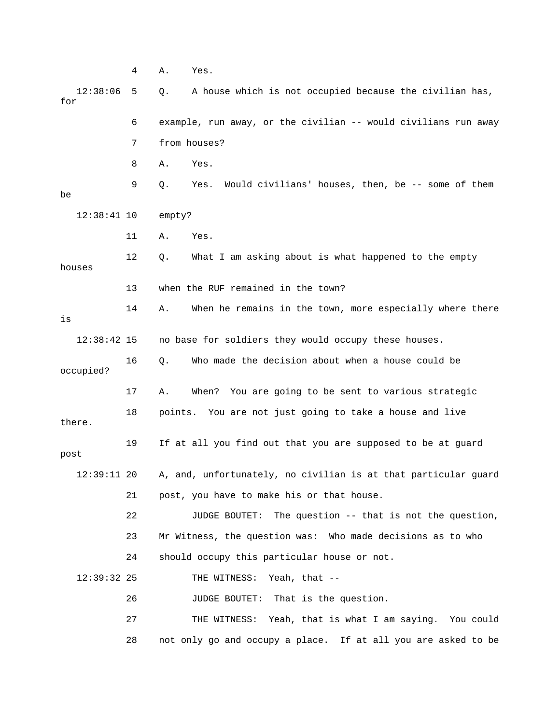4 A. Yes. 12:38:06 5 Q. A house which is not occupied because the civilian has, for 6 example, run away, or the civilian -- would civilians run away 7 from houses? 8 A. Yes. 9 Q. Yes. Would civilians' houses, then, be -- some of them be 12:38:41 10 empty? 11 A. Yes. 12 Q. What I am asking about is what happened to the empty houses 13 when the RUF remained in the town? 14 A. When he remains in the town, more especially where there is 12:38:42 15 no base for soldiers they would occupy these houses. 16 Q. Who made the decision about when a house could be occupied? 17 A. When? You are going to be sent to various strategic 18 points. You are not just going to take a house and live there. 19 If at all you find out that you are supposed to be at guard post 12:39:11 20 A, and, unfortunately, no civilian is at that particular guard 21 post, you have to make his or that house. 22 JUDGE BOUTET: The question -- that is not the question, 23 Mr Witness, the question was: Who made decisions as to who 24 should occupy this particular house or not. 12:39:32 25 THE WITNESS: Yeah, that -- 26 JUDGE BOUTET: That is the question. 27 THE WITNESS: Yeah, that is what I am saying. You could 28 not only go and occupy a place. If at all you are asked to be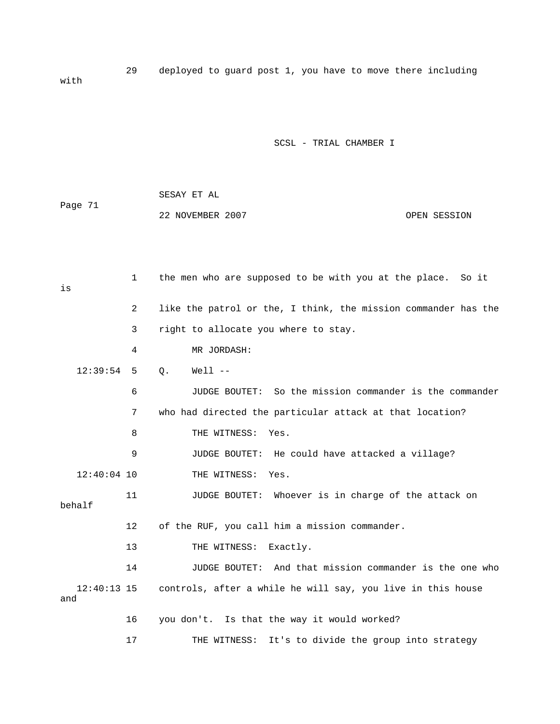29 deployed to guard post 1, you have to move there including with

#### SCSL - TRIAL CHAMBER I

 SESAY ET AL Page 71 22 NOVEMBER 2007 OPEN SESSION

 1 the men who are supposed to be with you at the place. So it is 2 like the patrol or the, I think, the mission commander has the 3 right to allocate you where to stay. 4 MR JORDASH: 12:39:54 5 Q. Well -- 6 JUDGE BOUTET: So the mission commander is the commander 7 who had directed the particular attack at that location? 8 THE WITNESS: Yes. 9 JUDGE BOUTET: He could have attacked a village? 12:40:04 10 THE WITNESS: Yes. 11 JUDGE BOUTET: Whoever is in charge of the attack on behalf 12 of the RUF, you call him a mission commander. 13 THE WITNESS: Exactly. 14 JUDGE BOUTET: And that mission commander is the one who 12:40:13 15 controls, after a while he will say, you live in this house and 16 you don't. Is that the way it would worked? 17 THE WITNESS: It's to divide the group into strategy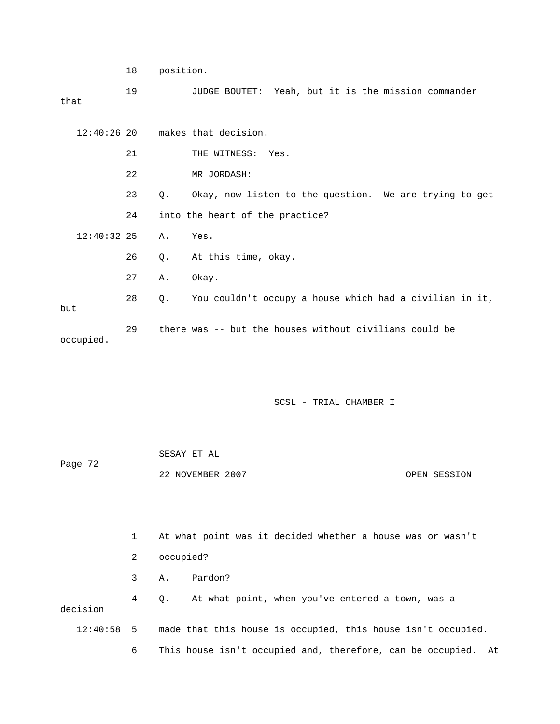18 position.

 19 JUDGE BOUTET: Yeah, but it is the mission commander that

|     |               |    |    | $12:40:26$ 20 makes that decision.                      |
|-----|---------------|----|----|---------------------------------------------------------|
|     |               | 21 |    | THE WITNESS: Yes.                                       |
|     |               | 22 |    | MR JORDASH:                                             |
|     |               | 23 | О. | Okay, now listen to the question. We are trying to get  |
|     |               | 24 |    | into the heart of the practice?                         |
|     | $12:40:32$ 25 |    | Α. | Yes.                                                    |
|     |               | 26 | Q. | At this time, okay.                                     |
|     |               | 27 | Α. | Okay.                                                   |
| but |               | 28 | Q. | You couldn't occupy a house which had a civilian in it, |
|     | occupied.     | 29 |    | there was -- but the houses without civilians could be  |

| Page 72 | SESAY ET AL      |  |              |
|---------|------------------|--|--------------|
|         | 22 NOVEMBER 2007 |  | OPEN SESSION |

|              |   | At what point was it decided whether a house was or wasn't       |
|--------------|---|------------------------------------------------------------------|
|              | 2 | occupied?                                                        |
|              | 3 | Pardon?<br>А.                                                    |
| decision     | 4 | At what point, when you've entered a town, was a<br>0.           |
| $12:40:58$ 5 |   | made that this house is occupied, this house isn't occupied.     |
|              | 6 | This house isn't occupied and, therefore, can be occupied.<br>At |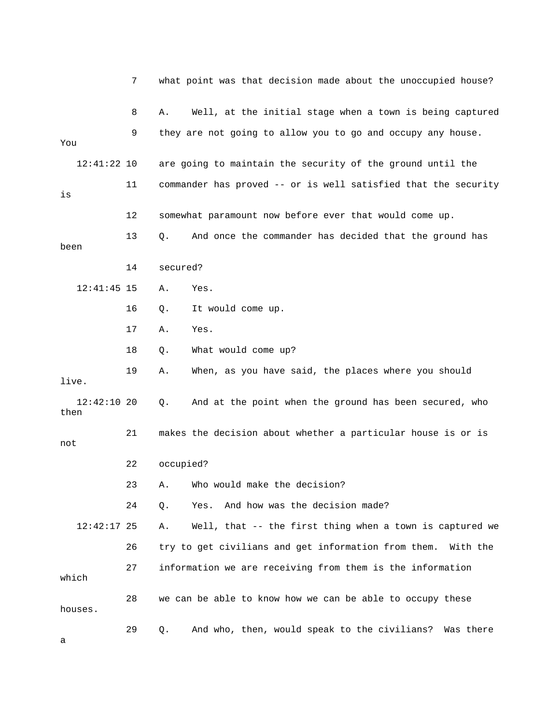|                       | 7  |           | what point was that decision made about the unoccupied house?   |
|-----------------------|----|-----------|-----------------------------------------------------------------|
|                       | 8  | Α.        | Well, at the initial stage when a town is being captured        |
| You                   | 9  |           | they are not going to allow you to go and occupy any house.     |
| $12:41:22$ 10         |    |           | are going to maintain the security of the ground until the      |
| is                    | 11 |           | commander has proved -- or is well satisfied that the security  |
|                       | 12 |           | somewhat paramount now before ever that would come up.          |
| been                  | 13 | Q.        | And once the commander has decided that the ground has          |
|                       | 14 | secured?  |                                                                 |
| $12:41:45$ 15         |    | Α.        | Yes.                                                            |
|                       | 16 | Q.        | It would come up.                                               |
|                       | 17 | Α.        | Yes.                                                            |
|                       | 18 | Q.        | What would come up?                                             |
| live.                 | 19 | Α.        | When, as you have said, the places where you should             |
| $12:42:10$ 20<br>then |    | Q.        | And at the point when the ground has been secured, who          |
| not                   | 21 |           | makes the decision about whether a particular house is or is    |
|                       | 22 | occupied? |                                                                 |
|                       | 23 |           | A. Who would make the decision?                                 |
|                       | 24 | Q.        | And how was the decision made?<br>Yes.                          |
| $12:42:17$ 25         |    | Α.        | Well, that -- the first thing when a town is captured we        |
|                       | 26 |           | try to get civilians and get information from them.<br>With the |
| which                 | 27 |           | information we are receiving from them is the information       |
| houses.               | 28 |           | we can be able to know how we can be able to occupy these       |
| а                     | 29 | Q.        | And who, then, would speak to the civilians?<br>Was there       |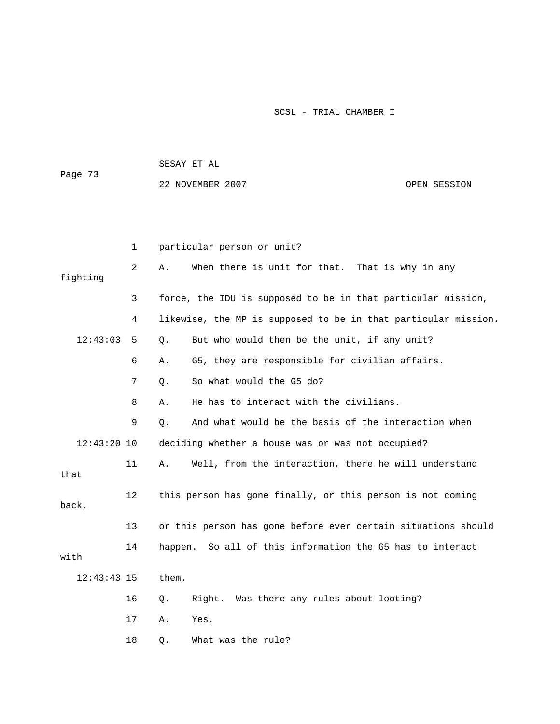|               |    | SESAY ET AL                                                    |              |
|---------------|----|----------------------------------------------------------------|--------------|
| Page 73       |    | 22 NOVEMBER 2007                                               | OPEN SESSION |
|               |    |                                                                |              |
|               |    |                                                                |              |
|               | 1  | particular person or unit?                                     |              |
| fighting      | 2  | When there is unit for that. That is why in any<br>Α.          |              |
|               | 3  | force, the IDU is supposed to be in that particular mission,   |              |
|               | 4  | likewise, the MP is supposed to be in that particular mission. |              |
| 12:43:03      | 5  | But who would then be the unit, if any unit?<br>Q.             |              |
|               | 6  | G5, they are responsible for civilian affairs.<br>Α.           |              |
|               | 7  | So what would the G5 do?<br>О.                                 |              |
|               | 8  | He has to interact with the civilians.<br>Α.                   |              |
|               | 9  | And what would be the basis of the interaction when<br>$Q$ .   |              |
| $12:43:20$ 10 |    | deciding whether a house was or was not occupied?              |              |
| that          | 11 | Well, from the interaction, there he will understand<br>Α.     |              |
| back,         | 12 | this person has gone finally, or this person is not coming     |              |
|               | 13 | or this person has gone before ever certain situations should  |              |
| with          | 14 | happen. So all of this information the G5 has to interact      |              |
| $12:43:43$ 15 |    | them.                                                          |              |
|               | 16 | Was there any rules about looting?<br>Right.<br>Q.             |              |
|               | 17 | Yes.<br>Α.                                                     |              |
|               | 18 | What was the rule?<br>Q.                                       |              |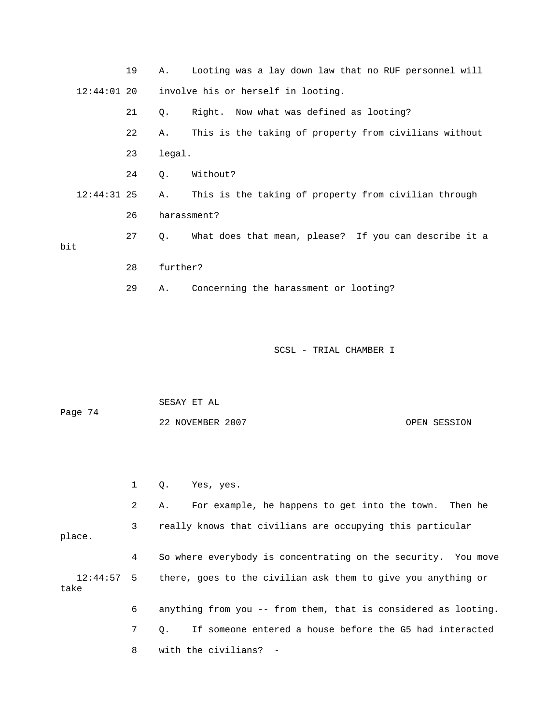|               |               | 19 | Α.          | Looting was a lay down law that no RUF personnel will    |
|---------------|---------------|----|-------------|----------------------------------------------------------|
| $12:44:01$ 20 |               |    |             | involve his or herself in looting.                       |
|               |               | 21 | Q.          | Right. Now what was defined as looting?                  |
|               |               | 22 | Α.          | This is the taking of property from civilians without    |
|               |               | 23 | legal.      |                                                          |
|               |               | 24 | 0.          | Without?                                                 |
|               | $12:44:31$ 25 |    | Α.          | This is the taking of property from civilian through     |
|               |               | 26 | harassment? |                                                          |
| bit           |               | 27 |             | Q. What does that mean, please? If you can describe it a |
|               |               | 28 | further?    |                                                          |
|               |               | 29 | Α.          | Concerning the harassment or looting?                    |
|               |               |    |             |                                                          |

 SESAY ET AL Page 74 22 NOVEMBER 2007 OPEN SESSION

1 Q. Yes, yes.

 2 A. For example, he happens to get into the town. Then he 3 really knows that civilians are occupying this particular place. 4 So where everybody is concentrating on the security. You move 12:44:57 5 there, goes to the civilian ask them to give you anything or take 6 anything from you -- from them, that is considered as looting. 7 Q. If someone entered a house before the G5 had interacted 8 with the civilians? -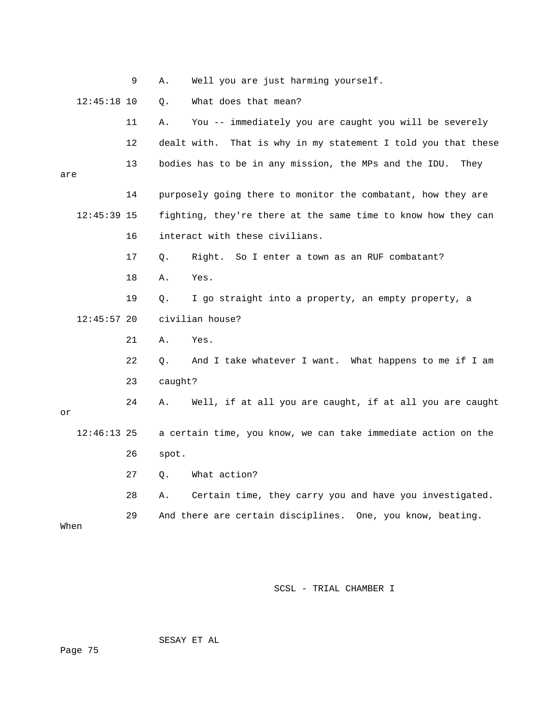|               | 9  | Well you are just harming yourself.<br>Α.                        |
|---------------|----|------------------------------------------------------------------|
| $12:45:18$ 10 |    | What does that mean?<br>Q.                                       |
|               | 11 | You -- immediately you are caught you will be severely<br>Α.     |
|               | 12 | dealt with.<br>That is why in my statement I told you that these |
| are           | 13 | bodies has to be in any mission, the MPs and the IDU.<br>They    |
|               | 14 | purposely going there to monitor the combatant, how they are     |
| $12:45:39$ 15 |    | fighting, they're there at the same time to know how they can    |
|               | 16 | interact with these civilians.                                   |
|               | 17 | Right. So I enter a town as an RUF combatant?<br>Q.              |
|               | 18 | Yes.<br>Α.                                                       |
|               | 19 | I go straight into a property, an empty property, a<br>Q.        |
| $12:45:57$ 20 |    | civilian house?                                                  |
|               | 21 | Yes.<br>Α.                                                       |
|               | 22 | And I take whatever I want. What happens to me if I am<br>Q.     |
|               | 23 | caught?                                                          |
| or            | 24 | Well, if at all you are caught, if at all you are caught<br>Α.   |
| $12:46:13$ 25 |    | a certain time, you know, we can take immediate action on the    |
|               | 26 | spot.                                                            |
|               | 27 | What action?<br>$\circ$ .                                        |
|               | 28 | Certain time, they carry you and have you investigated.<br>Α.    |
|               | 29 | And there are certain disciplines. One, you know, beating.       |
| When          |    |                                                                  |

SESAY ET AL

Page 75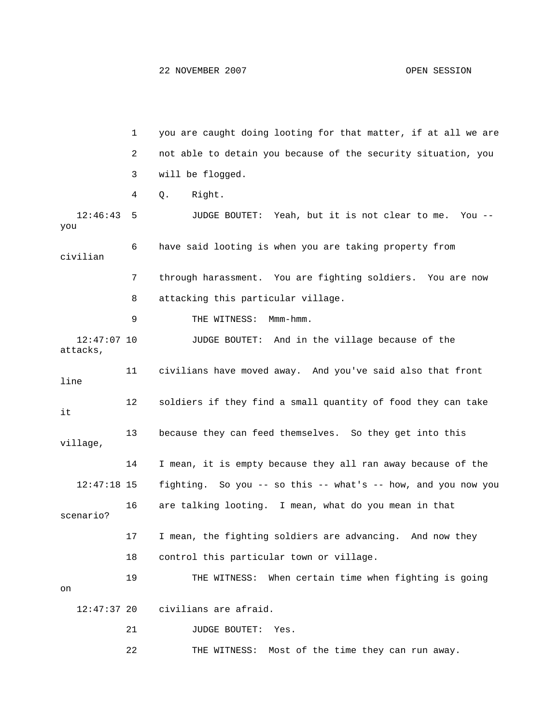1 you are caught doing looting for that matter, if at all we are 2 not able to detain you because of the security situation, you 3 will be flogged. 4 Q. Right. 12:46:43 5 JUDGE BOUTET: Yeah, but it is not clear to me. You - you 6 have said looting is when you are taking property from civilian 7 through harassment. You are fighting soldiers. You are now 8 attacking this particular village. 9 THE WITNESS: Mmm-hmm. 12:47:07 10 JUDGE BOUTET: And in the village because of the attacks, 11 civilians have moved away. And you've said also that front line 12 soldiers if they find a small quantity of food they can take it 13 because they can feed themselves. So they get into this village, 14 I mean, it is empty because they all ran away because of the 12:47:18 15 fighting. So you -- so this -- what's -- how, and you now you 16 are talking looting. I mean, what do you mean in that scenario? 17 I mean, the fighting soldiers are advancing. And now they 18 control this particular town or village. 19 THE WITNESS: When certain time when fighting is going on 12:47:37 20 civilians are afraid. 21 JUDGE BOUTET: Yes.

22 THE WITNESS: Most of the time they can run away.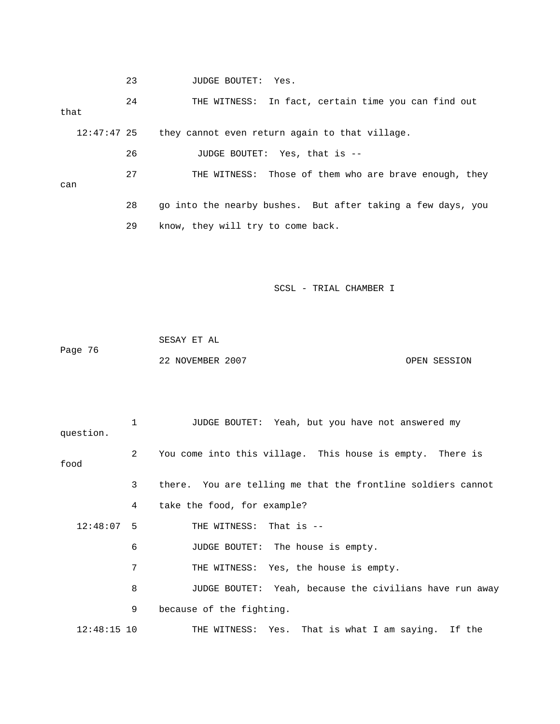23 JUDGE BOUTET: Yes.

 24 THE WITNESS: In fact, certain time you can find out that 12:47:47 25 they cannot even return again to that village.

26 JUDGE BOUTET: Yes, that is --

 27 THE WITNESS: Those of them who are brave enough, they can 28 go into the nearby bushes. But after taking a few days, you

29 know, they will try to come back.

SCSL - TRIAL CHAMBER I

 SESAY ET AL Page 76 22 NOVEMBER 2007 CPEN SESSION

 1 JUDGE BOUTET: Yeah, but you have not answered my question. 2 You come into this village. This house is empty. There is food 3 there. You are telling me that the frontline soldiers cannot 4 take the food, for example? 12:48:07 5 THE WITNESS: That is -- 6 JUDGE BOUTET: The house is empty. 7 THE WITNESS: Yes, the house is empty. 8 JUDGE BOUTET: Yeah, because the civilians have run away 9 because of the fighting. 12:48:15 10 THE WITNESS: Yes. That is what I am saying. If the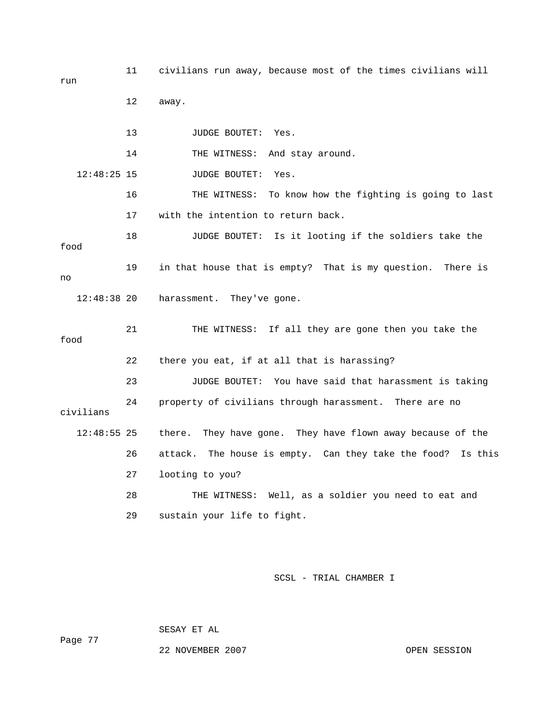| run           | 11 | civilians run away, because most of the times civilians will   |
|---------------|----|----------------------------------------------------------------|
|               | 12 | away.                                                          |
|               | 13 | JUDGE BOUTET: Yes.                                             |
|               | 14 | THE WITNESS:<br>And stay around.                               |
| $12:48:25$ 15 |    | JUDGE BOUTET:<br>Yes.                                          |
|               | 16 | To know how the fighting is going to last<br>THE WITNESS:      |
|               | 17 | with the intention to return back.                             |
| food          | 18 | JUDGE BOUTET: Is it looting if the soldiers take the           |
| no            | 19 | in that house that is empty? That is my question. There is     |
| $12:48:38$ 20 |    | harassment. They've gone.                                      |
| food          | 21 | THE WITNESS: If all they are gone then you take the            |
|               | 22 | there you eat, if at all that is harassing?                    |
|               | 23 | You have said that harassment is taking<br>JUDGE BOUTET:       |
| civilians     | 24 | property of civilians through harassment. There are no         |
| $12:48:55$ 25 |    | They have gone. They have flown away because of the<br>there.  |
|               | 26 | attack. The house is empty. Can they take the food?<br>Is this |
|               | 27 | looting to you?                                                |
|               | 28 | THE WITNESS: Well, as a soldier you need to eat and            |
|               | 29 | sustain your life to fight.                                    |

SCSL - TRIAL CHAMBER I

SESAY ET AL

Page 77

22 NOVEMBER 2007 OPEN SESSION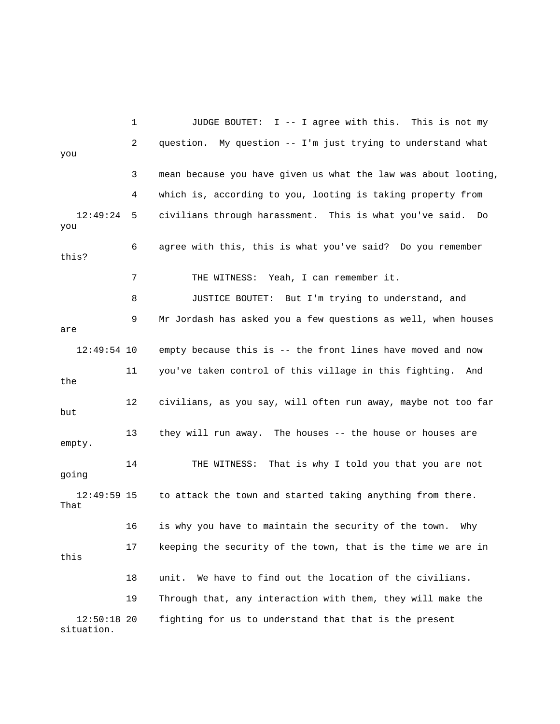1 JUDGE BOUTET: I -- I agree with this. This is not my 2 question. My question -- I'm just trying to understand what you 3 mean because you have given us what the law was about looting, 4 which is, according to you, looting is taking property from 12:49:24 5 civilians through harassment. This is what you've said. Do you 6 agree with this, this is what you've said? Do you remember this? 7 THE WITNESS: Yeah, I can remember it. 8 JUSTICE BOUTET: But I'm trying to understand, and 9 Mr Jordash has asked you a few questions as well, when houses are 12:49:54 10 empty because this is -- the front lines have moved and now 11 you've taken control of this village in this fighting. And the 12 civilians, as you say, will often run away, maybe not too far but 13 they will run away. The houses -- the house or houses are empty. 14 THE WITNESS: That is why I told you that you are not going 12:49:59 15 to attack the town and started taking anything from there. That 16 is why you have to maintain the security of the town. Why 17 keeping the security of the town, that is the time we are in this 18 unit. We have to find out the location of the civilians. 19 Through that, any interaction with them, they will make the 12:50:18 20 fighting for us to understand that that is the present situation.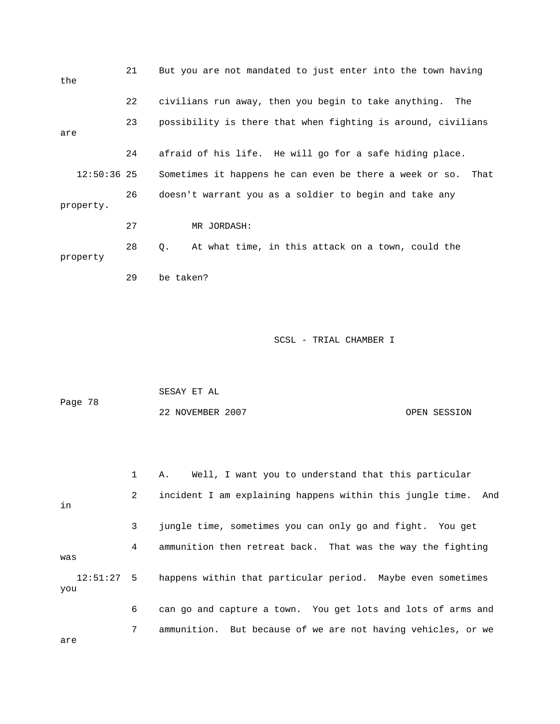| the           | 21 | But you are not mandated to just enter into the town having     |
|---------------|----|-----------------------------------------------------------------|
|               | 22 | civilians run away, then you begin to take anything.<br>The     |
| are           | 23 | possibility is there that when fighting is around, civilians    |
|               | 24 | afraid of his life. He will go for a safe hiding place.         |
| $12:50:36$ 25 |    | Sometimes it happens he can even be there a week or so.<br>That |
| property.     | 26 | doesn't warrant you as a soldier to begin and take any          |
|               | 27 | MR JORDASH:                                                     |
| property      | 28 | At what time, in this attack on a town, could the<br>0.         |
|               | 29 | be taken?                                                       |

```
 SESAY ET AL 
Page 78 
             22 NOVEMBER 2007 OPEN SESSION
```
 1 A. Well, I want you to understand that this particular 2 incident I am explaining happens within this jungle time. And in 3 jungle time, sometimes you can only go and fight. You get 4 ammunition then retreat back. That was the way the fighting was 12:51:27 5 happens within that particular period. Maybe even sometimes you 6 can go and capture a town. You get lots and lots of arms and 7 ammunition. But because of we are not having vehicles, or we

are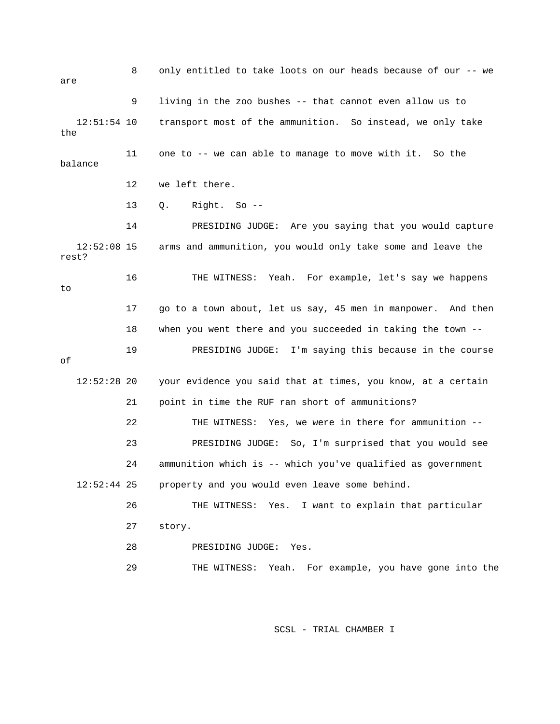8 only entitled to take loots on our heads because of our -- we are 9 living in the zoo bushes -- that cannot even allow us to 12:51:54 10 transport most of the ammunition. So instead, we only take the 11 one to -- we can able to manage to move with it. So the balance 12 we left there. 13 Q. Right. So -- 14 PRESIDING JUDGE: Are you saying that you would capture 12:52:08 15 arms and ammunition, you would only take some and leave the rest? 16 THE WITNESS: Yeah. For example, let's say we happens to 17 go to a town about, let us say, 45 men in manpower. And then 18 when you went there and you succeeded in taking the town -- 19 PRESIDING JUDGE: I'm saying this because in the course of 12:52:28 20 your evidence you said that at times, you know, at a certain 21 point in time the RUF ran short of ammunitions? 22 THE WITNESS: Yes, we were in there for ammunition -- 23 PRESIDING JUDGE: So, I'm surprised that you would see 24 ammunition which is -- which you've qualified as government 12:52:44 25 property and you would even leave some behind. 26 THE WITNESS: Yes. I want to explain that particular 27 story. 28 PRESIDING JUDGE: Yes. 29 THE WITNESS: Yeah. For example, you have gone into the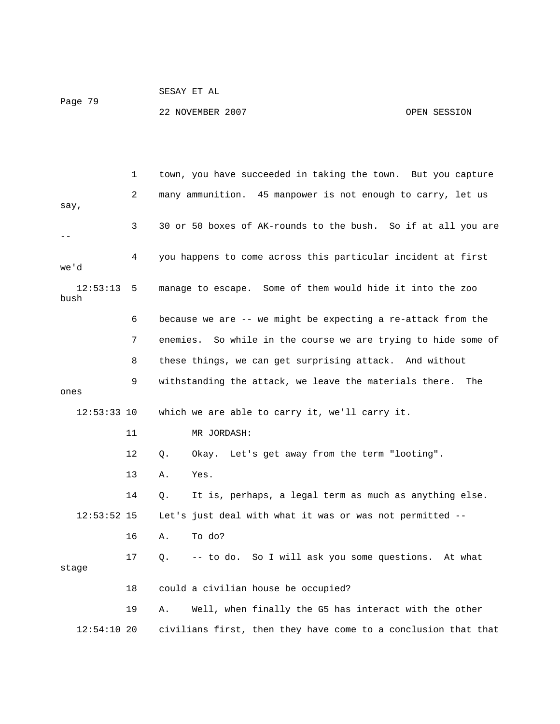#### SESAY ET AL Page 79

22 NOVEMBER 2007 OPEN SESSION

 1 town, you have succeeded in taking the town. But you capture 2 many ammunition. 45 manpower is not enough to carry, let us say, 3 30 or 50 boxes of AK-rounds to the bush. So if at all you are -- 4 you happens to come across this particular incident at first we'd 12:53:13 5 manage to escape. Some of them would hide it into the zoo bush 6 because we are -- we might be expecting a re-attack from the 7 enemies. So while in the course we are trying to hide some of 8 these things, we can get surprising attack. And without 9 withstanding the attack, we leave the materials there. The ones 12:53:33 10 which we are able to carry it, we'll carry it. 11 MR JORDASH: 12 Q. Okay. Let's get away from the term "looting". 13 A. Yes. 14 Q. It is, perhaps, a legal term as much as anything else. 12:53:52 15 Let's just deal with what it was or was not permitted -- 16 A. To do? 17 Q. -- to do. So I will ask you some questions. At what stage 18 could a civilian house be occupied? 19 A. Well, when finally the G5 has interact with the other 12:54:10 20 civilians first, then they have come to a conclusion that that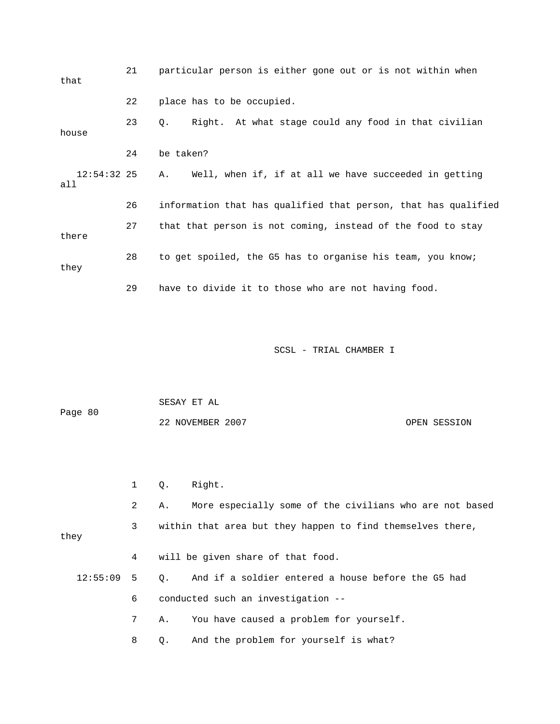| that                 | 21 | particular person is either gone out or is not within when        |
|----------------------|----|-------------------------------------------------------------------|
|                      | 22 | place has to be occupied.                                         |
| house                | 23 | Right. At what stage could any food in that civilian<br>$\circ$ . |
|                      | 24 | be taken?                                                         |
| $12:54:32$ 25<br>all |    | Well, when if, if at all we have succeeded in getting<br>A.       |
|                      | 26 | information that has qualified that person, that has qualified    |
| there                | 27 | that that person is not coming, instead of the food to stay       |
| they                 | 28 | to get spoiled, the G5 has to organise his team, you know;        |
|                      | 29 | have to divide it to those who are not having food.               |

|         | SESAY ET AL      |              |
|---------|------------------|--------------|
| Page 80 |                  |              |
|         | 22 NOVEMBER 2007 | OPEN SESSION |

1 Q. Right.

 2 A. More especially some of the civilians who are not based 3 within that area but they happen to find themselves there, they 4 will be given share of that food. 12:55:09 5 Q. And if a soldier entered a house before the G5 had 6 conducted such an investigation -- 7 A. You have caused a problem for yourself. 8 Q. And the problem for yourself is what?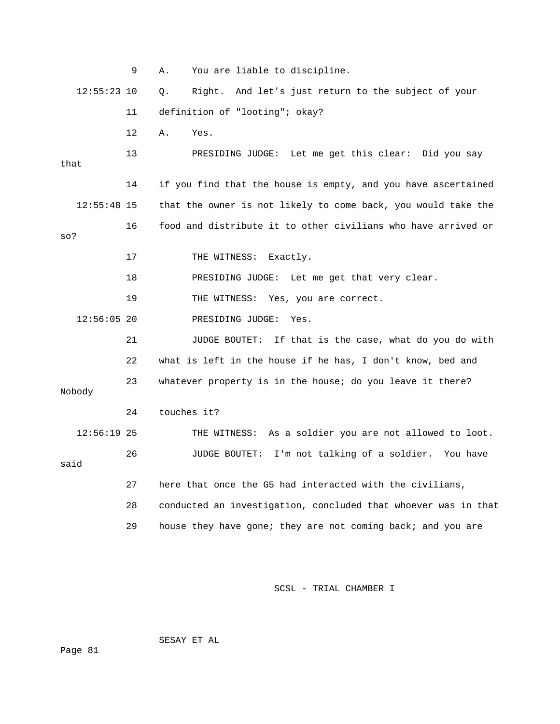|               | 9  | You are liable to discipline.<br>Α.                            |
|---------------|----|----------------------------------------------------------------|
| $12:55:23$ 10 |    | Right. And let's just return to the subject of your<br>Q.      |
|               | 11 | definition of "looting"; okay?                                 |
|               | 12 | Α.<br>Yes.                                                     |
| that          | 13 | PRESIDING JUDGE: Let me get this clear: Did you say            |
|               | 14 | if you find that the house is empty, and you have ascertained  |
| $12:55:48$ 15 |    | that the owner is not likely to come back, you would take the  |
| so?           | 16 | food and distribute it to other civilians who have arrived or  |
|               | 17 | THE WITNESS: Exactly.                                          |
|               | 18 | PRESIDING JUDGE: Let me get that very clear.                   |
|               | 19 | THE WITNESS: Yes, you are correct.                             |
| $12:56:05$ 20 |    | PRESIDING JUDGE:<br>Yes.                                       |
|               | 21 | If that is the case, what do you do with<br>JUDGE BOUTET:      |
|               | 22 | what is left in the house if he has, I don't know, bed and     |
| Nobody        | 23 | whatever property is in the house; do you leave it there?      |
|               | 24 | touches it?                                                    |
| $12:56:19$ 25 |    | THE WITNESS: As a soldier you are not allowed to loot.         |
| said          | 26 | JUDGE BOUTET: I'm not talking of a soldier. You have           |
|               | 27 | here that once the G5 had interacted with the civilians,       |
|               | 28 | conducted an investigation, concluded that whoever was in that |
|               | 29 | house they have gone; they are not coming back; and you are    |

SESAY ET AL

Page 81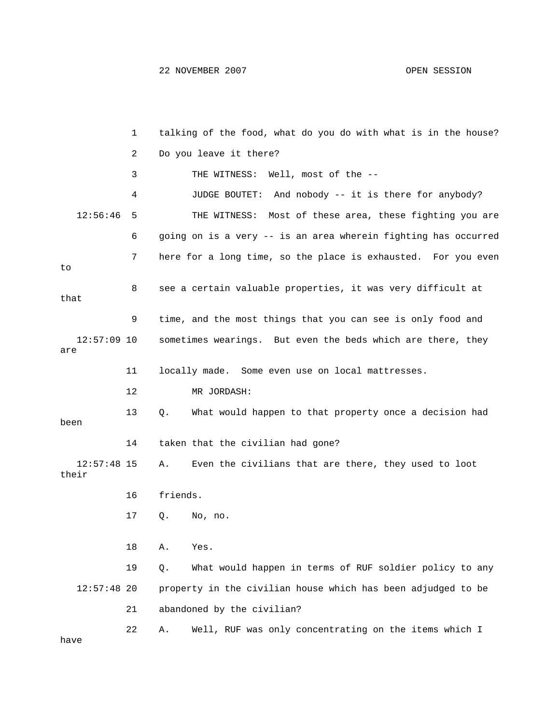|                        | 1  | talking of the food, what do you do with what is in the house? |  |
|------------------------|----|----------------------------------------------------------------|--|
|                        | 2  | Do you leave it there?                                         |  |
|                        | 3  | THE WITNESS: Well, most of the --                              |  |
|                        | 4  | And nobody -- it is there for anybody?<br>JUDGE BOUTET:        |  |
| 12:56:46               | 5  | Most of these area, these fighting you are<br>THE WITNESS:     |  |
|                        | 6  | going on is a very -- is an area wherein fighting has occurred |  |
| to                     | 7  | here for a long time, so the place is exhausted. For you even  |  |
| that                   | 8  | see a certain valuable properties, it was very difficult at    |  |
|                        | 9  | time, and the most things that you can see is only food and    |  |
| $12:57:09$ 10<br>are   |    | sometimes wearings. But even the beds which are there, they    |  |
|                        | 11 | locally made. Some even use on local mattresses.               |  |
|                        | 12 | MR JORDASH:                                                    |  |
| been                   | 13 | What would happen to that property once a decision had<br>Q.   |  |
|                        | 14 | taken that the civilian had gone?                              |  |
| $12:57:48$ 15<br>their |    | Even the civilians that are there, they used to loot<br>Α.     |  |
|                        | 16 | friends.                                                       |  |
|                        | 17 | Q.<br>No, no.                                                  |  |
|                        | 18 | Α.<br>Yes.                                                     |  |
|                        | 19 | What would happen in terms of RUF soldier policy to any<br>Q.  |  |
| $12:57:48$ 20          |    | property in the civilian house which has been adjudged to be   |  |
|                        | 21 | abandoned by the civilian?                                     |  |
| have                   | 22 | Well, RUF was only concentrating on the items which I<br>Α.    |  |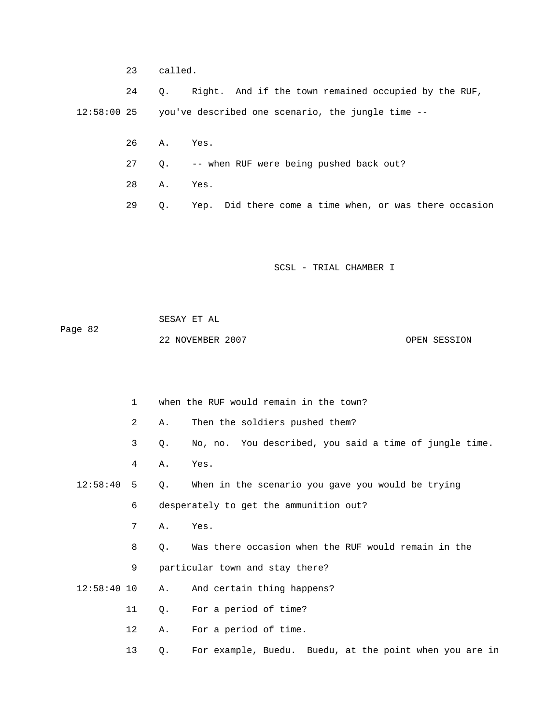23 called.

 24 Q. Right. And if the town remained occupied by the RUF, 12:58:00 25 you've described one scenario, the jungle time --

- 26 A. Yes.
- 27 Q. -- when RUF were being pushed back out?
- 28 A. Yes.
- 29 Q. Yep. Did there come a time when, or was there occasion

SCSL - TRIAL CHAMBER I

 SESAY ET AL Page 82 22 NOVEMBER 2007 CPEN SESSION

1 when the RUF would remain in the town?

- 2 A. Then the soldiers pushed them?
- 3 Q. No, no. You described, you said a time of jungle time.
- 4 A. Yes.

 12:58:40 5 Q. When in the scenario you gave you would be trying 6 desperately to get the ammunition out?

- 7 A. Yes.
- 8 Q. Was there occasion when the RUF would remain in the
- 9 particular town and stay there?
- 12:58:40 10 A. And certain thing happens?
	- 11 Q. For a period of time?
	- 12 A. For a period of time.
	- 13 Q. For example, Buedu. Buedu, at the point when you are in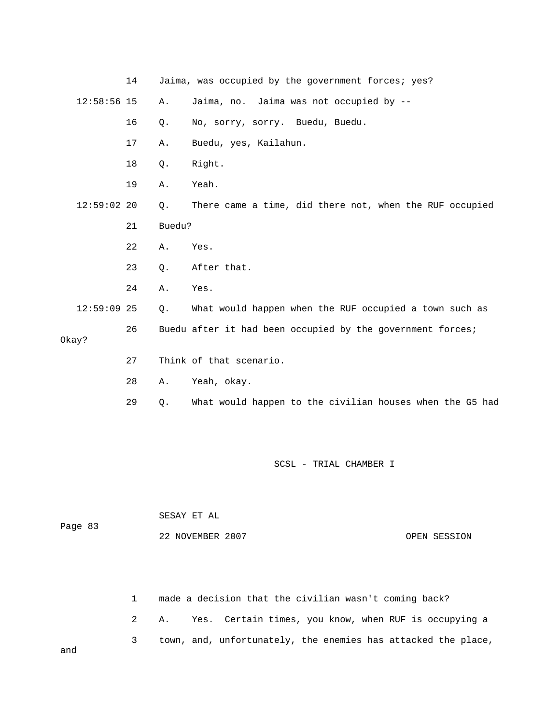|               | 14 |        | Jaima, was occupied by the government forces; yes?         |
|---------------|----|--------|------------------------------------------------------------|
| $12:58:56$ 15 |    | Α.     | Jaima, no. Jaima was not occupied by --                    |
|               | 16 | Q.     | No, sorry, sorry. Buedu, Buedu.                            |
|               | 17 | Α.     | Buedu, yes, Kailahun.                                      |
|               | 18 | $Q$ .  | Right.                                                     |
|               | 19 | Α.     | Yeah.                                                      |
| $12:59:02$ 20 |    | Q.     | There came a time, did there not, when the RUF occupied    |
|               | 21 | Buedu? |                                                            |
|               | 22 | Α.     | Yes.                                                       |
|               | 23 | $Q$ .  | After that.                                                |
|               | 24 | Α.     | Yes.                                                       |
| $12:59:09$ 25 |    | Q.     | What would happen when the RUF occupied a town such as     |
| Okay?         | 26 |        | Buedu after it had been occupied by the government forces; |
|               | 27 |        | Think of that scenario.                                    |
|               | 28 | Α.     | Yeah, okay.                                                |
|               | 29 | $Q$ .  | What would happen to the civilian houses when the G5 had   |
|               |    |        |                                                            |

|         | SESAY ET AL      |              |
|---------|------------------|--------------|
| Page 83 |                  |              |
|         | 22 NOVEMBER 2007 | OPEN SESSION |

 1 made a decision that the civilian wasn't coming back? 2 A. Yes. Certain times, you know, when RUF is occupying a 3 town, and, unfortunately, the enemies has attacked the place,

and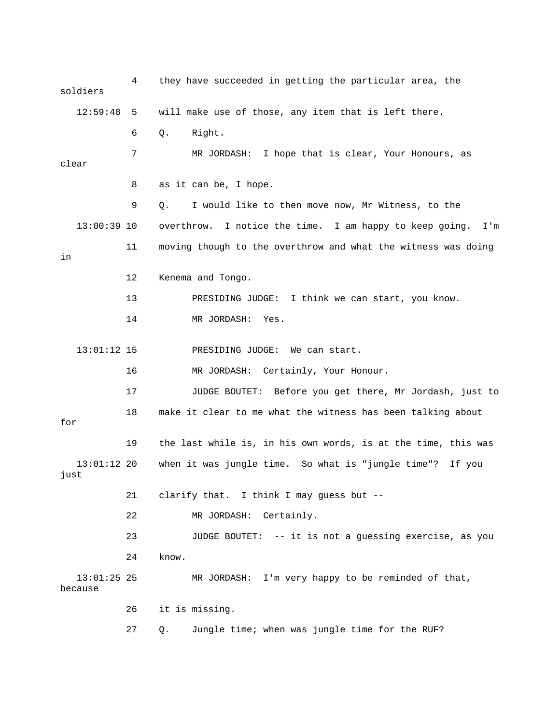4 they have succeeded in getting the particular area, the soldiers 12:59:48 5 will make use of those, any item that is left there. 6 Q. Right. 7 MR JORDASH: I hope that is clear, Your Honours, as clear 8 as it can be, I hope. 9 Q. I would like to then move now, Mr Witness, to the 13:00:39 10 overthrow. I notice the time. I am happy to keep going. I'm 11 moving though to the overthrow and what the witness was doing in 12 Kenema and Tongo. 13 PRESIDING JUDGE: I think we can start, you know. 14 MR JORDASH: Yes. 13:01:12 15 PRESIDING JUDGE: We can start. 16 MR JORDASH: Certainly, Your Honour. 17 JUDGE BOUTET: Before you get there, Mr Jordash, just to 18 make it clear to me what the witness has been talking about for 19 the last while is, in his own words, is at the time, this was 13:01:12 20 when it was jungle time. So what is "jungle time"? If you just 21 clarify that. I think I may guess but -- 22 MR JORDASH: Certainly. 23 JUDGE BOUTET: -- it is not a guessing exercise, as you 24 know. 13:01:25 25 MR JORDASH: I'm very happy to be reminded of that, because 26 it is missing. 27 Q. Jungle time; when was jungle time for the RUF?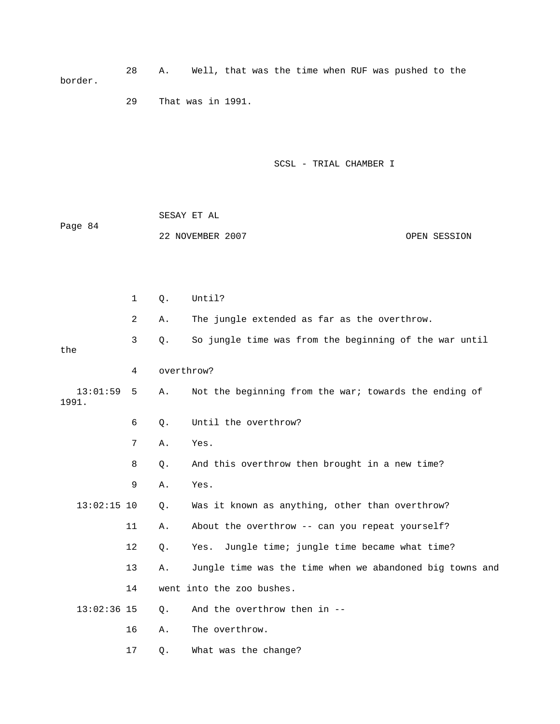28 A. Well, that was the time when RUF was pushed to the border.

29 That was in 1991.

SCSL - TRIAL CHAMBER I

 SESAY ET AL Page 84 22 NOVEMBER 2007 CPEN SESSION

|                   | 1              | Q.         | Until?                                                   |
|-------------------|----------------|------------|----------------------------------------------------------|
|                   | $\overline{a}$ | Α.         | The jungle extended as far as the overthrow.             |
| the               | $\mathsf{3}$   | Q.         | So jungle time was from the beginning of the war until   |
|                   | 4              | overthrow? |                                                          |
| 13:01:59<br>1991. | 5              | Α.         | Not the beginning from the war; towards the ending of    |
|                   | 6              | $Q$ .      | Until the overthrow?                                     |
|                   | 7              | Α.         | Yes.                                                     |
|                   | 8              | Q.         | And this overthrow then brought in a new time?           |
|                   | 9              | Α.         | Yes.                                                     |
| $13:02:15$ 10     |                | Q.         | Was it known as anything, other than overthrow?          |
|                   | 11             | Α.         | About the overthrow -- can you repeat yourself?          |
|                   | 12             | Q.         | Jungle time; jungle time became what time?<br>Yes.       |
|                   | 13             | Α.         | Jungle time was the time when we abandoned big towns and |
|                   | 14             |            | went into the zoo bushes.                                |
| $13:02:36$ 15     |                | $Q$ .      | And the overthrow then in --                             |
|                   | 16             | Α.         | The overthrow.                                           |
|                   | 17             | Q.         | What was the change?                                     |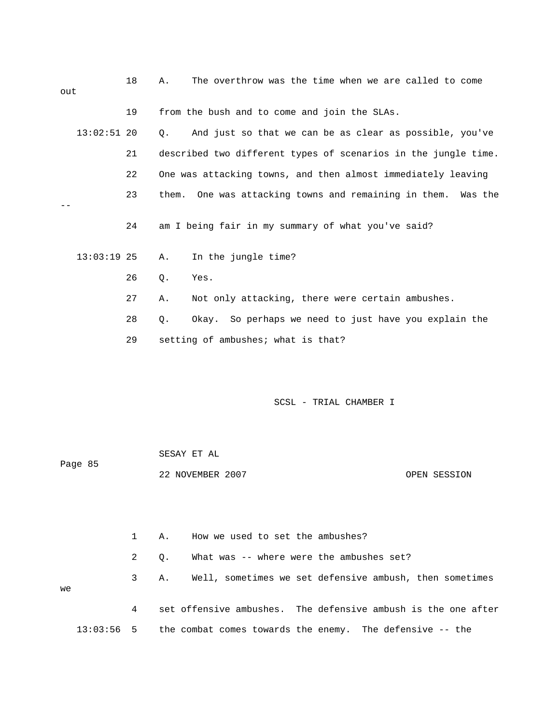| out |               | 18 | The overthrow was the time when we are called to come<br>Α.    |
|-----|---------------|----|----------------------------------------------------------------|
|     |               | 19 | from the bush and to come and join the SLAs.                   |
|     | $13:02:51$ 20 |    | And just so that we can be as clear as possible, you've<br>О.  |
|     |               | 21 | described two different types of scenarios in the jungle time. |
|     |               | 22 | One was attacking towns, and then almost immediately leaving   |
|     |               | 23 | them. One was attacking towns and remaining in them. Was the   |
|     |               | 24 | am I being fair in my summary of what you've said?             |
|     | $13:03:19$ 25 |    | In the jungle time?<br>Α.                                      |
|     |               | 26 | $\circ$ .<br>Yes.                                              |
|     |               | 27 | Not only attacking, there were certain ambushes.<br>Α.         |
|     |               | 28 | Okay. So perhaps we need to just have you explain the<br>$Q$ . |
|     |               | 29 | setting of ambushes; what is that?                             |
|     |               |    |                                                                |
|     |               |    |                                                                |

|         | SESAY ET AL      |              |
|---------|------------------|--------------|
| Page 85 |                  |              |
|         | 22 NOVEMBER 2007 | OPEN SESSION |

 1 A. How we used to set the ambushes? 2 Q. What was -- where were the ambushes set? 3 A. Well, sometimes we set defensive ambush, then sometimes we 4 set offensive ambushes. The defensive ambush is the one after 13:03:56 5 the combat comes towards the enemy. The defensive -- the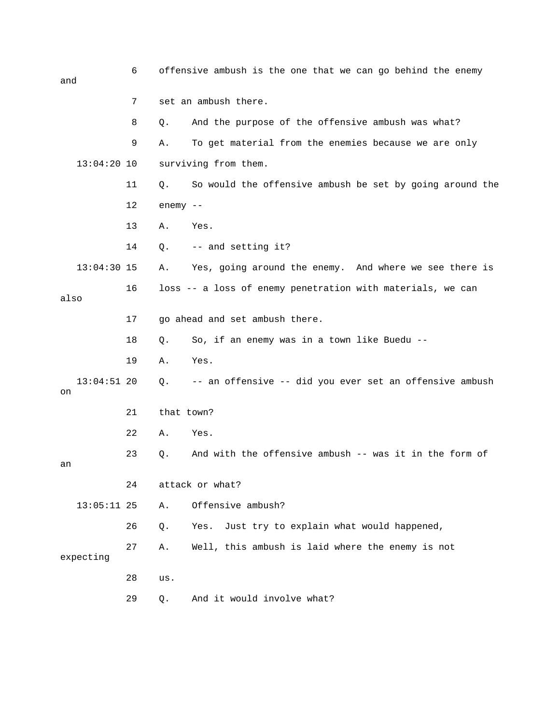| and  |               | 6  |            | offensive ambush is the one that we can go behind the enemy |
|------|---------------|----|------------|-------------------------------------------------------------|
|      |               | 7  |            | set an ambush there.                                        |
|      |               | 8  | Q.         | And the purpose of the offensive ambush was what?           |
|      |               | 9  | Α.         | To get material from the enemies because we are only        |
|      | $13:04:20$ 10 |    |            | surviving from them.                                        |
|      |               | 11 | Q.         | So would the offensive ambush be set by going around the    |
|      |               | 12 | $enemy$ -- |                                                             |
|      |               | 13 | Α.         | Yes.                                                        |
|      |               | 14 | Q.         | -- and setting it?                                          |
|      | $13:04:30$ 15 |    | Α.         | Yes, going around the enemy. And where we see there is      |
| also |               | 16 |            | loss -- a loss of enemy penetration with materials, we can  |
|      |               | 17 |            | go ahead and set ambush there.                              |
|      |               | 18 | Q.         | So, if an enemy was in a town like Buedu --                 |
|      |               | 19 | Α.         | Yes.                                                        |
| on   | $13:04:51$ 20 |    | Q.         | -- an offensive -- did you ever set an offensive ambush     |
|      |               | 21 | that town? |                                                             |
|      |               | 22 | Α.         | Yes.                                                        |
| an   |               | 23 | Q.         | And with the offensive ambush -- was it in the form of      |
|      |               | 24 |            | attack or what?                                             |
|      | $13:05:11$ 25 |    | Α.         | Offensive ambush?                                           |
|      |               | 26 | Q.         | Just try to explain what would happened,<br>Yes.            |
|      | expecting     | 27 | Α.         | Well, this ambush is laid where the enemy is not            |
|      |               | 28 | us.        |                                                             |
|      |               | 29 | Q.         | And it would involve what?                                  |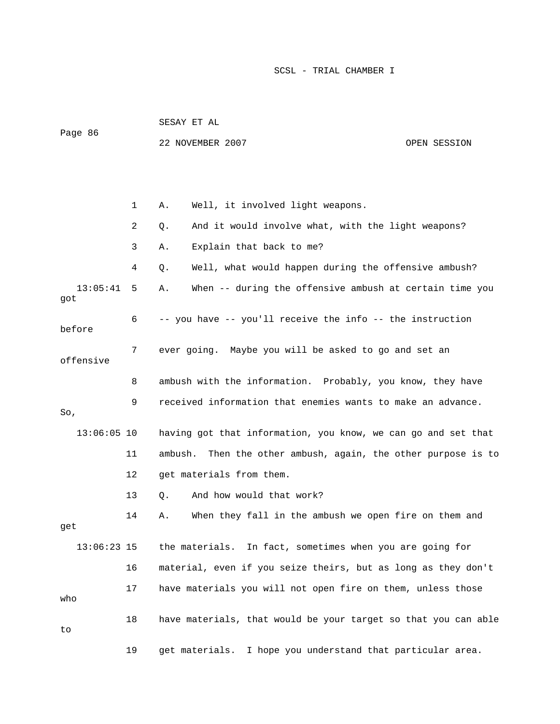|                 |    | SESAY ET AL                                                      |  |  |  |
|-----------------|----|------------------------------------------------------------------|--|--|--|
| Page 86         |    | 22 NOVEMBER 2007<br>OPEN SESSION                                 |  |  |  |
|                 |    |                                                                  |  |  |  |
|                 |    |                                                                  |  |  |  |
|                 | 1  | Well, it involved light weapons.<br>Α.                           |  |  |  |
|                 | 2  | And it would involve what, with the light weapons?<br>Q.         |  |  |  |
|                 | 3  | Explain that back to me?<br>Α.                                   |  |  |  |
|                 | 4  | Well, what would happen during the offensive ambush?<br>Q.       |  |  |  |
| 13:05:41<br>got | 5  | When -- during the offensive ambush at certain time you<br>Α.    |  |  |  |
| before          | 6  | -- you have -- you'll receive the info -- the instruction        |  |  |  |
| offensive       | 7  | ever going. Maybe you will be asked to go and set an             |  |  |  |
|                 | 8  | ambush with the information. Probably, you know, they have       |  |  |  |
| So,             | 9  | received information that enemies wants to make an advance.      |  |  |  |
| $13:06:05$ 10   |    | having got that information, you know, we can go and set that    |  |  |  |
|                 | 11 | ambush.<br>Then the other ambush, again, the other purpose is to |  |  |  |
|                 | 12 | get materials from them.                                         |  |  |  |
|                 | 13 | And how would that work?<br>Q.                                   |  |  |  |
| qet             | 14 | When they fall in the ambush we open fire on them and<br>Α.      |  |  |  |
| $13:06:23$ 15   |    | the materials. In fact, sometimes when you are going for         |  |  |  |
|                 | 16 | material, even if you seize theirs, but as long as they don't    |  |  |  |
| who             | 17 | have materials you will not open fire on them, unless those      |  |  |  |
| to              | 18 | have materials, that would be your target so that you can able   |  |  |  |
|                 | 19 | get materials. I hope you understand that particular area.       |  |  |  |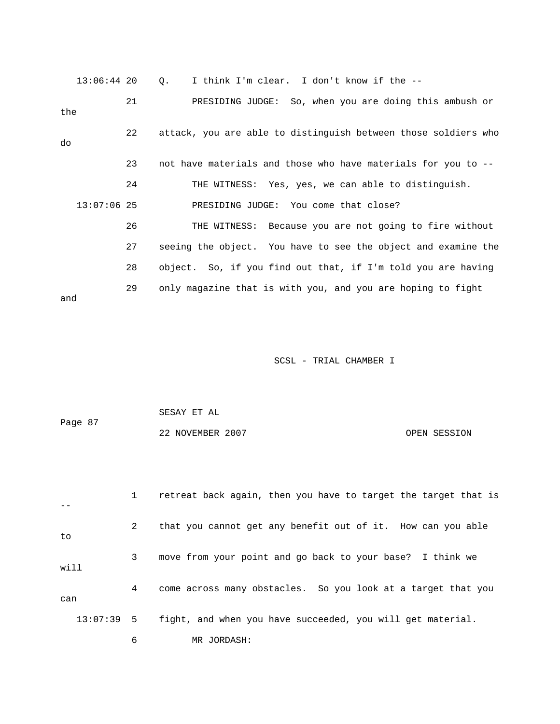13:06:44 20 Q. I think I'm clear. I don't know if the -- 21 PRESIDING JUDGE: So, when you are doing this ambush or the 22 attack, you are able to distinguish between those soldiers who do 23 not have materials and those who have materials for you to -- 24 THE WITNESS: Yes, yes, we can able to distinguish. 13:07:06 25 PRESIDING JUDGE: You come that close? 26 THE WITNESS: Because you are not going to fire without 27 seeing the object. You have to see the object and examine the 28 object. So, if you find out that, if I'm told you are having 29 only magazine that is with you, and you are hoping to fight and

SCSL - TRIAL CHAMBER I

 SESAY ET AL Page 87 22 NOVEMBER 2007 OPEN SESSION

 1 retreat back again, then you have to target the target that is -- 2 that you cannot get any benefit out of it. How can you able to 3 move from your point and go back to your base? I think we will 4 come across many obstacles. So you look at a target that you can 13:07:39 5 fight, and when you have succeeded, you will get material. 6 MR JORDASH: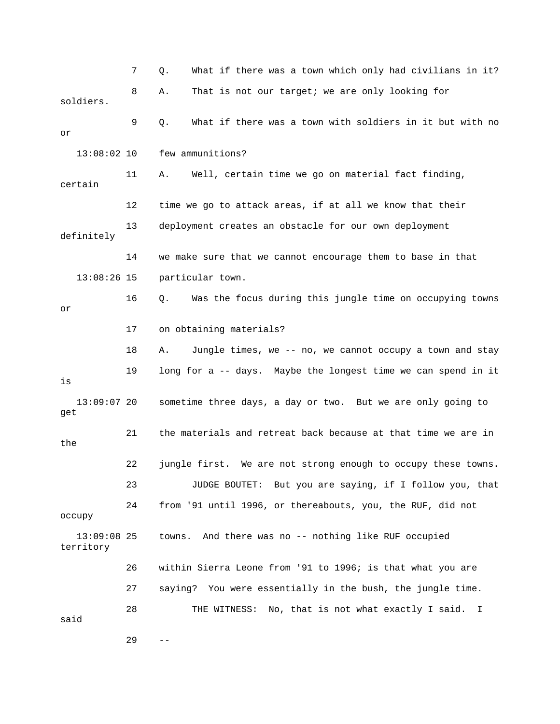|                            | 7  | What if there was a town which only had civilians in it?<br>Q. |
|----------------------------|----|----------------------------------------------------------------|
| soldiers.                  | 8  | That is not our target; we are only looking for<br>Α.          |
| or                         | 9  | What if there was a town with soldiers in it but with no<br>Q. |
| $13:08:02$ 10              |    | few ammunitions?                                               |
| certain                    | 11 | Well, certain time we go on material fact finding,<br>Α.       |
|                            | 12 | time we go to attack areas, if at all we know that their       |
| definitely                 | 13 | deployment creates an obstacle for our own deployment          |
|                            | 14 | we make sure that we cannot encourage them to base in that     |
| $13:08:26$ 15              |    | particular town.                                               |
| or                         | 16 | Was the focus during this jungle time on occupying towns<br>Q. |
|                            | 17 | on obtaining materials?                                        |
|                            | 18 | Jungle times, we -- no, we cannot occupy a town and stay<br>Α. |
| is                         | 19 | long for a -- days. Maybe the longest time we can spend in it  |
| $13:09:07$ 20<br>get       |    | sometime three days, a day or two. But we are only going to    |
| the                        | 21 | the materials and retreat back because at that time we are in  |
|                            | 22 | jungle first. We are not strong enough to occupy these towns.  |
|                            | 23 | JUDGE BOUTET: But you are saying, if I follow you, that        |
| occupy                     | 24 | from '91 until 1996, or thereabouts, you, the RUF, did not     |
| $13:09:08$ 25<br>territory |    | And there was no -- nothing like RUF occupied<br>towns.        |
|                            | 26 | within Sierra Leone from '91 to 1996; is that what you are     |
|                            | 27 | saying? You were essentially in the bush, the jungle time.     |
| said                       | 28 | THE WITNESS: No, that is not what exactly I said. I            |
|                            | 29 |                                                                |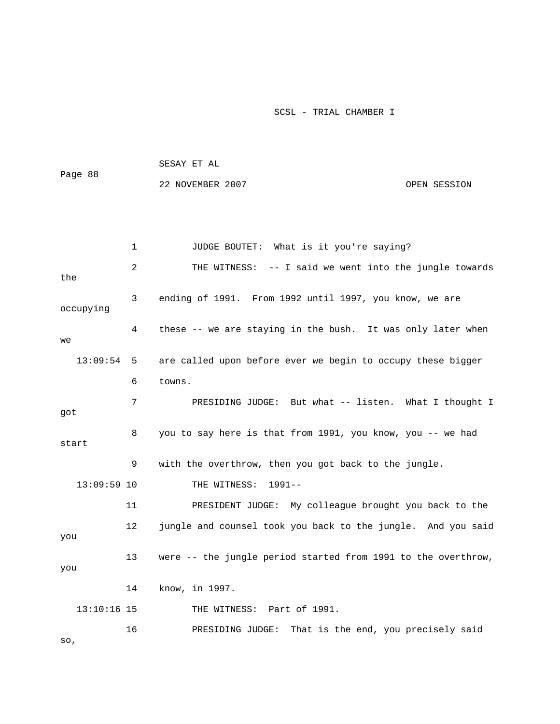| Page 88 | SESAY ET AL      |              |  |  |  |  |  |
|---------|------------------|--------------|--|--|--|--|--|
|         | 22 NOVEMBER 2007 | OPEN SESSION |  |  |  |  |  |
|         |                  |              |  |  |  |  |  |
|         |                  |              |  |  |  |  |  |

|               | $\mathbf{1}$ | JUDGE BOUTET: What is it you're saying?                       |
|---------------|--------------|---------------------------------------------------------------|
| the           | 2            | -- I said we went into the jungle towards<br>THE WITNESS:     |
| occupying     | 3            | ending of 1991. From 1992 until 1997, you know, we are        |
| we            | 4            | these -- we are staying in the bush. It was only later when   |
| 13:09:54      | 5            | are called upon before ever we begin to occupy these bigger   |
|               | 6            | towns.                                                        |
| got           | 7            | PRESIDING JUDGE: But what -- listen. What I thought I         |
| start         | 8            | you to say here is that from 1991, you know, you -- we had    |
|               | 9            | with the overthrow, then you got back to the jungle.          |
| $13:09:59$ 10 |              | THE WITNESS:<br>$1991 - -$                                    |
|               | 11           | PRESIDENT JUDGE: My colleague brought you back to the         |
| you           | 12           | jungle and counsel took you back to the jungle. And you said  |
| you           | 13           | were -- the jungle period started from 1991 to the overthrow, |
|               | 14           | know, in 1997.                                                |
| $13:10:16$ 15 |              | THE WITNESS: Part of 1991.                                    |
| SO,           | 16           | PRESIDING JUDGE:<br>That is the end, you precisely said       |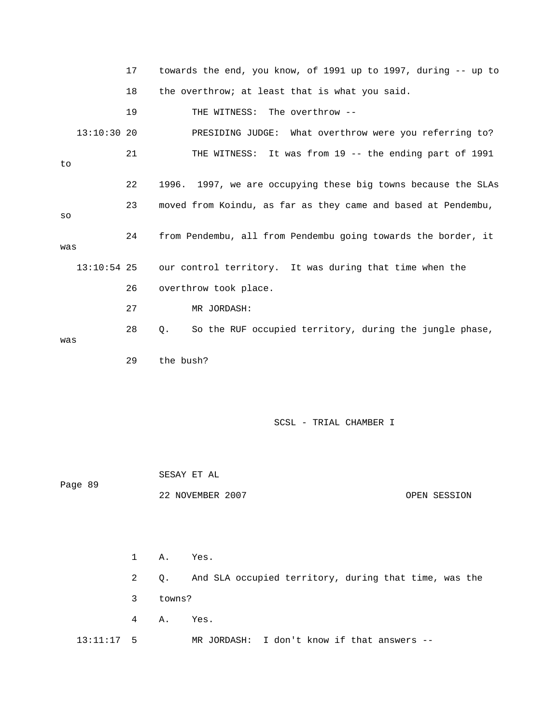|               | 17 | towards the end, you know, of 1991 up to 1997, during -- up to |
|---------------|----|----------------------------------------------------------------|
|               | 18 | the overthrow; at least that is what you said.                 |
|               | 19 | THE WITNESS: The overthrow --                                  |
| $13:10:30$ 20 |    | PRESIDING JUDGE: What overthrow were you referring to?         |
| to            | 21 | THE WITNESS: It was from 19 -- the ending part of 1991         |
|               | 22 | 1996. 1997, we are occupying these big towns because the SLAs  |
| SO            | 23 | moved from Koindu, as far as they came and based at Pendembu,  |
| was           | 24 | from Pendembu, all from Pendembu going towards the border, it  |
| $13:10:54$ 25 |    | our control territory. It was during that time when the        |
|               | 26 | overthrow took place.                                          |
|               | 27 | MR JORDASH:                                                    |
| was           | 28 | So the RUF occupied territory, during the jungle phase,<br>Q.  |
|               | 29 | the bush?                                                      |
|               |    |                                                                |

 SESAY ET AL Page 89 22 NOVEMBER 2007 OPEN SESSION

 1 A. Yes. 2 Q. And SLA occupied territory, during that time, was the 3 towns? 4 A. Yes. 13:11:17 5 MR JORDASH: I don't know if that answers --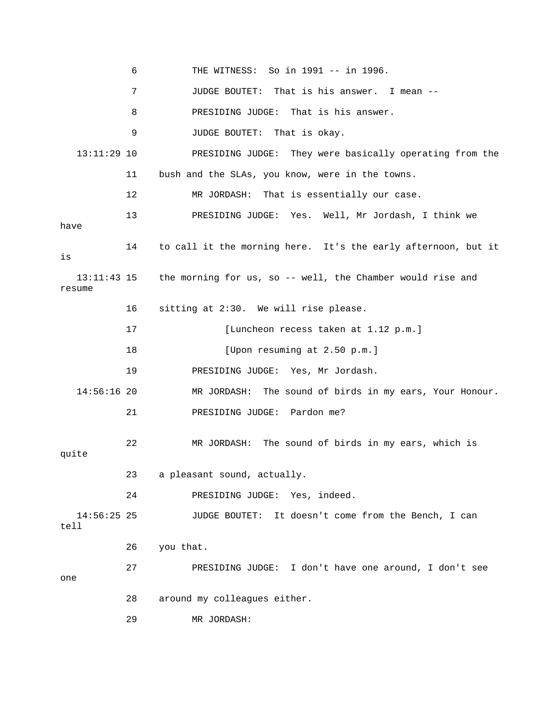|                         | 6  | THE WITNESS: So in 1991 -- in 1996.                           |
|-------------------------|----|---------------------------------------------------------------|
|                         | 7  | JUDGE BOUTET:<br>That is his answer. I mean --                |
|                         | 8  | That is his answer.<br>PRESIDING JUDGE:                       |
|                         | 9  | JUDGE BOUTET: That is okay.                                   |
| $13:11:29$ 10           |    | PRESIDING JUDGE: They were basically operating from the       |
|                         | 11 | bush and the SLAs, you know, were in the towns.               |
|                         | 12 | MR JORDASH: That is essentially our case.                     |
| have                    | 13 | PRESIDING JUDGE: Yes. Well, Mr Jordash, I think we            |
| is                      | 14 | to call it the morning here. It's the early afternoon, but it |
| $13:11:43$ 15<br>resume |    | the morning for us, so -- well, the Chamber would rise and    |
|                         | 16 | sitting at 2:30. We will rise please.                         |
|                         | 17 | [Luncheon recess taken at 1.12 p.m.]                          |
|                         | 18 | [Upon resuming at 2.50 p.m.]                                  |
|                         | 19 | PRESIDING JUDGE: Yes, Mr Jordash.                             |
| $14:56:16$ 20           |    | The sound of birds in my ears, Your Honour.<br>MR JORDASH:    |
|                         | 21 | PRESIDING JUDGE: Pardon me?                                   |
| quite                   | 22 | MR JORDASH: The sound of birds in my ears, which is           |
|                         | 23 | a pleasant sound, actually.                                   |
|                         | 24 | PRESIDING JUDGE: Yes, indeed.                                 |
| $14:56:25$ 25<br>tell   |    | JUDGE BOUTET: It doesn't come from the Bench, I can           |
|                         | 26 | you that.                                                     |
| one                     | 27 | PRESIDING JUDGE: I don't have one around, I don't see         |
|                         | 28 | around my colleagues either.                                  |
|                         | 29 | MR JORDASH:                                                   |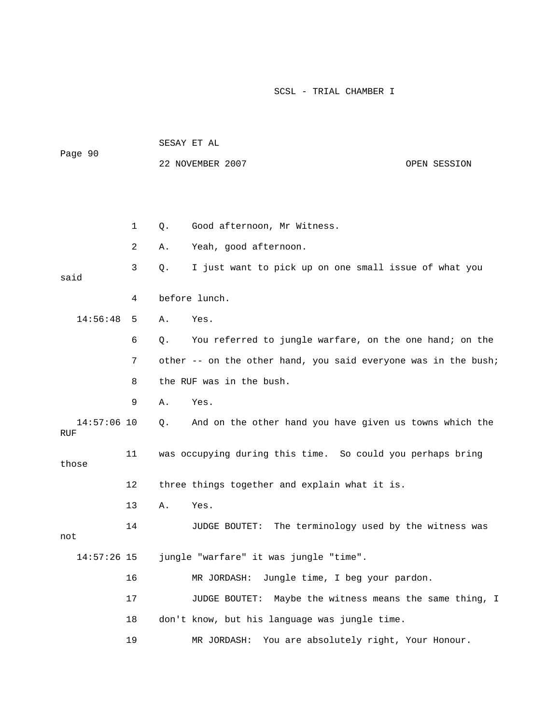| Page 90              |    | SESAY ET AL |                                                                |              |  |
|----------------------|----|-------------|----------------------------------------------------------------|--------------|--|
|                      |    |             | 22 NOVEMBER 2007                                               | OPEN SESSION |  |
|                      |    |             |                                                                |              |  |
|                      |    |             |                                                                |              |  |
|                      | 1  | Q.          | Good afternoon, Mr Witness.                                    |              |  |
|                      | 2  | Α.          | Yeah, good afternoon.                                          |              |  |
| said                 | 3  | Q.          | I just want to pick up on one small issue of what you          |              |  |
|                      | 4  |             | before lunch.                                                  |              |  |
| 14:56:48             | 5  | Α.          | Yes.                                                           |              |  |
|                      | 6  | $Q$ .       | You referred to jungle warfare, on the one hand; on the        |              |  |
|                      | 7  |             | other -- on the other hand, you said everyone was in the bush; |              |  |
|                      | 8  |             | the RUF was in the bush.                                       |              |  |
|                      | 9  | Α.          | Yes.                                                           |              |  |
| $14:57:06$ 10<br>RUF |    | Q.          | And on the other hand you have given us towns which the        |              |  |
| those                | 11 |             | was occupying during this time. So could you perhaps bring     |              |  |
|                      | 12 |             | three things together and explain what it is.                  |              |  |
|                      | 13 | Α.          | Yes.                                                           |              |  |
| not                  | 14 |             | The terminology used by the witness was<br>JUDGE BOUTET:       |              |  |
| $14:57:26$ 15        |    |             | jungle "warfare" it was jungle "time".                         |              |  |
|                      | 16 |             | Jungle time, I beg your pardon.<br>MR JORDASH:                 |              |  |
|                      | 17 |             | JUDGE BOUTET:<br>Maybe the witness means the same thing, I     |              |  |
|                      | 18 |             | don't know, but his language was jungle time.                  |              |  |
|                      | 19 |             | MR JORDASH:<br>You are absolutely right, Your Honour.          |              |  |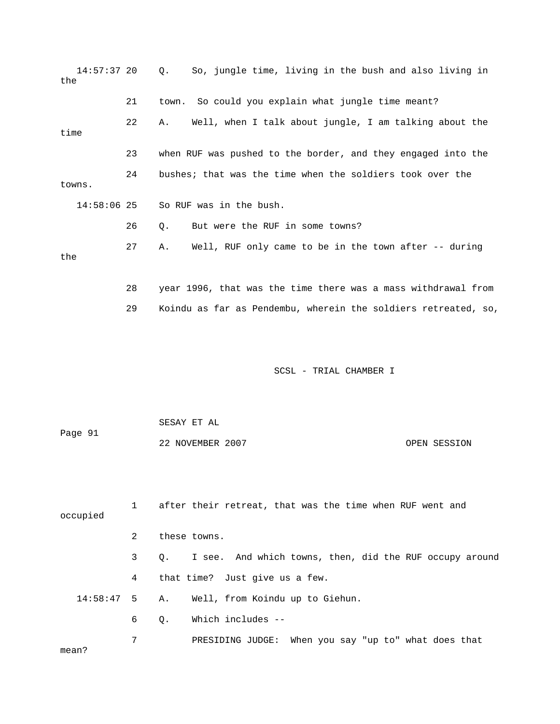| 14:57:37 20<br>the |                | So, jungle time, living in the bush and also living in<br>Q.   |
|--------------------|----------------|----------------------------------------------------------------|
|                    | 21             | So could you explain what jungle time meant?<br>town.          |
| time               | 22             | Well, when I talk about jungle, I am talking about the<br>Α.   |
|                    | 23             | when RUF was pushed to the border, and they engaged into the   |
| towns.             | 24             | bushes; that was the time when the soldiers took over the      |
| $14:58:06$ 25      |                | So RUF was in the bush.                                        |
|                    | 26             | But were the RUF in some towns?<br>Q.                          |
| the                | 27             | Well, RUF only came to be in the town after -- during<br>Α.    |
|                    | 28             | year 1996, that was the time there was a mass withdrawal from  |
|                    | 29             | Koindu as far as Pendembu, wherein the soldiers retreated, so, |
|                    |                |                                                                |
|                    |                | SCSL - TRIAL CHAMBER I                                         |
|                    |                | SESAY ET AL                                                    |
| Page 91            |                | 22 NOVEMBER 2007<br>OPEN SESSION                               |
| occupied           | 1              | after their retreat, that was the time when RUF went and       |
|                    | $\overline{2}$ | these towns.                                                   |
|                    | 3              | I see. And which towns, then, did the RUF occupy around<br>Q.  |
|                    | 4              | that time? Just give us a few.                                 |
| 14:58:47           | 5              | Well, from Koindu up to Giehun.<br>Α.                          |
|                    | 6              | Which includes --<br>Q.                                        |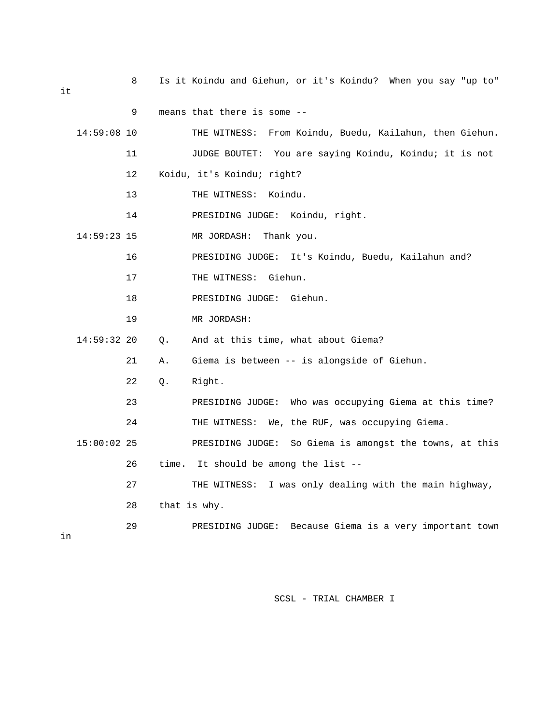8 Is it Koindu and Giehun, or it's Koindu? When you say "up to"

|               | 9           | means that there is some --                                |
|---------------|-------------|------------------------------------------------------------|
| $14:59:08$ 10 |             | THE WITNESS: From Koindu, Buedu, Kailahun, then Giehun.    |
|               | 11          | JUDGE BOUTET: You are saying Koindu, Koindu; it is not     |
|               | 12          | Koidu, it's Koindu; right?                                 |
|               | 13          | THE WITNESS:<br>Koindu.                                    |
|               | 14          | PRESIDING JUDGE: Koindu, right.                            |
| $14:59:23$ 15 |             | MR JORDASH:<br>Thank you.                                  |
|               | 16          | PRESIDING JUDGE: It's Koindu, Buedu, Kailahun and?         |
|               | 17          | THE WITNESS: Giehun.                                       |
|               | 18          | PRESIDING JUDGE: Giehun.                                   |
|               | 19          | MR JORDASH:                                                |
| 14:59:32 20   | Q.          | And at this time, what about Giema?                        |
|               | 21<br>Α.    | Giema is between -- is alongside of Giehun.                |
|               | 22<br>Q.    | Right.                                                     |
|               | 23          | PRESIDING JUDGE: Who was occupying Giema at this time?     |
|               | 24          | THE WITNESS: We, the RUF, was occupying Giema.             |
| $15:00:02$ 25 |             | PRESIDING JUDGE: So Giema is amongst the towns, at this    |
|               | 26<br>time. | It should be among the list --                             |
|               | 27          | THE WITNESS: I was only dealing with the main highway,     |
|               | 28          | that is why.                                               |
|               | 29          | Because Giema is a very important town<br>PRESIDING JUDGE: |

in

SCSL - TRIAL CHAMBER I

it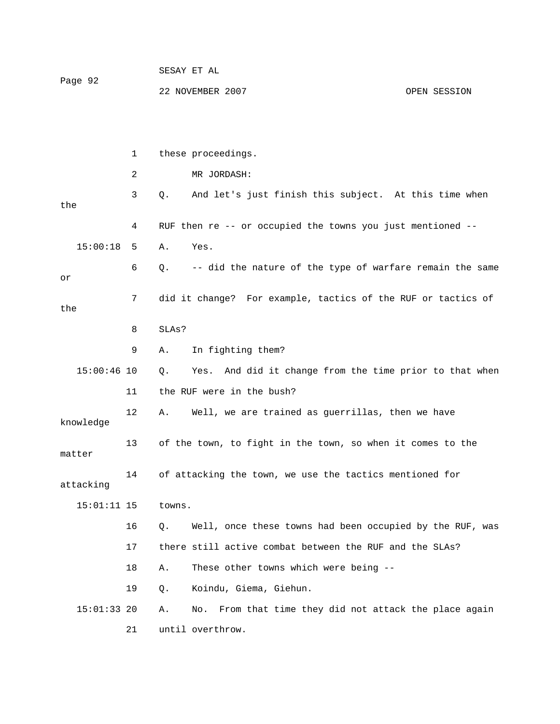| Page 92 | SESAY ET AL      |              |
|---------|------------------|--------------|
|         | 22 NOVEMBER 2007 | OPEN SESSION |

|               | 1  | these proceedings.                                               |
|---------------|----|------------------------------------------------------------------|
|               | 2  | MR JORDASH:                                                      |
| the           | 3  | And let's just finish this subject. At this time when<br>$Q$ .   |
|               | 4  | RUF then re -- or occupied the towns you just mentioned --       |
| 15:00:18      | 5  | Yes.<br>Α.                                                       |
| or            | 6  | -- did the nature of the type of warfare remain the same<br>Q.   |
| the           | 7  | did it change? For example, tactics of the RUF or tactics of     |
|               | 8  | SLAs?                                                            |
|               | 9  | In fighting them?<br>Α.                                          |
| $15:00:46$ 10 |    | And did it change from the time prior to that when<br>Q.<br>Yes. |
|               | 11 | the RUF were in the bush?                                        |
| knowledge     | 12 | Well, we are trained as guerrillas, then we have<br>Α.           |
| matter        | 13 | of the town, to fight in the town, so when it comes to the       |
| attacking     | 14 | of attacking the town, we use the tactics mentioned for          |
| $15:01:11$ 15 |    | towns.                                                           |
|               | 16 | Well, once these towns had been occupied by the RUF, was<br>Q.   |
|               | 17 | there still active combat between the RUF and the SLAs?          |
|               | 18 | These other towns which were being --<br>Α.                      |
|               | 19 | Koindu, Giema, Giehun.<br>Q.                                     |
| $15:01:33$ 20 |    | From that time they did not attack the place again<br>Α.<br>No.  |
|               | 21 | until overthrow.                                                 |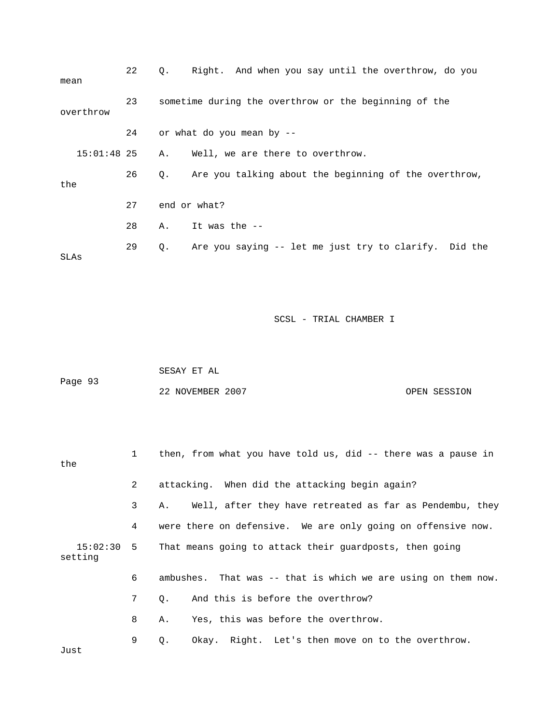| mean        | 22 | Right. And when you say until the overthrow, do you<br>О.          |
|-------------|----|--------------------------------------------------------------------|
| overthrow   | 23 | sometime during the overthrow or the beginning of the              |
|             | 24 | or what do you mean by --                                          |
| 15:01:48 25 |    | Well, we are there to overthrow.<br>Α.                             |
| the         | 26 | Are you talking about the beginning of the overthrow,<br>$\circ$ . |
|             | 27 | end or what?                                                       |
|             | 28 | It was the --<br>Α.                                                |
| SLAs        | 29 | Are you saying -- let me just try to clarify. Did the<br>Q.        |

| Page 93 | SESAY ET AL      |              |
|---------|------------------|--------------|
|         | 22 NOVEMBER 2007 | OPEN SESSION |

| the     |                | 1 then, from what you have told us, did -- there was a pause in    |
|---------|----------------|--------------------------------------------------------------------|
|         | $\mathbf{2}$   | attacking. When did the attacking begin again?                     |
|         | 3 <sup>7</sup> | Well, after they have retreated as far as Pendembu, they<br>Α.     |
|         | 4              | were there on defensive. We are only going on offensive now.       |
| setting |                | 15:02:30 5 That means going to attack their guardposts, then going |
|         | 6              | ambushes. That was -- that is which we are using on them now.      |
|         | 7 <sup>7</sup> | And this is before the overthrow?<br>$\circ$ .                     |
|         | 8              | Yes, this was before the overthrow.<br>Α.                          |
|         | 9              | Okay. Right. Let's then move on to the overthrow.<br>Q.            |

Just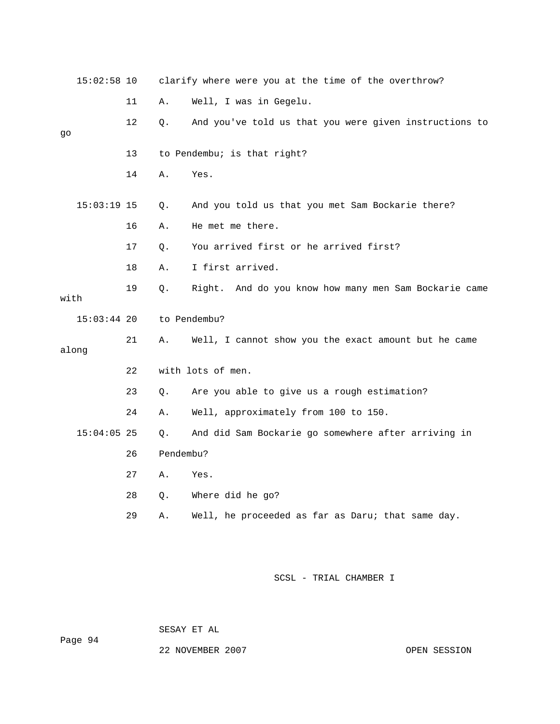|      | $15:02:58$ 10 |    |           | clarify where were you at the time of the overthrow?   |
|------|---------------|----|-----------|--------------------------------------------------------|
|      |               | 11 | Α.        | Well, I was in Gegelu.                                 |
| go   |               | 12 | Q.        | And you've told us that you were given instructions to |
|      |               | 13 |           | to Pendembu; is that right?                            |
|      |               | 14 | Α.        | Yes.                                                   |
|      | $15:03:19$ 15 |    | Q.        | And you told us that you met Sam Bockarie there?       |
|      |               | 16 | Α.        | He met me there.                                       |
|      |               | 17 | Q.        | You arrived first or he arrived first?                 |
|      |               | 18 | Α.        | I first arrived.                                       |
| with |               | 19 | Q.        | Right. And do you know how many men Sam Bockarie came  |
|      | $15:03:44$ 20 |    |           | to Pendembu?                                           |
|      | along         | 21 | Α.        | Well, I cannot show you the exact amount but he came   |
|      |               | 22 |           | with lots of men.                                      |
|      |               | 23 | О.        | Are you able to give us a rough estimation?            |
|      |               | 24 | Α.        | Well, approximately from 100 to 150.                   |
|      | $15:04:05$ 25 |    | Q.        | And did Sam Bockarie go somewhere after arriving in    |
|      |               | 26 | Pendembu? |                                                        |
|      |               | 27 | Α.        | Yes.                                                   |
|      |               | 28 | Q.        | Where did he go?                                       |
|      |               | 29 | Α.        | Well, he proceeded as far as Daru; that same day.      |

SESAY ET AL

22 NOVEMBER 2007 CPEN SESSION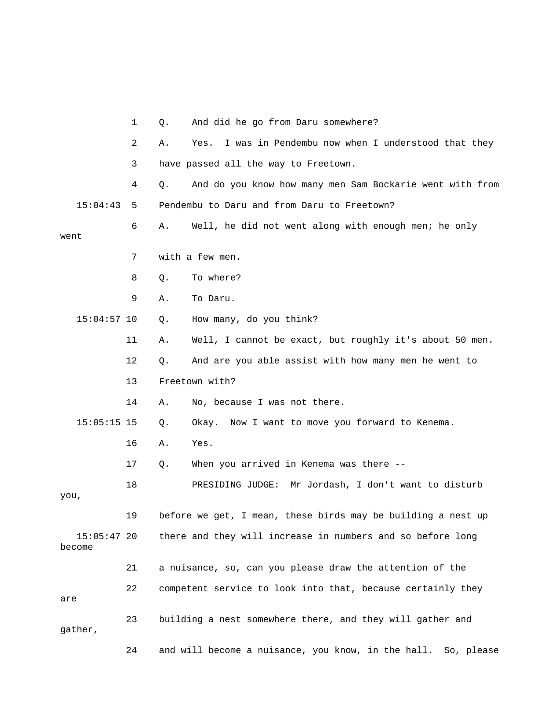|                         | 1  | Q. | And did he go from Daru somewhere?                           |
|-------------------------|----|----|--------------------------------------------------------------|
|                         | 2  | Α. | I was in Pendembu now when I understood that they<br>Yes.    |
|                         | 3  |    | have passed all the way to Freetown.                         |
|                         | 4  | Q. | And do you know how many men Sam Bockarie went with from     |
| 15:04:43                | 5  |    | Pendembu to Daru and from Daru to Freetown?                  |
| went                    | 6  | Α. | Well, he did not went along with enough men; he only         |
|                         | 7  |    | with a few men.                                              |
|                         | 8  | Q. | To where?                                                    |
|                         | 9  | Α. | To Daru.                                                     |
| $15:04:57$ 10           |    | Q. | How many, do you think?                                      |
|                         | 11 | Α. | Well, I cannot be exact, but roughly it's about 50 men.      |
|                         | 12 | Q. | And are you able assist with how many men he went to         |
|                         | 13 |    | Freetown with?                                               |
|                         | 14 | Α. | No, because I was not there.                                 |
| $15:05:15$ 15           |    | Q. | Okay. Now I want to move you forward to Kenema.              |
|                         | 16 | Α. | Yes.                                                         |
|                         | 17 | Q. | When you arrived in Kenema was there --                      |
| you,                    | 18 |    | PRESIDING JUDGE: Mr Jordash, I don't want to disturb         |
|                         | 19 |    | before we get, I mean, these birds may be building a nest up |
| $15:05:47$ 20<br>become |    |    | there and they will increase in numbers and so before long   |
|                         | 21 |    | a nuisance, so, can you please draw the attention of the     |
| are                     | 22 |    | competent service to look into that, because certainly they  |
| gather,                 | 23 |    | building a nest somewhere there, and they will gather and    |
|                         |    |    |                                                              |

24 and will become a nuisance, you know, in the hall. So, please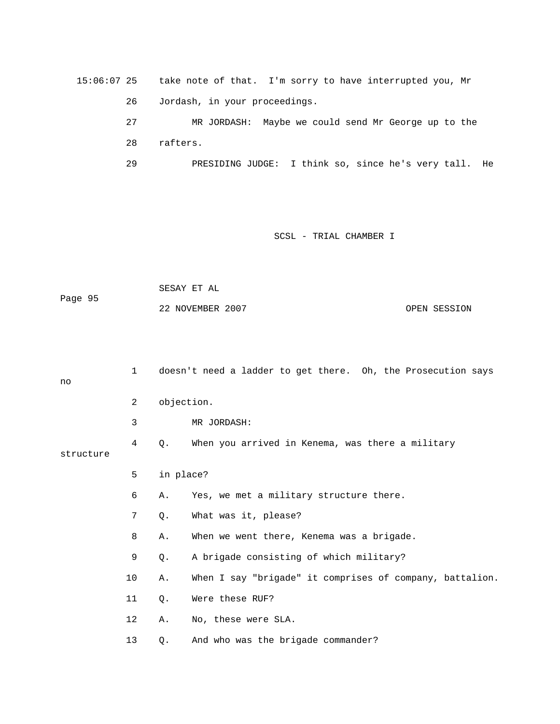15:06:07 25 take note of that. I'm sorry to have interrupted you, Mr 26 Jordash, in your proceedings. 27 MR JORDASH: Maybe we could send Mr George up to the 28 rafters. 29 PRESIDING JUDGE: I think so, since he's very tall. He

### SCSL - TRIAL CHAMBER I

 SESAY ET AL Page 95 22 NOVEMBER 2007 OPEN SESSION

| no        | $\mathbf{1}$ |           | doesn't need a ladder to get there. Oh, the Prosecution says |
|-----------|--------------|-----------|--------------------------------------------------------------|
|           | 2            |           | objection.                                                   |
|           | 3            |           | MR JORDASH:                                                  |
| structure | 4            | Q.        | When you arrived in Kenema, was there a military             |
|           | 5            | in place? |                                                              |
|           | 6            | Α.        | Yes, we met a military structure there.                      |
|           | 7            | Q.        | What was it, please?                                         |
|           | 8            | Α.        | When we went there, Kenema was a brigade.                    |
|           | 9            | Q.        | A brigade consisting of which military?                      |
|           | 10           | Α.        | When I say "brigade" it comprises of company, battalion.     |
|           | 11           | Q.        | Were these RUF?                                              |
|           | 12           | Α.        | No, these were SLA.                                          |
|           | 13           | Q.        | And who was the brigade commander?                           |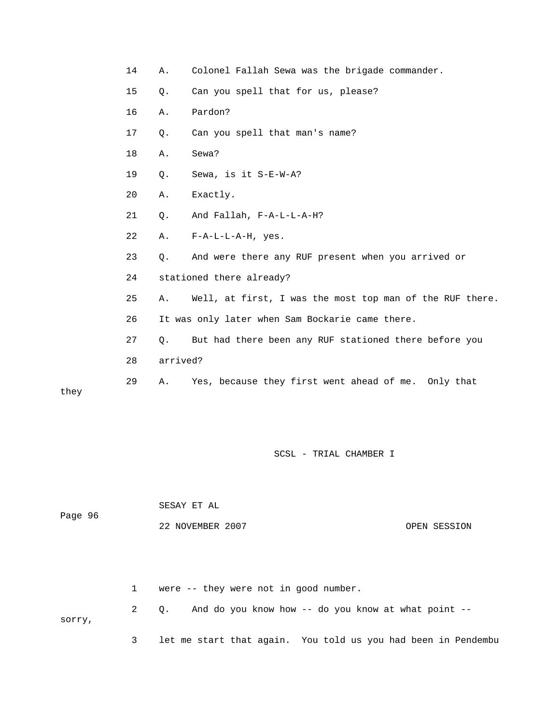|       | 14 | Α.       | Colonel Fallah Sewa was the brigade commander.           |
|-------|----|----------|----------------------------------------------------------|
|       | 15 | $Q$ .    | Can you spell that for us, please?                       |
|       | 16 | Α.       | Pardon?                                                  |
|       | 17 | $Q$ .    | Can you spell that man's name?                           |
|       | 18 | Α.       | Sewa?                                                    |
|       | 19 | Q.       | Sewa, is it S-E-W-A?                                     |
|       | 20 | Α.       | Exactly.                                                 |
|       | 21 | Q.       | And Fallah, F-A-L-L-A-H?                                 |
|       | 22 | Α.       | $F - A - L - L - A - H$ , yes.                           |
|       | 23 | $Q$ .    | And were there any RUF present when you arrived or       |
|       | 24 |          | stationed there already?                                 |
|       | 25 | Α.       | Well, at first, I was the most top man of the RUF there. |
|       | 26 |          | It was only later when Sam Bockarie came there.          |
|       | 27 | Q.       | But had there been any RUF stationed there before you    |
|       | 28 | arrived? |                                                          |
| $-1-$ | 29 | Α.       | Yes, because they first went ahead of me. Only that      |
|       |    |          |                                                          |

they

SCSL - TRIAL CHAMBER I

| Page 96 | SESAY ET AL      |              |
|---------|------------------|--------------|
|         | 22 NOVEMBER 2007 | OPEN SESSION |

 1 were -- they were not in good number. 2 Q. And do you know how -- do you know at what point - sorry, 3 let me start that again. You told us you had been in Pendembu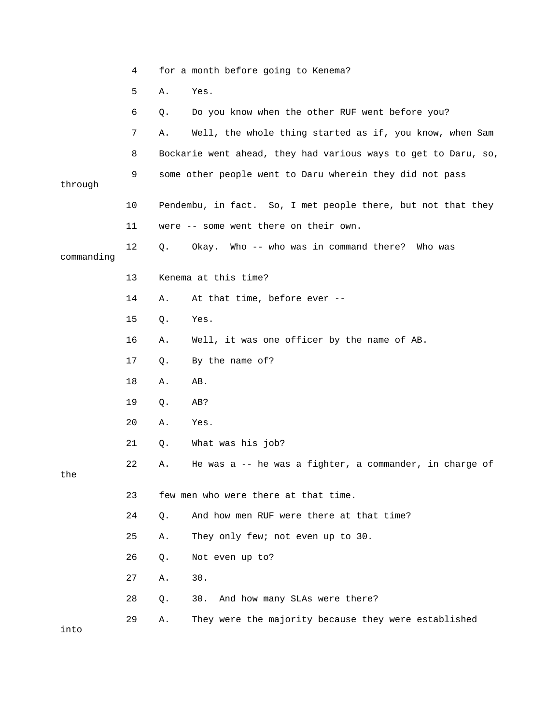|            | 4  |    | for a month before going to Kenema?                            |
|------------|----|----|----------------------------------------------------------------|
|            | 5  | Α. | Yes.                                                           |
|            | 6  | Q. | Do you know when the other RUF went before you?                |
|            | 7  | Α. | Well, the whole thing started as if, you know, when Sam        |
|            | 8  |    | Bockarie went ahead, they had various ways to get to Daru, so, |
| through    | 9  |    | some other people went to Daru wherein they did not pass       |
|            | 10 |    | Pendembu, in fact. So, I met people there, but not that they   |
|            | 11 |    | were -- some went there on their own.                          |
| commanding | 12 | Q. | Okay. Who -- who was in command there? Who was                 |
|            | 13 |    | Kenema at this time?                                           |
|            | 14 | Α. | At that time, before ever --                                   |
|            | 15 | Q. | Yes.                                                           |
|            | 16 | Α. | Well, it was one officer by the name of AB.                    |
|            | 17 | Q. | By the name of?                                                |
|            | 18 | Α. | AB.                                                            |
|            | 19 | Q. | AB?                                                            |
|            | 20 | Α. | Yes.                                                           |
|            | 21 | Q. | What was his job?                                              |
| the        | 22 | Α. | He was a -- he was a fighter, a commander, in charge of        |
|            | 23 |    | few men who were there at that time.                           |
|            | 24 | Q. | And how men RUF were there at that time?                       |
|            | 25 | Α. | They only few; not even up to 30.                              |
|            | 26 | Q. | Not even up to?                                                |
|            | 27 | Α. | 30.                                                            |
|            | 28 | Q. | And how many SLAs were there?<br>30.                           |
| into       | 29 | Α. | They were the majority because they were established           |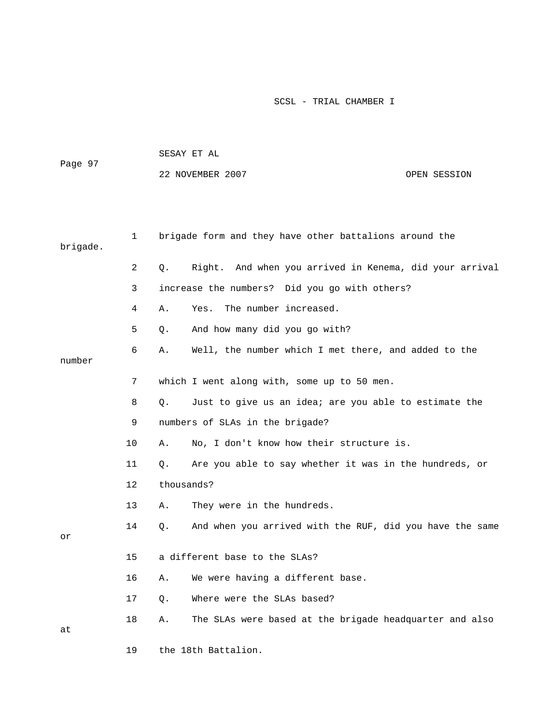| Page 97  |    |    | SESAY ET AL                                              |              |  |  |
|----------|----|----|----------------------------------------------------------|--------------|--|--|
|          |    |    | 22 NOVEMBER 2007                                         | OPEN SESSION |  |  |
|          |    |    |                                                          |              |  |  |
|          |    |    |                                                          |              |  |  |
| brigade. | 1  |    | brigade form and they have other battalions around the   |              |  |  |
|          | 2  | Q. | Right. And when you arrived in Kenema, did your arrival  |              |  |  |
|          | 3  |    | increase the numbers? Did you go with others?            |              |  |  |
|          | 4  | Α. | The number increased.<br>Yes.                            |              |  |  |
|          | 5  | Q. | And how many did you go with?                            |              |  |  |
| number   | 6  | Α. | Well, the number which I met there, and added to the     |              |  |  |
|          | 7  |    | which I went along with, some up to 50 men.              |              |  |  |
|          | 8  | Q. | Just to give us an idea; are you able to estimate the    |              |  |  |
|          | 9  |    | numbers of SLAs in the brigade?                          |              |  |  |
|          | 10 | Α. | No, I don't know how their structure is.                 |              |  |  |
|          | 11 | Q. | Are you able to say whether it was in the hundreds, or   |              |  |  |
|          | 12 |    | thousands?                                               |              |  |  |
|          | 13 | Α. | They were in the hundreds.                               |              |  |  |
|          | 14 | Q. | And when you arrived with the RUF, did you have the same |              |  |  |
| or       |    |    |                                                          |              |  |  |
|          | 15 |    | a different base to the SLAs?                            |              |  |  |
|          | 16 | Α. | We were having a different base.                         |              |  |  |
|          | 17 | Q. | Where were the SLAs based?                               |              |  |  |
| at       | 18 | Α. | The SLAs were based at the brigade headquarter and also  |              |  |  |
|          | 19 |    | the 18th Battalion.                                      |              |  |  |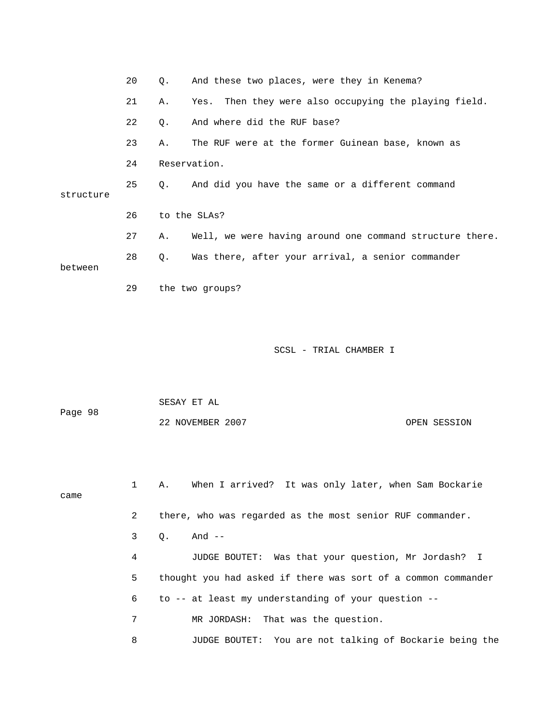|           | 20 | О.        | And these two places, were they in Kenema?               |
|-----------|----|-----------|----------------------------------------------------------|
|           | 21 | Α.        | Yes. Then they were also occupying the playing field.    |
|           | 22 | Q.        | And where did the RUF base?                              |
|           | 23 | Α.        | The RUF were at the former Guinean base, known as        |
|           | 24 |           | Reservation.                                             |
| structure | 25 | $\circ$ . | And did you have the same or a different command         |
|           | 26 |           | to the SLAs?                                             |
|           | 27 | Α.        | Well, we were having around one command structure there. |
| between   | 28 | Q.        | Was there, after your arrival, a senior commander        |
|           | 29 |           | the two groups?                                          |
|           |    |           |                                                          |

| Page 98 | SESAY ET AL      |              |
|---------|------------------|--------------|
|         | 22 NOVEMBER 2007 | OPEN SESSION |

 1 A. When I arrived? It was only later, when Sam Bockarie came 2 there, who was regarded as the most senior RUF commander. 3 Q. And -- 4 JUDGE BOUTET: Was that your question, Mr Jordash? I 5 thought you had asked if there was sort of a common commander 6 to -- at least my understanding of your question -- 7 MR JORDASH: That was the question.

8 JUDGE BOUTET: You are not talking of Bockarie being the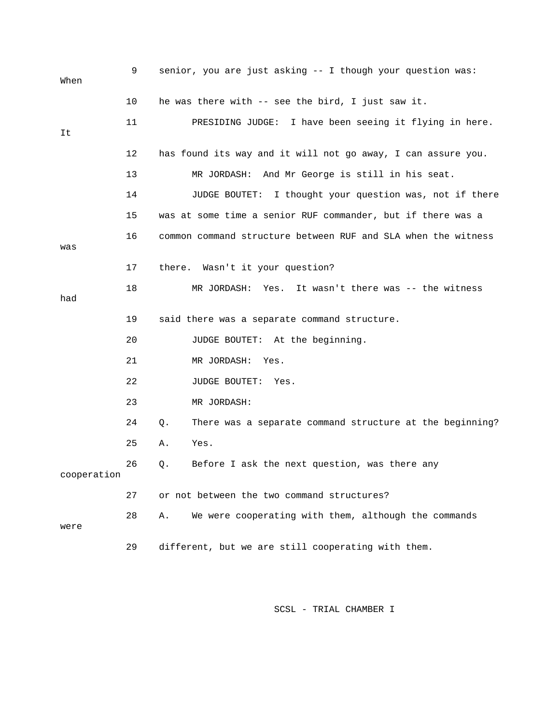| When        | 9  | senior, you are just asking -- I though your question was:     |
|-------------|----|----------------------------------------------------------------|
|             | 10 | he was there with -- see the bird, I just saw it.              |
| It          | 11 | PRESIDING JUDGE: I have been seeing it flying in here.         |
|             | 12 | has found its way and it will not go away, I can assure you.   |
|             | 13 | MR JORDASH: And Mr George is still in his seat.                |
|             | 14 | I thought your question was, not if there<br>JUDGE BOUTET:     |
|             | 15 | was at some time a senior RUF commander, but if there was a    |
| was         | 16 | common command structure between RUF and SLA when the witness  |
|             | 17 | there. Wasn't it your question?                                |
| had         | 18 | It wasn't there was -- the witness<br>MR JORDASH: Yes.         |
|             | 19 | said there was a separate command structure.                   |
|             | 20 | JUDGE BOUTET: At the beginning.                                |
|             | 21 | MR JORDASH:<br>Yes.                                            |
|             | 22 | JUDGE BOUTET: Yes.                                             |
|             | 23 | MR JORDASH:                                                    |
|             | 24 | There was a separate command structure at the beginning?<br>Q. |
|             | 25 | Yes.<br>Α.                                                     |
| cooperation | 26 | $Q$ .<br>Before I ask the next question, was there any         |
|             | 27 | or not between the two command structures?                     |
| were        | 28 | We were cooperating with them, although the commands<br>Α.     |
|             | 29 | different, but we are still cooperating with them.             |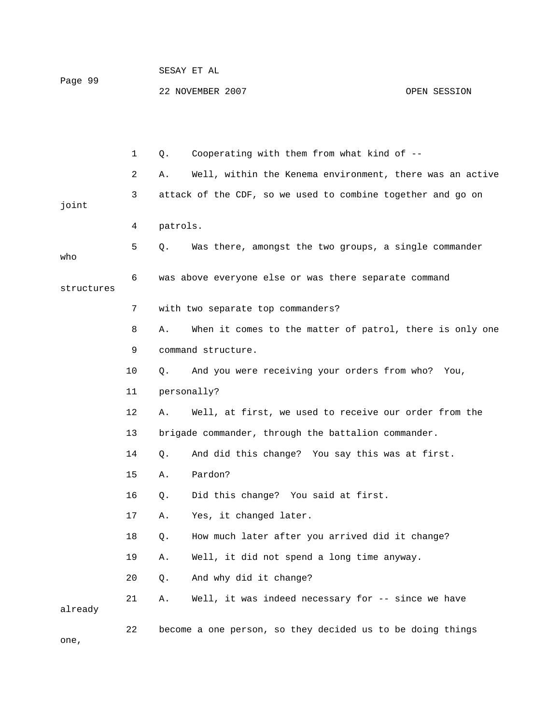| Page 99 | SESAY ET AL      |              |
|---------|------------------|--------------|
|         | 22 NOVEMBER 2007 | OPEN SESSION |

|            | $\mathbf{1}$ | Cooperating with them from what kind of --<br>Q.               |
|------------|--------------|----------------------------------------------------------------|
|            | 2            | Well, within the Kenema environment, there was an active<br>Α. |
| joint      | 3            | attack of the CDF, so we used to combine together and go on    |
|            | 4            | patrols.                                                       |
|            |              |                                                                |
| who        | 5            | Was there, amongst the two groups, a single commander<br>Q.    |
| structures | 6            | was above everyone else or was there separate command          |
|            | 7            | with two separate top commanders?                              |
|            | 8            | When it comes to the matter of patrol, there is only one<br>Α. |
|            | 9            | command structure.                                             |
|            | 10           | And you were receiving your orders from who? You,<br>Q.        |
|            | 11           | personally?                                                    |
|            | 12           | Well, at first, we used to receive our order from the<br>Α.    |
|            | 13           | brigade commander, through the battalion commander.            |
|            | 14           | And did this change? You say this was at first.<br>Q.          |
|            | 15           | Pardon?<br>Α.                                                  |
|            | 16           | Did this change? You said at first.<br>Q.                      |
|            | 17           | Yes, it changed later.<br>Α.                                   |
|            | 18           | How much later after you arrived did it change?<br>Q.          |
|            | 19           | Well, it did not spend a long time anyway.<br>Α.               |
|            | 20           | And why did it change?<br>Q.                                   |
| already    | 21           | Well, it was indeed necessary for -- since we have<br>Α.       |
|            | 22           | become a one person, so they decided us to be doing things     |

one,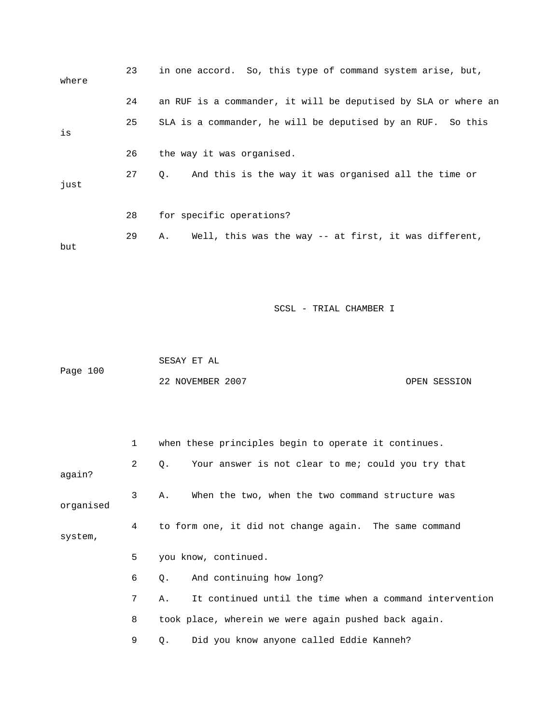| where | 23 | in one accord. So, this type of command system arise, but,     |
|-------|----|----------------------------------------------------------------|
|       | 24 | an RUF is a commander, it will be deputised by SLA or where an |
| is    | 25 | SLA is a commander, he will be deputised by an RUF. So this    |
|       | 26 | the way it was organised.                                      |
| just  | 27 | And this is the way it was organised all the time or<br>Q.     |
|       | 28 | for specific operations?                                       |
| but   | 29 | Well, this was the way $-$ at first, it was different,<br>Α.   |

 SESAY ET AL Page 100 22 NOVEMBER 2007 CPEN SESSION

|           | $\mathbf{1}$ | when these principles begin to operate it continues.          |
|-----------|--------------|---------------------------------------------------------------|
| aqain?    | 2            | Your answer is not clear to me; could you try that<br>Q.      |
| organised | 3            | When the two, when the two command structure was<br>Α.        |
| system,   | 4            | to form one, it did not change again. The same command        |
|           | 5            | you know, continued.                                          |
|           | 6            | And continuing how long?<br>Q.                                |
|           | 7            | It continued until the time when a command intervention<br>Α. |
|           | 8            | took place, wherein we were again pushed back again.          |
|           | 9            | Did you know anyone called Eddie Kanneh?<br>Q.                |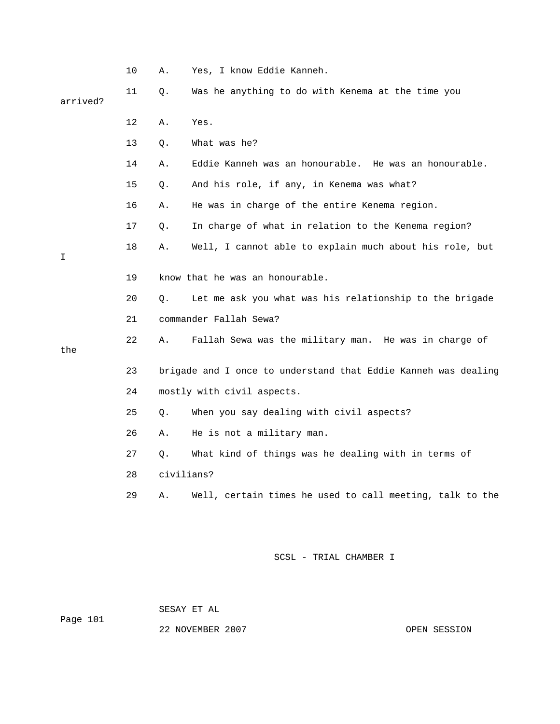|          | 10 | Α.         | Yes, I know Eddie Kanneh.                                      |
|----------|----|------------|----------------------------------------------------------------|
| arrived? | 11 | Q.         | Was he anything to do with Kenema at the time you              |
|          | 12 | Α.         | Yes.                                                           |
|          | 13 | Q.         | What was he?                                                   |
|          | 14 | Α.         | Eddie Kanneh was an honourable. He was an honourable.          |
|          | 15 | Q.         | And his role, if any, in Kenema was what?                      |
|          | 16 | Α.         | He was in charge of the entire Kenema region.                  |
|          | 17 | Q.         | In charge of what in relation to the Kenema region?            |
| I        | 18 | Α.         | Well, I cannot able to explain much about his role, but        |
|          | 19 |            | know that he was an honourable.                                |
|          | 20 | $Q$ .      | Let me ask you what was his relationship to the brigade        |
|          | 21 |            | commander Fallah Sewa?                                         |
| the      | 22 | Α.         | Fallah Sewa was the military man. He was in charge of          |
|          | 23 |            | brigade and I once to understand that Eddie Kanneh was dealing |
|          | 24 |            | mostly with civil aspects.                                     |
|          | 25 | Q.         | When you say dealing with civil aspects?                       |
|          | 26 | Α.         | He is not a military man.                                      |
|          | 27 | Q.         | What kind of things was he dealing with in terms of            |
|          | 28 | civilians? |                                                                |
|          | 29 | Α.         | Well, certain times he used to call meeting, talk to the       |
|          |    |            |                                                                |
|          |    |            | SCSL - TRIAL CHAMBER I                                         |

SESAY ET AL

Page 101

22 NOVEMBER 2007 CPEN SESSION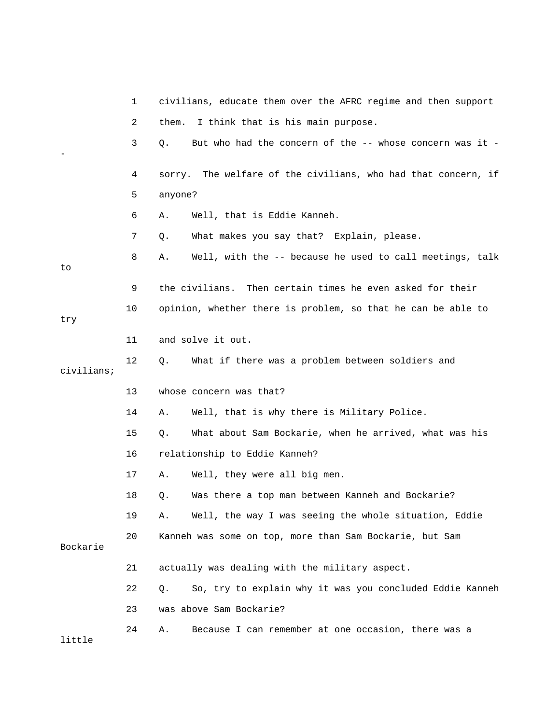|            | 1  | civilians, educate them over the AFRC regime and then support  |
|------------|----|----------------------------------------------------------------|
|            | 2  | I think that is his main purpose.<br>them.                     |
|            | 3  | But who had the concern of the -- whose concern was it -<br>Q. |
|            | 4  | sorry. The welfare of the civilians, who had that concern, if  |
|            | 5  | anyone?                                                        |
|            | 6  | Well, that is Eddie Kanneh.<br>Α.                              |
|            | 7  | What makes you say that? Explain, please.<br>Q.                |
| to         | 8  | Well, with the -- because he used to call meetings, talk<br>Α. |
|            | 9  | Then certain times he even asked for their<br>the civilians.   |
| try        | 10 | opinion, whether there is problem, so that he can be able to   |
|            | 11 | and solve it out.                                              |
| civilians; | 12 | What if there was a problem between soldiers and<br>Q.         |
|            | 13 | whose concern was that?                                        |
|            | 14 | Well, that is why there is Military Police.<br>Α.              |
|            | 15 | What about Sam Bockarie, when he arrived, what was his<br>Q.   |
|            | 16 | relationship to Eddie Kanneh?                                  |
|            | 17 | Well, they were all big men.<br>Α.                             |
|            | 18 | Was there a top man between Kanneh and Bockarie?<br>Q.         |
|            | 19 | Well, the way I was seeing the whole situation, Eddie<br>Α.    |
| Bockarie   | 20 | Kanneh was some on top, more than Sam Bockarie, but Sam        |
|            | 21 | actually was dealing with the military aspect.                 |
|            | 22 | So, try to explain why it was you concluded Eddie Kanneh<br>Q. |
|            | 23 | was above Sam Bockarie?                                        |
| little     | 24 | Because I can remember at one occasion, there was a<br>Α.      |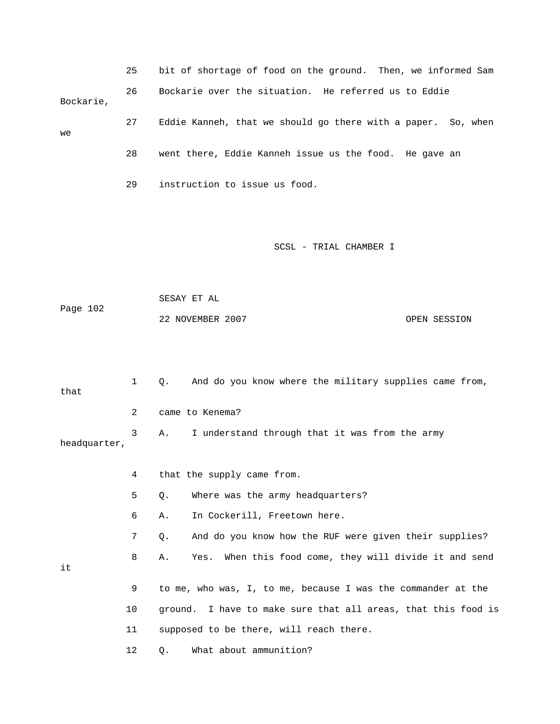|              | 25 | bit of shortage of food on the ground. Then, we informed Sam     |
|--------------|----|------------------------------------------------------------------|
| Bockarie,    | 26 | Bockarie over the situation. He referred us to Eddie             |
| we           | 27 | Eddie Kanneh, that we should go there with a paper. So, when     |
|              | 28 | went there, Eddie Kanneh issue us the food. He gave an           |
|              | 29 | instruction to issue us food.                                    |
|              |    |                                                                  |
|              |    | SCSL - TRIAL CHAMBER I                                           |
|              |    |                                                                  |
| Page 102     |    | SESAY ET AL                                                      |
|              |    | 22 NOVEMBER 2007<br>OPEN SESSION                                 |
|              |    |                                                                  |
| that         | 1  | And do you know where the military supplies came from,<br>Q.     |
|              | 2  | came to Kenema?                                                  |
| headquarter, | 3  | I understand through that it was from the army<br>Α.             |
|              |    | that the supply came from.                                       |
|              | 5  | Where was the army headquarters?<br>Q.                           |
|              | 6  | In Cockerill, Freetown here.<br>Α.                               |
|              | 7  | And do you know how the RUF were given their supplies?<br>Q.     |
| it           | 8  | When this food come, they will divide it and send<br>Yes.<br>Α.  |
|              | 9  | to me, who was, I, to me, because I was the commander at the     |
|              | 10 | I have to make sure that all areas, that this food is<br>ground. |
|              | 11 | supposed to be there, will reach there.                          |
|              | 12 | What about ammunition?<br>Q.                                     |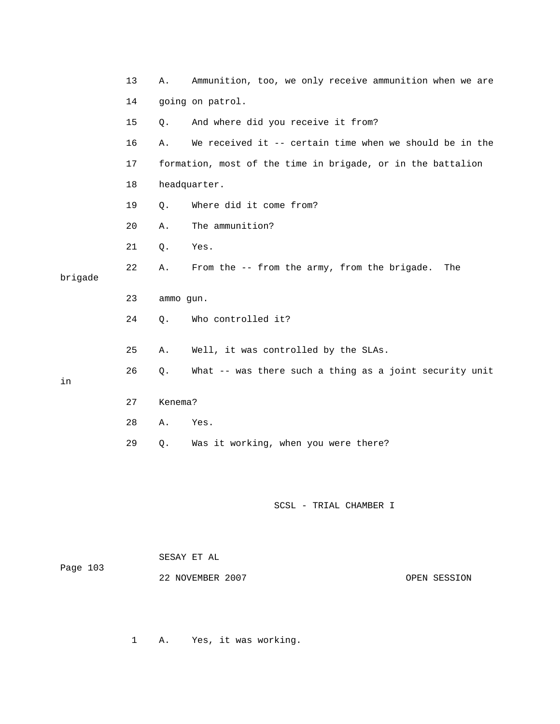|         | 13 | Α.        | Ammunition, too, we only receive ammunition when we are     |
|---------|----|-----------|-------------------------------------------------------------|
|         | 14 |           | going on patrol.                                            |
|         | 15 | Q.        | And where did you receive it from?                          |
|         | 16 | Α.        | We received it -- certain time when we should be in the     |
|         | 17 |           | formation, most of the time in brigade, or in the battalion |
|         | 18 |           | headquarter.                                                |
|         | 19 | Q.        | Where did it come from?                                     |
|         | 20 | Α.        | The ammunition?                                             |
|         | 21 | Q.        | Yes.                                                        |
| brigade | 22 | Α.        | From the -- from the army, from the brigade.<br>The         |
|         | 23 | ammo gun. |                                                             |
|         | 24 | Q.        | Who controlled it?                                          |
|         | 25 | Α.        | Well, it was controlled by the SLAs.                        |
| in      | 26 | Q.        | What -- was there such a thing as a joint security unit     |
|         | 27 | Kenema?   |                                                             |
|         | 28 | Α.        | Yes.                                                        |
|         | 29 | Q.        | Was it working, when you were there?                        |
|         |    |           |                                                             |

| Page 103 | SESAY ET AL      |              |
|----------|------------------|--------------|
|          | 22 NOVEMBER 2007 | OPEN SESSION |

1 A. Yes, it was working.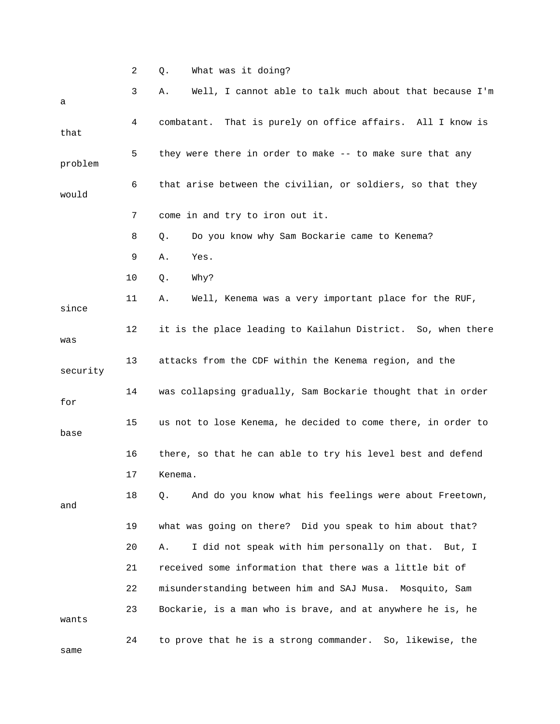2 Q. What was it doing?

| а        | 3  | Well, I cannot able to talk much about that because I'm<br>Α. |
|----------|----|---------------------------------------------------------------|
| that     | 4  | combatant. That is purely on office affairs. All I know is    |
| problem  | 5  | they were there in order to make -- to make sure that any     |
| would    | 6  | that arise between the civilian, or soldiers, so that they    |
|          | 7  | come in and try to iron out it.                               |
|          | 8  | Do you know why Sam Bockarie came to Kenema?<br>Q.            |
|          | 9  | Yes.<br>Α.                                                    |
|          | 10 | Why?<br>Q.                                                    |
| since    | 11 | Well, Kenema was a very important place for the RUF,<br>Α.    |
| was      | 12 | it is the place leading to Kailahun District. So, when there  |
| security | 13 | attacks from the CDF within the Kenema region, and the        |
| for      | 14 | was collapsing gradually, Sam Bockarie thought that in order  |
| base     | 15 | us not to lose Kenema, he decided to come there, in order to  |
|          | 16 | there, so that he can able to try his level best and defend   |
|          | 17 | Kenema.                                                       |
| and      | 18 | And do you know what his feelings were about Freetown,<br>Q.  |
|          | 19 | what was going on there? Did you speak to him about that?     |
|          | 20 | I did not speak with him personally on that. But, I<br>Α.     |
|          | 21 | received some information that there was a little bit of      |
|          | 22 | misunderstanding between him and SAJ Musa.<br>Mosquito, Sam   |
| wants    | 23 | Bockarie, is a man who is brave, and at anywhere he is, he    |
| same     | 24 | to prove that he is a strong commander. So, likewise, the     |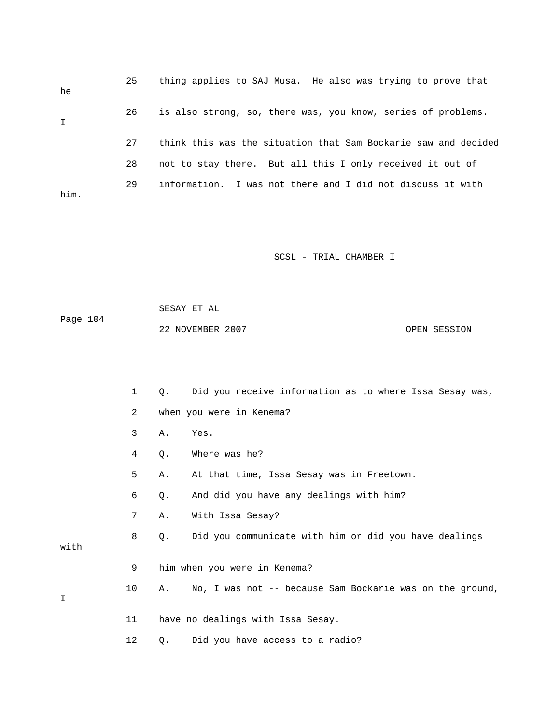| he          | 25 | thing applies to SAJ Musa. He also was trying to prove that    |
|-------------|----|----------------------------------------------------------------|
| $\mathbf I$ | 26 | is also strong, so, there was, you know, series of problems.   |
|             | 27 | think this was the situation that Sam Bockarie saw and decided |
|             | 28 | not to stay there. But all this I only received it out of      |
| him.        | 29 | information. I was not there and I did not discuss it with     |

 SESAY ET AL Page 104 22 NOVEMBER 2007 OPEN SESSION

 1 Q. Did you receive information as to where Issa Sesay was, 2 when you were in Kenema? 3 A. Yes. 4 Q. Where was he? 5 A. At that time, Issa Sesay was in Freetown. 6 Q. And did you have any dealings with him? 7 A. With Issa Sesay? 8 Q. Did you communicate with him or did you have dealings with 9 him when you were in Kenema? 10 A. No, I was not -- because Sam Bockarie was on the ground, I 11 have no dealings with Issa Sesay. 12 Q. Did you have access to a radio?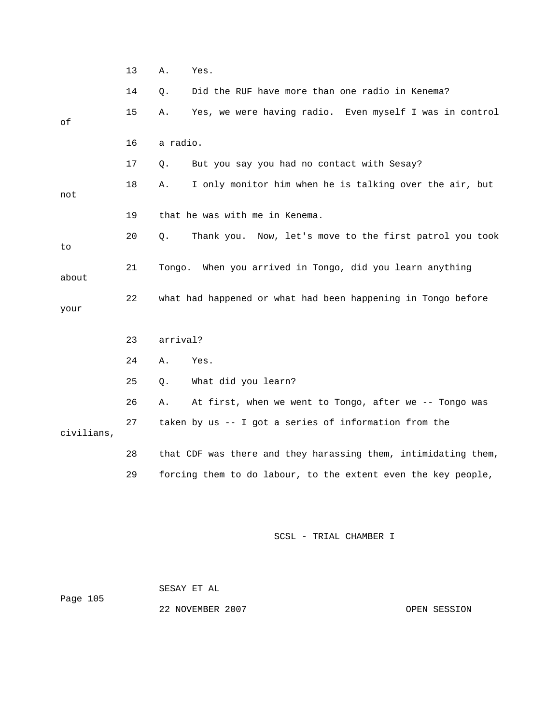|            | 13 | Α.<br>Yes.                                                     |
|------------|----|----------------------------------------------------------------|
|            | 14 | Did the RUF have more than one radio in Kenema?<br>Q.          |
| οf         | 15 | Yes, we were having radio. Even myself I was in control<br>Α.  |
|            | 16 | a radio.                                                       |
|            | 17 | But you say you had no contact with Sesay?<br>Q.               |
| not        | 18 | I only monitor him when he is talking over the air, but<br>Α.  |
|            | 19 | that he was with me in Kenema.                                 |
| to         | 20 | Thank you. Now, let's move to the first patrol you took<br>Q.  |
| about      | 21 | Tongo. When you arrived in Tongo, did you learn anything       |
| your       | 22 | what had happened or what had been happening in Tongo before   |
|            | 23 | arrival?                                                       |
|            | 24 | Yes.<br>Α.                                                     |
|            | 25 | What did you learn?<br>Q.                                      |
|            | 26 | At first, when we went to Tongo, after we -- Tongo was<br>Α.   |
| civilians, | 27 | taken by us -- I got a series of information from the          |
|            | 28 | that CDF was there and they harassing them, intimidating them, |
|            | 29 | forcing them to do labour, to the extent even the key people,  |
|            |    |                                                                |
|            |    | SCSL - TRIAL CHAMBER I                                         |

 SESAY ET AL Page 105 22 NOVEMBER 2007 CPEN SESSION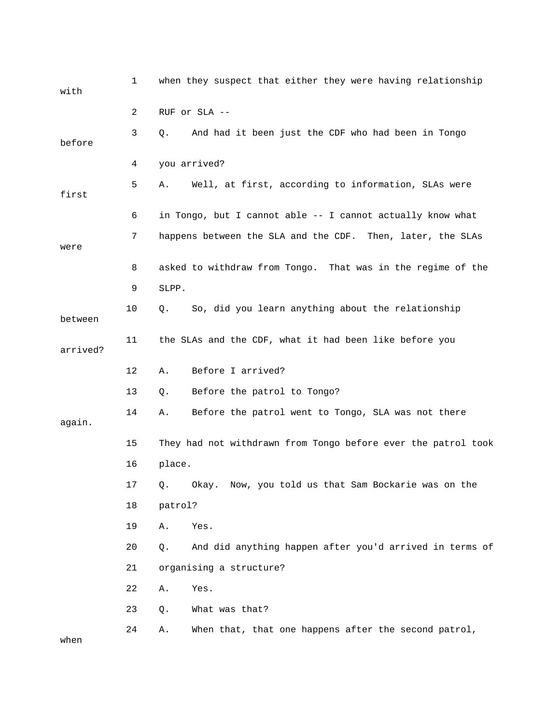| with     | $\mathbf{1}$ | when they suspect that either they were having relationship   |
|----------|--------------|---------------------------------------------------------------|
|          | 2            | RUF or SLA --                                                 |
| before   | 3            | And had it been just the CDF who had been in Tongo<br>Q.      |
|          | 4            | you arrived?                                                  |
| first    | 5            | Well, at first, according to information, SLAs were<br>Α.     |
|          | 6            | in Tongo, but I cannot able -- I cannot actually know what    |
| were     | 7            | happens between the SLA and the CDF. Then, later, the SLAs    |
|          | 8            | asked to withdraw from Tongo. That was in the regime of the   |
|          | 9            | SLPP.                                                         |
| between  | 10           | So, did you learn anything about the relationship<br>Q.       |
| arrived? | 11           | the SLAs and the CDF, what it had been like before you        |
|          | 12           | Before I arrived?<br>Α.                                       |
|          | 13           | Before the patrol to Tongo?<br>Q.                             |
| again.   | 14           | Before the patrol went to Tongo, SLA was not there<br>Α.      |
|          | 15           | They had not withdrawn from Tongo before ever the patrol took |
|          | 16           | place.                                                        |
|          | 17           | Q. Okay. Now, you told us that Sam Bockarie was on the        |
|          | 18           | patrol?                                                       |
|          | 19           | Α.<br>Yes.                                                    |
|          | 20           | And did anything happen after you'd arrived in terms of<br>Q. |
|          | 21           | organising a structure?                                       |
|          | 22           | Yes.<br>Α.                                                    |
|          | 23           | What was that?<br>Q.                                          |
| when     | 24           | When that, that one happens after the second patrol,<br>Α.    |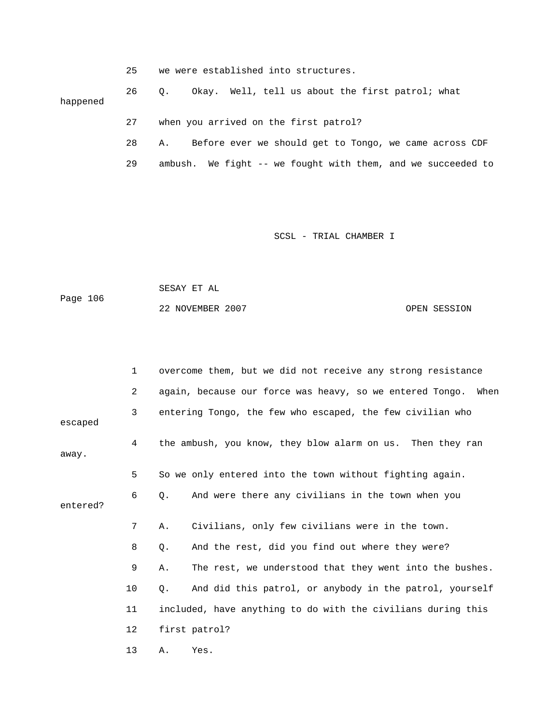|          | 25 | we were established into structures.                         |
|----------|----|--------------------------------------------------------------|
| happened | 26 | Okay. Well, tell us about the first patrol; what<br>0.       |
|          | 27 | when you arrived on the first patrol?                        |
|          | 28 | Before ever we should get to Tongo, we came across CDF<br>Α. |
|          | 29 | ambush. We fight -- we fought with them, and we succeeded to |

 SESAY ET AL Page 106

22 NOVEMBER 2007 CPEN SESSION

|          | $\mathbf 1$    | overcome them, but we did not receive any strong resistance      |
|----------|----------------|------------------------------------------------------------------|
|          | $\overline{a}$ | again, because our force was heavy, so we entered Tongo.<br>When |
| escaped  | 3              | entering Tongo, the few who escaped, the few civilian who        |
| away.    | 4              | the ambush, you know, they blow alarm on us. Then they ran       |
|          | 5              | So we only entered into the town without fighting again.         |
| entered? | 6              | And were there any civilians in the town when you<br>0.          |
|          | 7              | Civilians, only few civilians were in the town.<br>Α.            |
|          | 8              | And the rest, did you find out where they were?<br>Q.            |
|          | 9              | The rest, we understood that they went into the bushes.<br>Α.    |
|          | 10             | And did this patrol, or anybody in the patrol, yourself<br>Q.    |
|          | 11             | included, have anything to do with the civilians during this     |
|          | 12             | first patrol?                                                    |
|          | 13             | Yes.<br>Α.                                                       |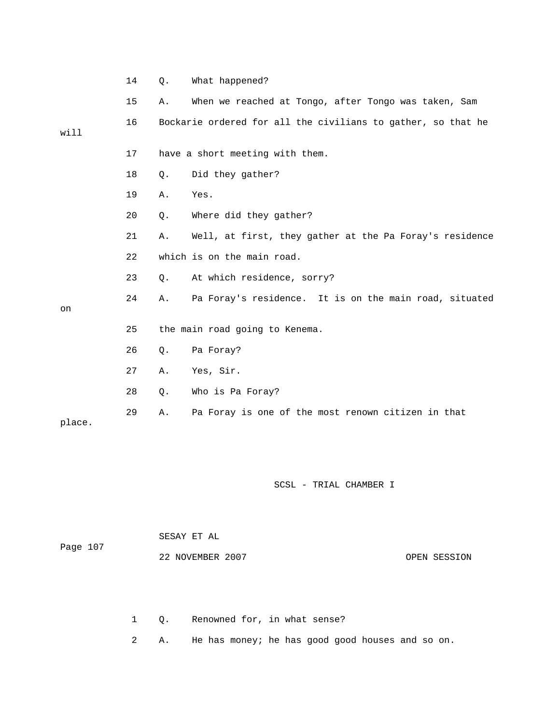|        | 14 | Q.        | What happened?                                               |
|--------|----|-----------|--------------------------------------------------------------|
|        | 15 | Α.        | When we reached at Tongo, after Tongo was taken, Sam         |
| will   | 16 |           | Bockarie ordered for all the civilians to gather, so that he |
|        | 17 |           | have a short meeting with them.                              |
|        | 18 | $Q$ .     | Did they gather?                                             |
|        | 19 | Α.        | Yes.                                                         |
|        | 20 | $Q$ .     | Where did they gather?                                       |
|        | 21 | Α.        | Well, at first, they gather at the Pa Foray's residence      |
|        | 22 |           | which is on the main road.                                   |
|        | 23 | О.        | At which residence, sorry?                                   |
| on     | 24 | Α.        | Pa Foray's residence. It is on the main road, situated       |
|        | 25 |           | the main road going to Kenema.                               |
|        | 26 | $\circ$ . | Pa Foray?                                                    |
|        | 27 | Α.        | Yes, Sir.                                                    |
|        | 28 | Q.        | Who is Pa Foray?                                             |
| place. | 29 | Α.        | Pa Foray is one of the most renown citizen in that           |

 SESAY ET AL Page 107 22 NOVEMBER 2007 CPEN SESSION

1 Q. Renowned for, in what sense?

2 A. He has money; he has good good houses and so on.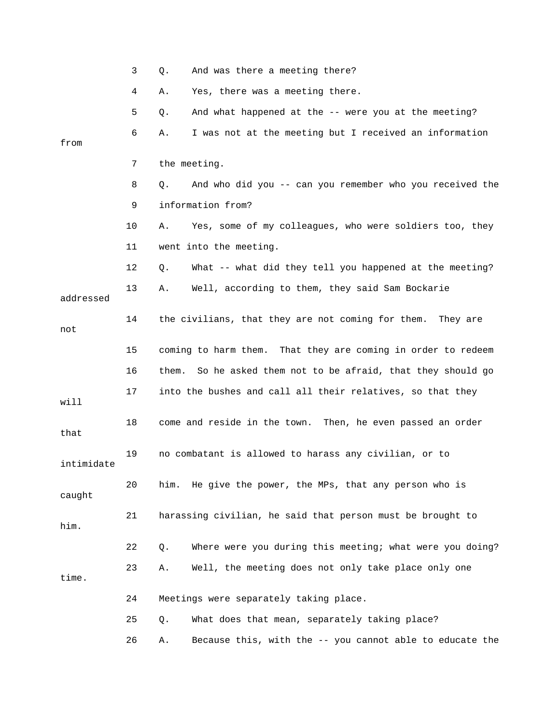|            | 3  | And was there a meeting there?<br>Q.                            |
|------------|----|-----------------------------------------------------------------|
|            | 4  | Yes, there was a meeting there.<br>Α.                           |
|            | 5  | And what happened at the -- were you at the meeting?<br>Q.      |
| from       | 6  | I was not at the meeting but I received an information<br>Α.    |
|            |    |                                                                 |
|            | 7  | the meeting.                                                    |
|            | 8  | And who did you -- can you remember who you received the<br>Q.  |
|            | 9  | information from?                                               |
|            | 10 | Yes, some of my colleagues, who were soldiers too, they<br>Α.   |
|            | 11 | went into the meeting.                                          |
|            | 12 | What -- what did they tell you happened at the meeting?<br>Q.   |
| addressed  | 13 | Well, according to them, they said Sam Bockarie<br>Α.           |
| not        | 14 | the civilians, that they are not coming for them.<br>They are   |
|            | 15 | coming to harm them. That they are coming in order to redeem    |
|            | 16 | So he asked them not to be afraid, that they should go<br>them. |
| will       | 17 | into the bushes and call all their relatives, so that they      |
| that       | 18 | come and reside in the town. Then, he even passed an order      |
| intimidate | 19 | no combatant is allowed to harass any civilian, or to           |
| caught     | 20 | him. He give the power, the MPs, that any person who is         |
| him.       | 21 | harassing civilian, he said that person must be brought to      |
|            | 22 | Where were you during this meeting; what were you doing?<br>Q.  |
| time.      | 23 | Well, the meeting does not only take place only one<br>Α.       |
|            | 24 | Meetings were separately taking place.                          |
|            | 25 | What does that mean, separately taking place?<br>Q.             |
|            | 26 | Because this, with the -- you cannot able to educate the<br>Α.  |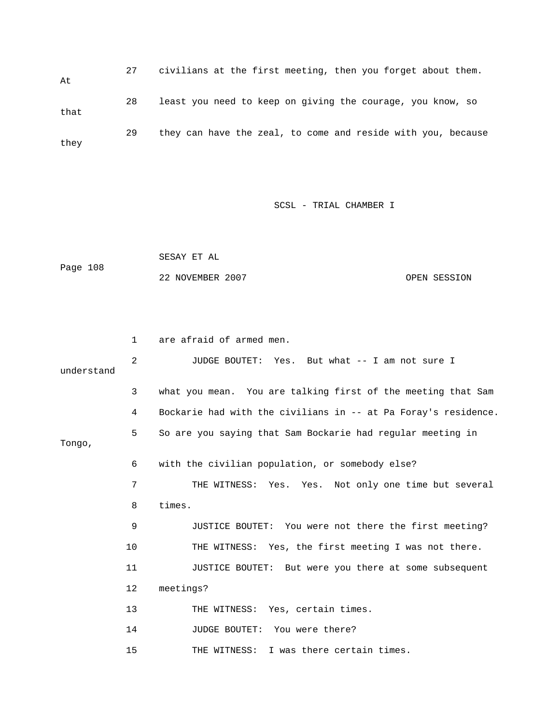27 civilians at the first meeting, then you forget about them. At 28 least you need to keep on giving the courage, you know, so that 29 they can have the zeal, to come and reside with you, because they

SCSL - TRIAL CHAMBER I

```
 SESAY ET AL 
Page 108 
            22 NOVEMBER 2007 CPEN SESSION
```
 1 are afraid of armed men. 2 JUDGE BOUTET: Yes. But what -- I am not sure I understand 3 what you mean. You are talking first of the meeting that Sam 4 Bockarie had with the civilians in -- at Pa Foray's residence. 5 So are you saying that Sam Bockarie had regular meeting in Tongo, 6 with the civilian population, or somebody else? 7 THE WITNESS: Yes. Yes. Not only one time but several 8 times. 9 JUSTICE BOUTET: You were not there the first meeting? 10 THE WITNESS: Yes, the first meeting I was not there. 11 JUSTICE BOUTET: But were you there at some subsequent 12 meetings? 13 THE WITNESS: Yes, certain times. 14 JUDGE BOUTET: You were there? 15 THE WITNESS: I was there certain times.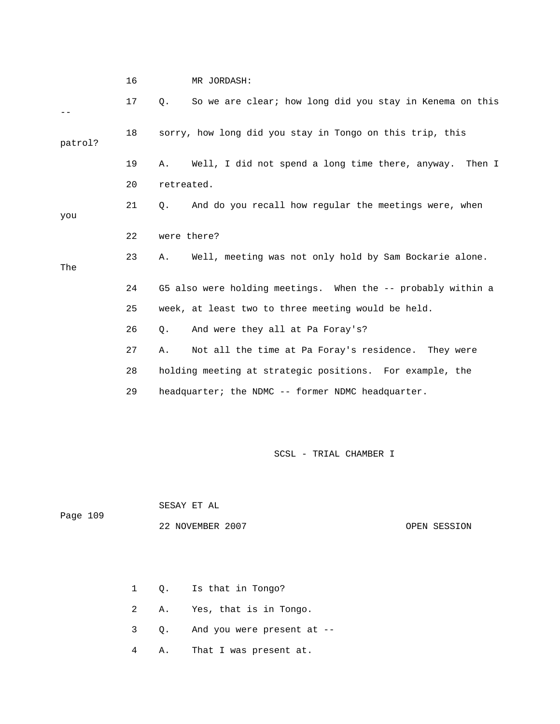16 MR JORDASH:

|         | 17 | So we are clear; how long did you stay in Kenema on this<br>0. |
|---------|----|----------------------------------------------------------------|
| patrol? | 18 | sorry, how long did you stay in Tongo on this trip, this       |
|         | 19 | Well, I did not spend a long time there, anyway. Then I<br>Α.  |
|         | 20 | retreated.                                                     |
| you     | 21 | And do you recall how reqular the meetings were, when<br>О.    |
|         | 22 | were there?                                                    |
| The     | 23 | Well, meeting was not only hold by Sam Bockarie alone.<br>Α.   |
|         | 24 | G5 also were holding meetings. When the -- probably within a   |
|         | 25 | week, at least two to three meeting would be held.             |
|         | 26 | And were they all at Pa Foray's?<br>О.                         |
|         | 27 | Not all the time at Pa Foray's residence. They were<br>Α.      |
|         | 28 | holding meeting at strategic positions. For example, the       |
|         | 29 | headquarter; the NDMC -- former NDMC headquarter.              |

SCSL - TRIAL CHAMBER I

SESAY ET AL

Page 109

22 NOVEMBER 2007 CPEN SESSION

- 1 Q. Is that in Tongo?
- 2 A. Yes, that is in Tongo.
- 3 Q. And you were present at --
- 4 A. That I was present at.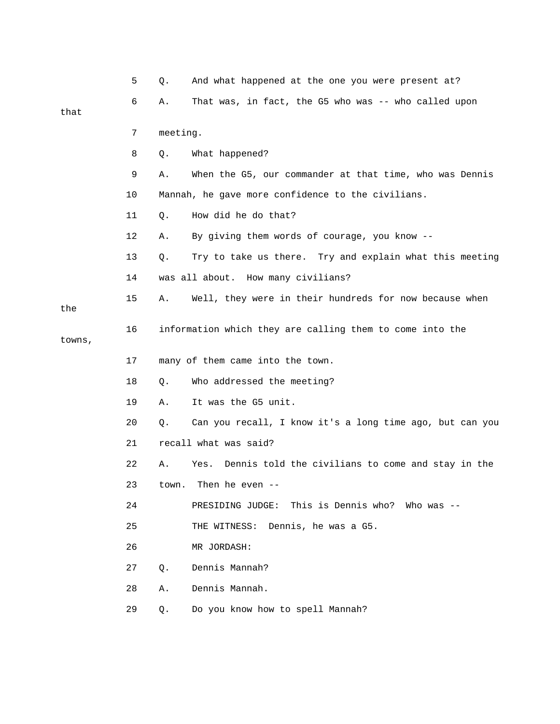|        | 5  | Q.       | And what happened at the one you were present at?         |
|--------|----|----------|-----------------------------------------------------------|
|        | 6  | Α.       | That was, in fact, the G5 who was -- who called upon      |
| that   |    |          |                                                           |
|        | 7  | meeting. |                                                           |
|        | 8  | Q.       | What happened?                                            |
|        | 9  | Α.       | When the G5, our commander at that time, who was Dennis   |
|        | 10 |          | Mannah, he gave more confidence to the civilians.         |
|        | 11 | Q.       | How did he do that?                                       |
|        | 12 | Α.       | By giving them words of courage, you know --              |
|        | 13 | Q.       | Try to take us there. Try and explain what this meeting   |
|        | 14 |          | was all about. How many civilians?                        |
| the    | 15 | Α.       | Well, they were in their hundreds for now because when    |
| towns, | 16 |          | information which they are calling them to come into the  |
|        | 17 |          | many of them came into the town.                          |
|        |    |          |                                                           |
|        | 18 | Q.       | Who addressed the meeting?                                |
|        | 19 | Α.       | It was the G5 unit.                                       |
|        | 20 | Q.       | Can you recall, I know it's a long time ago, but can you  |
|        | 21 |          | recall what was said?                                     |
|        | 22 | Α.       | Dennis told the civilians to come and stay in the<br>Yes. |
|        | 23 | town.    | Then he even                                              |
|        | 24 |          | PRESIDING JUDGE: This is Dennis who? Who was --           |
|        | 25 |          | THE WITNESS: Dennis, he was a G5.                         |
|        | 26 |          | MR JORDASH:                                               |
|        | 27 | $Q$ .    | Dennis Mannah?                                            |
|        | 28 | Α.       | Dennis Mannah.                                            |
|        | 29 | Q.       | Do you know how to spell Mannah?                          |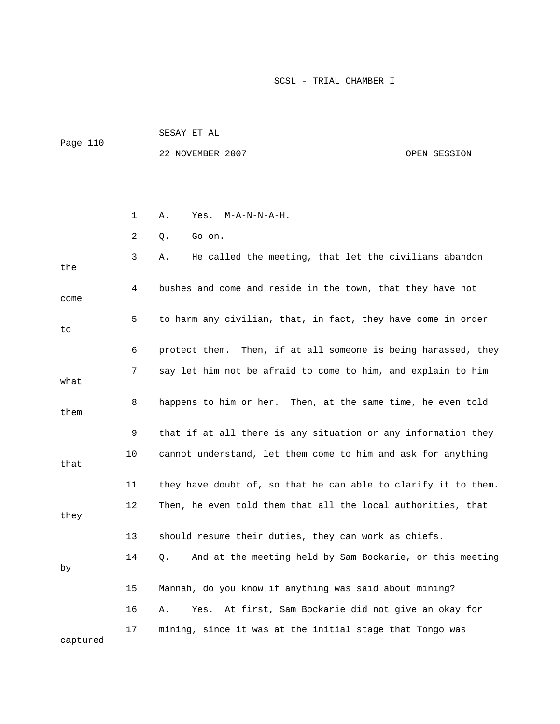| Page 110 | SESAY ET AL      |  |              |  |  |
|----------|------------------|--|--------------|--|--|
|          | 22 NOVEMBER 2007 |  | OPEN SESSION |  |  |
|          |                  |  |              |  |  |
|          |                  |  |              |  |  |

|          | 1  | Α.<br>Yes.<br>$M - A - N - N - A - H$ .                        |
|----------|----|----------------------------------------------------------------|
|          | 2  | Go on.<br>Q.                                                   |
| the      | 3  | He called the meeting, that let the civilians abandon<br>Α.    |
| come     | 4  | bushes and come and reside in the town, that they have not     |
| to       | 5  | to harm any civilian, that, in fact, they have come in order   |
|          | 6  | protect them. Then, if at all someone is being harassed, they  |
| what     | 7  | say let him not be afraid to come to him, and explain to him   |
| them     | 8  | happens to him or her. Then, at the same time, he even told    |
|          | 9  | that if at all there is any situation or any information they  |
| that     | 10 | cannot understand, let them come to him and ask for anything   |
|          | 11 | they have doubt of, so that he can able to clarify it to them. |
| they     | 12 | Then, he even told them that all the local authorities, that   |
|          | 13 | should resume their duties, they can work as chiefs.           |
| by       | 14 | And at the meeting held by Sam Bockarie, or this meeting<br>Q. |
|          | 15 | Mannah, do you know if anything was said about mining?         |
|          | 16 | At first, Sam Bockarie did not give an okay for<br>Α.<br>Yes.  |
| captured | 17 | mining, since it was at the initial stage that Tongo was       |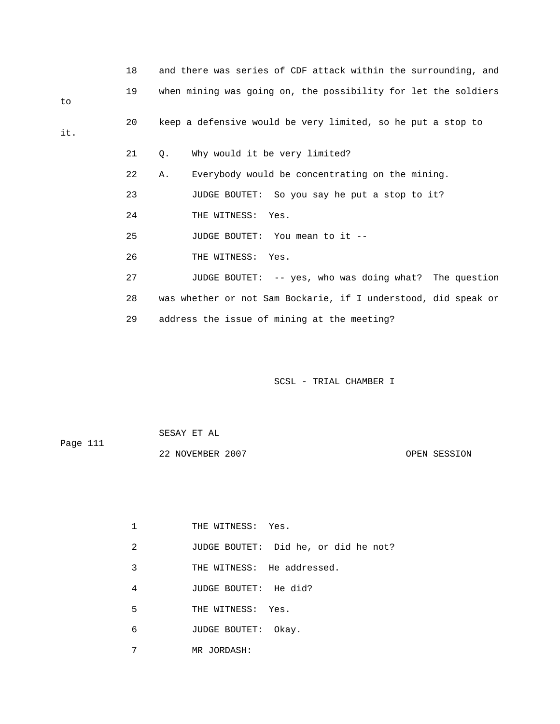|     | 18 | and there was series of CDF attack within the surrounding, and |
|-----|----|----------------------------------------------------------------|
| to  | 19 | when mining was going on, the possibility for let the soldiers |
| it. | 20 | keep a defensive would be very limited, so he put a stop to    |
|     | 21 | Why would it be very limited?<br>Q.                            |
|     | 22 | Everybody would be concentrating on the mining.<br>Α.          |
|     | 23 | JUDGE BOUTET: So you say he put a stop to it?                  |
|     | 24 | THE WITNESS: Yes.                                              |
|     | 25 | JUDGE BOUTET: You mean to it --                                |
|     | 26 | THE WITNESS: Yes.                                              |
|     | 27 | JUDGE BOUTET: -- yes, who was doing what? The question         |
|     | 28 | was whether or not Sam Bockarie, if I understood, did speak or |
|     | 29 | address the issue of mining at the meeting?                    |

| Page 111 | SESAY ET AL      |              |
|----------|------------------|--------------|
|          | 22 NOVEMBER 2007 | OPEN SESSION |

|   | THE WITNESS: Yes.          |                                      |
|---|----------------------------|--------------------------------------|
| 2 |                            | JUDGE BOUTET: Did he, or did he not? |
| 3 | THE WITNESS: He addressed. |                                      |
| 4 | JUDGE BOUTET: He did?      |                                      |
| 5 | THE WITNESS: Yes.          |                                      |
| 6 | JUDGE BOUTET:              | Okay.                                |
| 7 | MR JORDASH:                |                                      |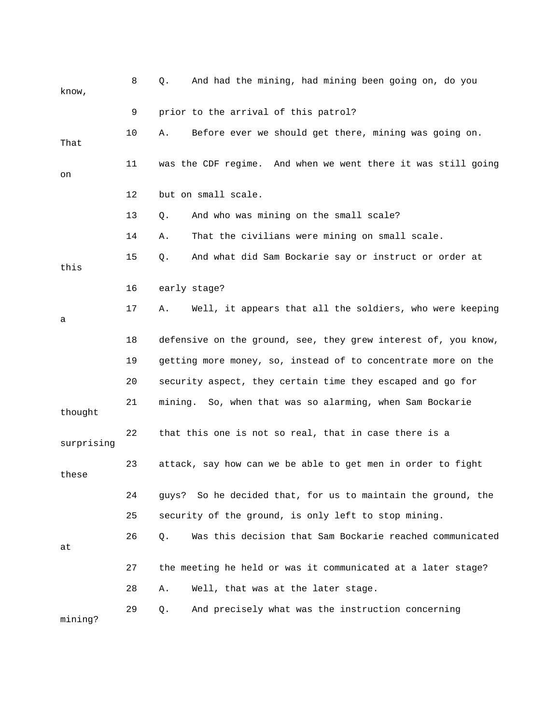| know,      | 8  | And had the mining, had mining been going on, do you<br>Q.      |
|------------|----|-----------------------------------------------------------------|
|            | 9  | prior to the arrival of this patrol?                            |
| That       | 10 | Before ever we should get there, mining was going on.<br>Α.     |
| on         | 11 | was the CDF regime. And when we went there it was still going   |
|            | 12 | but on small scale.                                             |
|            | 13 | And who was mining on the small scale?<br>Q.                    |
|            | 14 | That the civilians were mining on small scale.<br>Α.            |
| this       | 15 | And what did Sam Bockarie say or instruct or order at<br>Q.     |
|            | 16 | early stage?                                                    |
| а          | 17 | Well, it appears that all the soldiers, who were keeping<br>Α.  |
|            | 18 | defensive on the ground, see, they grew interest of, you know,  |
|            | 19 | getting more money, so, instead of to concentrate more on the   |
|            | 20 | security aspect, they certain time they escaped and go for      |
| thought    | 21 | mining. So, when that was so alarming, when Sam Bockarie        |
| surprising | 22 | that this one is not so real, that in case there is a           |
| these      | 23 | attack, say how can we be able to get men in order to fight     |
|            | 24 | So he decided that, for us to maintain the ground, the<br>quys? |
|            | 25 | security of the ground, is only left to stop mining.            |
| at         | 26 | Was this decision that Sam Bockarie reached communicated<br>Q.  |
|            | 27 | the meeting he held or was it communicated at a later stage?    |
|            | 28 | Well, that was at the later stage.<br>Α.                        |
| mining?    | 29 | And precisely what was the instruction concerning<br>Q.         |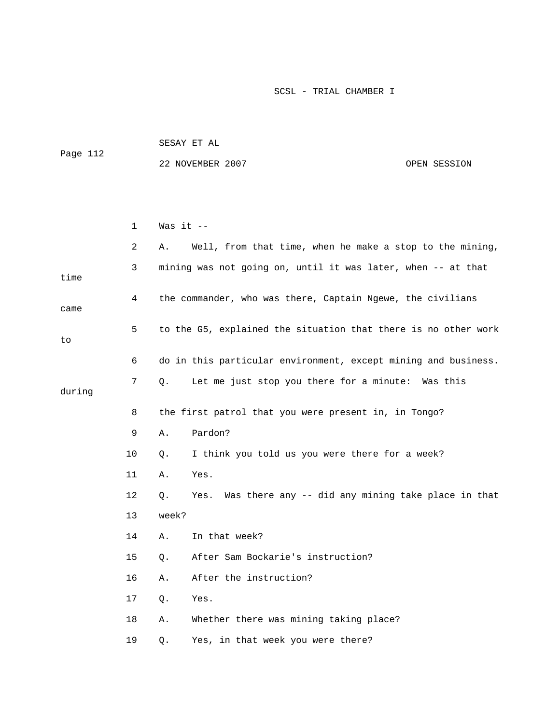|          | SESAY ET AL      |              |
|----------|------------------|--------------|
| Page 112 |                  |              |
|          | 22 NOVEMBER 2007 | OPEN SESSION |

|        | $\mathbf 1$ | Was it --                                                        |  |  |  |
|--------|-------------|------------------------------------------------------------------|--|--|--|
|        | 2           | Well, from that time, when he make a stop to the mining,<br>Α.   |  |  |  |
| time   | 3           | mining was not going on, until it was later, when -- at that     |  |  |  |
| came   | 4           | the commander, who was there, Captain Ngewe, the civilians       |  |  |  |
| to     | 5           | to the G5, explained the situation that there is no other work   |  |  |  |
|        | 6           | do in this particular environment, except mining and business.   |  |  |  |
| during | 7           | Let me just stop you there for a minute: Was this<br>Q.          |  |  |  |
|        | 8           | the first patrol that you were present in, in Tongo?             |  |  |  |
|        | 9           | Pardon?<br>Α.                                                    |  |  |  |
|        | 10          | I think you told us you were there for a week?<br>Ο.             |  |  |  |
|        | 11          | Yes.<br>Α.                                                       |  |  |  |
|        | 12          | Was there any -- did any mining take place in that<br>Yes.<br>Q. |  |  |  |
|        | 13          | week?                                                            |  |  |  |
|        | 14          | In that week?<br>Α.                                              |  |  |  |
|        | 15          | After Sam Bockarie's instruction?<br>Q.                          |  |  |  |
|        | 16          | After the instruction?<br>Α.                                     |  |  |  |
|        | 17          | Yes.<br>Q.                                                       |  |  |  |
|        | 18          | Whether there was mining taking place?<br>Α.                     |  |  |  |
|        | 19          | Yes, in that week you were there?<br>Q.                          |  |  |  |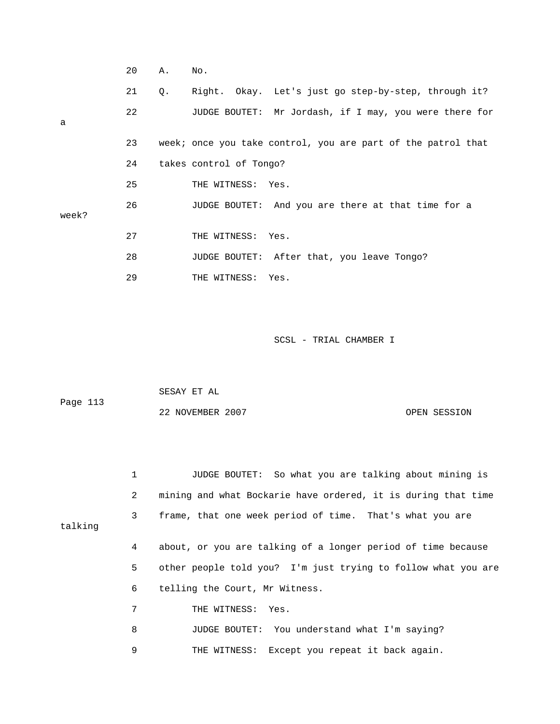|       | 20 | Α. | No.                                                          |
|-------|----|----|--------------------------------------------------------------|
|       | 21 | Q. | Right. Okay. Let's just go step-by-step, through it?         |
| a     | 22 |    | JUDGE BOUTET: Mr Jordash, if I may, you were there for       |
|       | 23 |    | week; once you take control, you are part of the patrol that |
|       | 24 |    | takes control of Tongo?                                      |
|       | 25 |    | THE WITNESS: Yes.                                            |
| week? | 26 |    | JUDGE BOUTET: And you are there at that time for a           |
|       | 27 |    | THE WITNESS: Yes.                                            |
|       | 28 |    | JUDGE BOUTET: After that, you leave Tongo?                   |
|       | 29 |    | THE WITNESS: Yes.                                            |

| Page 113 | SESAY ET AL      |              |
|----------|------------------|--------------|
|          | 22 NOVEMBER 2007 | OPEN SESSION |

 1 JUDGE BOUTET: So what you are talking about mining is 2 mining and what Bockarie have ordered, it is during that time 3 frame, that one week period of time. That's what you are talking 4 about, or you are talking of a longer period of time because 5 other people told you? I'm just trying to follow what you are 6 telling the Court, Mr Witness. 7 THE WITNESS: Yes. 8 JUDGE BOUTET: You understand what I'm saying? 9 THE WITNESS: Except you repeat it back again.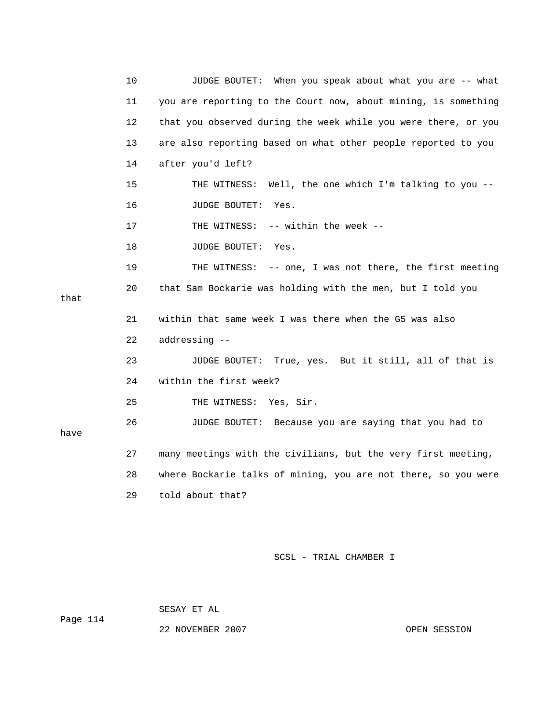10 JUDGE BOUTET: When you speak about what you are -- what 11 you are reporting to the Court now, about mining, is something 12 that you observed during the week while you were there, or you 13 are also reporting based on what other people reported to you 14 after you'd left? 15 THE WITNESS: Well, the one which I'm talking to you -- 16 JUDGE BOUTET: Yes. 17 THE WITNESS: -- within the week --18 JUDGE BOUTET: Yes. 19 THE WITNESS: -- one, I was not there, the first meeting 20 that Sam Bockarie was holding with the men, but I told you that 21 within that same week I was there when the G5 was also 22 addressing -- 23 JUDGE BOUTET: True, yes. But it still, all of that is 24 within the first week? 25 THE WITNESS: Yes, Sir. 26 JUDGE BOUTET: Because you are saying that you had to have 27 many meetings with the civilians, but the very first meeting, 28 where Bockarie talks of mining, you are not there, so you were 29 told about that?

SCSL - TRIAL CHAMBER I

SESAY ET AL

Page 114

22 NOVEMBER 2007 CPEN SESSION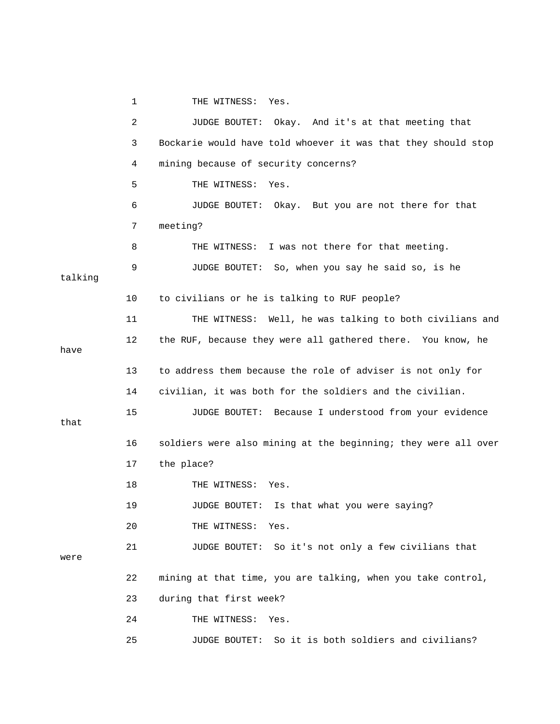1 THE WITNESS: Yes.

 2 JUDGE BOUTET: Okay. And it's at that meeting that 3 Bockarie would have told whoever it was that they should stop 4 mining because of security concerns? 5 THE WITNESS: Yes. 6 JUDGE BOUTET: Okay. But you are not there for that 7 meeting? 8 THE WITNESS: I was not there for that meeting. 9 JUDGE BOUTET: So, when you say he said so, is he talking 10 to civilians or he is talking to RUF people? 11 THE WITNESS: Well, he was talking to both civilians and 12 the RUF, because they were all gathered there. You know, he have 13 to address them because the role of adviser is not only for 14 civilian, it was both for the soldiers and the civilian. 15 JUDGE BOUTET: Because I understood from your evidence that 16 soldiers were also mining at the beginning; they were all over 17 the place? 18 THE WITNESS: Yes. 19 JUDGE BOUTET: Is that what you were saying? 20 THE WITNESS: Yes. 21 JUDGE BOUTET: So it's not only a few civilians that were 22 mining at that time, you are talking, when you take control, 23 during that first week? 24 THE WITNESS: Yes. 25 JUDGE BOUTET: So it is both soldiers and civilians?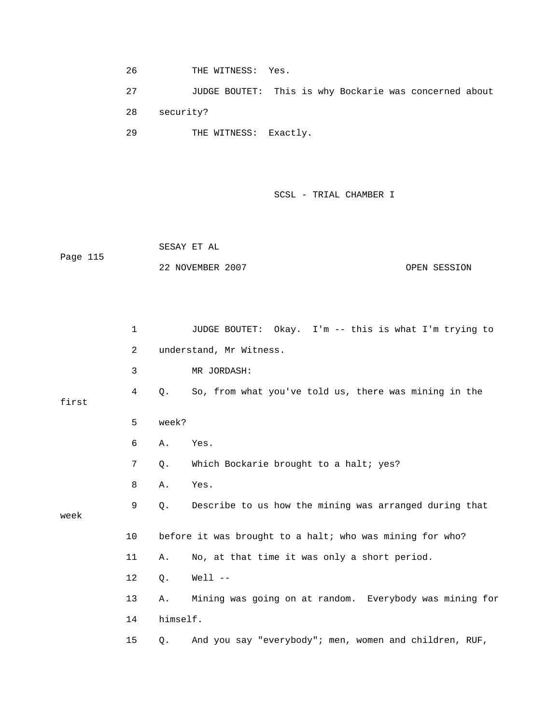26 THE WITNESS: Yes.

 27 JUDGE BOUTET: This is why Bockarie was concerned about 28 security? 29 THE WITNESS: Exactly.

SCSL - TRIAL CHAMBER I

 SESAY ET AL Page 115 22 NOVEMBER 2007 COPEN SESSION

|       | $\mathbf 1$ |          | JUDGE BOUTET: Okay. I'm -- this is what I'm trying to    |
|-------|-------------|----------|----------------------------------------------------------|
|       | 2           |          | understand, Mr Witness.                                  |
|       | 3           |          | MR JORDASH:                                              |
| first | 4           | Q.       | So, from what you've told us, there was mining in the    |
|       | 5           | week?    |                                                          |
|       | 6           | Α.       | Yes.                                                     |
|       | 7           | Q.       | Which Bockarie brought to a halt; yes?                   |
|       | 8           | Α.       | Yes.                                                     |
| week  | 9           | Q.       | Describe to us how the mining was arranged during that   |
|       |             |          |                                                          |
|       | 10          |          | before it was brought to a halt; who was mining for who? |
|       | 11          | Α.       | No, at that time it was only a short period.             |
|       | 12          | Q.       | $Well1$ --                                               |
|       | 13          | Α.       | Mining was going on at random. Everybody was mining for  |
|       | 14          | himself. |                                                          |
|       | 15          | Q.       | And you say "everybody"; men, women and children, RUF,   |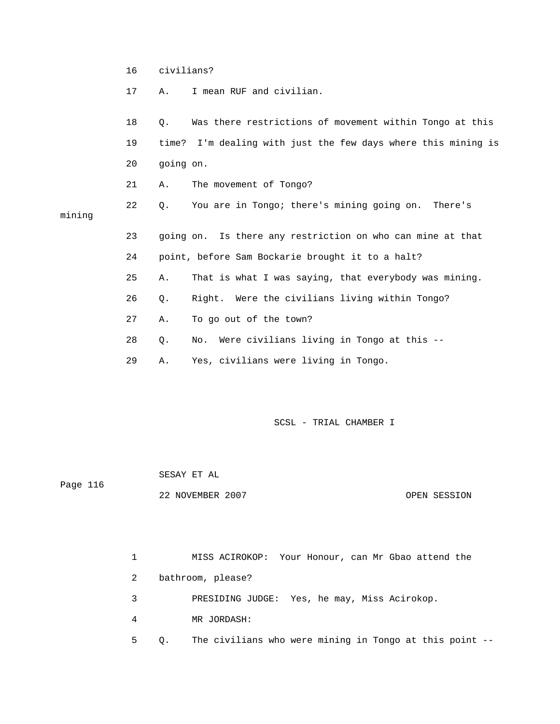17 A. I mean RUF and civilian.

|        | 18 | $\circ$ . | Was there restrictions of movement within Tongo at this       |
|--------|----|-----------|---------------------------------------------------------------|
|        | 19 |           | time? I'm dealing with just the few days where this mining is |
|        | 20 | going on. |                                                               |
|        | 21 | Α.        | The movement of Tongo?                                        |
| mining | 22 | О.        | You are in Tongo; there's mining going on. There's            |
|        | 23 |           | going on. Is there any restriction on who can mine at that    |
|        | 24 |           | point, before Sam Bockarie brought it to a halt?              |
|        | 25 | Α.        | That is what I was saying, that everybody was mining.         |
|        | 26 | $Q$ .     | Right. Were the civilians living within Tongo?                |
|        | 27 | Α.        | To go out of the town?                                        |
|        | 28 | Q.        | No. Were civilians living in Tongo at this --                 |
|        | 29 | Α.        | Yes, civilians were living in Tongo.                          |

SCSL - TRIAL CHAMBER I

 SESAY ET AL Page 116 22 NOVEMBER 2007 OPEN SESSION

> 1 MISS ACIROKOP: Your Honour, can Mr Gbao attend the 2 bathroom, please? 3 PRESIDING JUDGE: Yes, he may, Miss Acirokop. 4 MR JORDASH: 5 Q. The civilians who were mining in Tongo at this point --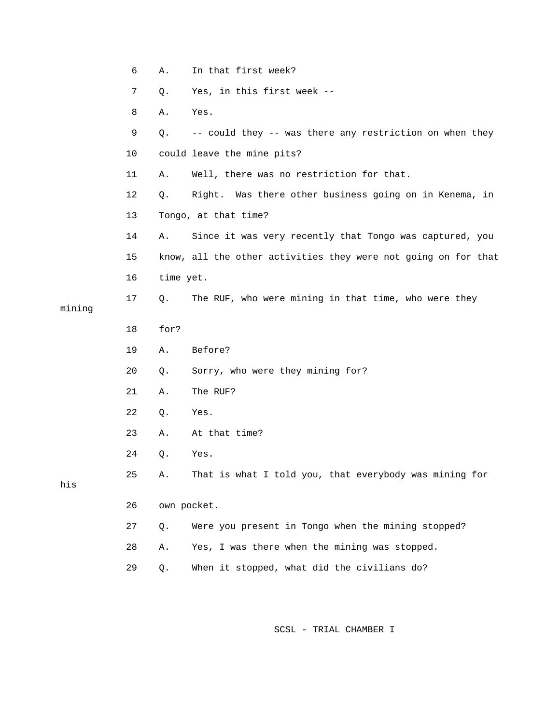|        | 6  | Α.        | In that first week?                                            |
|--------|----|-----------|----------------------------------------------------------------|
|        | 7  | Q.        | Yes, in this first week --                                     |
|        | 8  | Α.        | Yes.                                                           |
|        | 9  | Q.        | -- could they -- was there any restriction on when they        |
|        | 10 |           | could leave the mine pits?                                     |
|        | 11 | Α.        | Well, there was no restriction for that.                       |
|        | 12 | Q.        | Right. Was there other business going on in Kenema, in         |
|        | 13 |           | Tongo, at that time?                                           |
|        | 14 | Α.        | Since it was very recently that Tongo was captured, you        |
|        | 15 |           | know, all the other activities they were not going on for that |
|        | 16 | time yet. |                                                                |
| mining | 17 | Q.        | The RUF, who were mining in that time, who were they           |
|        | 18 | for?      |                                                                |
|        |    |           |                                                                |
|        | 19 | Α.        | Before?                                                        |
|        | 20 | Q.        | Sorry, who were they mining for?                               |
|        | 21 | Α.        | The RUF?                                                       |
|        | 22 | Q.        | Yes.                                                           |
|        | 23 | Α.        | At that time?                                                  |
|        | 24 | Q.        | Yes.                                                           |
| his    | 25 | Α.        | That is what I told you, that everybody was mining for         |
|        | 26 |           | own pocket.                                                    |
|        | 27 | Q.        | Were you present in Tongo when the mining stopped?             |
|        | 28 | Α.        | Yes, I was there when the mining was stopped.                  |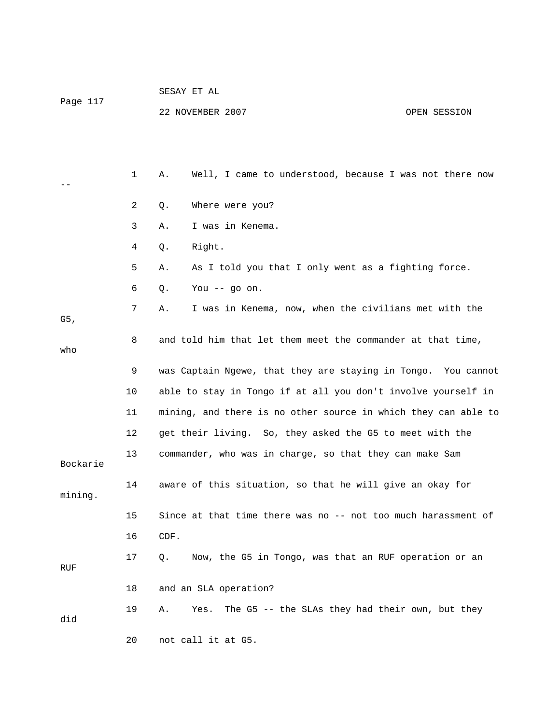| Page 117 |    | SESAY ET AL                                                    |
|----------|----|----------------------------------------------------------------|
|          |    | 22 NOVEMBER 2007<br>OPEN SESSION                               |
|          |    |                                                                |
|          |    |                                                                |
|          | 1  | Well, I came to understood, because I was not there now<br>Α.  |
|          | 2  | Where were you?<br>Q.                                          |
|          | 3  | I was in Kenema.<br>Α.                                         |
|          | 4  | Right.<br>Q.                                                   |
|          | 5  | As I told you that I only went as a fighting force.<br>Α.      |
|          | 6  | Q.<br>You $-$ go on.                                           |
| G5,      | 7  | I was in Kenema, now, when the civilians met with the<br>Α.    |
| who      | 8  | and told him that let them meet the commander at that time,    |
|          | 9  | was Captain Ngewe, that they are staying in Tongo. You cannot  |
|          | 10 | able to stay in Tongo if at all you don't involve yourself in  |
|          | 11 | mining, and there is no other source in which they can able to |
|          | 12 | get their living. So, they asked the G5 to meet with the       |
| Bockarie | 13 | commander, who was in charge, so that they can make Sam        |
| mining.  | 14 | aware of this situation, so that he will give an okay for      |
|          | 15 | Since at that time there was no -- not too much harassment of  |
|          | 16 | CDF.                                                           |
| RUF      | 17 | Now, the G5 in Tongo, was that an RUF operation or an<br>Q.    |
|          | 18 | and an SLA operation?                                          |
| did      | 19 | The G5 -- the SLAs they had their own, but they<br>Α.<br>Yes.  |
|          | 20 | not call it at G5.                                             |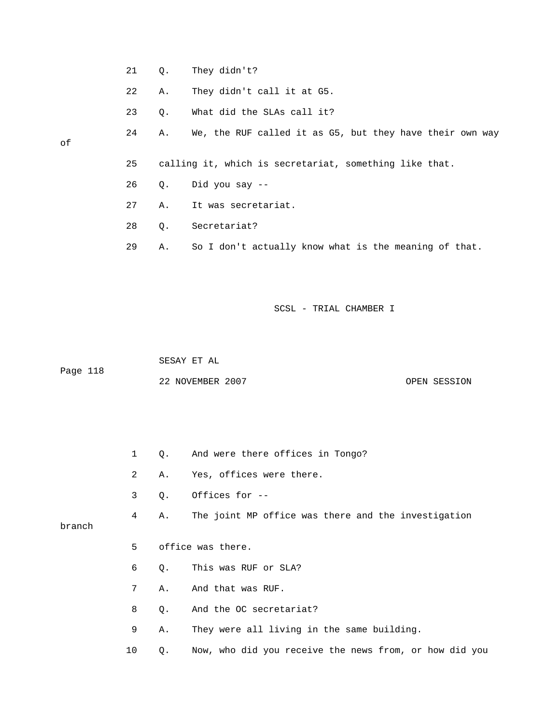- 21 Q. They didn't?
- 22 A. They didn't call it at G5.
- 23 Q. What did the SLAs call it?
- 24 A. We, the RUF called it as G5, but they have their own way

#### of

- 25 calling it, which is secretariat, something like that.
- 26 Q. Did you say --
- 27 A. It was secretariat.
- 28 Q. Secretariat?
- 29 A. So I don't actually know what is the meaning of that.

#### SCSL - TRIAL CHAMBER I

 SESAY ET AL Page 118 22 NOVEMBER 2007 CPEN SESSION

- 1 Q. And were there offices in Tongo?
- 2 A. Yes, offices were there.
- 3 Q. Offices for --

4 A. The joint MP office was there and the investigation

branch

- 5 office was there.
- 6 Q. This was RUF or SLA?
- 7 A. And that was RUF.
- 8 Q. And the OC secretariat?
- 9 A. They were all living in the same building.
- 10 Q. Now, who did you receive the news from, or how did you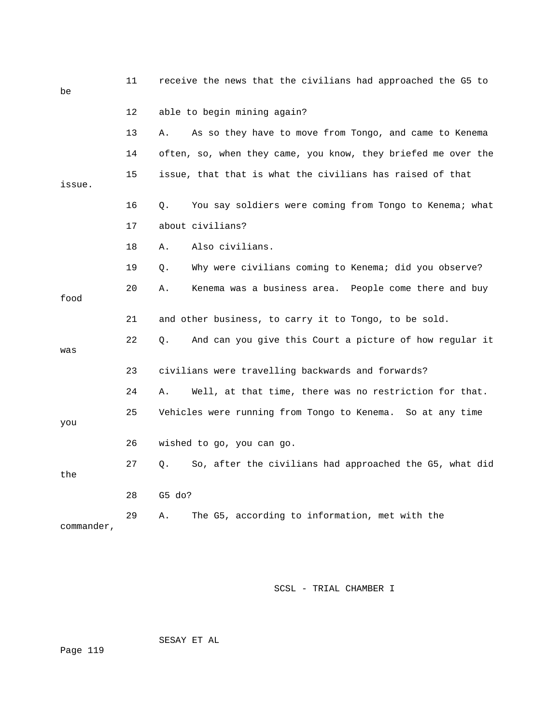| be         | 11 | receive the news that the civilians had approached the G5 to  |
|------------|----|---------------------------------------------------------------|
|            | 12 | able to begin mining again?                                   |
|            | 13 | As so they have to move from Tongo, and came to Kenema<br>Α.  |
|            | 14 | often, so, when they came, you know, they briefed me over the |
| issue.     | 15 | issue, that that is what the civilians has raised of that     |
|            | 16 | You say soldiers were coming from Tongo to Kenema; what<br>О. |
|            | 17 | about civilians?                                              |
|            | 18 | Also civilians.<br>Α.                                         |
|            | 19 | Why were civilians coming to Kenema; did you observe?<br>Q.   |
| food       | 20 | Kenema was a business area. People come there and buy<br>Α.   |
|            | 21 | and other business, to carry it to Tongo, to be sold.         |
| was        | 22 | And can you give this Court a picture of how regular it<br>Q. |
|            | 23 | civilians were travelling backwards and forwards?             |
|            | 24 | Well, at that time, there was no restriction for that.<br>Α.  |
| you        | 25 | Vehicles were running from Tongo to Kenema. So at any time    |
|            | 26 | wished to go, you can go.                                     |
| the        | 27 | So, after the civilians had approached the G5, what did<br>Q. |
|            | 28 | G5 do?                                                        |
| commander, | 29 | The G5, according to information, met with the<br>Α.          |

SESAY ET AL

Page 119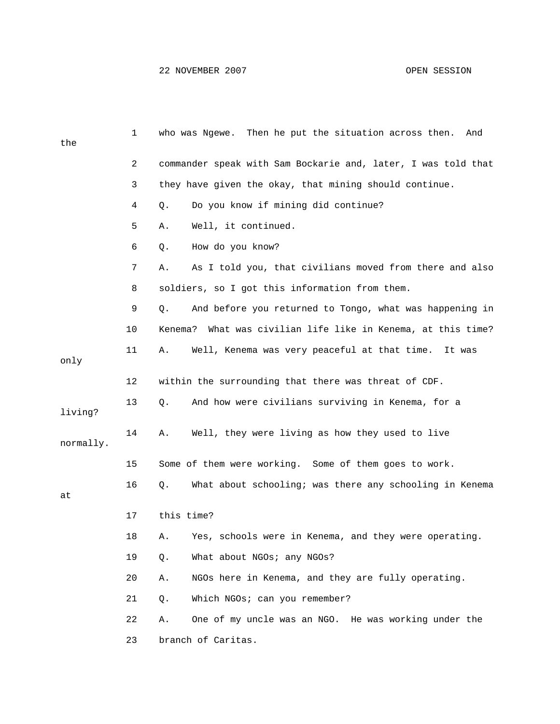| the       | 1  | who was Ngewe. Then he put the situation across then.<br>And  |
|-----------|----|---------------------------------------------------------------|
|           | 2  | commander speak with Sam Bockarie and, later, I was told that |
|           | 3  | they have given the okay, that mining should continue.        |
|           | 4  | Do you know if mining did continue?<br>Q.                     |
|           | 5  | Well, it continued.<br>Α.                                     |
|           | 6  | How do you know?<br>Q.                                        |
|           | 7  | As I told you, that civilians moved from there and also<br>Α. |
|           | 8  | soldiers, so I got this information from them.                |
|           | 9  | And before you returned to Tongo, what was happening in<br>Q. |
|           | 10 | Kenema? What was civilian life like in Kenema, at this time?  |
| only      | 11 | Well, Kenema was very peaceful at that time. It was<br>Α.     |
|           | 12 | within the surrounding that there was threat of CDF.          |
| living?   | 13 | And how were civilians surviving in Kenema, for a<br>Q.       |
| normally. | 14 | Well, they were living as how they used to live<br>Α.         |
|           | 15 | Some of them were working. Some of them goes to work.         |
| at        | 16 | What about schooling; was there any schooling in Kenema<br>Q. |
|           | 17 | this time?                                                    |
|           | 18 | Yes, schools were in Kenema, and they were operating.<br>Α.   |
|           | 19 | What about NGOs; any NGOs?<br>Q.                              |
|           | 20 | NGOs here in Kenema, and they are fully operating.<br>Α.      |
|           | 21 | Which NGOs; can you remember?<br>Q.                           |
|           | 22 | One of my uncle was an NGO. He was working under the<br>Α.    |
|           | 23 | branch of Caritas.                                            |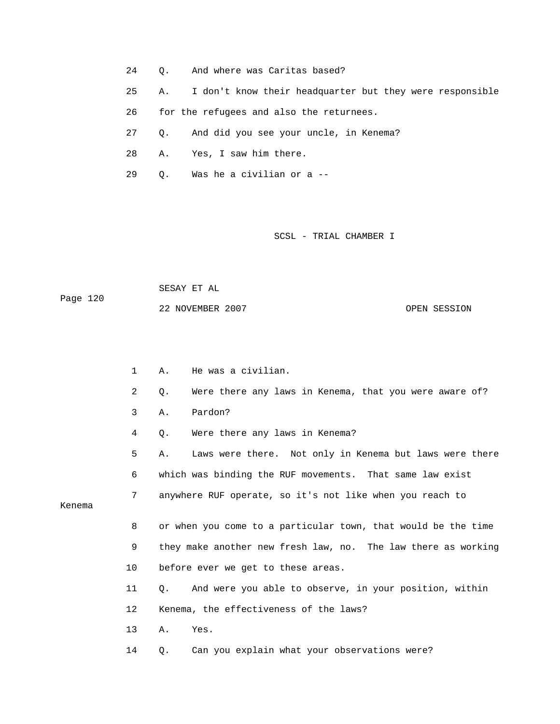- 24 Q. And where was Caritas based?
- 25 A. I don't know their headquarter but they were responsible
- 26 for the refugees and also the returnees.
- 27 Q. And did you see your uncle, in Kenema?
- 28 A. Yes, I saw him there.
- 29 Q. Was he a civilian or a --

 SESAY ET AL Page 120 22 NOVEMBER 2007 OPEN SESSION

- 1 A. He was a civilian.
- 2 Q. Were there any laws in Kenema, that you were aware of?
- 3 A. Pardon?
- 4 Q. Were there any laws in Kenema?

 5 A. Laws were there. Not only in Kenema but laws were there 6 which was binding the RUF movements. That same law exist

7 anywhere RUF operate, so it's not like when you reach to

Kenema

 8 or when you come to a particular town, that would be the time 9 they make another new fresh law, no. The law there as working 10 before ever we get to these areas.

- 11 Q. And were you able to observe, in your position, within
- 12 Kenema, the effectiveness of the laws?

13 A. Yes.

14 Q. Can you explain what your observations were?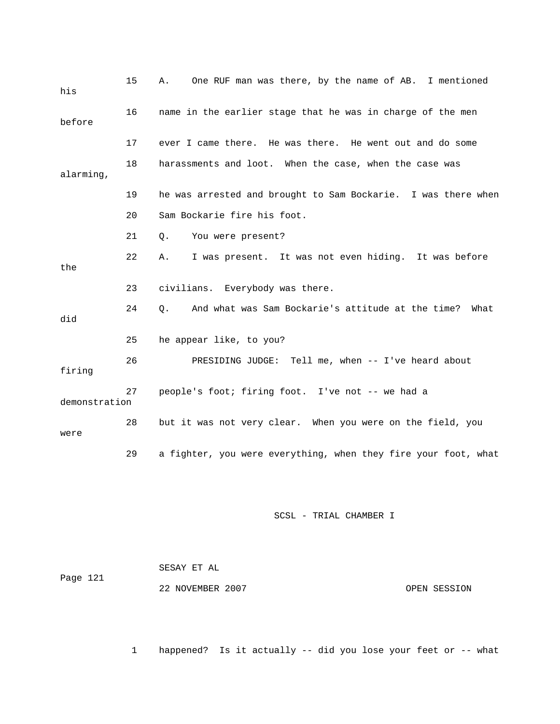| his           | 15 | One RUF man was there, by the name of AB. I mentioned<br>Α.     |
|---------------|----|-----------------------------------------------------------------|
| before        | 16 | name in the earlier stage that he was in charge of the men      |
|               | 17 | ever I came there. He was there. He went out and do some        |
| alarming,     | 18 | harassments and loot. When the case, when the case was          |
|               | 19 | he was arrested and brought to Sam Bockarie. I was there when   |
|               | 20 | Sam Bockarie fire his foot.                                     |
|               | 21 | You were present?<br>Q.                                         |
| the           | 22 | I was present. It was not even hiding. It was before<br>Α.      |
|               | 23 | civilians. Everybody was there.                                 |
| did           | 24 | And what was Sam Bockarie's attitude at the time?<br>О.<br>What |
|               | 25 | he appear like, to you?                                         |
| firing        | 26 | PRESIDING JUDGE: Tell me, when -- I've heard about              |
| demonstration | 27 | people's foot; firing foot. I've not -- we had a                |
| were          | 28 | but it was not very clear. When you were on the field, you      |
|               | 29 | a fighter, you were everything, when they fire your foot, what  |

|          | SESAY ET AL      |              |
|----------|------------------|--------------|
| Page 121 |                  |              |
|          | 22 NOVEMBER 2007 | OPEN SESSION |

1 happened? Is it actually -- did you lose your feet or -- what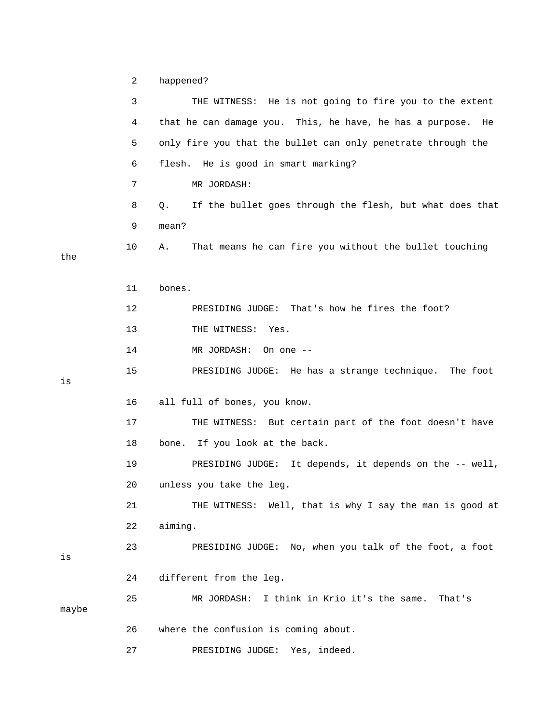2 happened?

|       | 3  | THE WITNESS: He is not going to fire you to the extent         |
|-------|----|----------------------------------------------------------------|
|       | 4  | that he can damage you. This, he have, he has a purpose.<br>He |
|       | 5  | only fire you that the bullet can only penetrate through the   |
|       | 6  | flesh. He is good in smart marking?                            |
|       | 7  | MR JORDASH:                                                    |
|       | 8  | If the bullet goes through the flesh, but what does that<br>Q. |
|       | 9  | mean?                                                          |
| the   | 10 | That means he can fire you without the bullet touching<br>Α.   |
|       | 11 | bones.                                                         |
|       | 12 | That's how he fires the foot?<br>PRESIDING JUDGE:              |
|       | 13 | THE WITNESS: Yes.                                              |
|       | 14 | MR JORDASH:<br>On one --                                       |
| is    | 15 | PRESIDING JUDGE: He has a strange technique.<br>The foot       |
|       | 16 | all full of bones, you know.                                   |
|       | 17 | THE WITNESS: But certain part of the foot doesn't have         |
|       | 18 | bone. If you look at the back.                                 |
|       | 19 | PRESIDING JUDGE: It depends, it depends on the -- well,        |
|       | 20 | unless you take the leg.                                       |
|       | 21 | THE WITNESS: Well, that is why I say the man is good at        |
|       | 22 | aiming.                                                        |
| is    | 23 | PRESIDING JUDGE: No, when you talk of the foot, a foot         |
|       | 24 | different from the leg.                                        |
| maybe | 25 | MR JORDASH: I think in Krio it's the same.<br>That's           |
|       | 26 | where the confusion is coming about.                           |
|       | 27 | PRESIDING JUDGE:<br>Yes, indeed.                               |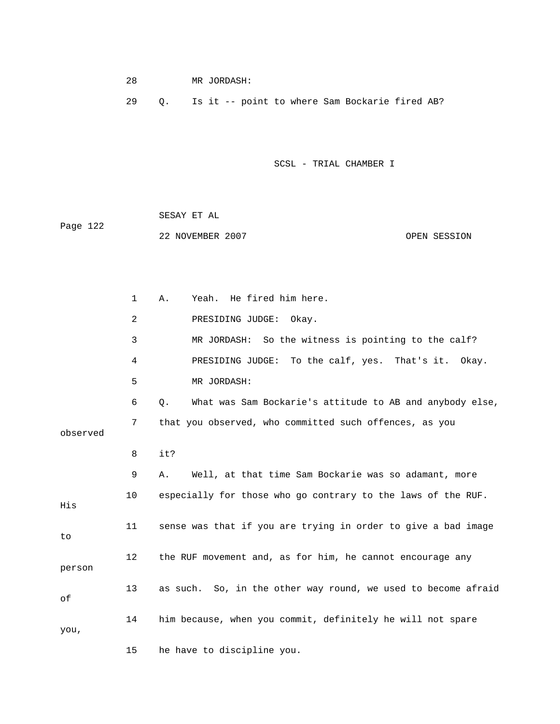| 28 |  | MR JORDASH: |  |  |                                                   |  |
|----|--|-------------|--|--|---------------------------------------------------|--|
| 29 |  |             |  |  | Q. Is it -- point to where Sam Bockarie fired AB? |  |
|    |  |             |  |  |                                                   |  |
|    |  |             |  |  |                                                   |  |

 SESAY ET AL Page 122 22 NOVEMBER 2007 OPEN SESSION

 1 A. Yeah. He fired him here. 2 PRESIDING JUDGE: Okay. 3 MR JORDASH: So the witness is pointing to the calf? 4 PRESIDING JUDGE: To the calf, yes. That's it. Okay. 5 MR JORDASH: 6 Q. What was Sam Bockarie's attitude to AB and anybody else, 7 that you observed, who committed such offences, as you observed 8 it? 9 A. Well, at that time Sam Bockarie was so adamant, more 10 especially for those who go contrary to the laws of the RUF. His 11 sense was that if you are trying in order to give a bad image to 12 the RUF movement and, as for him, he cannot encourage any person 13 as such. So, in the other way round, we used to become afraid of 14 him because, when you commit, definitely he will not spare you, 15 he have to discipline you.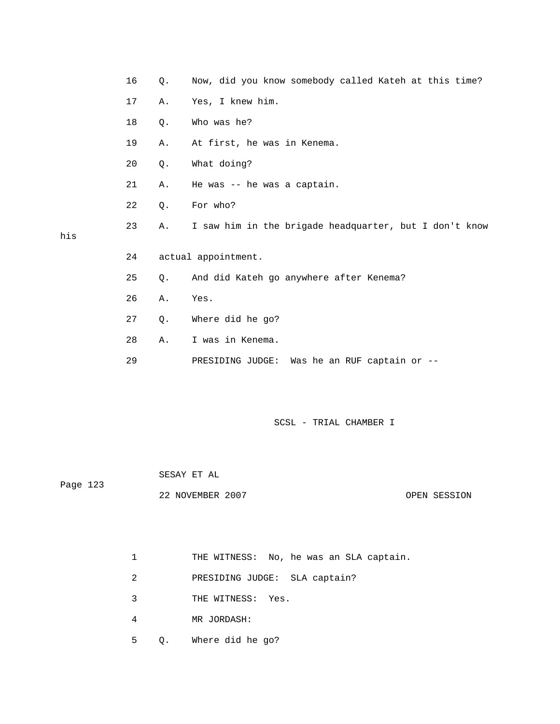|     | 16 | Q.    | Now, did you know somebody called Kateh at this time?  |
|-----|----|-------|--------------------------------------------------------|
|     | 17 | Α.    | Yes, I knew him.                                       |
|     | 18 | $Q$ . | Who was he?                                            |
|     | 19 | Α.    | At first, he was in Kenema.                            |
|     | 20 | Q.    | What doing?                                            |
|     | 21 | Α.    | He was -- he was a captain.                            |
|     | 22 | Q.    | For who?                                               |
| his | 23 | Α.    | I saw him in the brigade headquarter, but I don't know |
|     | 24 |       | actual appointment.                                    |
|     | 25 | Q.    | And did Kateh go anywhere after Kenema?                |
|     | 26 | Α.    | Yes.                                                   |
|     | 27 | Q.    | Where did he go?                                       |
|     | 28 | Α.    | I was in Kenema.                                       |
|     | 29 |       | Was he an RUF captain or --<br>PRESIDING JUDGE:        |
|     |    |       |                                                        |

| Page 123 | SESAY ET AL      |  |              |
|----------|------------------|--|--------------|
|          | 22 NOVEMBER 2007 |  | OPEN SESSION |

1 THE WITNESS: No, he was an SLA captain.

- 2 PRESIDING JUDGE: SLA captain?
- 3 THE WITNESS: Yes.
- 4 MR JORDASH:

his

5 Q. Where did he go?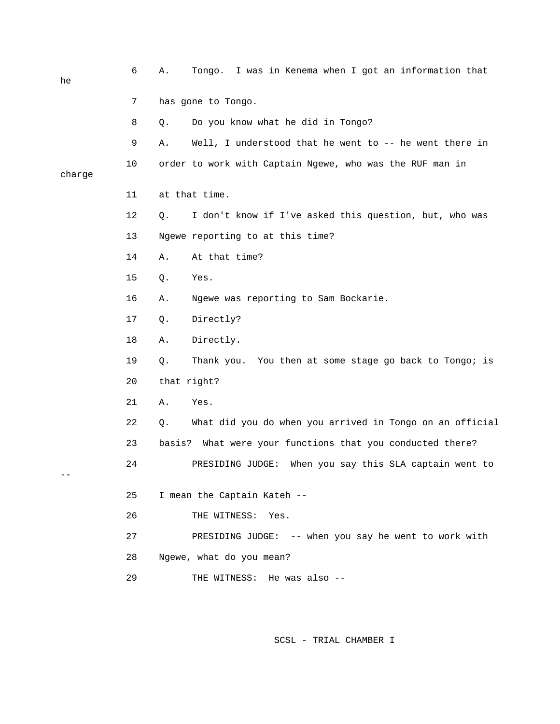| he     | 6  | I was in Kenema when I got an information that<br>Α.<br>Tongo. |
|--------|----|----------------------------------------------------------------|
|        | 7  | has gone to Tongo.                                             |
|        | 8  | Do you know what he did in Tongo?<br>Q.                        |
|        | 9  | Well, I understood that he went to -- he went there in<br>Α.   |
| charge | 10 | order to work with Captain Ngewe, who was the RUF man in       |
|        | 11 | at that time.                                                  |
|        | 12 | I don't know if I've asked this question, but, who was<br>Q.   |
|        | 13 | Ngewe reporting to at this time?                               |
|        | 14 | At that time?<br>Α.                                            |
|        | 15 | Q.<br>Yes.                                                     |
|        | 16 | Ngewe was reporting to Sam Bockarie.<br>Α.                     |
|        | 17 | Directly?<br>Q.                                                |
|        | 18 | Directly.<br>Α.                                                |
|        | 19 | Thank you. You then at some stage go back to Tongo; is<br>Q.   |
|        | 20 | that right?                                                    |
|        | 21 | Yes.<br>Α.                                                     |
|        | 22 | What did you do when you arrived in Tongo on an official<br>Q. |
|        | 23 | basis?<br>What were your functions that you conducted there?   |
|        | 24 | PRESIDING JUDGE:<br>When you say this SLA captain went to      |
|        | 25 | I mean the Captain Kateh --                                    |
|        | 26 | THE WITNESS: Yes.                                              |
|        | 27 | PRESIDING JUDGE: -- when you say he went to work with          |
|        | 28 | Ngewe, what do you mean?                                       |
|        | 29 | THE WITNESS: He was also --                                    |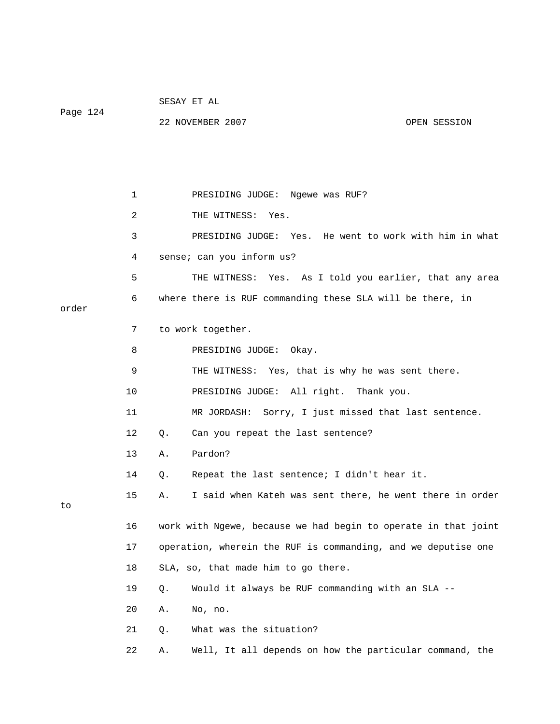| Page 124 |             | SESAY ET AL                                                    |  |  |  |
|----------|-------------|----------------------------------------------------------------|--|--|--|
|          |             | 22 NOVEMBER 2007<br>OPEN SESSION                               |  |  |  |
|          |             |                                                                |  |  |  |
|          |             |                                                                |  |  |  |
|          |             |                                                                |  |  |  |
|          | $\mathbf 1$ | PRESIDING JUDGE: Ngewe was RUF?                                |  |  |  |
|          | 2           | THE WITNESS: Yes.                                              |  |  |  |
|          | 3           | PRESIDING JUDGE: Yes. He went to work with him in what         |  |  |  |
|          | 4           | sense; can you inform us?                                      |  |  |  |
|          | 5           | THE WITNESS: Yes. As I told you earlier, that any area         |  |  |  |
| order    | 6           | where there is RUF commanding these SLA will be there, in      |  |  |  |
|          | 7           | to work together.                                              |  |  |  |
|          | 8           | PRESIDING JUDGE:<br>Okay.                                      |  |  |  |
|          | 9           | THE WITNESS: Yes, that is why he was sent there.               |  |  |  |
|          | 10          | PRESIDING JUDGE: All right. Thank you.                         |  |  |  |
|          | 11          | MR JORDASH: Sorry, I just missed that last sentence.           |  |  |  |
|          | 12          | Can you repeat the last sentence?<br>Q.                        |  |  |  |
|          | 13          | Pardon?<br>Α.                                                  |  |  |  |
|          | 14          | Repeat the last sentence; I didn't hear it.<br>Q.              |  |  |  |
| to       | 15          | I said when Kateh was sent there, he went there in order<br>Α. |  |  |  |
|          | 16          | work with Ngewe, because we had begin to operate in that joint |  |  |  |
|          | 17          | operation, wherein the RUF is commanding, and we deputise one  |  |  |  |
|          | 18          | SLA, so, that made him to go there.                            |  |  |  |
|          | 19          | Would it always be RUF commanding with an SLA --<br>Q.         |  |  |  |
|          | 20          | No, no.<br>Α.                                                  |  |  |  |
|          | 21          | What was the situation?<br>Q.                                  |  |  |  |
|          | 22          | Well, It all depends on how the particular command, the<br>Α.  |  |  |  |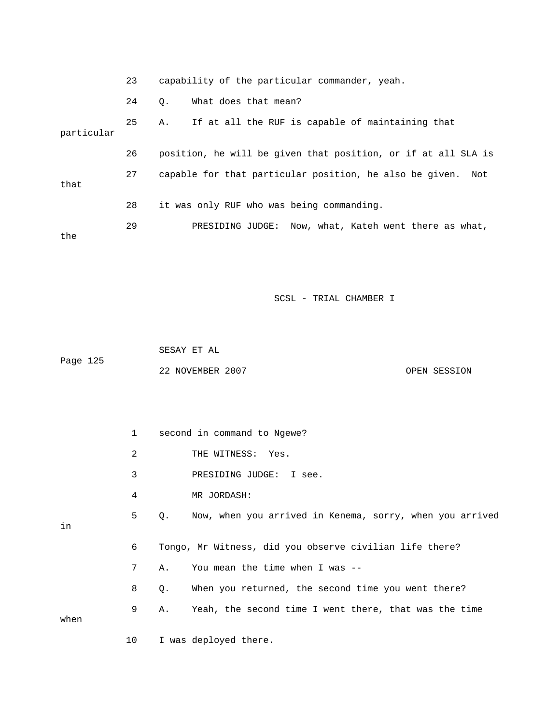23 capability of the particular commander, yeah. 24 Q. What does that mean? 25 A. If at all the RUF is capable of maintaining that particular 26 position, he will be given that position, or if at all SLA is 27 capable for that particular position, he also be given. Not that 28 it was only RUF who was being commanding. 29 PRESIDING JUDGE: Now, what, Kateh went there as what, the

SCSL - TRIAL CHAMBER I

 SESAY ET AL Page 125 22 NOVEMBER 2007 OPEN SESSION

|      | $\mathbf{1}$ |    | second in command to Ngewe?                              |
|------|--------------|----|----------------------------------------------------------|
|      | 2            |    | THE WITNESS: Yes.                                        |
|      | 3            |    | PRESIDING JUDGE: I see.                                  |
|      | 4            |    | MR JORDASH:                                              |
| in   | 5            | О. | Now, when you arrived in Kenema, sorry, when you arrived |
|      | 6            |    | Tongo, Mr Witness, did you observe civilian life there?  |
|      | 7            | Α. | You mean the time when I was --                          |
|      | 8            | Q. | When you returned, the second time you went there?       |
| when | 9            | Α. | Yeah, the second time I went there, that was the time    |
|      | 10           |    | I was deployed there.                                    |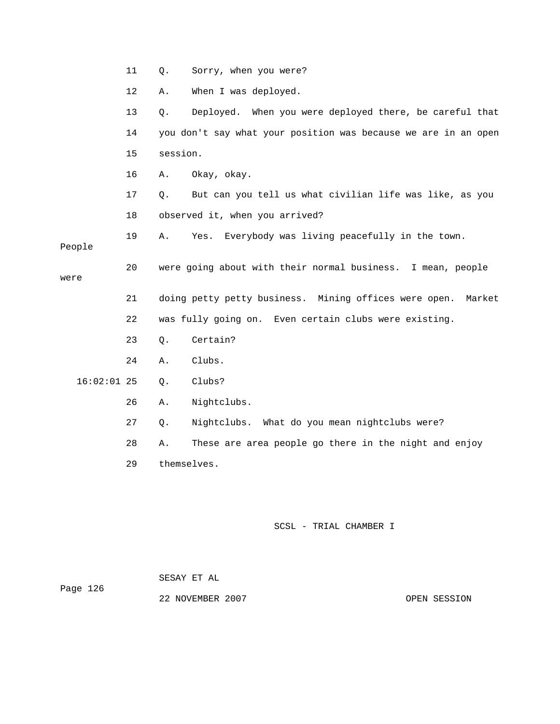|               | 11 | Q.       | Sorry, when you were?                                           |
|---------------|----|----------|-----------------------------------------------------------------|
|               | 12 | Α.       | When I was deployed.                                            |
|               | 13 | Q.       | Deployed. When you were deployed there, be careful that         |
|               | 14 |          | you don't say what your position was because we are in an open  |
|               | 15 | session. |                                                                 |
|               | 16 | Α.       | Okay, okay.                                                     |
|               | 17 | Q.       | But can you tell us what civilian life was like, as you         |
|               | 18 |          | observed it, when you arrived?                                  |
| People        | 19 | Α.       | Everybody was living peacefully in the town.<br>Yes.            |
| were          | 20 |          | were going about with their normal business. I mean, people     |
|               | 21 |          | doing petty petty business. Mining offices were open.<br>Market |
|               | 22 |          | was fully going on. Even certain clubs were existing.           |
|               | 23 | Q.       | Certain?                                                        |
|               | 24 | Α.       | Clubs.                                                          |
| $16:02:01$ 25 |    | $Q$ .    | Clubs?                                                          |
|               | 26 | Α.       | Nightclubs.                                                     |
|               | 27 | Q.       | Nightclubs. What do you mean nightclubs were?                   |
|               | 28 | Α.       | These are area people go there in the night and enjoy           |
|               | 29 |          | themselves.                                                     |
|               |    |          |                                                                 |

 SESAY ET AL Page 126

22 NOVEMBER 2007 CPEN SESSION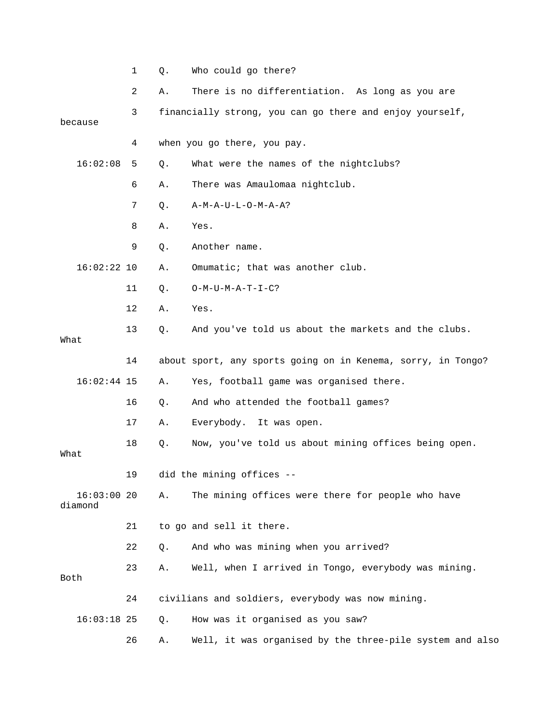|                          | 1  | Q.    | Who could go there?                                          |
|--------------------------|----|-------|--------------------------------------------------------------|
|                          | 2  | Α.    | There is no differentiation. As long as you are              |
| because                  | 3  |       | financially strong, you can go there and enjoy yourself,     |
|                          | 4  |       | when you go there, you pay.                                  |
| 16:02:08                 | 5  | Q.    | What were the names of the nightclubs?                       |
|                          | 6  | Α.    | There was Amaulomaa nightclub.                               |
|                          | 7  | Q.    | $A-M-A-U-L-O-M-A-A?$                                         |
|                          | 8  | Α.    | Yes.                                                         |
|                          | 9  | Q.    | Another name.                                                |
| $16:02:22$ 10            |    | Α.    | Omumatic; that was another club.                             |
|                          | 11 | Q.    | $O-M-U-M-A-T-I-C?$                                           |
|                          | 12 | Α.    | Yes.                                                         |
| What                     | 13 | $Q$ . | And you've told us about the markets and the clubs.          |
|                          | 14 |       | about sport, any sports going on in Kenema, sorry, in Tongo? |
| $16:02:44$ 15            |    | Α.    | Yes, football game was organised there.                      |
|                          | 16 | Q.    | And who attended the football games?                         |
|                          | 17 | Α.    | Everybody. It was open.                                      |
| What                     | 18 | Q.    | Now, you've told us about mining offices being open.         |
|                          | 19 |       | did the mining offices --                                    |
| $16:03:00$ 20<br>diamond |    | Α.    | The mining offices were there for people who have            |
|                          | 21 |       | to go and sell it there.                                     |
|                          | 22 | Q.    | And who was mining when you arrived?                         |
| Both                     | 23 | Α.    | Well, when I arrived in Tongo, everybody was mining.         |
|                          | 24 |       | civilians and soldiers, everybody was now mining.            |
| $16:03:18$ 25            |    | Q.    | How was it organised as you saw?                             |
|                          | 26 | Α.    | Well, it was organised by the three-pile system and also     |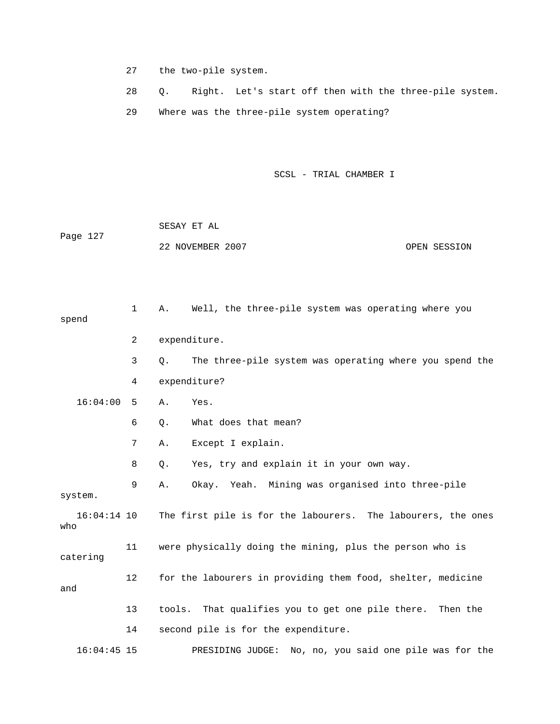- 27 the two-pile system.
- 28 Q. Right. Let's start off then with the three-pile system.
- 29 Where was the three-pile system operating?

|          | SESAY ET AL      |              |
|----------|------------------|--------------|
| Page 127 |                  |              |
|          | 22 NOVEMBER 2007 | OPEN SESSION |

| spend |               | $\mathbf{1}$   | Α.     | Well, the three-pile system was operating where you          |
|-------|---------------|----------------|--------|--------------------------------------------------------------|
|       |               | $\overline{2}$ |        | expenditure.                                                 |
|       |               | 3              | Q.     | The three-pile system was operating where you spend the      |
|       |               | 4              |        | expenditure?                                                 |
|       | 16:04:00      | 5              | Α.     | Yes.                                                         |
|       |               | 6              | Q.     | What does that mean?                                         |
|       |               | 7              | Α.     | Except I explain.                                            |
|       |               | 8              | Q.     | Yes, try and explain it in your own way.                     |
|       | system.       | 9              | Α.     | Okay. Yeah. Mining was organised into three-pile             |
| who   | $16:04:14$ 10 |                |        | The first pile is for the labourers. The labourers, the ones |
|       | catering      | 11             |        | were physically doing the mining, plus the person who is     |
| and   |               | 12             |        | for the labourers in providing them food, shelter, medicine  |
|       |               | 13             | tools. | That qualifies you to get one pile there. Then the           |
|       |               | 14             |        | second pile is for the expenditure.                          |
|       | $16:04:45$ 15 |                |        | No, no, you said one pile was for the<br>PRESIDING JUDGE:    |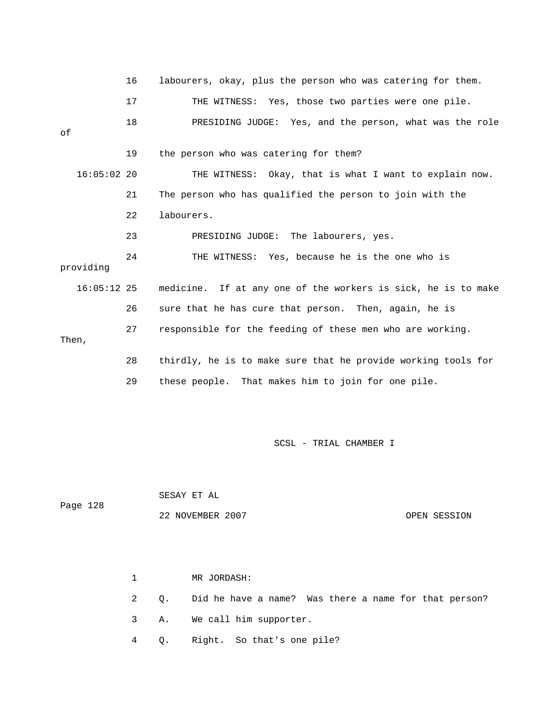|               | 16 | labourers, okay, plus the person who was catering for them.   |
|---------------|----|---------------------------------------------------------------|
|               | 17 | THE WITNESS: Yes, those two parties were one pile.            |
| оf            | 18 | PRESIDING JUDGE: Yes, and the person, what was the role       |
|               | 19 | the person who was catering for them?                         |
| $16:05:02$ 20 |    | THE WITNESS: Okay, that is what I want to explain now.        |
|               | 21 | The person who has qualified the person to join with the      |
|               | 22 | labourers.                                                    |
|               | 23 | PRESIDING JUDGE: The labourers, yes.                          |
| providing     | 24 | THE WITNESS: Yes, because he is the one who is                |
| $16:05:12$ 25 |    | medicine. If at any one of the workers is sick, he is to make |
|               | 26 | sure that he has cure that person. Then, again, he is         |
| Then,         | 27 | responsible for the feeding of these men who are working.     |
|               | 28 | thirdly, he is to make sure that he provide working tools for |
|               | 29 | these people. That makes him to join for one pile.            |

 SESAY ET AL Page 128 22 NOVEMBER 2007 CPEN SESSION

> 1 MR JORDASH: 2 Q. Did he have a name? Was there a name for that person? 3 A. We call him supporter. 4 Q. Right. So that's one pile?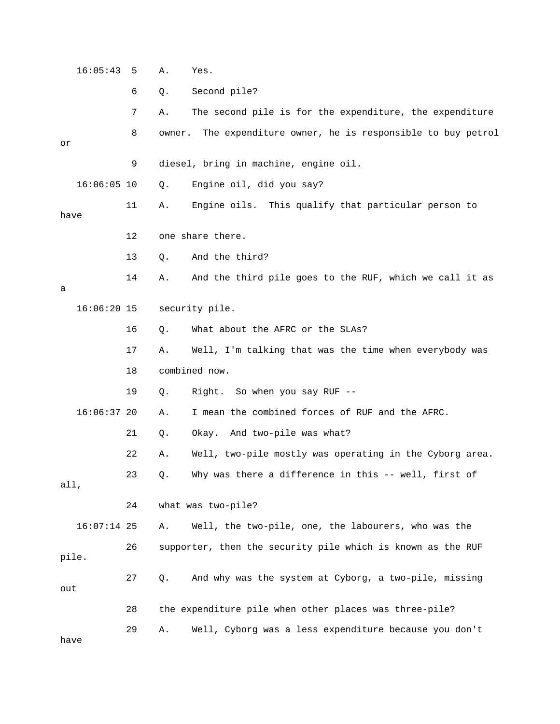16:05:43 5 A. Yes. 6 Q. Second pile? 7 A. The second pile is for the expenditure, the expenditure 8 owner. The expenditure owner, he is responsible to buy petrol or 9 diesel, bring in machine, engine oil. 16:06:05 10 Q. Engine oil, did you say? 11 A. Engine oils. This qualify that particular person to have 12 one share there. 13 Q. And the third? 14 A. And the third pile goes to the RUF, which we call it as a 16:06:20 15 security pile. 16 Q. What about the AFRC or the SLAs? 17 A. Well, I'm talking that was the time when everybody was 18 combined now. 19 Q. Right. So when you say RUF -- 16:06:37 20 A. I mean the combined forces of RUF and the AFRC. 21 Q. Okay. And two-pile was what? 22 A. Well, two-pile mostly was operating in the Cyborg area. 23 Q. Why was there a difference in this -- well, first of all, 24 what was two-pile? 16:07:14 25 A. Well, the two-pile, one, the labourers, who was the 26 supporter, then the security pile which is known as the RUF pile. 27 Q. And why was the system at Cyborg, a two-pile, missing out 28 the expenditure pile when other places was three-pile? 29 A. Well, Cyborg was a less expenditure because you don't

have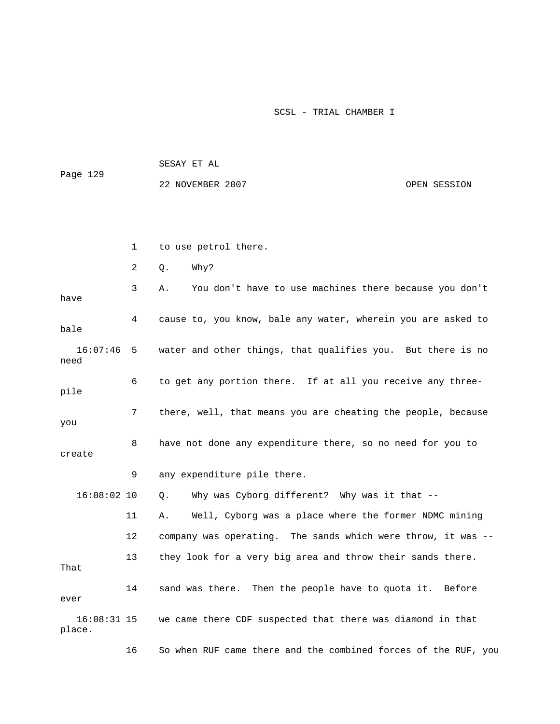| Page 129 | SESAY ET AL      |              |
|----------|------------------|--------------|
|          | 22 NOVEMBER 2007 | OPEN SESSION |
|          |                  |              |

1 to use petrol there.

2 Q. Why?

 3 A. You don't have to use machines there because you don't have 4 cause to, you know, bale any water, wherein you are asked to bale 16:07:46 5 water and other things, that qualifies you. But there is no need 6 to get any portion there. If at all you receive any threepile 7 there, well, that means you are cheating the people, because you 8 have not done any expenditure there, so no need for you to create 9 any expenditure pile there.

 11 A. Well, Cyborg was a place where the former NDMC mining 12 company was operating. The sands which were throw, it was -- 13 they look for a very big area and throw their sands there. That 14 sand was there. Then the people have to quota it. Before ever 16:08:31 15 we came there CDF suspected that there was diamond in that place.

16:08:02 10 Q. Why was Cyborg different? Why was it that --

16 So when RUF came there and the combined forces of the RUF, you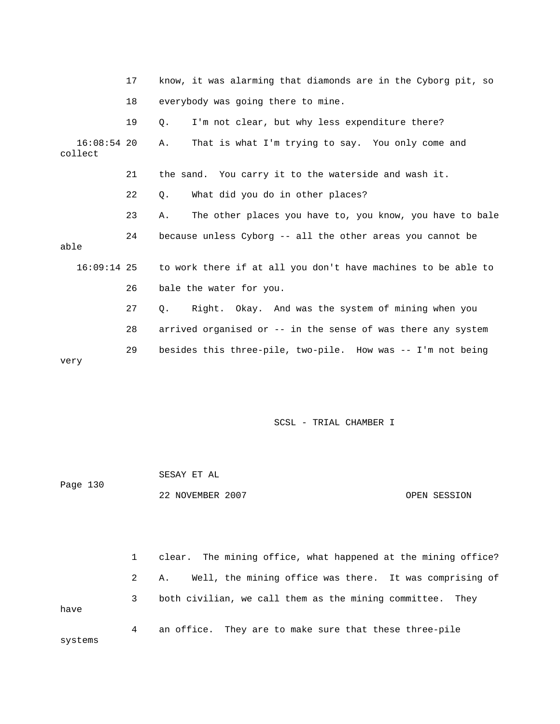|                          | 17 | know, it was alarming that diamonds are in the Cyborg pit, so             |
|--------------------------|----|---------------------------------------------------------------------------|
|                          | 18 | everybody was going there to mine.                                        |
|                          | 19 | I'm not clear, but why less expenditure there?<br>Q.                      |
| $16:08:54$ 20<br>collect |    | That is what I'm trying to say. You only come and<br>Α.                   |
|                          | 21 | the sand. You carry it to the waterside and wash it.                      |
|                          | 22 | What did you do in other places?<br>0.                                    |
|                          | 23 | The other places you have to, you know, you have to bale<br>Α.            |
| able                     | 24 | because unless Cyborg -- all the other areas you cannot be                |
|                          |    | 16:09:14 25 to work there if at all you don't have machines to be able to |
|                          | 26 | bale the water for you.                                                   |
|                          | 27 | Right. Okay. And was the system of mining when you<br>$Q_{\star}$         |
|                          | 28 | arrived organised or -- in the sense of was there any system              |
| very                     | 29 | besides this three-pile, two-pile. How was -- I'm not being               |

|          | SESAY ET AL      |              |
|----------|------------------|--------------|
| Page 130 |                  |              |
|          | 22 NOVEMBER 2007 | OPEN SESSION |

|         |   | 1 clear. The mining office, what happened at the mining office? |
|---------|---|-----------------------------------------------------------------|
|         |   | Well, the mining office was there. It was comprising of<br>2 A. |
| have    | 3 | both civilian, we call them as the mining committee. They       |
| systems | 4 | an office. They are to make sure that these three-pile          |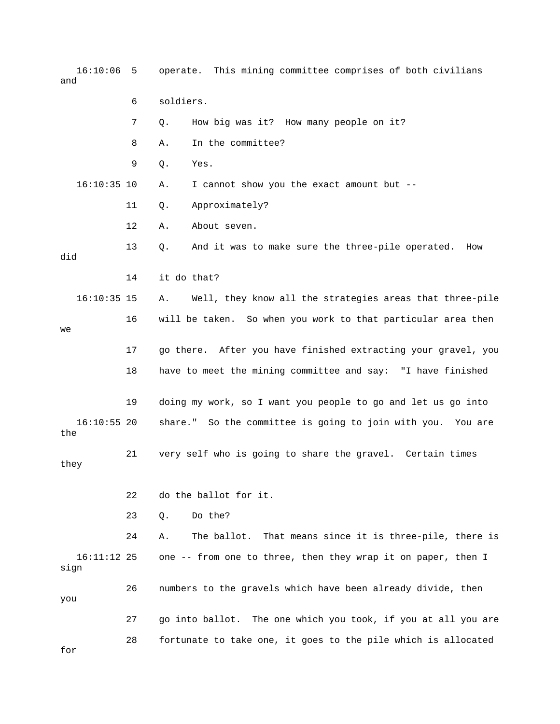16:10:06 5 operate. This mining committee comprises of both civilians and 6 soldiers. 7 Q. How big was it? How many people on it? 8 A. In the committee? 9 Q. Yes. 16:10:35 10 A. I cannot show you the exact amount but -- 11 Q. Approximately? 12 A. About seven. 13 Q. And it was to make sure the three-pile operated. How did 14 it do that? 16:10:35 15 A. Well, they know all the strategies areas that three-pile 16 will be taken. So when you work to that particular area then we 17 go there. After you have finished extracting your gravel, you 18 have to meet the mining committee and say: "I have finished 19 doing my work, so I want you people to go and let us go into 16:10:55 20 share." So the committee is going to join with you. You are the 21 very self who is going to share the gravel. Certain times they 22 do the ballot for it. 23 Q. Do the? 24 A. The ballot. That means since it is three-pile, there is 16:11:12 25 one -- from one to three, then they wrap it on paper, then I sign 26 numbers to the gravels which have been already divide, then you 27 go into ballot. The one which you took, if you at all you are 28 fortunate to take one, it goes to the pile which is allocated for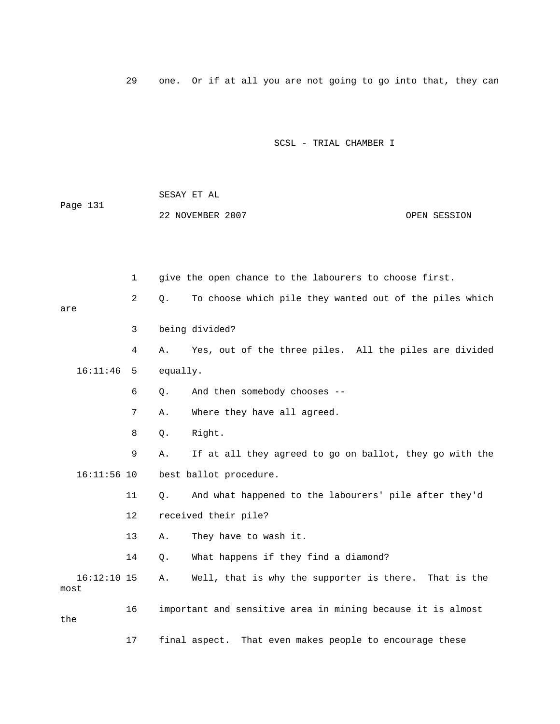29 one. Or if at all you are not going to go into that, they can

|                       |    |          | SESAY ET AL                                                 |              |
|-----------------------|----|----------|-------------------------------------------------------------|--------------|
| Page 131              |    |          | 22 NOVEMBER 2007                                            | OPEN SESSION |
|                       |    |          |                                                             |              |
|                       |    |          |                                                             |              |
|                       | 1  |          | give the open chance to the labourers to choose first.      |              |
| are                   | 2  | Q.       | To choose which pile they wanted out of the piles which     |              |
|                       | 3  |          | being divided?                                              |              |
|                       | 4  | Α.       | Yes, out of the three piles. All the piles are divided      |              |
| 16:11:46              | 5  | equally. |                                                             |              |
|                       | 6  | Q.       | And then somebody chooses --                                |              |
|                       | 7  | Α.       | Where they have all agreed.                                 |              |
|                       | 8  | Q.       | Right.                                                      |              |
|                       | 9  | Α.       | If at all they agreed to go on ballot, they go with the     |              |
| $16:11:56$ 10         |    |          | best ballot procedure.                                      |              |
|                       | 11 | О.       | And what happened to the labourers' pile after they'd       |              |
|                       | 12 |          | received their pile?                                        |              |
|                       | 13 | Α.       | They have to wash it.                                       |              |
|                       | 14 | Q.       | What happens if they find a diamond?                        |              |
| $16:12:10$ 15<br>most |    | Α.       | Well, that is why the supporter is there. That is the       |              |
| the                   | 16 |          | important and sensitive area in mining because it is almost |              |
|                       | 17 |          | That even makes people to encourage these<br>final aspect.  |              |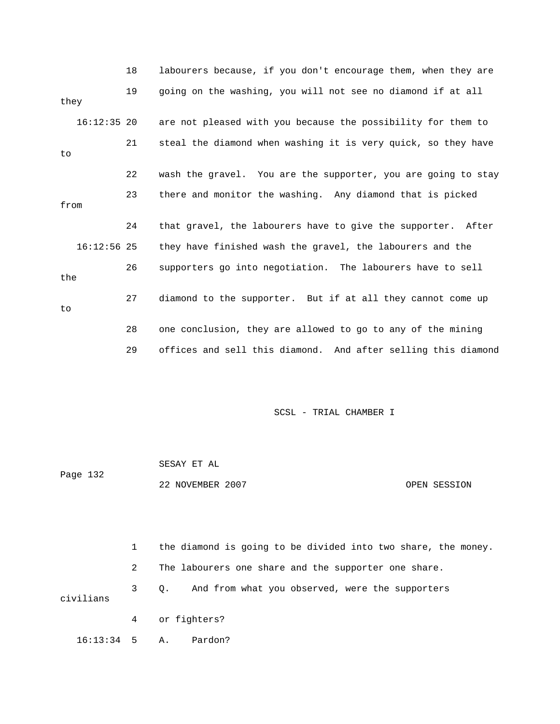|      |               | 18 | labourers because, if you don't encourage them, when they are |
|------|---------------|----|---------------------------------------------------------------|
| they |               | 19 | going on the washing, you will not see no diamond if at all   |
|      | $16:12:35$ 20 |    | are not pleased with you because the possibility for them to  |
| to   |               | 21 | steal the diamond when washing it is very quick, so they have |
|      |               | 22 | wash the gravel. You are the supporter, you are going to stay |
| from |               | 23 | there and monitor the washing. Any diamond that is picked     |
|      |               | 24 | that gravel, the labourers have to give the supporter. After  |
|      | $16:12:56$ 25 |    | they have finished wash the gravel, the labourers and the     |
| the  |               | 26 | supporters go into negotiation. The labourers have to sell    |
| to   |               | 27 | diamond to the supporter. But if at all they cannot come up   |
|      |               | 28 | one conclusion, they are allowed to go to any of the mining   |
|      |               | 29 | offices and sell this diamond. And after selling this diamond |

| Page 132 | SESAY ET AL      |              |
|----------|------------------|--------------|
|          | 22 NOVEMBER 2007 | OPEN SESSION |

|                 |   | the diamond is going to be divided into two share, the money. |
|-----------------|---|---------------------------------------------------------------|
|                 | 2 | The labourers one share and the supporter one share.          |
| civilians       | 3 | 0. And from what you observed, were the supporters            |
|                 |   | 4 or fighters?                                                |
| $16:13:34$ 5 A. |   | Pardon?                                                       |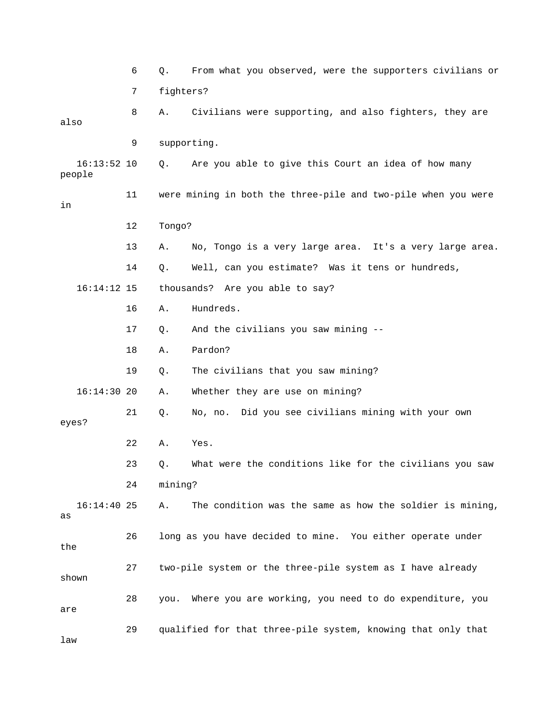6 Q. From what you observed, were the supporters civilians or 7 fighters? 8 A. Civilians were supporting, and also fighters, they are also 9 supporting. 16:13:52 10 Q. Are you able to give this Court an idea of how many people 11 were mining in both the three-pile and two-pile when you were in 12 Tongo? 13 A. No, Tongo is a very large area. It's a very large area. 14 Q. Well, can you estimate? Was it tens or hundreds, 16:14:12 15 thousands? Are you able to say? 16 A. Hundreds. 17 Q. And the civilians you saw mining -- 18 A. Pardon? 19 Q. The civilians that you saw mining? 16:14:30 20 A. Whether they are use on mining? 21 Q. No, no. Did you see civilians mining with your own eyes? 22 A. Yes. 23 Q. What were the conditions like for the civilians you saw 24 mining? 16:14:40 25 A. The condition was the same as how the soldier is mining, as 26 long as you have decided to mine. You either operate under the 27 two-pile system or the three-pile system as I have already shown 28 you. Where you are working, you need to do expenditure, you are 29 qualified for that three-pile system, knowing that only that law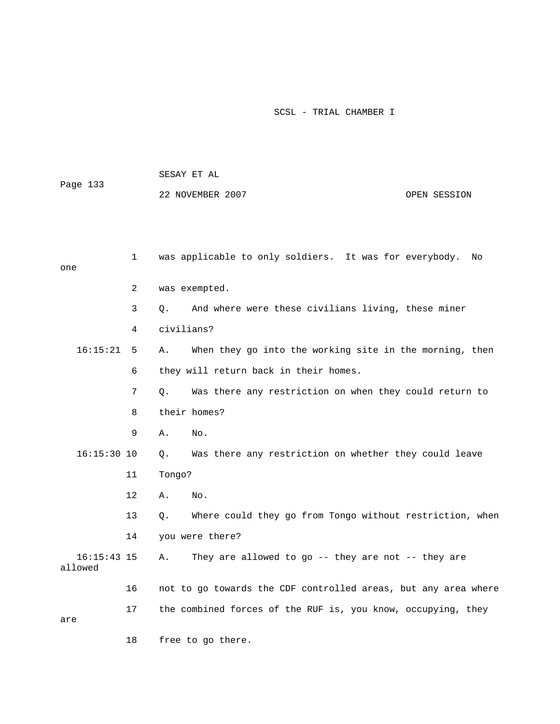| Page 133                 |                | 22 NOVEMBER 2007                                               | OPEN SESSION |
|--------------------------|----------------|----------------------------------------------------------------|--------------|
| one                      | 1              | was applicable to only soldiers. It was for everybody.         | No           |
|                          | $\overline{2}$ | was exempted.                                                  |              |
|                          | 3              | And where were these civilians living, these miner<br>О.       |              |
|                          | 4              | civilians?                                                     |              |
| 16:15:21                 | 5              | When they go into the working site in the morning, then<br>Α.  |              |
|                          | 6              | they will return back in their homes.                          |              |
|                          | 7              | Was there any restriction on when they could return to<br>Q.   |              |
|                          | 8              | their homes?                                                   |              |
|                          | 9              | Α.<br>No.                                                      |              |
| $16:15:30$ 10            |                | Was there any restriction on whether they could leave<br>Q.    |              |
|                          | 11             | Tongo?                                                         |              |
|                          | 12             | Α.<br>No.                                                      |              |
|                          | 13             | Where could they go from Tongo without restriction, when<br>О. |              |
|                          | 14             | you were there?                                                |              |
| $16:15:43$ 15<br>allowed |                | They are allowed to go -- they are not -- they are<br>Α.       |              |
|                          | 16             | not to go towards the CDF controlled areas, but any area where |              |
| are                      | 17             | the combined forces of the RUF is, you know, occupying, they   |              |
|                          | 18             | free to go there.                                              |              |

SESAY ET AL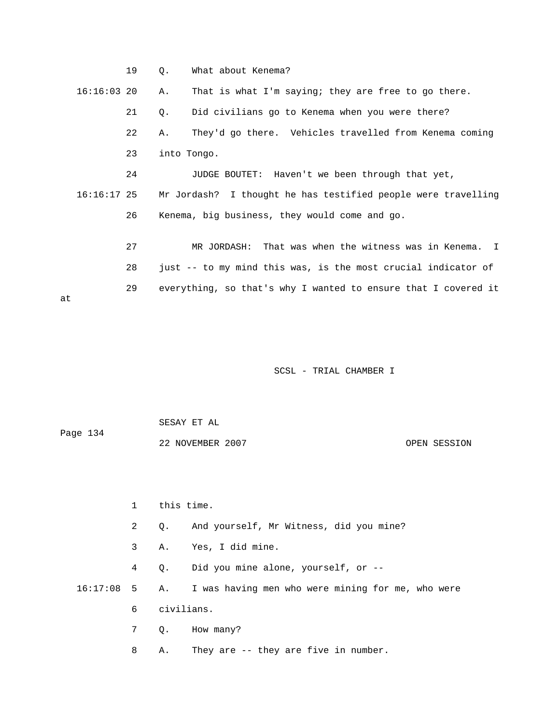|    |               | 19 | 0.          | What about Kenema?                                             |
|----|---------------|----|-------------|----------------------------------------------------------------|
|    | $16:16:03$ 20 |    | Α.          | That is what I'm saying; they are free to go there.            |
|    |               | 21 | Q.          | Did civilians go to Kenema when you were there?                |
|    |               | 22 | Α.          | They'd go there. Vehicles travelled from Kenema coming         |
|    |               | 23 | into Tongo. |                                                                |
|    |               | 24 |             | JUDGE BOUTET: Haven't we been through that yet,                |
|    | 16:16:17 25   |    |             | Mr Jordash? I thought he has testified people were travelling  |
|    |               | 26 |             | Kenema, big business, they would come and go.                  |
|    |               |    |             |                                                                |
|    |               | 27 |             | MR JORDASH: That was when the witness was in Kenema. I         |
|    |               | 28 |             | just -- to my mind this was, is the most crucial indicator of  |
| at |               | 29 |             | everything, so that's why I wanted to ensure that I covered it |

| Page 134 | SESAY ET AL      |              |
|----------|------------------|--------------|
|          | 22 NOVEMBER 2007 | OPEN SESSION |

 1 this time. 2 Q. And yourself, Mr Witness, did you mine? 3 A. Yes, I did mine. 4 Q. Did you mine alone, yourself, or -- 16:17:08 5 A. I was having men who were mining for me, who were 6 civilians. 7 Q. How many? 8 A. They are -- they are five in number.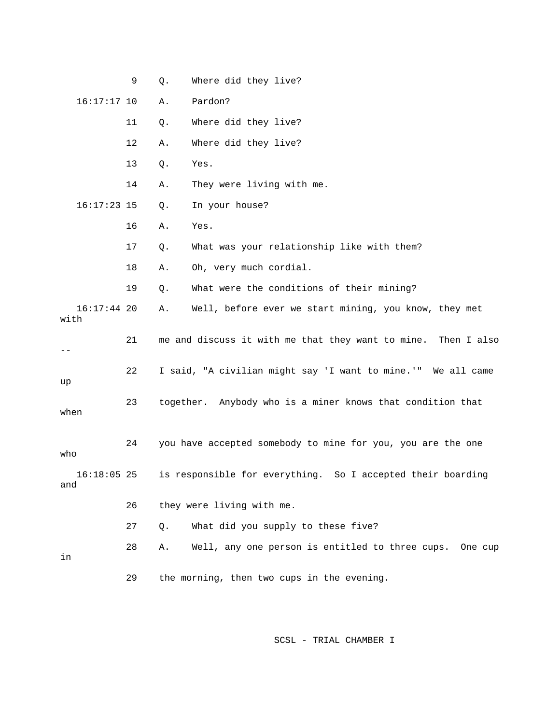|                       | 9  | Q.    | Where did they live?                                          |
|-----------------------|----|-------|---------------------------------------------------------------|
| $16:17:17$ 10         |    | Α.    | Pardon?                                                       |
|                       | 11 | Q.    | Where did they live?                                          |
|                       | 12 | Α.    | Where did they live?                                          |
|                       | 13 | Q.    | Yes.                                                          |
|                       | 14 | Α.    | They were living with me.                                     |
| $16:17:23$ 15         |    | Q.    | In your house?                                                |
|                       | 16 | Α.    | Yes.                                                          |
|                       | 17 | Q.    | What was your relationship like with them?                    |
|                       | 18 | Α.    | Oh, very much cordial.                                        |
|                       | 19 | Q.    | What were the conditions of their mining?                     |
| $16:17:44$ 20<br>with |    | Α.    | Well, before ever we start mining, you know, they met         |
| --                    | 21 |       | me and discuss it with me that they want to mine. Then I also |
| up                    | 22 |       | I said, "A civilian might say 'I want to mine.'" We all came  |
| when                  | 23 |       | together. Anybody who is a miner knows that condition that    |
| who                   | 24 |       | you have accepted somebody to mine for you, you are the one   |
| $16:18:05$ 25<br>and  |    |       | is responsible for everything. So I accepted their boarding   |
|                       | 26 |       | they were living with me.                                     |
|                       | 27 | $Q$ . | What did you supply to these five?                            |
| in                    | 28 | Α.    | Well, any one person is entitled to three cups. One cup       |
|                       | 29 |       | the morning, then two cups in the evening.                    |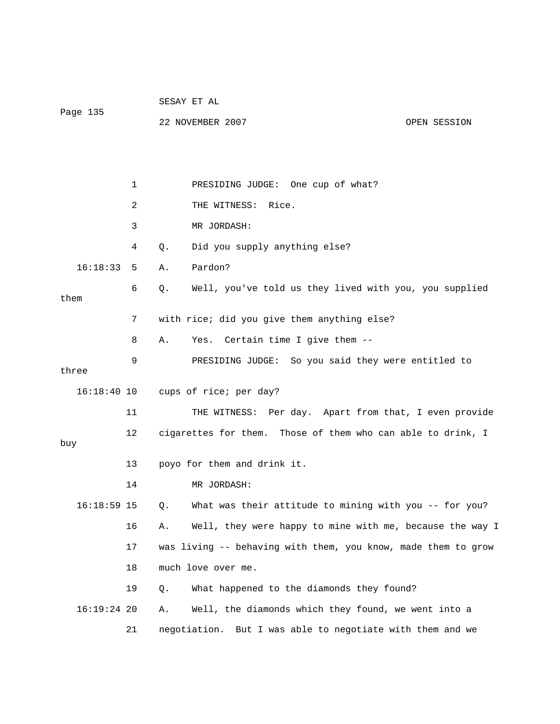|               |    | SESAY ET AL |                                                               |              |  |
|---------------|----|-------------|---------------------------------------------------------------|--------------|--|
| Page 135      |    |             | 22 NOVEMBER 2007                                              | OPEN SESSION |  |
|               |    |             |                                                               |              |  |
|               |    |             |                                                               |              |  |
|               | 1  |             | PRESIDING JUDGE: One cup of what?                             |              |  |
|               | 2  |             | THE WITNESS: Rice.                                            |              |  |
|               | 3  |             | MR JORDASH:                                                   |              |  |
|               | 4  | Q.          | Did you supply anything else?                                 |              |  |
| 16:18:33      | 5  | Α.          | Pardon?                                                       |              |  |
| them          | 6  | Q.          | Well, you've told us they lived with you, you supplied        |              |  |
|               | 7  |             | with rice; did you give them anything else?                   |              |  |
|               | 8  | Α.          | Yes. Certain time I give them --                              |              |  |
|               | 9  |             | PRESIDING JUDGE: So you said they were entitled to            |              |  |
| three         |    |             |                                                               |              |  |
|               |    |             | 16:18:40 10 cups of rice; per day?                            |              |  |
|               | 11 |             | THE WITNESS: Per day. Apart from that, I even provide         |              |  |
| buy           | 12 |             | cigarettes for them. Those of them who can able to drink, I   |              |  |
|               | 13 |             | poyo for them and drink it.                                   |              |  |
|               | 14 |             | MR JORDASH:                                                   |              |  |
| $16:18:59$ 15 |    | Q.          | What was their attitude to mining with you -- for you?        |              |  |
|               | 16 | Α.          | Well, they were happy to mine with me, because the way I      |              |  |
|               | 17 |             | was living -- behaving with them, you know, made them to grow |              |  |
|               | 18 |             | much love over me.                                            |              |  |
|               | 19 | Q.          | What happened to the diamonds they found?                     |              |  |
| $16:19:24$ 20 |    | Α.          | Well, the diamonds which they found, we went into a           |              |  |
|               | 21 |             | negotiation. But I was able to negotiate with them and we     |              |  |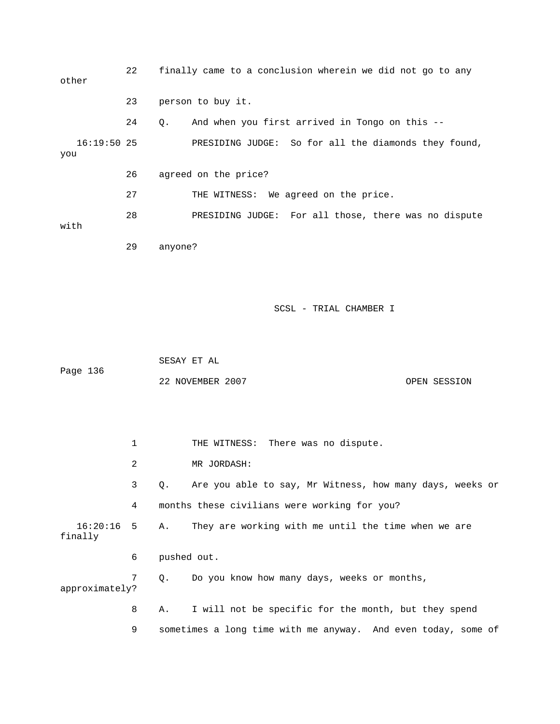22 finally came to a conclusion wherein we did not go to any other 23 person to buy it. 24 Q. And when you first arrived in Tongo on this -- 16:19:50 25 PRESIDING JUDGE: So for all the diamonds they found, you 26 agreed on the price? 27 THE WITNESS: We agreed on the price. 28 PRESIDING JUDGE: For all those, there was no dispute with 29 anyone?

SCSL - TRIAL CHAMBER I

 SESAY ET AL Page 136 22 NOVEMBER 2007 OPEN SESSION

1 THE WITNESS: There was no dispute. 2 MR JORDASH: 3 Q. Are you able to say, Mr Witness, how many days, weeks or 4 months these civilians were working for you? 16:20:16 5 A. They are working with me until the time when we are finally 6 pushed out. 7 Q. Do you know how many days, weeks or months, approximately? 8 A. I will not be specific for the month, but they spend 9 sometimes a long time with me anyway. And even today, some of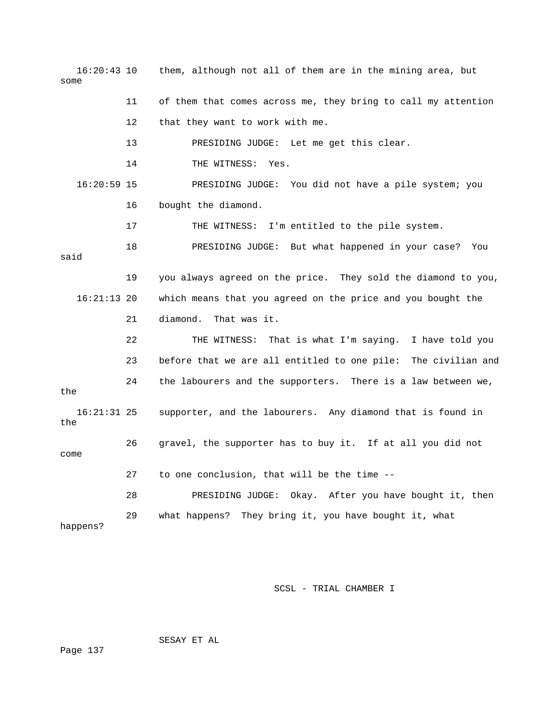16:20:43 10 them, although not all of them are in the mining area, but some 11 of them that comes across me, they bring to call my attention 12 that they want to work with me. 13 PRESIDING JUDGE: Let me get this clear. 14 THE WITNESS: Yes. 16:20:59 15 PRESIDING JUDGE: You did not have a pile system; you 16 bought the diamond. 17 THE WITNESS: I'm entitled to the pile system. 18 PRESIDING JUDGE: But what happened in your case? You said 19 you always agreed on the price. They sold the diamond to you, 16:21:13 20 which means that you agreed on the price and you bought the 21 diamond. That was it. 22 THE WITNESS: That is what I'm saying. I have told you 23 before that we are all entitled to one pile: The civilian and 24 the labourers and the supporters. There is a law between we, the 16:21:31 25 supporter, and the labourers. Any diamond that is found in the 26 gravel, the supporter has to buy it. If at all you did not come 27 to one conclusion, that will be the time -- 28 PRESIDING JUDGE: Okay. After you have bought it, then 29 what happens? They bring it, you have bought it, what happens?

SCSL - TRIAL CHAMBER I

SESAY ET AL

Page 137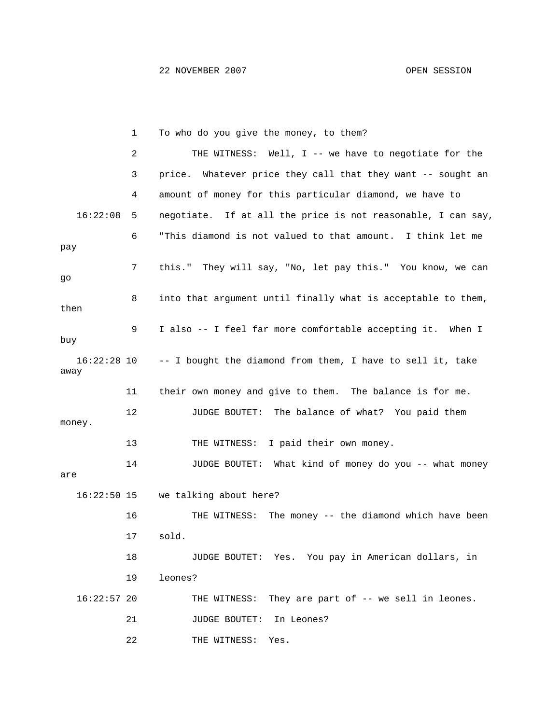|                       | 1  | To who do you give the money, to them?                       |
|-----------------------|----|--------------------------------------------------------------|
|                       | 2  | THE WITNESS: Well, I -- we have to negotiate for the         |
|                       | 3  | price. Whatever price they call that they want -- sought an  |
|                       | 4  | amount of money for this particular diamond, we have to      |
| 16:22:08              | 5  | negotiate. If at all the price is not reasonable, I can say, |
| рау                   | 6  | "This diamond is not valued to that amount. I think let me   |
| go                    | 7  | this." They will say, "No, let pay this." You know, we can   |
| then                  | 8  | into that argument until finally what is acceptable to them, |
| buy                   | 9  | I also -- I feel far more comfortable accepting it. When I   |
| $16:22:28$ 10<br>away |    | -- I bought the diamond from them, I have to sell it, take   |
|                       | 11 | their own money and give to them. The balance is for me.     |
| money.                | 12 | JUDGE BOUTET: The balance of what? You paid them             |
|                       | 13 | I paid their own money.<br>THE WITNESS:                      |
| are                   | 14 | JUDGE BOUTET: What kind of money do you -- what money        |
|                       |    | 16:22:50 15 we talking about here?                           |
|                       | 16 | The money -- the diamond which have been<br>THE WITNESS:     |
|                       | 17 | sold.                                                        |
|                       | 18 | JUDGE BOUTET: Yes. You pay in American dollars, in           |
|                       | 19 | leones?                                                      |
| $16:22:57$ 20         |    | They are part of $-$ we sell in leones.<br>THE WITNESS:      |
|                       | 21 | In Leones?<br><b>JUDGE BOUTET:</b>                           |
|                       | 22 | THE WITNESS:<br>Yes.                                         |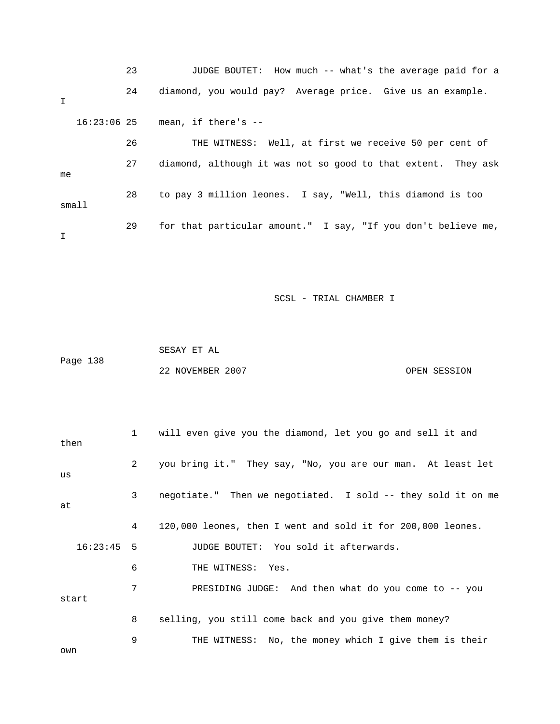23 JUDGE BOUTET: How much -- what's the average paid for a 24 diamond, you would pay? Average price. Give us an example. I 16:23:06 25 mean, if there's -- 26 THE WITNESS: Well, at first we receive 50 per cent of 27 diamond, although it was not so good to that extent. They ask me 28 to pay 3 million leones. I say, "Well, this diamond is too small 29 for that particular amount." I say, "If you don't believe me, I

SCSL - TRIAL CHAMBER I

 SESAY ET AL Page 138 22 NOVEMBER 2007 CPEN SESSION

 1 will even give you the diamond, let you go and sell it and then 2 you bring it." They say, "No, you are our man. At least let us 3 negotiate." Then we negotiated. I sold -- they sold it on me at 4 120,000 leones, then I went and sold it for 200,000 leones. 16:23:45 5 JUDGE BOUTET: You sold it afterwards. 6 THE WITNESS: Yes. 7 PRESIDING JUDGE: And then what do you come to -- you start 8 selling, you still come back and you give them money? 9 THE WITNESS: No, the money which I give them is their own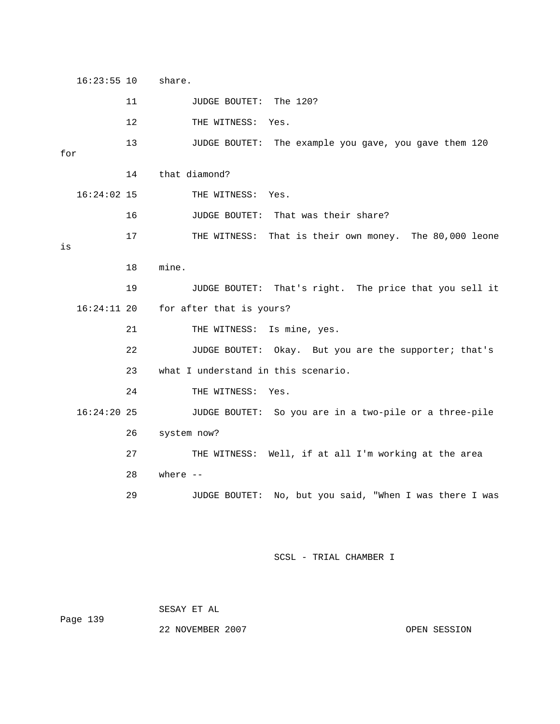16:23:55 10 share. 11 JUDGE BOUTET: The 120? 12 THE WITNESS: Yes. 13 JUDGE BOUTET: The example you gave, you gave them 120 for 14 that diamond? 16:24:02 15 THE WITNESS: Yes. 16 JUDGE BOUTET: That was their share? 17 THE WITNESS: That is their own money. The 80,000 leone is 18 mine. 19 JUDGE BOUTET: That's right. The price that you sell it 16:24:11 20 for after that is yours? 21 THE WITNESS: Is mine, yes. 22 JUDGE BOUTET: Okay. But you are the supporter; that's 23 what I understand in this scenario. 24 THE WITNESS: Yes. 16:24:20 25 JUDGE BOUTET: So you are in a two-pile or a three-pile 26 system now? 27 THE WITNESS: Well, if at all I'm working at the area 28 where -- 29 JUDGE BOUTET: No, but you said, "When I was there I was

SCSL - TRIAL CHAMBER I

SESAY ET AL

Page 139

22 NOVEMBER 2007 CPEN SESSION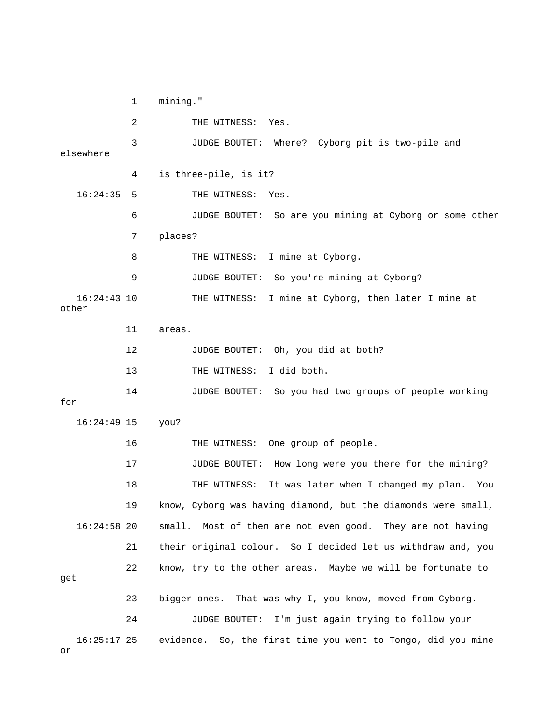1 mining." 2 THE WITNESS: Yes. 3 JUDGE BOUTET: Where? Cyborg pit is two-pile and elsewhere 4 is three-pile, is it? 16:24:35 5 THE WITNESS: Yes. 6 JUDGE BOUTET: So are you mining at Cyborg or some other 7 places? 8 THE WITNESS: I mine at Cyborg. 9 JUDGE BOUTET: So you're mining at Cyborg? 16:24:43 10 THE WITNESS: I mine at Cyborg, then later I mine at other 11 areas. 12 JUDGE BOUTET: Oh, you did at both? 13 THE WITNESS: I did both. 14 JUDGE BOUTET: So you had two groups of people working for 16:24:49 15 you? 16 THE WITNESS: One group of people. 17 JUDGE BOUTET: How long were you there for the mining? 18 THE WITNESS: It was later when I changed my plan. You 19 know, Cyborg was having diamond, but the diamonds were small, 16:24:58 20 small. Most of them are not even good. They are not having 21 their original colour. So I decided let us withdraw and, you 22 know, try to the other areas. Maybe we will be fortunate to get 23 bigger ones. That was why I, you know, moved from Cyborg. 24 JUDGE BOUTET: I'm just again trying to follow your 16:25:17 25 evidence. So, the first time you went to Tongo, did you mine

or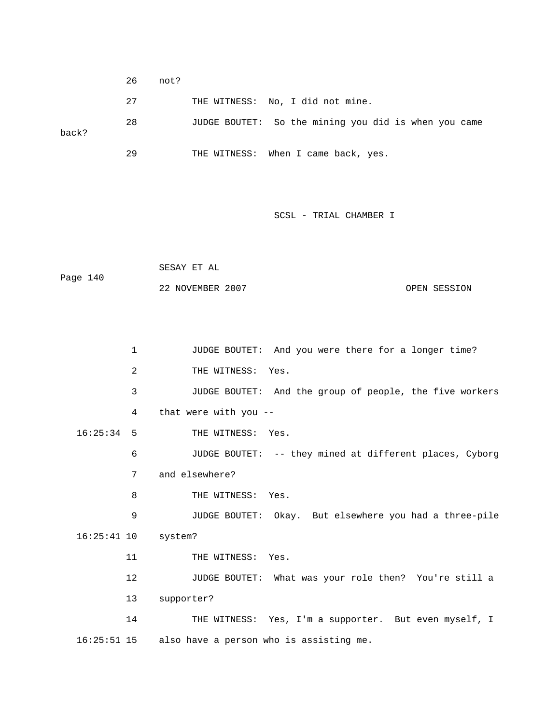26 not? 27 THE WITNESS: No, I did not mine. 28 JUDGE BOUTET: So the mining you did is when you came back? 29 THE WITNESS: When I came back, yes.

```
 SESAY ET AL 
Page 140 
             22 NOVEMBER 2007 OPEN SESSION
```

```
 1 JUDGE BOUTET: And you were there for a longer time? 
        2 THE WITNESS: Yes.
         3 JUDGE BOUTET: And the group of people, the five workers 
         4 that were with you -- 
 16:25:34 5 THE WITNESS: Yes. 
         6 JUDGE BOUTET: -- they mined at different places, Cyborg 
         7 and elsewhere? 
        8 THE WITNESS: Yes.
         9 JUDGE BOUTET: Okay. But elsewhere you had a three-pile 
 16:25:41 10 system? 
       11 THE WITNESS: Yes.
        12 JUDGE BOUTET: What was your role then? You're still a 
        13 supporter? 
        14 THE WITNESS: Yes, I'm a supporter. But even myself, I 
 16:25:51 15 also have a person who is assisting me.
```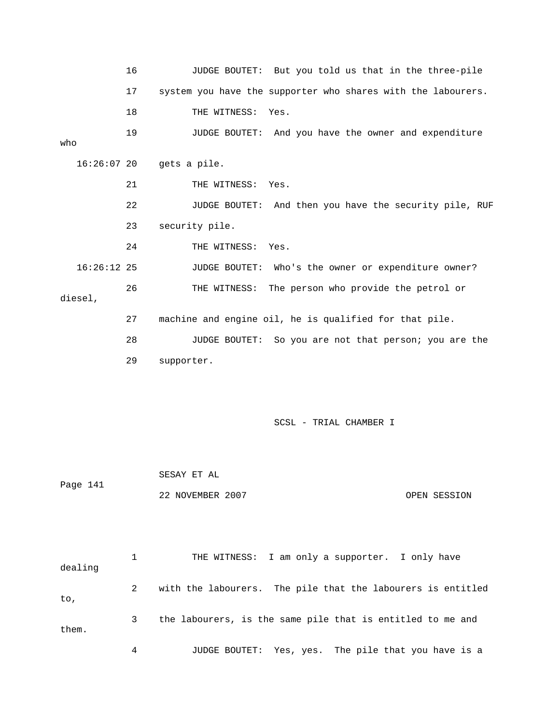16 JUDGE BOUTET: But you told us that in the three-pile 17 system you have the supporter who shares with the labourers. 18 THE WITNESS: Yes. 19 JUDGE BOUTET: And you have the owner and expenditure who 16:26:07 20 gets a pile. 21 THE WITNESS: Yes. 22 JUDGE BOUTET: And then you have the security pile, RUF 23 security pile. 24 THE WITNESS: Yes. 16:26:12 25 JUDGE BOUTET: Who's the owner or expenditure owner? 26 THE WITNESS: The person who provide the petrol or diesel, 27 machine and engine oil, he is qualified for that pile. 28 JUDGE BOUTET: So you are not that person; you are the 29 supporter. SCSL - TRIAL CHAMBER I SESAY ET AL Page 141 22 NOVEMBER 2007 OPEN SESSION 1 THE WITNESS: I am only a supporter. I only have

dealing 2 with the labourers. The pile that the labourers is entitled to, 3 the labourers, is the same pile that is entitled to me and them. 4 JUDGE BOUTET: Yes, yes. The pile that you have is a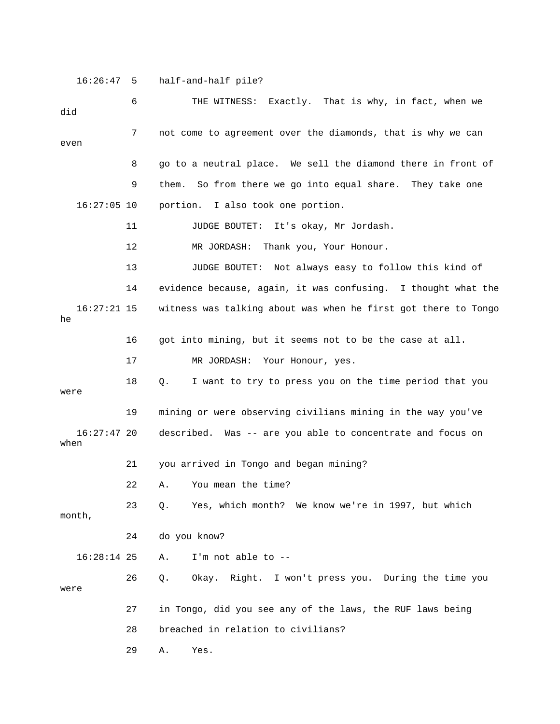16:26:47 5 half-and-half pile?

| did                   | 6  | THE WITNESS: Exactly. That is why, in fact, when we            |
|-----------------------|----|----------------------------------------------------------------|
| even                  | 7  | not come to agreement over the diamonds, that is why we can    |
|                       | 8  | go to a neutral place. We sell the diamond there in front of   |
|                       | 9  | So from there we go into equal share. They take one<br>them.   |
| $16:27:05$ 10         |    | portion. I also took one portion.                              |
|                       | 11 | JUDGE BOUTET: It's okay, Mr Jordash.                           |
|                       | 12 | Thank you, Your Honour.<br>MR JORDASH:                         |
|                       | 13 | JUDGE BOUTET: Not always easy to follow this kind of           |
|                       | 14 | evidence because, again, it was confusing. I thought what the  |
| $16:27:21$ 15<br>he   |    | witness was talking about was when he first got there to Tongo |
|                       | 16 | got into mining, but it seems not to be the case at all.       |
|                       | 17 | MR JORDASH:<br>Your Honour, yes.                               |
| were                  | 18 | I want to try to press you on the time period that you<br>Q.   |
|                       | 19 | mining or were observing civilians mining in the way you've    |
| $16:27:47$ 20<br>when |    | described. Was -- are you able to concentrate and focus on     |
|                       | 21 | you arrived in Tongo and began mining?                         |
|                       | 22 | You mean the time?<br>Α.                                       |
| month,                | 23 | Yes, which month? We know we're in 1997, but which<br>Q.       |
|                       | 24 | do you know?                                                   |
| $16:28:14$ 25         |    | I'm not able to --<br>Α.                                       |
| were                  | 26 | Okay. Right. I won't press you. During the time you<br>Q.      |
|                       | 27 | in Tongo, did you see any of the laws, the RUF laws being      |
|                       | 28 | breached in relation to civilians?                             |
|                       | 29 | Α.<br>Yes.                                                     |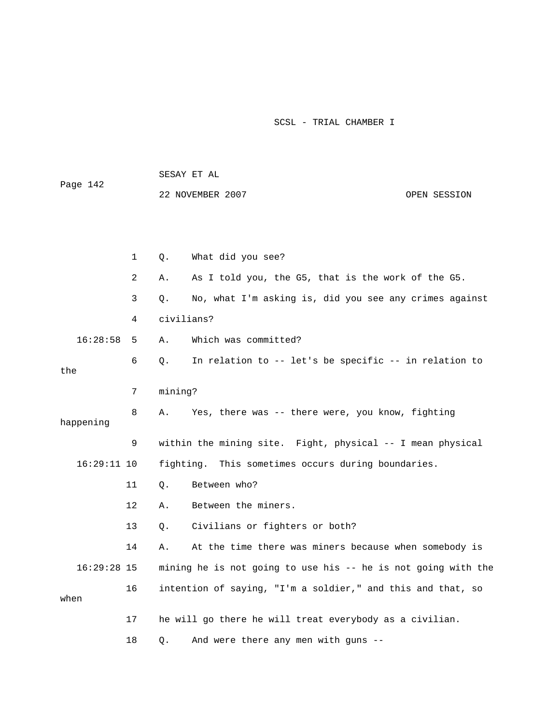|               |              |            | SESAY ET AL                                                   |              |
|---------------|--------------|------------|---------------------------------------------------------------|--------------|
| Page 142      |              |            | 22 NOVEMBER 2007                                              | OPEN SESSION |
|               |              |            |                                                               |              |
|               |              |            |                                                               |              |
|               | $\mathbf{1}$ | Q.         | What did you see?                                             |              |
|               | 2            | Α.         | As I told you, the G5, that is the work of the G5.            |              |
|               | 3            | Q.         | No, what I'm asking is, did you see any crimes against        |              |
|               | 4            | civilians? |                                                               |              |
| 16:28:58      | 5            | Α.         | Which was committed?                                          |              |
| the           | 6            | Q.         | In relation to -- let's be specific -- in relation to         |              |
|               | 7            | mining?    |                                                               |              |
| happening     | 8            | Α.         | Yes, there was -- there were, you know, fighting              |              |
|               | 9            |            | within the mining site. Fight, physical -- I mean physical    |              |
| $16:29:11$ 10 |              |            | fighting. This sometimes occurs during boundaries.            |              |
|               | 11           | Q.         | Between who?                                                  |              |
|               | 12           | Α.         | Between the miners.                                           |              |
|               | 13           | Q.         | Civilians or fighters or both?                                |              |
|               | 14           | Α.         | At the time there was miners because when somebody is         |              |
| $16:29:28$ 15 |              |            | mining he is not going to use his -- he is not going with the |              |
| when          | 16           |            | intention of saying, "I'm a soldier," and this and that, so   |              |
|               | 17           |            | he will go there he will treat everybody as a civilian.       |              |
|               | 18           | Q.         | And were there any men with guns --                           |              |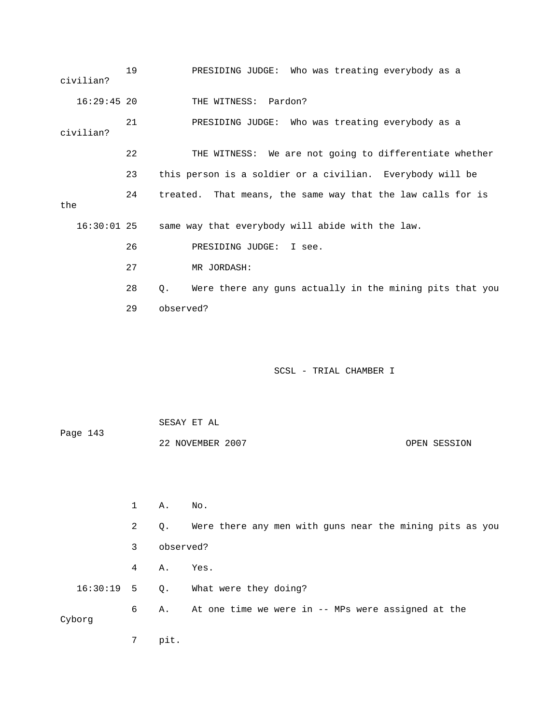| civilian?     | 19           | PRESIDING JUDGE: Who was treating everybody as a               |
|---------------|--------------|----------------------------------------------------------------|
| $16:29:45$ 20 |              | THE WITNESS: Pardon?                                           |
| civilian?     | 21           | PRESIDING JUDGE: Who was treating everybody as a               |
|               | 22           | THE WITNESS: We are not going to differentiate whether         |
|               | 23           | this person is a soldier or a civilian. Everybody will be      |
| the           | 24           | That means, the same way that the law calls for is<br>treated. |
| $16:30:01$ 25 |              | same way that everybody will abide with the law.               |
|               | 26           | PRESIDING JUDGE:<br>I see.                                     |
|               | 27           | MR JORDASH:                                                    |
|               | 28           | Were there any guns actually in the mining pits that you<br>Q. |
|               | 29           | observed?                                                      |
|               |              | SCSL - TRIAL CHAMBER I                                         |
| Page 143      |              | SESAY ET AL                                                    |
|               |              | 22 NOVEMBER 2007<br>OPEN SESSION                               |
|               | $\mathbf{1}$ | Α.<br>No.                                                      |
|               | 2            | Were there any men with guns near the mining pits as you<br>Q. |

- 3 observed?
- 4 A. Yes.

16:30:19 5 Q. What were they doing?

 6 A. At one time we were in -- MPs were assigned at the Cyborg

7 pit.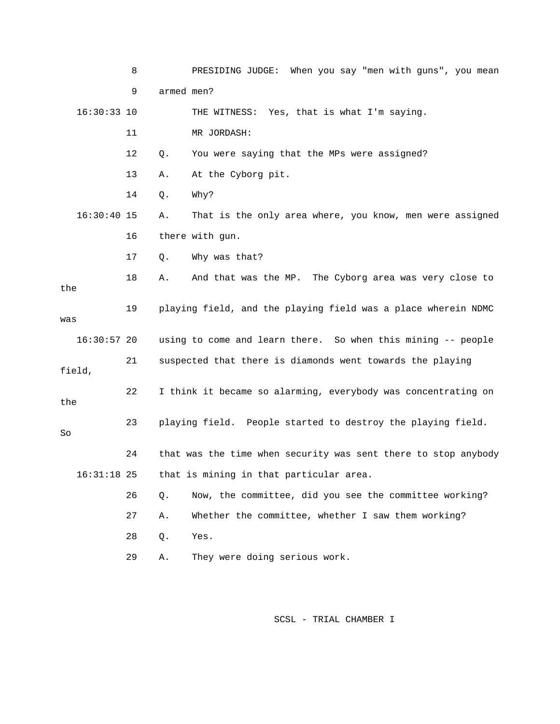|               | 8  | PRESIDING JUDGE: When you say "men with guns", you mean        |
|---------------|----|----------------------------------------------------------------|
|               | 9  | armed men?                                                     |
| $16:30:33$ 10 |    | THE WITNESS: Yes, that is what I'm saying.                     |
|               | 11 | MR JORDASH:                                                    |
|               | 12 | You were saying that the MPs were assigned?<br>Q.              |
|               | 13 | At the Cyborg pit.<br>Α.                                       |
|               | 14 | Why?<br>Q.                                                     |
| $16:30:40$ 15 |    | That is the only area where, you know, men were assigned<br>Α. |
|               | 16 | there with gun.                                                |
|               | 17 | Why was that?<br>Q.                                            |
| the           | 18 | And that was the MP. The Cyborg area was very close to<br>Α.   |
|               | 19 | playing field, and the playing field was a place wherein NDMC  |
| was           |    |                                                                |
| $16:30:57$ 20 |    | using to come and learn there. So when this mining -- people   |
| field,        | 21 | suspected that there is diamonds went towards the playing      |
| the           | 22 | I think it became so alarming, everybody was concentrating on  |
| So            | 23 | playing field. People started to destroy the playing field.    |
|               | 24 | that was the time when security was sent there to stop anybody |
| $16:31:18$ 25 |    | that is mining in that particular area.                        |
|               | 26 | Now, the committee, did you see the committee working?<br>Q.   |
|               | 27 | Whether the committee, whether I saw them working?<br>Α.       |
|               | 28 | Yes.<br>Q.                                                     |
|               | 29 | They were doing serious work.<br>Α.                            |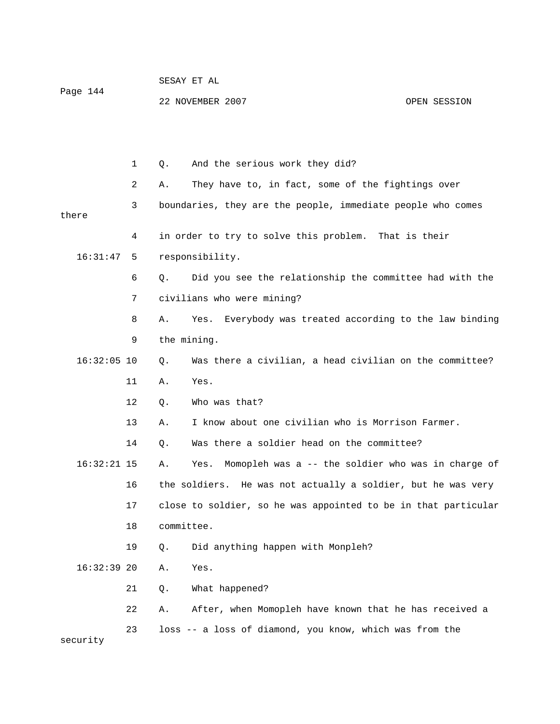| Page 144      |    | SESAY ET AL |                                                                |               |  |
|---------------|----|-------------|----------------------------------------------------------------|---------------|--|
|               |    |             | 22 NOVEMBER 2007                                               | OPEN SESSION  |  |
|               |    |             |                                                                |               |  |
|               |    |             |                                                                |               |  |
|               | 1  | Q.          | And the serious work they did?                                 |               |  |
|               | 2  | Α.          | They have to, in fact, some of the fightings over              |               |  |
|               | 3  |             | boundaries, they are the people, immediate people who comes    |               |  |
| there         |    |             |                                                                |               |  |
|               | 4  |             | in order to try to solve this problem.                         | That is their |  |
| 16:31:47      | 5  |             | responsibility.                                                |               |  |
|               | 6  | Q.          | Did you see the relationship the committee had with the        |               |  |
|               | 7  |             | civilians who were mining?                                     |               |  |
|               | 8  | Α.          | Everybody was treated according to the law binding<br>Yes.     |               |  |
|               | 9  |             | the mining.                                                    |               |  |
| $16:32:05$ 10 |    | Q.          | Was there a civilian, a head civilian on the committee?        |               |  |
|               | 11 | Α.          | Yes.                                                           |               |  |
|               | 12 | Q.          | Who was that?                                                  |               |  |
|               | 13 | Α.          | I know about one civilian who is Morrison Farmer.              |               |  |
|               | 14 | Q.          | Was there a soldier head on the committee?                     |               |  |
| $16:32:21$ 15 |    | Α.          | Momopleh was a -- the soldier who was in charge of<br>Yes.     |               |  |
|               | 16 |             | the soldiers. He was not actually a soldier, but he was very   |               |  |
|               | 17 |             | close to soldier, so he was appointed to be in that particular |               |  |
|               | 18 | committee.  |                                                                |               |  |
|               | 19 | Q.          | Did anything happen with Monpleh?                              |               |  |
| $16:32:39$ 20 |    | Α.          | Yes.                                                           |               |  |
|               | 21 | Q.          | What happened?                                                 |               |  |
|               | 22 | Α.          | After, when Momopleh have known that he has received a         |               |  |
| security      | 23 |             | loss -- a loss of diamond, you know, which was from the        |               |  |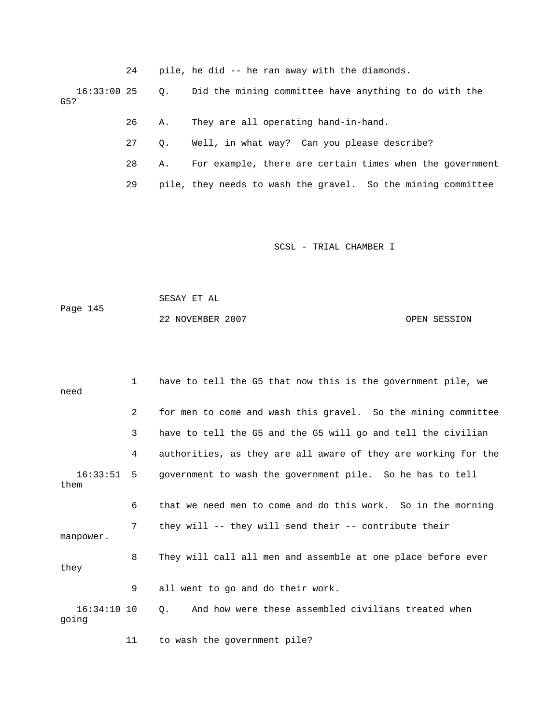24 pile, he did -- he ran away with the diamonds.

 16:33:00 25 Q. Did the mining committee have anything to do with the G5?

- 26 A. They are all operating hand-in-hand.
- 27 Q. Well, in what way? Can you please describe?
- 28 A. For example, there are certain times when the government
- 29 pile, they needs to wash the gravel. So the mining committee

SCSL - TRIAL CHAMBER I

 SESAY ET AL Page 145 22 NOVEMBER 2007 OPEN SESSION

| need                 | $\mathbf{1}$   | have to tell the G5 that now this is the government pile, we   |
|----------------------|----------------|----------------------------------------------------------------|
|                      | 2              | for men to come and wash this gravel. So the mining committee  |
|                      | 3              | have to tell the G5 and the G5 will go and tell the civilian   |
|                      | 4              | authorities, as they are all aware of they are working for the |
| $16:33:51$ 5<br>them |                | government to wash the government pile. So he has to tell      |
|                      | 6              | that we need men to come and do this work. So in the morning   |
| manpower.            | 7 <sup>7</sup> | they will -- they will send their -- contribute their          |
| they                 | 8              | They will call all men and assemble at one place before ever   |
|                      | 9              | all went to go and do their work.                              |
| 16:34:10 10<br>going |                | And how were these assembled civilians treated when<br>0.      |
|                      | 11             | to wash the government pile?                                   |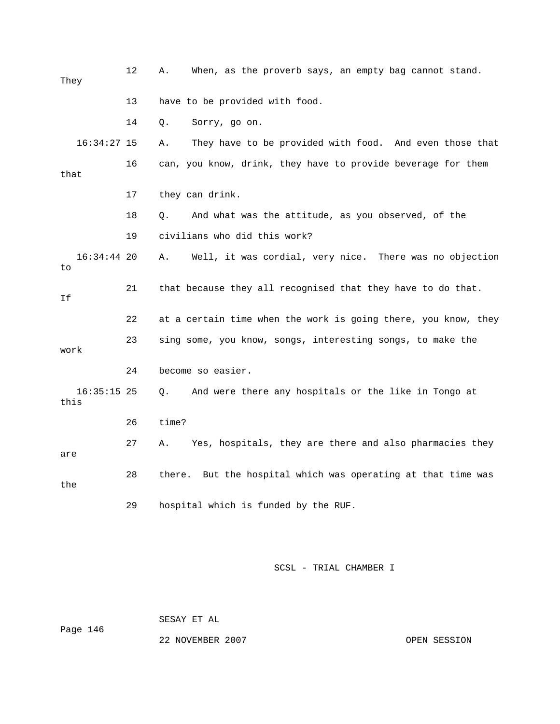| They                  | 12 | When, as the proverb says, an empty bag cannot stand.<br>Α.     |
|-----------------------|----|-----------------------------------------------------------------|
|                       | 13 | have to be provided with food.                                  |
|                       | 14 | Q.<br>Sorry, go on.                                             |
| $16:34:27$ 15         |    | They have to be provided with food. And even those that<br>Α.   |
| that                  | 16 | can, you know, drink, they have to provide beverage for them    |
|                       | 17 | they can drink.                                                 |
|                       | 18 | And what was the attitude, as you observed, of the<br>Q.        |
|                       | 19 | civilians who did this work?                                    |
| $16:34:44$ 20<br>to   |    | Well, it was cordial, very nice. There was no objection<br>Α.   |
| Ιf                    | 21 | that because they all recognised that they have to do that.     |
|                       | 22 | at a certain time when the work is going there, you know, they  |
| work                  | 23 | sing some, you know, songs, interesting songs, to make the      |
|                       | 24 | become so easier.                                               |
| $16:35:15$ 25<br>this |    | And were there any hospitals or the like in Tongo at<br>О.      |
|                       | 26 | time?                                                           |
| are                   | 27 | Yes, hospitals, they are there and also pharmacies they<br>Α.   |
| the                   | 28 | But the hospital which was operating at that time was<br>there. |
|                       | 29 | hospital which is funded by the RUF.                            |

Page 146

SESAY ET AL

22 NOVEMBER 2007 CPEN SESSION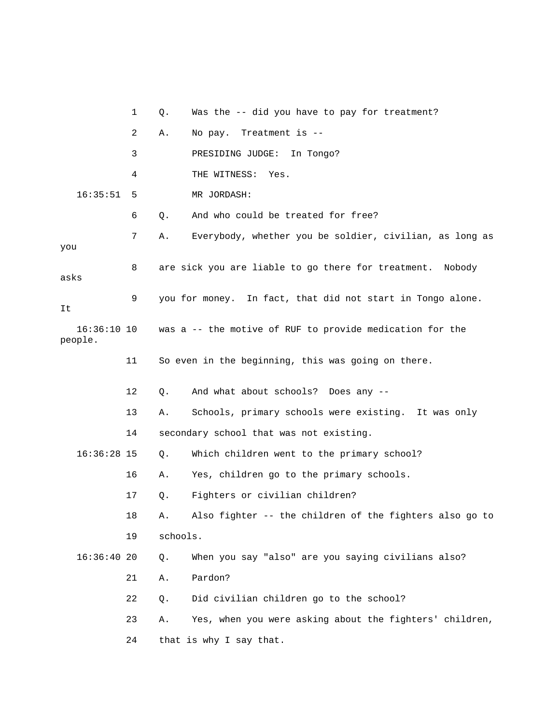1 Q. Was the -- did you have to pay for treatment? 2 A. No pay. Treatment is -- 3 PRESIDING JUDGE: In Tongo? 4 THE WITNESS: Yes. 16:35:51 5 MR JORDASH: 6 Q. And who could be treated for free? 7 A. Everybody, whether you be soldier, civilian, as long as you 8 are sick you are liable to go there for treatment. Nobody asks 9 you for money. In fact, that did not start in Tongo alone. It 16:36:10 10 was a -- the motive of RUF to provide medication for the people. 11 So even in the beginning, this was going on there. 12 Q. And what about schools? Does any -- 13 A. Schools, primary schools were existing. It was only 14 secondary school that was not existing. 16:36:28 15 Q. Which children went to the primary school? 16 A. Yes, children go to the primary schools. 17 Q. Fighters or civilian children? 18 A. Also fighter -- the children of the fighters also go to 19 schools. 16:36:40 20 Q. When you say "also" are you saying civilians also? 21 A. Pardon? 22 Q. Did civilian children go to the school? 23 A. Yes, when you were asking about the fighters' children, 24 that is why I say that.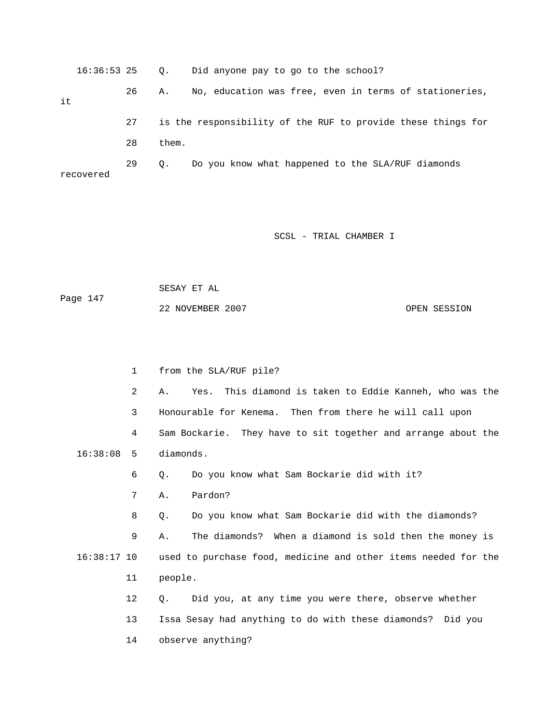|    | 16:36:53 25 |    | $\circ$ . | Did anyone pay to go to the school?                          |
|----|-------------|----|-----------|--------------------------------------------------------------|
| it |             | 26 | Α.        | No, education was free, even in terms of stationeries,       |
|    |             | 27 |           | is the responsibility of the RUF to provide these things for |
|    |             | 28 | them.     |                                                              |
|    | recovered   | 29 | О.        | Do you know what happened to the SLA/RUF diamonds            |

 SESAY ET AL Page 147 22 NOVEMBER 2007 CPEN SESSION

 1 from the SLA/RUF pile? 2 A. Yes. This diamond is taken to Eddie Kanneh, who was the 3 Honourable for Kenema. Then from there he will call upon 4 Sam Bockarie. They have to sit together and arrange about the 16:38:08 5 diamonds. 6 Q. Do you know what Sam Bockarie did with it? 7 A. Pardon? 8 Q. Do you know what Sam Bockarie did with the diamonds? 9 A. The diamonds? When a diamond is sold then the money is 16:38:17 10 used to purchase food, medicine and other items needed for the 11 people. 12 Q. Did you, at any time you were there, observe whether 13 Issa Sesay had anything to do with these diamonds? Did you 14 observe anything?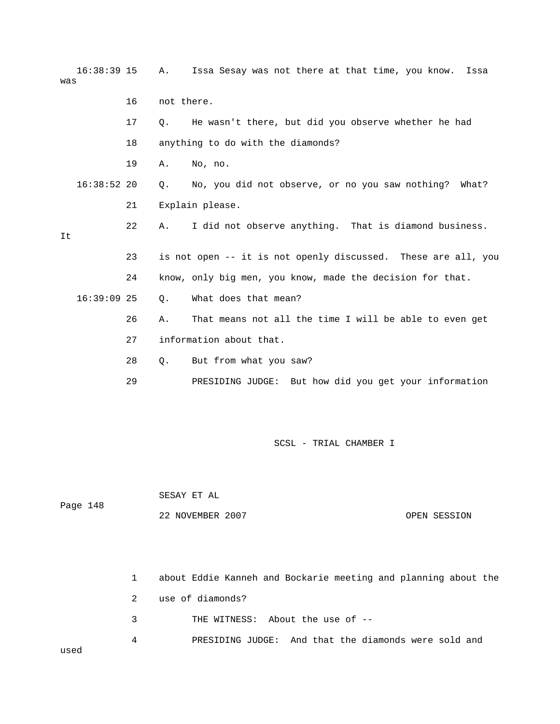| $16:38:39$ 15<br>was |    | Α.          | Issa Sesay was not there at that time, you know.              | Issa         |
|----------------------|----|-------------|---------------------------------------------------------------|--------------|
|                      | 16 | not there.  |                                                               |              |
|                      | 17 | О.          | He wasn't there, but did you observe whether he had           |              |
|                      | 18 |             | anything to do with the diamonds?                             |              |
|                      | 19 | Α.          | No, no.                                                       |              |
| $16:38:52$ 20        |    | О.          | No, you did not observe, or no you saw nothing? What?         |              |
|                      | 21 |             | Explain please.                                               |              |
| It                   | 22 | Α.          | I did not observe anything. That is diamond business.         |              |
|                      | 23 |             | is not open -- it is not openly discussed. These are all, you |              |
|                      | 24 |             | know, only big men, you know, made the decision for that.     |              |
| $16:39:09$ 25        |    | Q.          | What does that mean?                                          |              |
|                      | 26 | Α.          | That means not all the time I will be able to even get        |              |
|                      | 27 |             | information about that.                                       |              |
|                      | 28 | Q.          | But from what you saw?                                        |              |
|                      | 29 |             | PRESIDING JUDGE: But how did you get your information         |              |
|                      |    |             |                                                               |              |
|                      |    |             | SCSL - TRIAL CHAMBER I                                        |              |
|                      |    | SESAY ET AL |                                                               |              |
| Page 148             |    |             | 22 NOVEMBER 2007                                              | OPEN SESSION |

 1 about Eddie Kanneh and Bockarie meeting and planning about the 2 use of diamonds? 3 THE WITNESS: About the use of -- 4 PRESIDING JUDGE: And that the diamonds were sold and used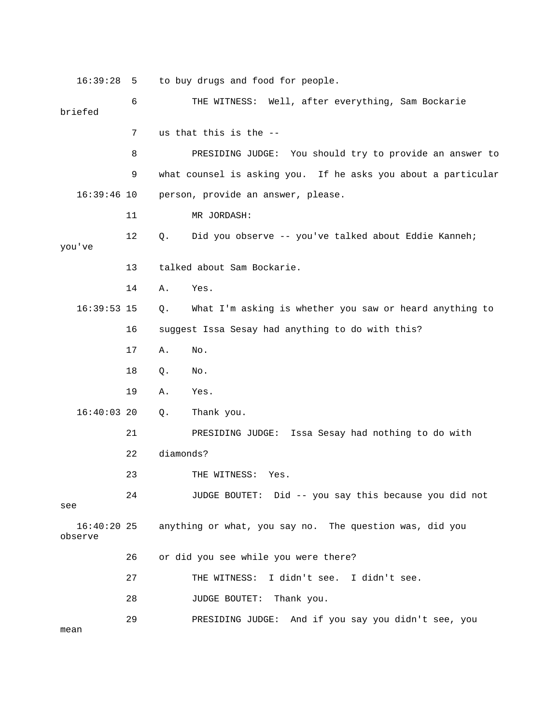16:39:28 5 to buy drugs and food for people. 6 THE WITNESS: Well, after everything, Sam Bockarie briefed 7 us that this is the -- 8 PRESIDING JUDGE: You should try to provide an answer to 9 what counsel is asking you. If he asks you about a particular 16:39:46 10 person, provide an answer, please. 11 MR JORDASH: 12 Q. Did you observe -- you've talked about Eddie Kanneh; you've 13 talked about Sam Bockarie. 14 A. Yes. 16:39:53 15 Q. What I'm asking is whether you saw or heard anything to 16 suggest Issa Sesay had anything to do with this? 17 A. No. 18 Q. No. 19 A. Yes. 16:40:03 20 Q. Thank you. 21 PRESIDING JUDGE: Issa Sesay had nothing to do with 22 diamonds? 23 THE WITNESS: Yes. 24 JUDGE BOUTET: Did -- you say this because you did not see 16:40:20 25 anything or what, you say no. The question was, did you observe 26 or did you see while you were there? 27 THE WITNESS: I didn't see. I didn't see. 28 JUDGE BOUTET: Thank you. 29 PRESIDING JUDGE: And if you say you didn't see, you mean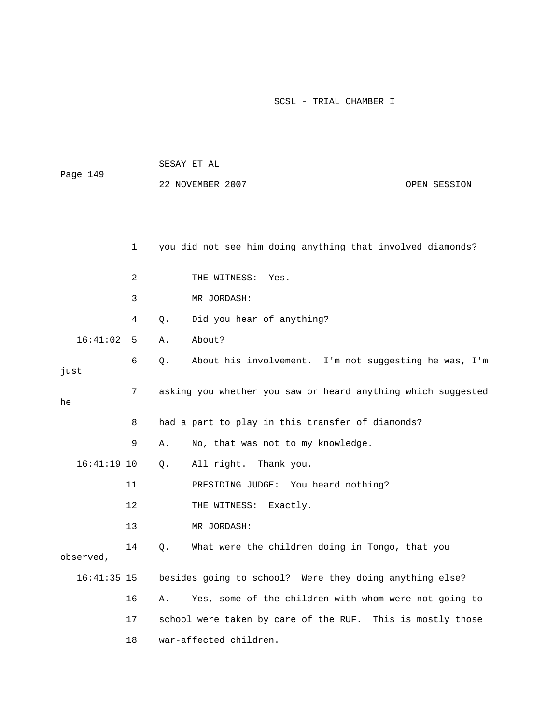| Page 149 |               | 22 NOVEMBER 2007<br>OPEN SESSION |    |                                                              |  |
|----------|---------------|----------------------------------|----|--------------------------------------------------------------|--|
|          |               | $\mathbf{1}$                     |    | you did not see him doing anything that involved diamonds?   |  |
|          |               | 2                                |    | THE WITNESS: Yes.                                            |  |
|          |               | 3                                |    | MR JORDASH:                                                  |  |
|          |               | 4                                | Q. | Did you hear of anything?                                    |  |
|          | 16:41:02      | 5                                | Α. | About?                                                       |  |
| just     |               | 6                                | Q. | About his involvement. I'm not suggesting he was, I'm        |  |
| he       |               | 7                                |    | asking you whether you saw or heard anything which suggested |  |
|          |               | 8                                |    | had a part to play in this transfer of diamonds?             |  |
|          |               | 9                                | Α. | No, that was not to my knowledge.                            |  |
|          | $16:41:19$ 10 |                                  | Q. | All right. Thank you.                                        |  |
|          |               | 11                               |    | You heard nothing?<br>PRESIDING JUDGE:                       |  |
|          |               | 12                               |    | THE WITNESS:<br>Exactly.                                     |  |
|          |               | 13                               |    | MR JORDASH:                                                  |  |
|          | observed,     | 14                               | Q. | What were the children doing in Tongo, that you              |  |
|          | 16:41:35 15   |                                  |    | besides going to school? Were they doing anything else?      |  |
|          |               | 16                               | Α. | Yes, some of the children with whom were not going to        |  |
|          |               | 17                               |    | school were taken by care of the RUF. This is mostly those   |  |
|          |               | 18                               |    | war-affected children.                                       |  |

SESAY ET AL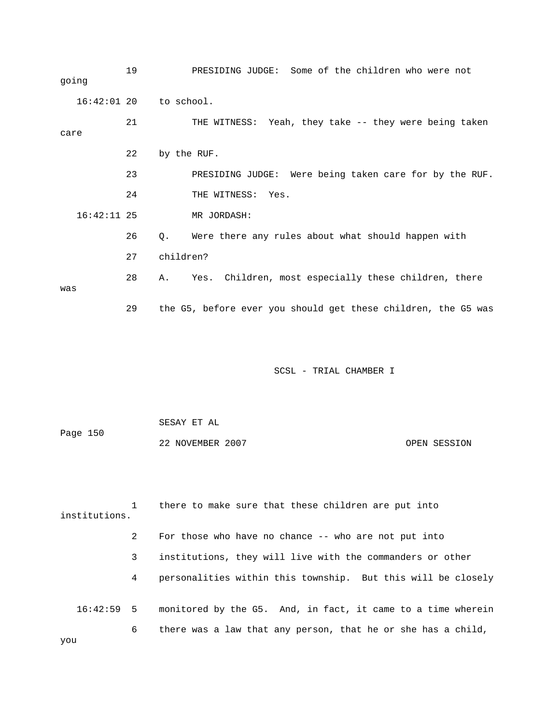19 PRESIDING JUDGE: Some of the children who were not going 16:42:01 20 to school. 21 THE WITNESS: Yeah, they take -- they were being taken care 22 by the RUF. 23 PRESIDING JUDGE: Were being taken care for by the RUF. 24 THE WITNESS: Yes. 16:42:11 25 MR JORDASH: 26 Q. Were there any rules about what should happen with 27 children? 28 A. Yes. Children, most especially these children, there was 29 the G5, before ever you should get these children, the G5 was SCSL - TRIAL CHAMBER I

 SESAY ET AL Page 150 22 NOVEMBER 2007 OPEN SESSION

 1 there to make sure that these children are put into institutions. 2 For those who have no chance -- who are not put into 3 institutions, they will live with the commanders or other 4 personalities within this township. But this will be closely 16:42:59 5 monitored by the G5. And, in fact, it came to a time wherein 6 there was a law that any person, that he or she has a child, you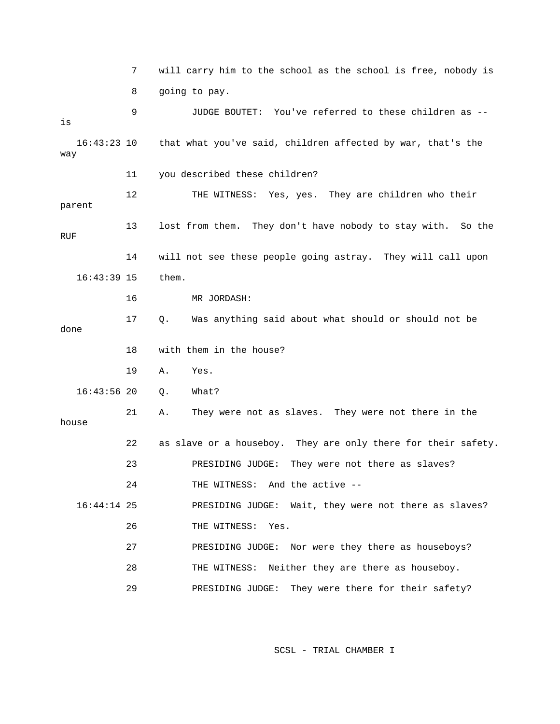|                      | 7  | will carry him to the school as the school is free, nobody is  |
|----------------------|----|----------------------------------------------------------------|
|                      | 8  | going to pay.                                                  |
| is                   | 9  | JUDGE BOUTET: You've referred to these children as --          |
| $16:43:23$ 10<br>way |    | that what you've said, children affected by war, that's the    |
|                      | 11 | you described these children?                                  |
| parent               | 12 | THE WITNESS: Yes, yes. They are children who their             |
| RUF                  | 13 | lost from them. They don't have nobody to stay with.<br>So the |
|                      | 14 | will not see these people going astray. They will call upon    |
| $16:43:39$ 15        |    | them.                                                          |
|                      | 16 | MR JORDASH:                                                    |
| done                 | 17 | Was anything said about what should or should not be<br>$Q$ .  |
|                      | 18 | with them in the house?                                        |
|                      | 19 | Α.<br>Yes.                                                     |
| $16:43:56$ 20        |    | What?<br>$Q$ .                                                 |
| house                | 21 | They were not as slaves. They were not there in the<br>Α.      |
|                      | 22 | as slave or a houseboy. They are only there for their safety.  |
|                      | 23 | They were not there as slaves?<br>PRESIDING JUDGE:             |
|                      | 24 | THE WITNESS: And the active --                                 |
| $16:44:14$ 25        |    | PRESIDING JUDGE: Wait, they were not there as slaves?          |
|                      | 26 | THE WITNESS:<br>Yes.                                           |
|                      | 27 | Nor were they there as houseboys?<br>PRESIDING JUDGE:          |
|                      | 28 | Neither they are there as houseboy.<br>THE WITNESS:            |
|                      | 29 | They were there for their safety?<br>PRESIDING JUDGE:          |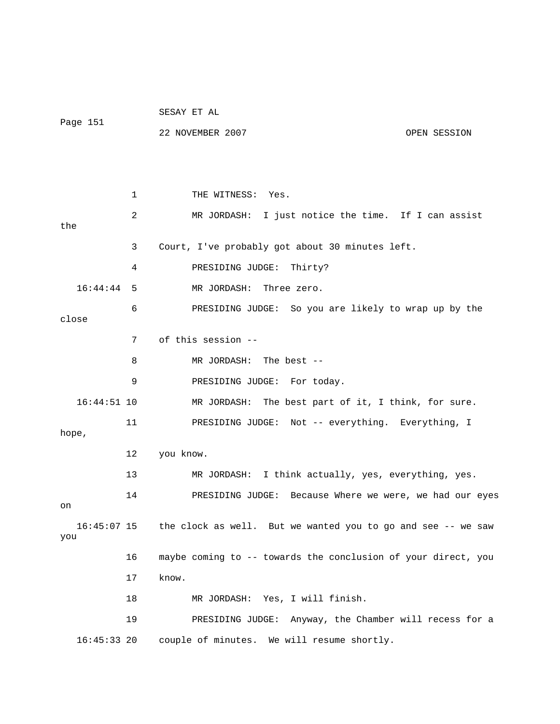| Page 151      |    | SESAY ET AL                                                              |  |  |  |
|---------------|----|--------------------------------------------------------------------------|--|--|--|
|               |    | 22 NOVEMBER 2007<br>OPEN SESSION                                         |  |  |  |
|               |    |                                                                          |  |  |  |
|               |    |                                                                          |  |  |  |
|               | 1  | THE WITNESS: Yes.                                                        |  |  |  |
| the           | 2  | MR JORDASH: I just notice the time. If I can assist                      |  |  |  |
|               | 3  | Court, I've probably got about 30 minutes left.                          |  |  |  |
|               | 4  | PRESIDING JUDGE:<br>Thirty?                                              |  |  |  |
| 16:44:44      | 5  | MR JORDASH:<br>Three zero.                                               |  |  |  |
| close         | 6  | PRESIDING JUDGE: So you are likely to wrap up by the                     |  |  |  |
|               | 7  | of this session --                                                       |  |  |  |
|               | 8  | MR JORDASH: The best --                                                  |  |  |  |
|               | 9  | PRESIDING JUDGE: For today.                                              |  |  |  |
| 16:44:51 10   |    | MR JORDASH: The best part of it, I think, for sure.                      |  |  |  |
| hope,         | 11 | PRESIDING JUDGE: Not -- everything. Everything, I                        |  |  |  |
|               | 12 | you know.                                                                |  |  |  |
|               | 13 | I think actually, yes, everything, yes.<br>MR JORDASH:                   |  |  |  |
| on            | 14 | PRESIDING JUDGE: Because Where we were, we had our eyes                  |  |  |  |
| you           |    | 16:45:07 15 the clock as well. But we wanted you to go and see -- we saw |  |  |  |
|               | 16 | maybe coming to -- towards the conclusion of your direct, you            |  |  |  |
|               | 17 | know.                                                                    |  |  |  |
|               | 18 | MR JORDASH: Yes, I will finish.                                          |  |  |  |
|               | 19 | PRESIDING JUDGE: Anyway, the Chamber will recess for a                   |  |  |  |
| $16:45:33$ 20 |    | couple of minutes. We will resume shortly.                               |  |  |  |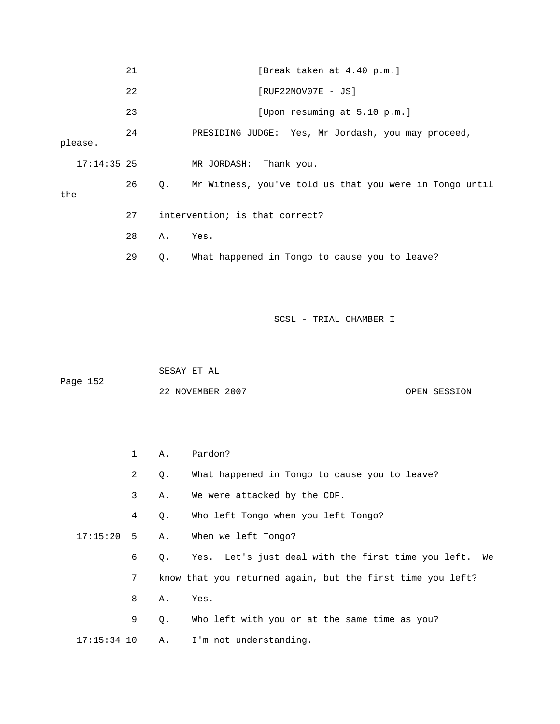|     |               | 21 |    | [Break taken at 4.40 p.m.]                              |
|-----|---------------|----|----|---------------------------------------------------------|
|     |               | 22 |    | $[RUF22NOV07E - JS]$                                    |
|     |               | 23 |    | [Upon resuming at 5.10 p.m.]                            |
|     | please.       | 24 |    | PRESIDING JUDGE: Yes, Mr Jordash, you may proceed,      |
|     | $17:14:35$ 25 |    |    | MR JORDASH: Thank you.                                  |
| the |               | 26 | 0. | Mr Witness, you've told us that you were in Tongo until |
|     |               | 27 |    | intervention; is that correct?                          |
|     |               | 28 | Α. | Yes.                                                    |
|     |               | 29 | Q. | What happened in Tongo to cause you to leave?           |

 SESAY ET AL Page 152 22 NOVEMBER 2007 CPEN SESSION

|               | $\mathbf{1}$ |           | A. Pardon?                                                 |
|---------------|--------------|-----------|------------------------------------------------------------|
|               | 2            | Q.        | What happened in Tongo to cause you to leave?              |
|               | 3            | Α.        | We were attacked by the CDF.                               |
|               | 4            | $Q$ .     | Who left Tongo when you left Tongo?                        |
| $17:15:20$ 5  |              |           | A. When we left Tongo?                                     |
|               | 6            | $\circ$ . | Yes. Let's just deal with the first time you left. We      |
|               | 7            |           | know that you returned again, but the first time you left? |
|               | 8            | Α.        | Yes.                                                       |
|               | 9            | $Q$ .     | Who left with you or at the same time as you?              |
| $17:15:34$ 10 |              |           | A. I'm not understanding.                                  |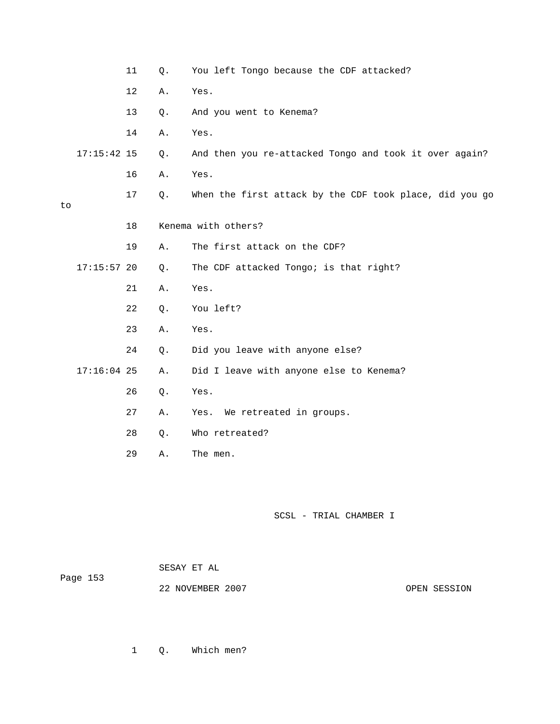|    |               | 11 | Q. | You left Tongo because the CDF attacked?                |
|----|---------------|----|----|---------------------------------------------------------|
|    |               | 12 | Α. | Yes.                                                    |
|    |               | 13 | Q. | And you went to Kenema?                                 |
|    |               | 14 | Α. | Yes.                                                    |
|    | $17:15:42$ 15 |    | Q. | And then you re-attacked Tongo and took it over again?  |
|    |               | 16 | Α. | Yes.                                                    |
| to |               | 17 | Q. | When the first attack by the CDF took place, did you go |
|    |               | 18 |    | Kenema with others?                                     |
|    |               | 19 | Α. | The first attack on the CDF?                            |
|    | $17:15:57$ 20 |    | Q. | The CDF attacked Tongo; is that right?                  |
|    |               | 21 | Α. | Yes.                                                    |
|    |               | 22 | Q. | You left?                                               |
|    |               | 23 | Α. | Yes.                                                    |
|    |               | 24 | Q. | Did you leave with anyone else?                         |
|    | $17:16:04$ 25 |    | Α. | Did I leave with anyone else to Kenema?                 |
|    |               | 26 | Q. | Yes.                                                    |
|    |               | 27 | Α. | We retreated in groups.<br>Yes.                         |
|    |               | 28 | Q. | Who retreated?                                          |
|    |               | 29 | Α. | The men.                                                |

| Page 153 | SESAY ET AL      |              |
|----------|------------------|--------------|
|          | 22 NOVEMBER 2007 | OPEN SESSION |

1 Q. Which men?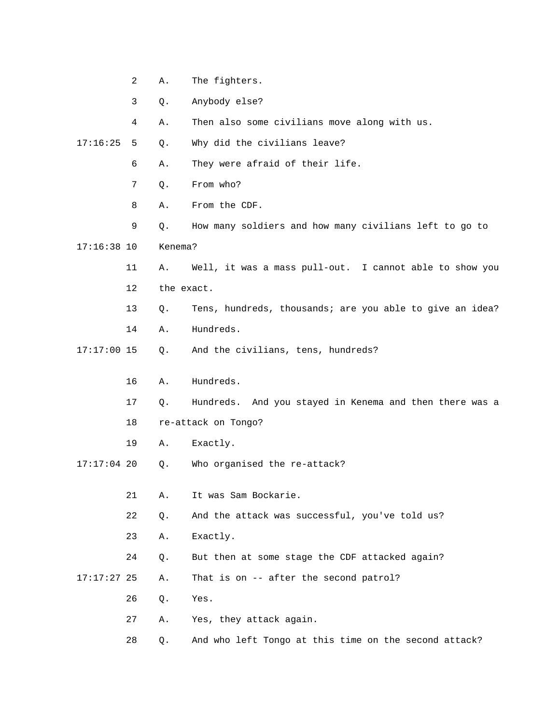|               | $\overline{a}$ | Α.         | The fighters.                                            |
|---------------|----------------|------------|----------------------------------------------------------|
|               | 3              | Q.         | Anybody else?                                            |
|               | 4              | Α.         | Then also some civilians move along with us.             |
| 17:16:25      | 5              | Q.         | Why did the civilians leave?                             |
|               | 6              | Α.         | They were afraid of their life.                          |
|               | 7              | Q.         | From who?                                                |
|               | 8              | Α.         | From the CDF.                                            |
|               | 9              | Q.         | How many soldiers and how many civilians left to go to   |
| $17:16:38$ 10 |                | Kenema?    |                                                          |
|               | 11             | Α.         | Well, it was a mass pull-out. I cannot able to show you  |
|               | 12             | the exact. |                                                          |
|               | 13             | Q.         | Tens, hundreds, thousands; are you able to give an idea? |
|               | 14             | Α.         | Hundreds.                                                |
| $17:17:00$ 15 |                | Q.         | And the civilians, tens, hundreds?                       |
|               | 16             | Α.         | Hundreds.                                                |
|               | 17             | Q.         | Hundreds. And you stayed in Kenema and then there was a  |
|               | 18             |            | re-attack on Tongo?                                      |
|               | 19             | Α.         | Exactly.                                                 |
| $17:17:04$ 20 |                | Q.         | Who organised the re-attack?                             |
|               |                |            |                                                          |
|               | 21             | Α.         | It was Sam Bockarie.                                     |
|               | 22             | Q.         | And the attack was successful, you've told us?           |
|               | 23             | Α.         | Exactly.                                                 |
|               | 24             | Q.         | But then at some stage the CDF attacked again?           |
| $17:17:27$ 25 |                | Α.         | That is on -- after the second patrol?                   |
|               | 26             | Q.         | Yes.                                                     |
|               | 27             | Α.         | Yes, they attack again.                                  |
|               | 28             | Q.         | And who left Tongo at this time on the second attack?    |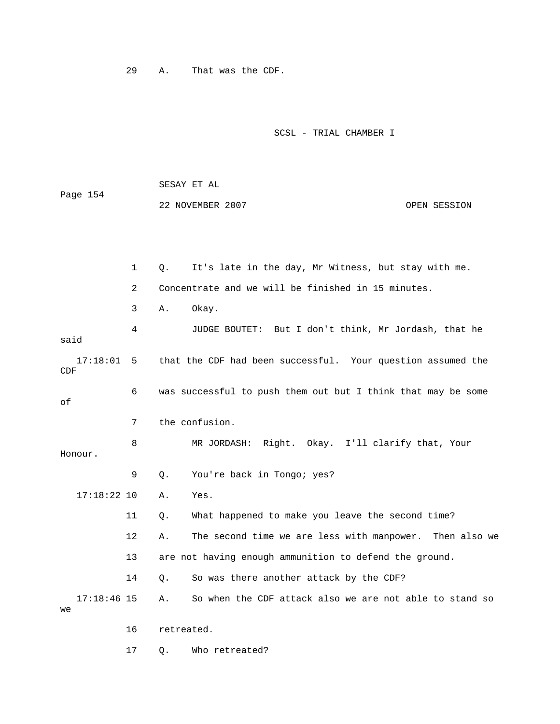29 A. That was the CDF.

SCSL - TRIAL CHAMBER I

 SESAY ET AL Page 154 22 NOVEMBER 2007 OPEN SESSION 1 Q. It's late in the day, Mr Witness, but stay with me. 2 Concentrate and we will be finished in 15 minutes. 3 A. Okay. 4 JUDGE BOUTET: But I don't think, Mr Jordash, that he said 17:18:01 5 that the CDF had been successful. Your question assumed the CDF 6 was successful to push them out but I think that may be some of 7 the confusion. 8 MR JORDASH: Right. Okay. I'll clarify that, Your Honour. 9 Q. You're back in Tongo; yes? 17:18:22 10 A. Yes. 11 Q. What happened to make you leave the second time? 12 A. The second time we are less with manpower. Then also we 13 are not having enough ammunition to defend the ground. 14 Q. So was there another attack by the CDF? 17:18:46 15 A. So when the CDF attack also we are not able to stand so we 16 retreated. 17 Q. Who retreated?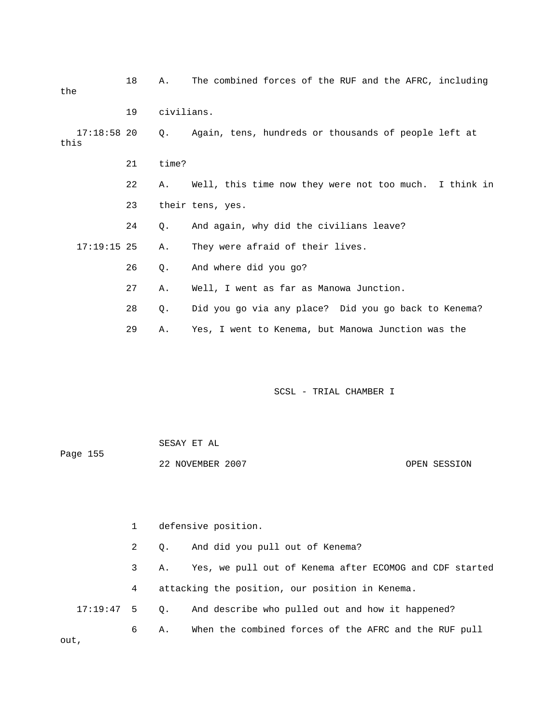| the                   | 18 | Α.         | The combined forces of the RUF and the AFRC, including |
|-----------------------|----|------------|--------------------------------------------------------|
|                       | 19 | civilians. |                                                        |
| $17:18:58$ 20<br>this |    | 0.         | Again, tens, hundreds or thousands of people left at   |
|                       | 21 | time?      |                                                        |
|                       | 22 | Α.         | Well, this time now they were not too much. I think in |
|                       | 23 |            | their tens, yes.                                       |
|                       | 24 | $Q$ .      | And again, why did the civilians leave?                |
| $17:19:15$ 25         |    | Α.         | They were afraid of their lives.                       |
|                       | 26 | $Q$ .      | And where did you go?                                  |
|                       | 27 | Α.         | Well, I went as far as Manowa Junction.                |
|                       | 28 | Q.         | Did you go via any place? Did you go back to Kenema?   |
|                       | 29 | Α.         | Yes, I went to Kenema, but Manowa Junction was the     |

|          | SESAY ET AL      |              |
|----------|------------------|--------------|
| Page 155 |                  |              |
|          | 22 NOVEMBER 2007 | OPEN SESSION |

 1 defensive position. 2 Q. And did you pull out of Kenema? 3 A. Yes, we pull out of Kenema after ECOMOG and CDF started 4 attacking the position, our position in Kenema. 17:19:47 5 Q. And describe who pulled out and how it happened? 6 A. When the combined forces of the AFRC and the RUF pull out,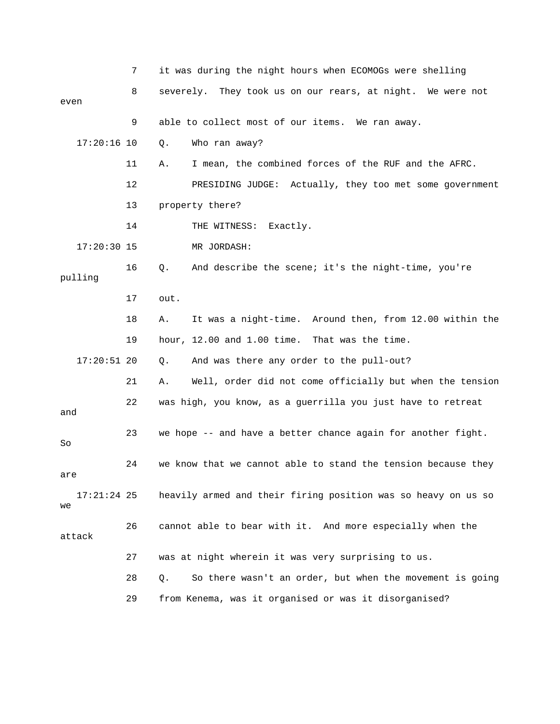|                     | 7  | it was during the night hours when ECOMOGs were shelling       |
|---------------------|----|----------------------------------------------------------------|
|                     | 8  | severely. They took us on our rears, at night. We were not     |
| even                |    |                                                                |
|                     | 9  | able to collect most of our items. We ran away.                |
| $17:20:16$ 10       |    | Who ran away?<br>Q.                                            |
|                     | 11 | I mean, the combined forces of the RUF and the AFRC.<br>Α.     |
|                     | 12 | PRESIDING JUDGE: Actually, they too met some government        |
|                     | 13 | property there?                                                |
|                     | 14 | THE WITNESS: Exactly.                                          |
| $17:20:30$ 15       |    | MR JORDASH:                                                    |
| pulling             | 16 | $Q$ .<br>And describe the scene; it's the night-time, you're   |
|                     | 17 | out.                                                           |
|                     | 18 | It was a night-time. Around then, from 12.00 within the<br>Α.  |
|                     | 19 | hour, 12.00 and 1.00 time. That was the time.                  |
| $17:20:51$ 20       |    | And was there any order to the pull-out?<br>Q.                 |
|                     | 21 | Well, order did not come officially but when the tension<br>Α. |
| and                 | 22 | was high, you know, as a guerrilla you just have to retreat    |
| So                  | 23 | we hope -- and have a better chance again for another fight.   |
| are                 | 24 | we know that we cannot able to stand the tension because they  |
| $17:21:24$ 25<br>we |    | heavily armed and their firing position was so heavy on us so  |
| attack              | 26 | cannot able to bear with it. And more especially when the      |
|                     | 27 | was at night wherein it was very surprising to us.             |
|                     | 28 | So there wasn't an order, but when the movement is going<br>Q. |
|                     | 29 | from Kenema, was it organised or was it disorganised?          |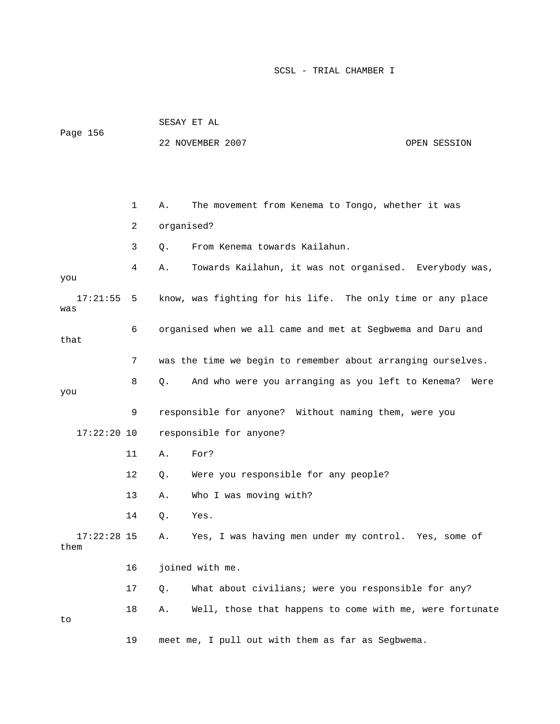|                       |              |            | 22 NOVEMBER 2007                                             | OPEN SESSION |
|-----------------------|--------------|------------|--------------------------------------------------------------|--------------|
|                       |              |            |                                                              |              |
|                       |              |            |                                                              |              |
|                       | $\mathbf{1}$ | Α.         | The movement from Kenema to Tongo, whether it was            |              |
|                       | 2            | organised? |                                                              |              |
|                       | 3            | Q.         | From Kenema towards Kailahun.                                |              |
| you                   | 4            | Α.         | Towards Kailahun, it was not organised. Everybody was,       |              |
| 17:21:55<br>was       | 5            |            | know, was fighting for his life. The only time or any place  |              |
| that                  | 6            |            | organised when we all came and met at Segbwema and Daru and  |              |
|                       | 7            |            | was the time we begin to remember about arranging ourselves. |              |
| you                   | 8            | Q.         | And who were you arranging as you left to Kenema?            | Were         |
|                       | 9            |            | responsible for anyone? Without naming them, were you        |              |
| $17:22:20$ 10         |              |            | responsible for anyone?                                      |              |
|                       | 11           | Α.         | For?                                                         |              |
|                       | 12           | О.         | Were you responsible for any people?                         |              |
|                       | 13           | Α.         | Who I was moving with?                                       |              |
|                       | 14           | Q.         | Yes.                                                         |              |
| $17:22:28$ 15<br>them |              | Α.         | Yes, I was having men under my control. Yes, some of         |              |
|                       | 16           |            | joined with me.                                              |              |
|                       | 17           | О.         | What about civilians; were you responsible for any?          |              |
|                       | 18           | Α.         | Well, those that happens to come with me, were fortunate     |              |

SESAY ET AL

Page 156

to

19 meet me, I pull out with them as far as Segbwema.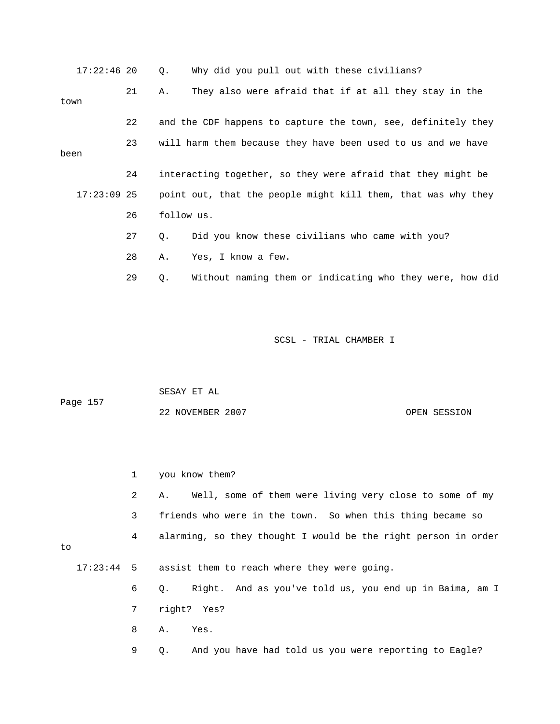| $17:22:46$ 20 |    | Why did you pull out with these civilians?<br>Q.               |  |
|---------------|----|----------------------------------------------------------------|--|
| town          | 21 | They also were afraid that if at all they stay in the<br>Α.    |  |
|               |    |                                                                |  |
|               | 22 | and the CDF happens to capture the town, see, definitely they  |  |
| been          | 23 | will harm them because they have been used to us and we have   |  |
|               |    |                                                                |  |
|               | 24 | interacting together, so they were afraid that they might be   |  |
| $17:23:09$ 25 |    | point out, that the people might kill them, that was why they  |  |
|               | 26 | follow us.                                                     |  |
|               | 27 | Did you know these civilians who came with you?<br>Q.          |  |
|               | 28 | Yes, I know a few.<br>Α.                                       |  |
|               | 29 | Without naming them or indicating who they were, how did<br>Q. |  |
|               |    |                                                                |  |

| Page 157 | SESAY ET AL      |              |
|----------|------------------|--------------|
|          | 22 NOVEMBER 2007 | OPEN SESSION |

|    | $\mathbf 1$ | you know them?                                                     |  |
|----|-------------|--------------------------------------------------------------------|--|
|    | 2           | A. Well, some of them were living very close to some of my         |  |
|    | 3           | friends who were in the town. So when this thing became so         |  |
| to | 4           | alarming, so they thought I would be the right person in order     |  |
|    |             | 17:23:44 5 assist them to reach where they were going.             |  |
|    | 6           | Right. And as you've told us, you end up in Baima, am I<br>Q.      |  |
|    | 7           | right? Yes?                                                        |  |
|    | 8           | A. Yes.                                                            |  |
|    | 9           | And you have had told us you were reporting to Eagle?<br>$\circ$ . |  |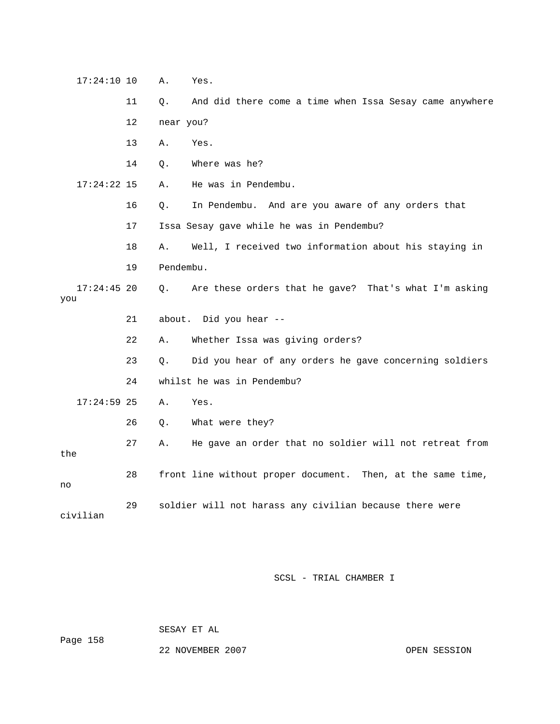| $17:24:10$ 10        |                   | Α.        | Yes.                                                        |
|----------------------|-------------------|-----------|-------------------------------------------------------------|
|                      | 11                | О.        | And did there come a time when Issa Sesay came anywhere     |
|                      | $12 \overline{ }$ | near you? |                                                             |
|                      | 13                | Α.        | Yes.                                                        |
|                      | 14                | О.        | Where was he?                                               |
| $17:24:22$ 15        |                   | Α.        | He was in Pendembu.                                         |
|                      | 16                | Q.        | In Pendembu. And are you aware of any orders that           |
|                      | 17                |           | Issa Sesay gave while he was in Pendembu?                   |
|                      | 18                | Α.        | Well, I received two information about his staying in       |
|                      | 19                | Pendembu. |                                                             |
| $17:24:45$ 20<br>you |                   | $\circ$ . | Are these orders that he gave? That's what I'm asking       |
|                      | 21                |           | about. Did you hear --                                      |
|                      | 22                | Α.        | Whether Issa was giving orders?                             |
|                      | 23                | О.        | Did you hear of any orders he gave concerning soldiers      |
|                      | 24                |           | whilst he was in Pendembu?                                  |
| $17:24:59$ 25        |                   | Α.        | Yes.                                                        |
|                      | 26                | Q.        | What were they?                                             |
| the                  | 27                | Α.        | He gave an order that no soldier will not retreat from      |
| no                   | 28                |           | front line without proper document. Then, at the same time, |
| civilian             | 29                |           | soldier will not harass any civilian because there were     |

SESAY ET AL

Page 158

22 NOVEMBER 2007 OPEN SESSION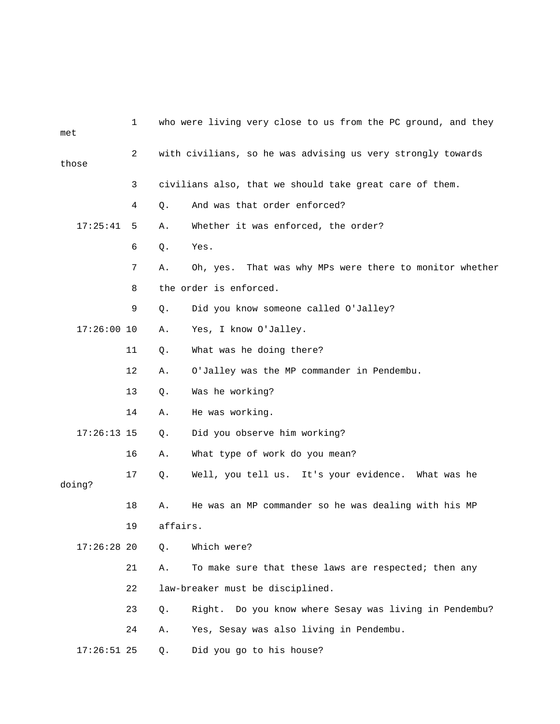| met           | 1                                                           | who were living very close to us from the PC ground, and they |
|---------------|-------------------------------------------------------------|---------------------------------------------------------------|
| those         | with civilians, so he was advising us very strongly towards |                                                               |
|               | 3                                                           | civilians also, that we should take great care of them.       |
|               | 4                                                           | And was that order enforced?<br>Q.                            |
| 17:25:41      | 5                                                           | Whether it was enforced, the order?<br>Α.                     |
|               | 6                                                           | Q.<br>Yes.                                                    |
|               | 7                                                           | Oh, yes. That was why MPs were there to monitor whether<br>Α. |
|               | 8                                                           | the order is enforced.                                        |
|               | 9                                                           | Did you know someone called O'Jalley?<br>Q.                   |
| $17:26:00$ 10 |                                                             | Yes, I know O'Jalley.<br>Α.                                   |
|               | 11                                                          | What was he doing there?<br>Q.                                |
|               | 12                                                          | O'Jalley was the MP commander in Pendembu.<br>Α.              |
|               | 13                                                          | Was he working?<br>Q.                                         |
|               | 14                                                          | He was working.<br>Α.                                         |
| $17:26:13$ 15 |                                                             | Did you observe him working?<br>$Q$ .                         |
|               | 16                                                          | What type of work do you mean?<br>Α.                          |
| doing?        | 17                                                          | Well, you tell us. It's your evidence. What was he<br>$Q$ .   |
|               | 18                                                          | He was an MP commander so he was dealing with his MP<br>Α.    |
|               | 19                                                          | affairs.                                                      |
| $17:26:28$ 20 |                                                             | Which were?<br>Q.                                             |
|               | 21                                                          | To make sure that these laws are respected; then any<br>Α.    |
|               | 22                                                          | law-breaker must be disciplined.                              |
|               | 23                                                          | Right. Do you know where Sesay was living in Pendembu?<br>Q.  |
|               | 24                                                          | Yes, Sesay was also living in Pendembu.<br>Α.                 |
| $17:26:51$ 25 |                                                             | Did you go to his house?<br>Q.                                |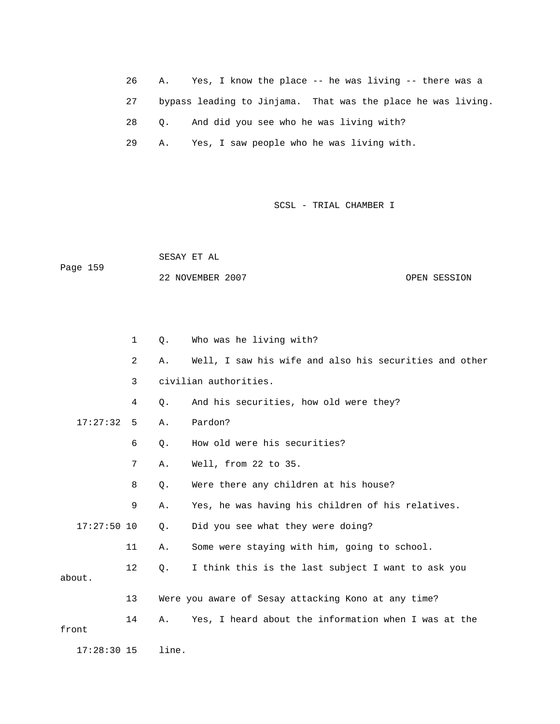26 A. Yes, I know the place -- he was living -- there was a 27 bypass leading to Jinjama. That was the place he was living. 28 Q. And did you see who he was living with? 29 A. Yes, I saw people who he was living with.

SCSL - TRIAL CHAMBER I

 SESAY ET AL Page 159 22 NOVEMBER 2007 OPEN SESSION

|               | 1              | Q.        | Who was he living with?                                |
|---------------|----------------|-----------|--------------------------------------------------------|
|               | $\overline{2}$ | Α.        | Well, I saw his wife and also his securities and other |
|               | 3              |           | civilian authorities.                                  |
|               | 4              | Q.        | And his securities, how old were they?                 |
| 17:27:32      | 5              | Α.        | Pardon?                                                |
|               | 6              | $Q$ .     | How old were his securities?                           |
|               | 7              | Α.        | Well, from 22 to 35.                                   |
|               | 8              | Q.        | Were there any children at his house?                  |
|               | 9              | Α.        | Yes, he was having his children of his relatives.      |
| $17:27:50$ 10 |                | $\circ$ . | Did you see what they were doing?                      |
|               | 11             | Α.        | Some were staying with him, going to school.           |
| about.        | 12             | $\circ$ . | I think this is the last subject I want to ask you     |
|               | 13             |           | Were you aware of Sesay attacking Kono at any time?    |
| front         | 14             | Α.        | Yes, I heard about the information when I was at the   |
| $17:28:30$ 15 |                | line.     |                                                        |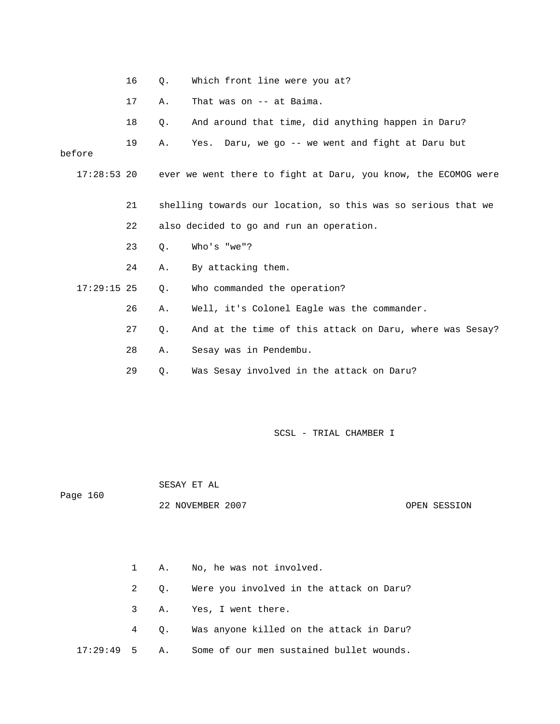|               | 16 | Q.    | Which front line were you at?                                  |
|---------------|----|-------|----------------------------------------------------------------|
|               | 17 | Α.    | That was on -- at Baima.                                       |
|               | 18 | $Q$ . | And around that time, did anything happen in Daru?             |
| before        | 19 | Α.    | Yes. Daru, we go -- we went and fight at Daru but              |
| $17:28:53$ 20 |    |       | ever we went there to fight at Daru, you know, the ECOMOG were |
|               | 21 |       | shelling towards our location, so this was so serious that we  |
|               | 22 |       | also decided to go and run an operation.                       |
|               | 23 | $Q$ . | Who's "we"?                                                    |
|               | 24 | Α.    | By attacking them.                                             |
| $17:29:15$ 25 |    | $Q$ . | Who commanded the operation?                                   |
|               | 26 | Α.    | Well, it's Colonel Eagle was the commander.                    |
|               | 27 | $Q$ . | And at the time of this attack on Daru, where was Sesay?       |
|               | 28 | Α.    | Sesay was in Pendembu.                                         |
|               | 29 | Q.    | Was Sesay involved in the attack on Daru?                      |

SESAY ET AL

Page 160

22 NOVEMBER 2007 OPEN SESSION

 1 A. No, he was not involved. 2 Q. Were you involved in the attack on Daru? 3 A. Yes, I went there. 4 Q. Was anyone killed on the attack in Daru? 17:29:49 5 A. Some of our men sustained bullet wounds.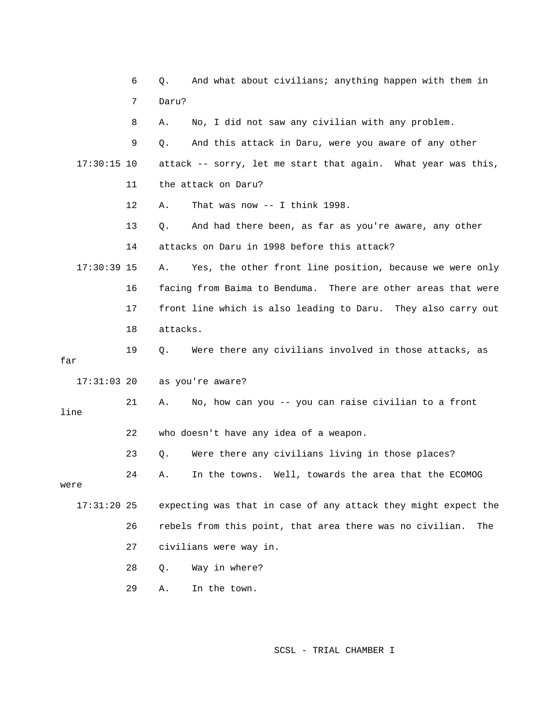|               | 6  | And what about civilians; anything happen with them in<br>Q.    |
|---------------|----|-----------------------------------------------------------------|
|               | 7  | Daru?                                                           |
|               | 8  | No, I did not saw any civilian with any problem.<br>Α.          |
|               | 9  | And this attack in Daru, were you aware of any other<br>Q.      |
| $17:30:15$ 10 |    | attack -- sorry, let me start that again. What year was this,   |
|               | 11 | the attack on Daru?                                             |
|               | 12 | That was now $--$ I think 1998.<br>Α.                           |
|               | 13 | And had there been, as far as you're aware, any other<br>Q.     |
|               | 14 | attacks on Daru in 1998 before this attack?                     |
| $17:30:39$ 15 |    | Yes, the other front line position, because we were only<br>Α.  |
|               | 16 | facing from Baima to Benduma. There are other areas that were   |
|               | 17 | front line which is also leading to Daru. They also carry out   |
|               | 18 | attacks.                                                        |
| far           | 19 | Were there any civilians involved in those attacks, as<br>Q.    |
| $17:31:03$ 20 |    | as you're aware?                                                |
| line          | 21 | No, how can you -- you can raise civilian to a front<br>Α.      |
|               | 22 | who doesn't have any idea of a weapon.                          |
|               | 23 | Were there any civilians living in those places?<br>$Q$ .       |
| were          | 24 | In the towns. Well, towards the area that the ECOMOG<br>А.      |
| $17:31:20$ 25 |    | expecting was that in case of any attack they might expect the  |
|               | 26 | rebels from this point, that area there was no civilian.<br>The |
|               | 27 | civilians were way in.                                          |
|               | 28 | Way in where?<br>Q.                                             |
|               | 29 | In the town.<br>Α.                                              |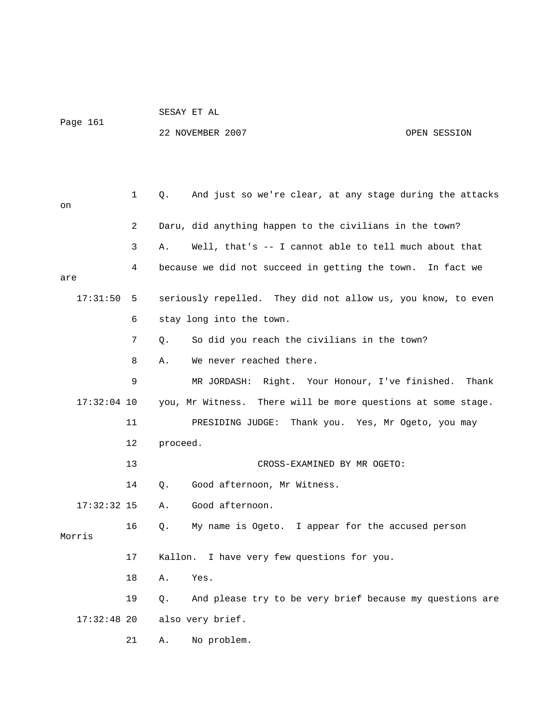Page 161

SESAY ET AL

## 22 NOVEMBER 2007 OPEN SESSION

 1 Q. And just so we're clear, at any stage during the attacks on 2 Daru, did anything happen to the civilians in the town? 3 A. Well, that's -- I cannot able to tell much about that 4 because we did not succeed in getting the town. In fact we are 17:31:50 5 seriously repelled. They did not allow us, you know, to even 6 stay long into the town. 7 Q. So did you reach the civilians in the town? 8 A. We never reached there. 9 MR JORDASH: Right. Your Honour, I've finished. Thank 17:32:04 10 you, Mr Witness. There will be more questions at some stage. 11 PRESIDING JUDGE: Thank you. Yes, Mr Ogeto, you may 12 proceed. 13 CROSS-EXAMINED BY MR OGETO: 14 Q. Good afternoon, Mr Witness. 17:32:32 15 A. Good afternoon. 16 Q. My name is Ogeto. I appear for the accused person Morris 17 Kallon. I have very few questions for you. 18 A. Yes. 19 Q. And please try to be very brief because my questions are 17:32:48 20 also very brief. 21 A. No problem.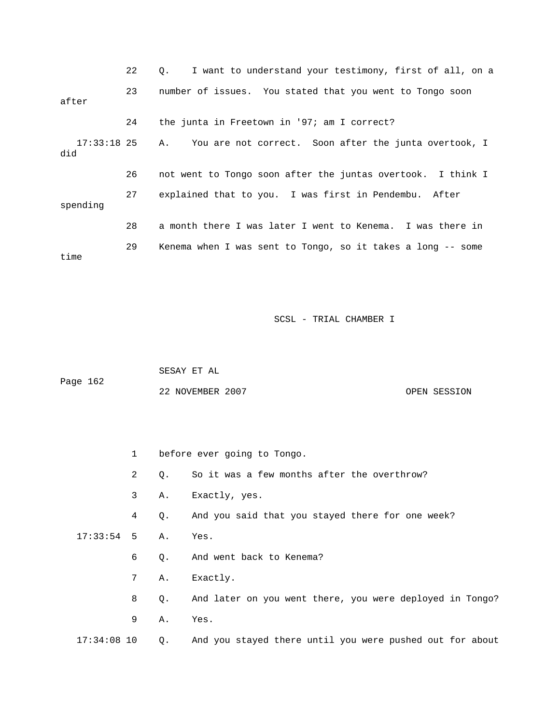|          | 22 | I want to understand your testimony, first of all, on a<br>$\circ$ . |
|----------|----|----------------------------------------------------------------------|
| after    | 23 | number of issues. You stated that you went to Tongo soon             |
|          | 24 | the junta in Freetown in '97; am I correct?                          |
| did      |    | 17:33:18 25 A. You are not correct. Soon after the junta overtook, I |
|          | 26 | not went to Tongo soon after the juntas overtook. I think I          |
| spending | 27 | explained that to you. I was first in Pendembu. After                |
|          | 28 | a month there I was later I went to Kenema. I was there in           |
| time     | 29 | Kenema when I was sent to Tongo, so it takes a long -- some          |

 SESAY ET AL Page 162 22 NOVEMBER 2007 COPEN SESSION

|                 | $1 \quad$ |             | before ever going to Tongo.                              |  |  |
|-----------------|-----------|-------------|----------------------------------------------------------|--|--|
|                 | 2         | Q.          | So it was a few months after the overthrow?              |  |  |
|                 | 3         | Α.          | Exactly, yes.                                            |  |  |
|                 | 4         | $\circ$ .   | And you said that you stayed there for one week?         |  |  |
| $17:33:54$ 5 A. |           |             | Yes.                                                     |  |  |
|                 | 6         | Q.          | And went back to Kenema?                                 |  |  |
|                 | 7         | Α.          | Exactly.                                                 |  |  |
|                 | 8         | Q.          | And later on you went there, you were deployed in Tongo? |  |  |
|                 | 9         | Α.          | Yes.                                                     |  |  |
| $17:34:08$ 10   |           | $Q_{\star}$ | And you stayed there until you were pushed out for about |  |  |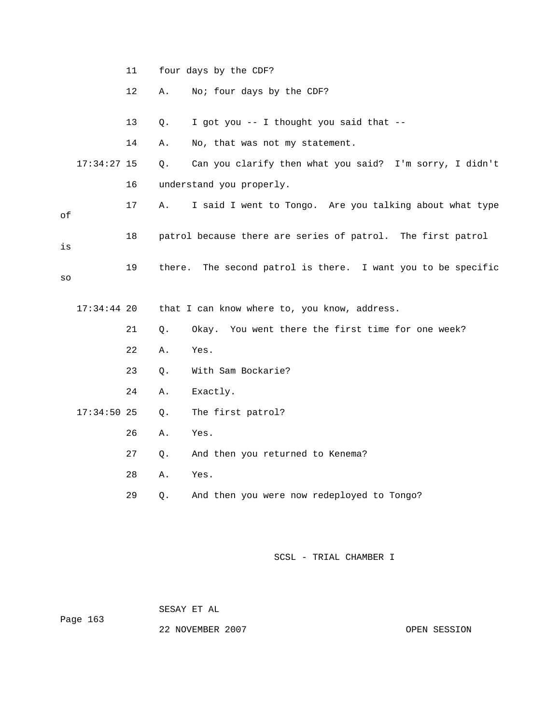|    |               | 11 |    | four days by the CDF?                                        |
|----|---------------|----|----|--------------------------------------------------------------|
|    |               | 12 | Α. | No; four days by the CDF?                                    |
|    |               | 13 | Q. | I got you -- I thought you said that --                      |
|    |               | 14 | Α. | No, that was not my statement.                               |
|    | $17:34:27$ 15 |    | Q. | Can you clarify then what you said? I'm sorry, I didn't      |
|    |               | 16 |    | understand you properly.                                     |
| οf |               | 17 | Α. | I said I went to Tongo. Are you talking about what type      |
| is |               | 18 |    | patrol because there are series of patrol. The first patrol  |
| SO |               | 19 |    | there. The second patrol is there. I want you to be specific |
|    | $17:34:44$ 20 |    |    | that I can know where to, you know, address.                 |
|    |               |    |    |                                                              |
|    |               | 21 | Q. | Okay. You went there the first time for one week?            |
|    |               | 22 | Α. | Yes.                                                         |
|    |               | 23 | Q. | With Sam Bockarie?                                           |
|    |               | 24 | Α. | Exactly.                                                     |
|    | $17:34:50$ 25 |    | Q. | The first patrol?                                            |
|    |               | 26 | Α. | Yes.                                                         |
|    |               | 27 | Q. | And then you returned to Kenema?                             |
|    |               | 28 | Α. | Yes.                                                         |
|    |               | 29 | Q. | And then you were now redeployed to Tongo?                   |

SESAY ET AL

Page 163

22 NOVEMBER 2007 CPEN SESSION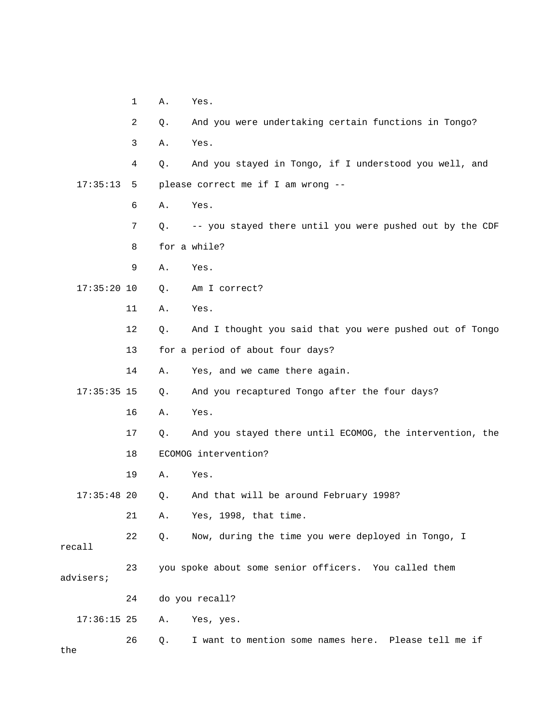- 1 A. Yes.
- 2 Q. And you were undertaking certain functions in Tongo?
- 3 A. Yes.

 4 Q. And you stayed in Tongo, if I understood you well, and 17:35:13 5 please correct me if I am wrong --

- 6 A. Yes.
- 7 Q. -- you stayed there until you were pushed out by the CDF
- 8 for a while?
- 9 A. Yes.
- 17:35:20 10 Q. Am I correct?
	- 11 A. Yes.
	- 12 Q. And I thought you said that you were pushed out of Tongo
	- 13 for a period of about four days?
	- 14 A. Yes, and we came there again.

17:35:35 15 Q. And you recaptured Tongo after the four days?

- 16 A. Yes.
- 17 Q. And you stayed there until ECOMOG, the intervention, the
- 18 ECOMOG intervention?
- 19 A. Yes.

17:35:48 20 Q. And that will be around February 1998?

21 A. Yes, 1998, that time.

 22 Q. Now, during the time you were deployed in Tongo, I recall

 23 you spoke about some senior officers. You called them advisers;

24 do you recall?

17:36:15 25 A. Yes, yes.

 26 Q. I want to mention some names here. Please tell me if the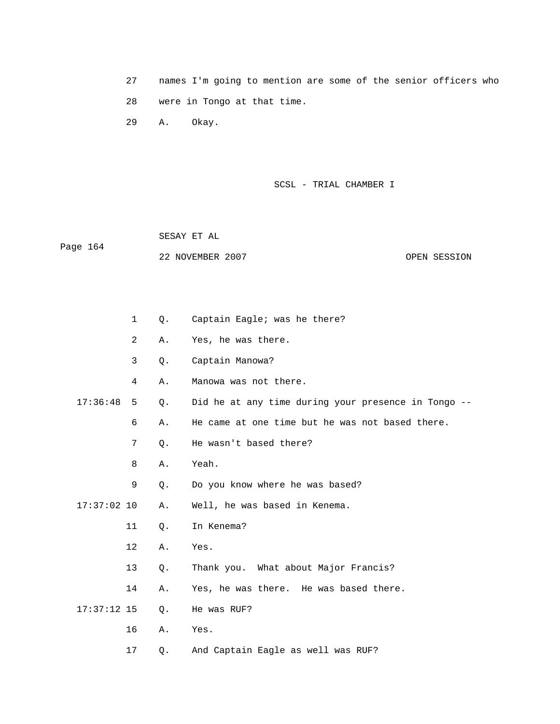27 names I'm going to mention are some of the senior officers who 28 were in Tongo at that time.

29 A. Okay.

SCSL - TRIAL CHAMBER I

 SESAY ET AL Page 164 22 NOVEMBER 2007 CPEN SESSION

|               | $\mathbf 1$    | Q. | Captain Eagle; was he there?                        |
|---------------|----------------|----|-----------------------------------------------------|
|               | $\overline{2}$ | Α. | Yes, he was there.                                  |
|               | 3              | Q. | Captain Manowa?                                     |
|               | 4              | Α. | Manowa was not there.                               |
| 17:36:48      | 5              | Q. | Did he at any time during your presence in Tongo -- |
|               | 6              | Α. | He came at one time but he was not based there.     |
|               | 7              | Q. | He wasn't based there?                              |
|               | 8              | Α. | Yeah.                                               |
|               | 9              | Q. | Do you know where he was based?                     |
| $17:37:02$ 10 |                | Α. | Well, he was based in Kenema.                       |
|               | 11             | Q. | In Kenema?                                          |
|               | $12 \,$        | Α. | Yes.                                                |
|               | 13             | Q. | Thank you. What about Major Francis?                |
|               | 14             | Α. | Yes, he was there. He was based there.              |
| $17:37:12$ 15 |                | Q. | He was RUF?                                         |
|               | 16             | Α. | Yes.                                                |
|               | 17             | Q. | And Captain Eagle as well was RUF?                  |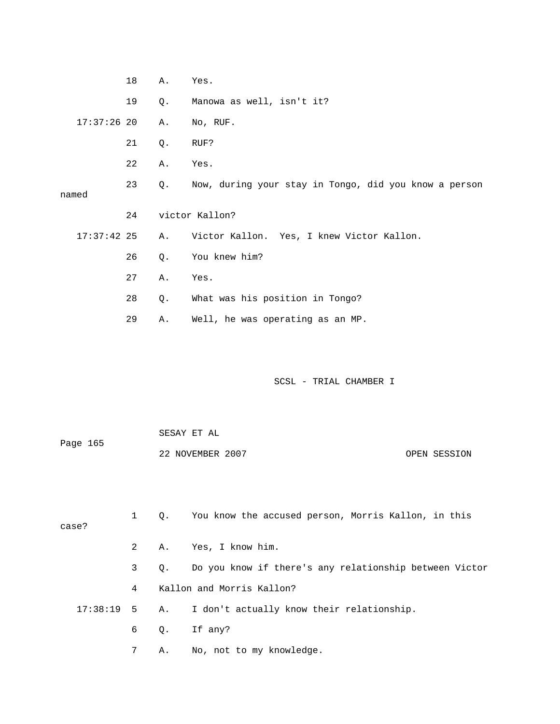|       |               | 18 | Α.    | Yes.                                                  |
|-------|---------------|----|-------|-------------------------------------------------------|
|       |               | 19 | Q.    | Manowa as well, isn't it?                             |
|       | $17:37:26$ 20 |    | Α.    | No, RUF.                                              |
|       |               | 21 | Q.    | RUF?                                                  |
|       |               | 22 | Α.    | Yes.                                                  |
| named |               | 23 | Q.    | Now, during your stay in Tongo, did you know a person |
|       |               | 24 |       | victor Kallon?                                        |
|       | $17:37:42$ 25 |    | Α.    | Victor Kallon. Yes, I knew Victor Kallon.             |
|       |               | 26 | Q.    | You knew him?                                         |
|       |               | 27 | Α.    | Yes.                                                  |
|       |               | 28 | $Q$ . | What was his position in Tongo?                       |
|       |               | 29 | Α.    | Well, he was operating as an MP.                      |
|       |               |    |       |                                                       |
|       |               |    |       |                                                       |

 SESAY ET AL Page 165 22 NOVEMBER 2007 COPEN SESSION

| case? |             | Q. You know the accused person, Morris Kallon, in this    |
|-------|-------------|-----------------------------------------------------------|
|       |             | 2 A. Yes, I know him.                                     |
|       | $3^{\circ}$ | Q. Do you know if there's any relationship between Victor |
|       | 4           | Kallon and Morris Kallon?                                 |
|       |             | 17:38:19 5 A. I don't actually know their relationship.   |
|       |             | $6$ Q. If any?                                            |
|       |             | A. No, not to my knowledge.                               |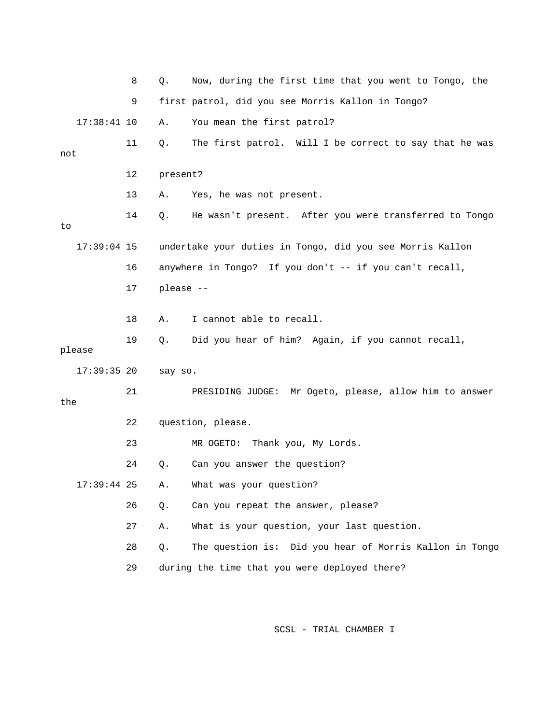|     |               | 8  | Q.        | Now, during the first time that you went to Tongo, the    |
|-----|---------------|----|-----------|-----------------------------------------------------------|
|     |               | 9  |           | first patrol, did you see Morris Kallon in Tongo?         |
|     | $17:38:41$ 10 |    | Α.        | You mean the first patrol?                                |
| not |               | 11 | Q.        | The first patrol. Will I be correct to say that he was    |
|     |               | 12 | present?  |                                                           |
|     |               | 13 | Α.        | Yes, he was not present.                                  |
| to  |               | 14 | Q.        | He wasn't present. After you were transferred to Tongo    |
|     | $17:39:04$ 15 |    |           | undertake your duties in Tongo, did you see Morris Kallon |
|     |               | 16 |           | anywhere in Tongo? If you don't -- if you can't recall,   |
|     |               | 17 | please -- |                                                           |
|     |               | 18 | Α.        | I cannot able to recall.                                  |
|     | please        | 19 | Q.        | Did you hear of him? Again, if you cannot recall,         |
|     | $17:39:35$ 20 |    | say so.   |                                                           |
| the |               | 21 |           | PRESIDING JUDGE: Mr Ogeto, please, allow him to answer    |
|     |               | 22 |           | question, please.                                         |
|     |               | 23 |           | MR OGETO:<br>Thank you, My Lords.                         |
|     |               | 24 | Q.        | Can you answer the question?                              |
|     | $17:39:44$ 25 |    | Α.        | What was your question?                                   |
|     |               | 26 | Q.        | Can you repeat the answer, please?                        |
|     |               | 27 | Α.        | What is your question, your last question.                |
|     |               | 28 | $Q$ .     | The question is: Did you hear of Morris Kallon in Tongo   |
|     |               | 29 |           | during the time that you were deployed there?             |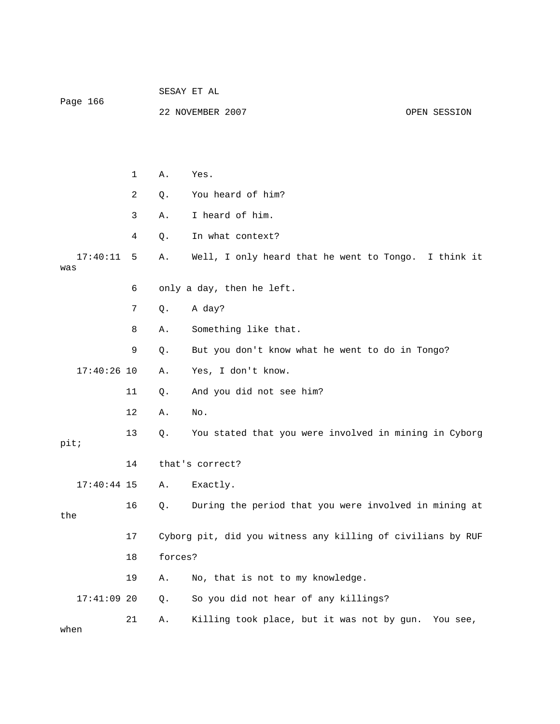| Page 166        |    | SESAY ET AL                                                 |                                                       |  |  |  |
|-----------------|----|-------------------------------------------------------------|-------------------------------------------------------|--|--|--|
|                 |    |                                                             | 22 NOVEMBER 2007<br>OPEN SESSION                      |  |  |  |
|                 |    |                                                             |                                                       |  |  |  |
|                 |    |                                                             |                                                       |  |  |  |
|                 | 1  | Α.                                                          | Yes.                                                  |  |  |  |
|                 | 2  | Q.                                                          | You heard of him?                                     |  |  |  |
|                 | 3  | Α.                                                          | I heard of him.                                       |  |  |  |
|                 | 4  | Q.                                                          | In what context?                                      |  |  |  |
| 17:40:11<br>was | 5  | Α.                                                          | Well, I only heard that he went to Tongo. I think it  |  |  |  |
|                 | 6  | only a day, then he left.                                   |                                                       |  |  |  |
|                 | 7  | Q.                                                          | A day?                                                |  |  |  |
|                 | 8  | Α.                                                          | Something like that.                                  |  |  |  |
|                 | 9  | Q.                                                          | But you don't know what he went to do in Tongo?       |  |  |  |
| $17:40:26$ 10   |    | Α.                                                          | Yes, I don't know.                                    |  |  |  |
|                 | 11 | Q.                                                          | And you did not see him?                              |  |  |  |
|                 | 12 | Α.                                                          | No.                                                   |  |  |  |
| pit;            | 13 | Q.                                                          | You stated that you were involved in mining in Cyborg |  |  |  |
|                 | 14 |                                                             | that's correct?                                       |  |  |  |
| $17:40:44$ 15   |    | Α.                                                          | Exactly.                                              |  |  |  |
| the             | 16 | Q.                                                          | During the period that you were involved in mining at |  |  |  |
|                 | 17 | Cyborg pit, did you witness any killing of civilians by RUF |                                                       |  |  |  |
| 18              |    | forces?                                                     |                                                       |  |  |  |
|                 | 19 | Α.                                                          | No, that is not to my knowledge.                      |  |  |  |
| $17:41:09$ 20   |    | Q.                                                          | So you did not hear of any killings?                  |  |  |  |
| when            | 21 | Α.                                                          | Killing took place, but it was not by gun. You see,   |  |  |  |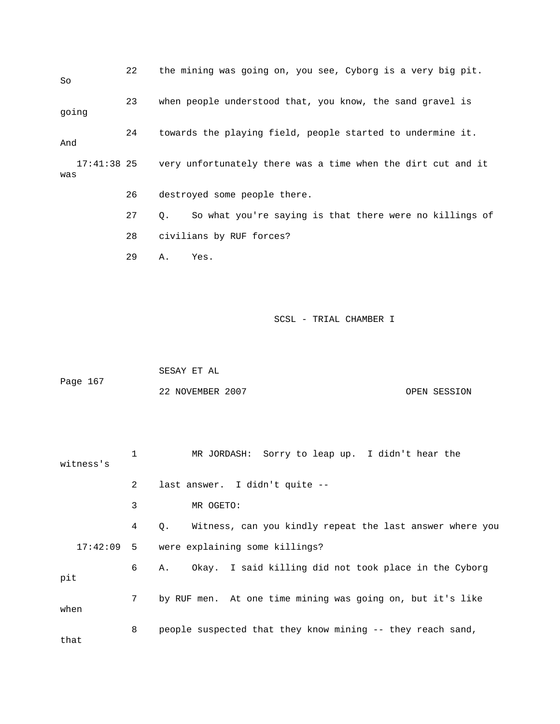22 the mining was going on, you see, Cyborg is a very big pit. So 23 when people understood that, you know, the sand gravel is going 24 towards the playing field, people started to undermine it. And 17:41:38 25 very unfortunately there was a time when the dirt cut and it was 26 destroyed some people there. 27 Q. So what you're saying is that there were no killings of

28 civilians by RUF forces?

29 A. Yes.

| Page 167 | SESAY ET AL      |              |
|----------|------------------|--------------|
|          | 22 NOVEMBER 2007 | OPEN SESSION |

| witness's |                | MR JORDASH: Sorry to leap up. I didn't hear the                |
|-----------|----------------|----------------------------------------------------------------|
|           | $\mathfrak{D}$ | last answer. I didn't quite --                                 |
|           | 3              | MR OGETO:                                                      |
|           | 4              | Witness, can you kindly repeat the last answer where you<br>О. |
|           |                | 17:42:09 5 were explaining some killings?                      |
| pit       | 6              | Okay. I said killing did not took place in the Cyborg<br>Α.    |
| when      | $7^{\circ}$    | by RUF men. At one time mining was going on, but it's like     |
| that      | 8              | people suspected that they know mining -- they reach sand,     |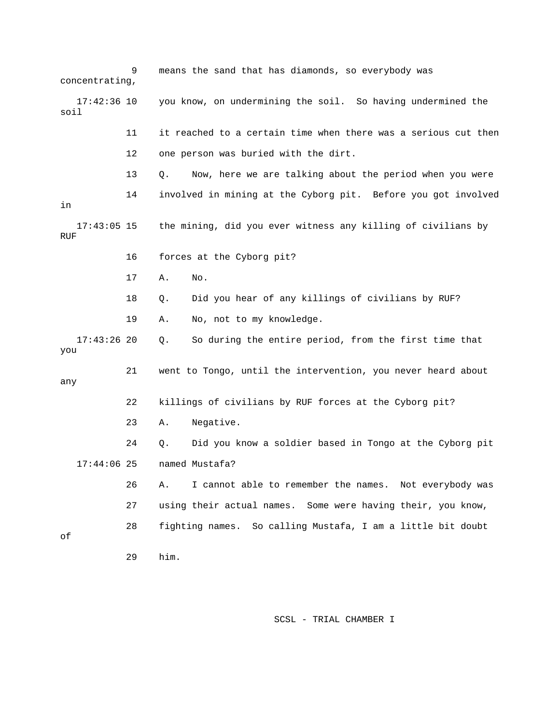9 means the sand that has diamonds, so everybody was concentrating, 17:42:36 10 you know, on undermining the soil. So having undermined the soil 11 it reached to a certain time when there was a serious cut then 12 one person was buried with the dirt. 13 Q. Now, here we are talking about the period when you were 14 involved in mining at the Cyborg pit. Before you got involved in 17:43:05 15 the mining, did you ever witness any killing of civilians by RUF 16 forces at the Cyborg pit? 17 A. No. 18 Q. Did you hear of any killings of civilians by RUF? 19 A. No, not to my knowledge. 17:43:26 20 Q. So during the entire period, from the first time that you 21 went to Tongo, until the intervention, you never heard about any 22 killings of civilians by RUF forces at the Cyborg pit? 23 A. Negative. 24 Q. Did you know a soldier based in Tongo at the Cyborg pit 17:44:06 25 named Mustafa? 26 A. I cannot able to remember the names. Not everybody was 27 using their actual names. Some were having their, you know, 28 fighting names. So calling Mustafa, I am a little bit doubt of 29 him.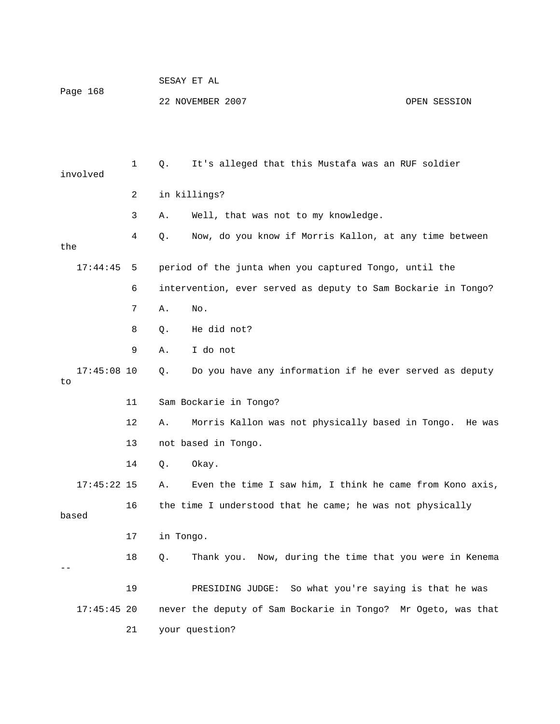|                     |    | SESAY ET AL                      |                                                               |  |  |  |
|---------------------|----|----------------------------------|---------------------------------------------------------------|--|--|--|
| Page 168            |    | 22 NOVEMBER 2007<br>OPEN SESSION |                                                               |  |  |  |
|                     |    |                                  |                                                               |  |  |  |
|                     |    |                                  |                                                               |  |  |  |
| involved            | 1  | Q.                               | It's alleged that this Mustafa was an RUF soldier             |  |  |  |
|                     | 2  |                                  | in killings?                                                  |  |  |  |
|                     | 3  | Α.                               | Well, that was not to my knowledge.                           |  |  |  |
| the                 | 4  | Q.                               | Now, do you know if Morris Kallon, at any time between        |  |  |  |
| 17:44:45            | 5  |                                  | period of the junta when you captured Tongo, until the        |  |  |  |
|                     | 6  |                                  | intervention, ever served as deputy to Sam Bockarie in Tongo? |  |  |  |
|                     | 7  | Α.                               | No.                                                           |  |  |  |
|                     | 8  | $Q$ .                            | He did not?                                                   |  |  |  |
|                     | 9  | Α.                               | I do not                                                      |  |  |  |
| $17:45:08$ 10<br>to |    | Q.                               | Do you have any information if he ever served as deputy       |  |  |  |
|                     | 11 |                                  | Sam Bockarie in Tongo?                                        |  |  |  |
|                     | 12 | Α.                               | Morris Kallon was not physically based in Tongo. He was       |  |  |  |
|                     | 13 |                                  | not based in Tongo.                                           |  |  |  |
|                     | 14 | Q.                               | Okay.                                                         |  |  |  |
| $17:45:22$ 15       |    | Α.                               | Even the time I saw him, I think he came from Kono axis,      |  |  |  |
| based               | 16 |                                  | the time I understood that he came; he was not physically     |  |  |  |
|                     | 17 | in Tongo.                        |                                                               |  |  |  |
|                     | 18 | Q.                               | Thank you. Now, during the time that you were in Kenema       |  |  |  |
|                     | 19 |                                  | PRESIDING JUDGE: So what you're saying is that he was         |  |  |  |
| $17:45:45$ 20       |    |                                  | never the deputy of Sam Bockarie in Tongo? Mr Ogeto, was that |  |  |  |
|                     | 21 |                                  | your question?                                                |  |  |  |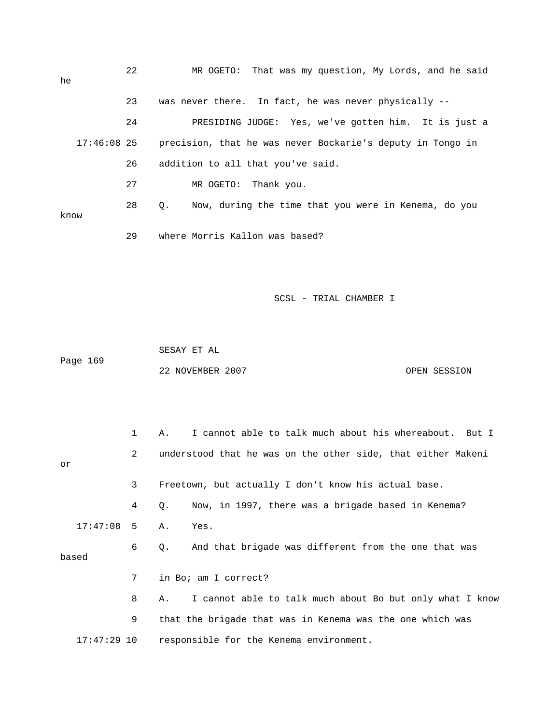| he   |               | 22 | MR OGETO: That was my question, My Lords, and he said      |  |  |  |  |  |
|------|---------------|----|------------------------------------------------------------|--|--|--|--|--|
|      |               | 23 | was never there. In fact, he was never physically --       |  |  |  |  |  |
|      |               | 24 | PRESIDING JUDGE: Yes, we've gotten him. It is just a       |  |  |  |  |  |
|      | $17:46:08$ 25 |    | precision, that he was never Bockarie's deputy in Tongo in |  |  |  |  |  |
|      |               | 26 | addition to all that you've said.                          |  |  |  |  |  |
|      |               | 27 | MR OGETO: Thank you.                                       |  |  |  |  |  |
| know |               | 28 | Q. Now, during the time that you were in Kenema, do you    |  |  |  |  |  |
|      |               | 29 | where Morris Kallon was based?                             |  |  |  |  |  |

 SESAY ET AL Page 169 22 NOVEMBER 2007 CPEN SESSION

|               | $\mathbf{1}$ | I cannot able to talk much about his whereabout. But I<br>Α.   |
|---------------|--------------|----------------------------------------------------------------|
| or            | 2            | understood that he was on the other side, that either Makeni   |
|               | 3            | Freetown, but actually I don't know his actual base.           |
|               | 4            | Now, in 1997, there was a brigade based in Kenema?<br>Q.       |
| $17:47:08$ 5  |              | Yes.<br>Α.                                                     |
| based         | 6            | And that brigade was different from the one that was<br>Q.     |
|               | 7            | in Bo; am I correct?                                           |
|               | 8            | I cannot able to talk much about Bo but only what I know<br>Α. |
|               | 9            | that the brigade that was in Kenema was the one which was      |
| $17:47:29$ 10 |              | responsible for the Kenema environment.                        |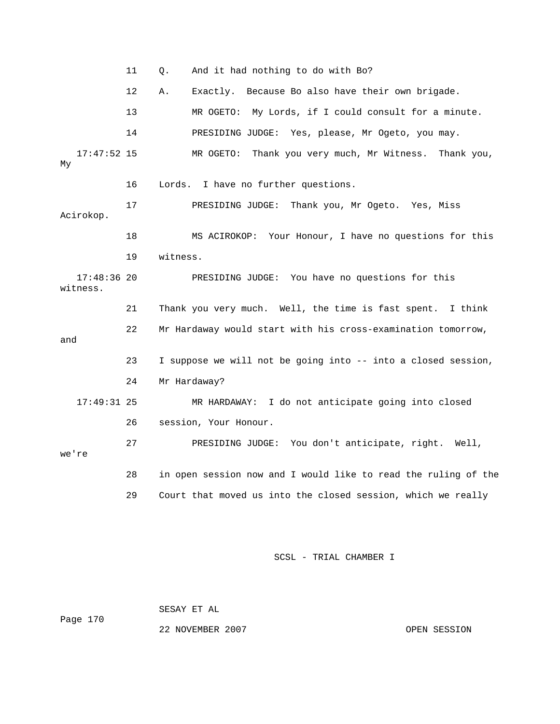|                           | 11 | And it had nothing to do with Bo?<br>Q.                        |
|---------------------------|----|----------------------------------------------------------------|
|                           | 12 | Exactly. Because Bo also have their own brigade.<br>Α.         |
|                           | 13 | MR OGETO: My Lords, if I could consult for a minute.           |
|                           | 14 | PRESIDING JUDGE: Yes, please, Mr Ogeto, you may.               |
| $17:47:52$ 15<br>Мy       |    | MR OGETO: Thank you very much, Mr Witness.<br>Thank you,       |
|                           | 16 | Lords. I have no further questions.                            |
| Acirokop.                 | 17 | PRESIDING JUDGE: Thank you, Mr Ogeto. Yes, Miss                |
|                           | 18 | MS ACIROKOP: Your Honour, I have no questions for this         |
|                           | 19 | witness.                                                       |
| $17:48:36$ 20<br>witness. |    | PRESIDING JUDGE: You have no questions for this                |
|                           | 21 | Thank you very much. Well, the time is fast spent. I think     |
| and                       | 22 | Mr Hardaway would start with his cross-examination tomorrow,   |
|                           | 23 | I suppose we will not be going into -- into a closed session,  |
|                           | 24 | Mr Hardaway?                                                   |
| $17:49:31$ 25             |    | MR HARDAWAY: I do not anticipate going into closed             |
|                           | 26 | session, Your Honour.                                          |
| we're                     | 27 | PRESIDING JUDGE: You don't anticipate, right. Well,            |
|                           | 28 | in open session now and I would like to read the ruling of the |
|                           | 29 | Court that moved us into the closed session, which we really   |

 SESAY ET AL Page 170

22 NOVEMBER 2007 CPEN SESSION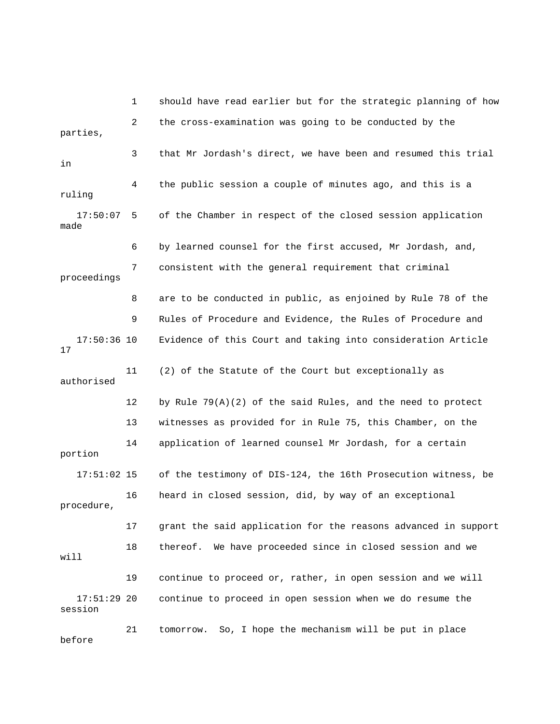1 should have read earlier but for the strategic planning of how 2 the cross-examination was going to be conducted by the parties, 3 that Mr Jordash's direct, we have been and resumed this trial in 4 the public session a couple of minutes ago, and this is a ruling 17:50:07 5 of the Chamber in respect of the closed session application made 6 by learned counsel for the first accused, Mr Jordash, and, 7 consistent with the general requirement that criminal proceedings 8 are to be conducted in public, as enjoined by Rule 78 of the 9 Rules of Procedure and Evidence, the Rules of Procedure and 17:50:36 10 Evidence of this Court and taking into consideration Article 17 11 (2) of the Statute of the Court but exceptionally as authorised 12 by Rule 79(A)(2) of the said Rules, and the need to protect 13 witnesses as provided for in Rule 75, this Chamber, on the 14 application of learned counsel Mr Jordash, for a certain portion 17:51:02 15 of the testimony of DIS-124, the 16th Prosecution witness, be 16 heard in closed session, did, by way of an exceptional procedure, 17 grant the said application for the reasons advanced in support 18 thereof. We have proceeded since in closed session and we will 19 continue to proceed or, rather, in open session and we will 17:51:29 20 continue to proceed in open session when we do resume the session 21 tomorrow. So, I hope the mechanism will be put in place

before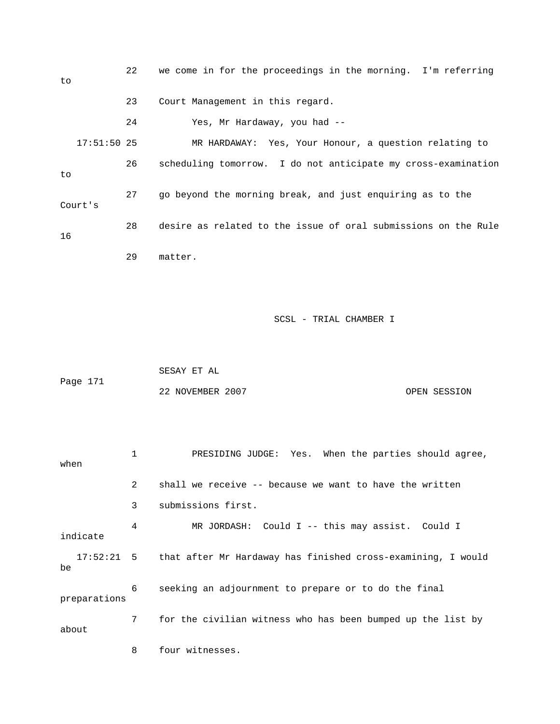| to            | 22 | we come in for the proceedings in the morning. I'm referring   |
|---------------|----|----------------------------------------------------------------|
|               | 23 | Court Management in this regard.                               |
|               | 24 | Yes, Mr Hardaway, you had --                                   |
| $17:51:50$ 25 |    | MR HARDAWAY: Yes, Your Honour, a question relating to          |
| to            | 26 | scheduling tomorrow. I do not anticipate my cross-examination  |
| Court's       | 27 | go beyond the morning break, and just enquiring as to the      |
| 16            | 28 | desire as related to the issue of oral submissions on the Rule |
|               | 29 | matter.                                                        |
|               |    |                                                                |

 SESAY ET AL Page 171 22 NOVEMBER 2007 OPEN SESSION

 1 PRESIDING JUDGE: Yes. When the parties should agree, when 2 shall we receive -- because we want to have the written 3 submissions first. 4 MR JORDASH: Could I -- this may assist. Could I indicate 17:52:21 5 that after Mr Hardaway has finished cross-examining, I would be 6 seeking an adjournment to prepare or to do the final preparations 7 for the civilian witness who has been bumped up the list by about 8 four witnesses.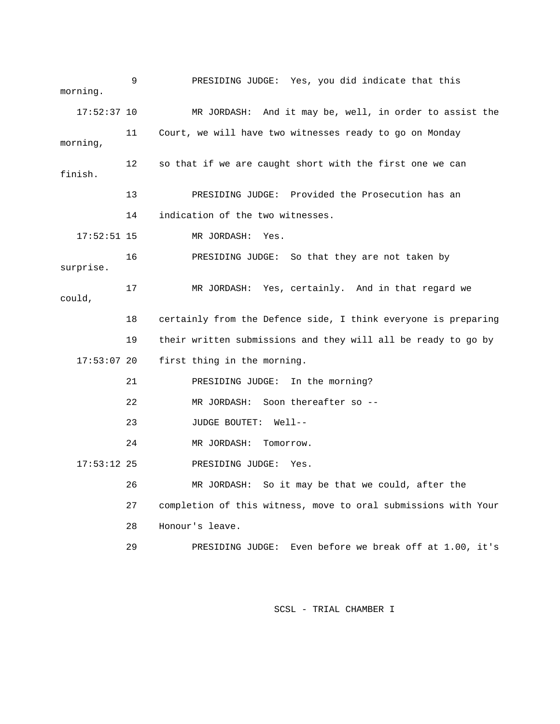9 PRESIDING JUDGE: Yes, you did indicate that this morning. 17:52:37 10 MR JORDASH: And it may be, well, in order to assist the 11 Court, we will have two witnesses ready to go on Monday morning, 12 so that if we are caught short with the first one we can finish. 13 PRESIDING JUDGE: Provided the Prosecution has an 14 indication of the two witnesses. 17:52:51 15 MR JORDASH: Yes. 16 PRESIDING JUDGE: So that they are not taken by surprise. 17 MR JORDASH: Yes, certainly. And in that regard we could, 18 certainly from the Defence side, I think everyone is preparing 19 their written submissions and they will all be ready to go by 17:53:07 20 first thing in the morning. 21 PRESIDING JUDGE: In the morning? 22 MR JORDASH: Soon thereafter so -- 23 JUDGE BOUTET: Well-- 24 MR JORDASH: Tomorrow. 17:53:12 25 PRESIDING JUDGE: Yes. 26 MR JORDASH: So it may be that we could, after the 27 completion of this witness, move to oral submissions with Your 28 Honour's leave. 29 PRESIDING JUDGE: Even before we break off at 1.00, it's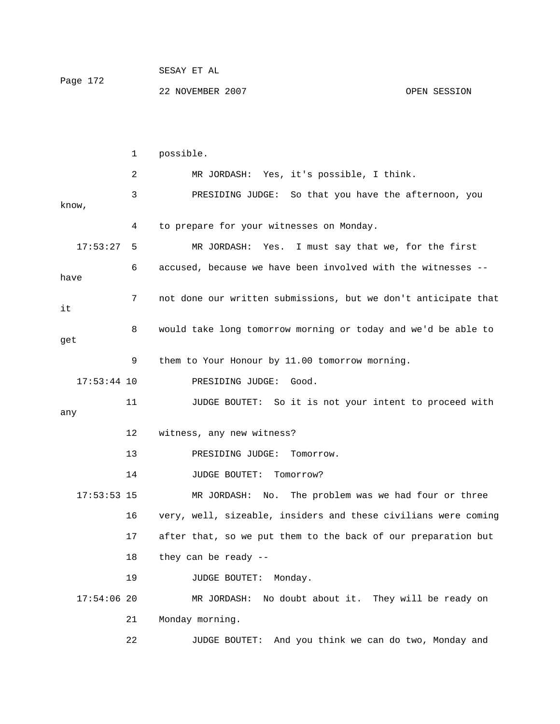|          | SESAY EI AL      |              |
|----------|------------------|--------------|
| Page 172 |                  |              |
|          | 22 NOVEMBER 2007 | OPEN SESSION |

 $CDOAY$   $CDP$   $27$ 

 1 possible. 2 MR JORDASH: Yes, it's possible, I think. 3 PRESIDING JUDGE: So that you have the afternoon, you know, 4 to prepare for your witnesses on Monday. 17:53:27 5 MR JORDASH: Yes. I must say that we, for the first 6 accused, because we have been involved with the witnesses - have 7 not done our written submissions, but we don't anticipate that it 8 would take long tomorrow morning or today and we'd be able to get 9 them to Your Honour by 11.00 tomorrow morning. 17:53:44 10 PRESIDING JUDGE: Good. 11 JUDGE BOUTET: So it is not your intent to proceed with any 12 witness, any new witness? 13 PRESIDING JUDGE: Tomorrow. 14 JUDGE BOUTET: Tomorrow? 17:53:53 15 MR JORDASH: No. The problem was we had four or three 16 very, well, sizeable, insiders and these civilians were coming 17 after that, so we put them to the back of our preparation but 18 they can be ready -- 19 JUDGE BOUTET: Monday. 17:54:06 20 MR JORDASH: No doubt about it. They will be ready on 21 Monday morning. 22 JUDGE BOUTET: And you think we can do two, Monday and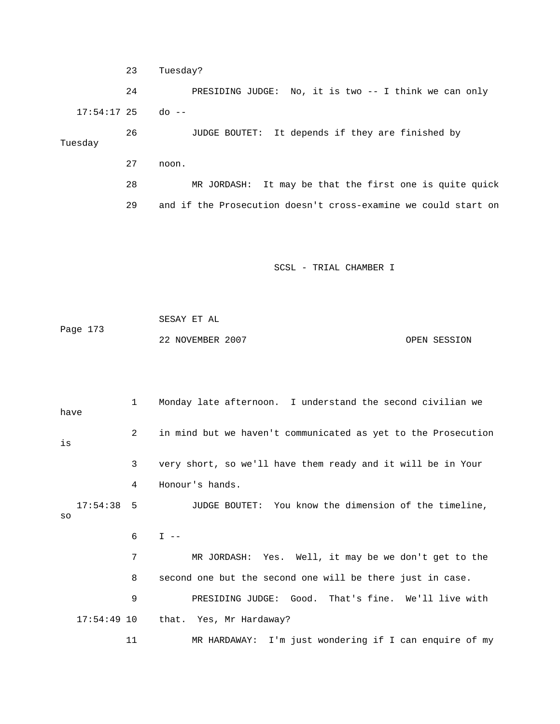23 Tuesday? 24 PRESIDING JUDGE: No, it is two -- I think we can only 17:54:17 25 do -- 26 JUDGE BOUTET: It depends if they are finished by Tuesday 27 noon. 28 MR JORDASH: It may be that the first one is quite quick 29 and if the Prosecution doesn't cross-examine we could start on

SCSL - TRIAL CHAMBER I

 SESAY ET AL Page 173 22 NOVEMBER 2007 CPEN SESSION

 1 Monday late afternoon. I understand the second civilian we have 2 in mind but we haven't communicated as yet to the Prosecution is 3 very short, so we'll have them ready and it will be in Your 4 Honour's hands. 17:54:38 5 JUDGE BOUTET: You know the dimension of the timeline, so  $6$  I  $-$  7 MR JORDASH: Yes. Well, it may be we don't get to the 8 second one but the second one will be there just in case. 9 PRESIDING JUDGE: Good. That's fine. We'll live with 17:54:49 10 that. Yes, Mr Hardaway? 11 MR HARDAWAY: I'm just wondering if I can enquire of my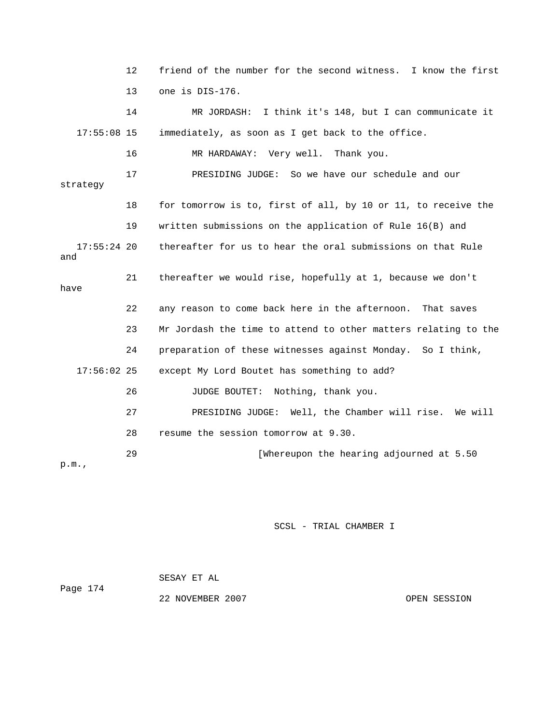12 friend of the number for the second witness. I know the first 13 one is DIS-176. 14 MR JORDASH: I think it's 148, but I can communicate it 17:55:08 15 immediately, as soon as I get back to the office. 16 MR HARDAWAY: Very well. Thank you. 17 PRESIDING JUDGE: So we have our schedule and our strategy 18 for tomorrow is to, first of all, by 10 or 11, to receive the 19 written submissions on the application of Rule 16(B) and 17:55:24 20 thereafter for us to hear the oral submissions on that Rule and 21 thereafter we would rise, hopefully at 1, because we don't have 22 any reason to come back here in the afternoon. That saves 23 Mr Jordash the time to attend to other matters relating to the 24 preparation of these witnesses against Monday. So I think, 17:56:02 25 except My Lord Boutet has something to add? 26 JUDGE BOUTET: Nothing, thank you. 27 PRESIDING JUDGE: Well, the Chamber will rise. We will 28 resume the session tomorrow at 9.30. 29 [Whereupon the hearing adjourned at 5.50 p.m.,

SCSL - TRIAL CHAMBER I

 SESAY ET AL Page 174 22 NOVEMBER 2007 OPEN SESSION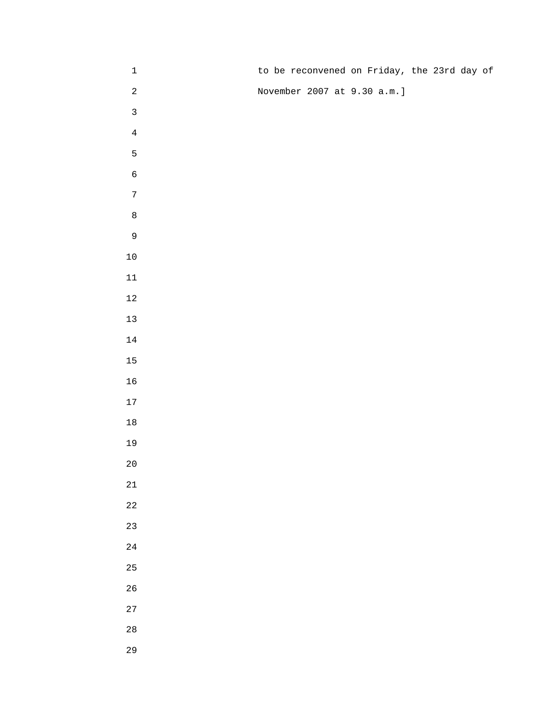| $\mathbf{1}$   |  | to be reconvened on Friday, the 23rd day of |  |
|----------------|--|---------------------------------------------|--|
| $\sqrt{2}$     |  | November 2007 at 9.30 a.m.]                 |  |
| $\mathbf{3}$   |  |                                             |  |
| $\bf 4$        |  |                                             |  |
| 5              |  |                                             |  |
| $\epsilon$     |  |                                             |  |
| $\sqrt{ }$     |  |                                             |  |
| $\,8\,$        |  |                                             |  |
| $\overline{9}$ |  |                                             |  |
| $10\,$         |  |                                             |  |
| $11\,$         |  |                                             |  |
| $12\,$         |  |                                             |  |
| $13\,$         |  |                                             |  |
| $14\,$         |  |                                             |  |
| $15\,$         |  |                                             |  |
| $16\,$         |  |                                             |  |
| $17\,$         |  |                                             |  |
| $18\,$         |  |                                             |  |
| $19$           |  |                                             |  |
| $2\,0$         |  |                                             |  |
| $21\,$         |  |                                             |  |
| $2\sqrt{2}$    |  |                                             |  |
| 23             |  |                                             |  |
| $2\sqrt{4}$    |  |                                             |  |
| 25             |  |                                             |  |
| $26\,$         |  |                                             |  |
| $27\,$         |  |                                             |  |
| $2\,8$         |  |                                             |  |
| 29             |  |                                             |  |